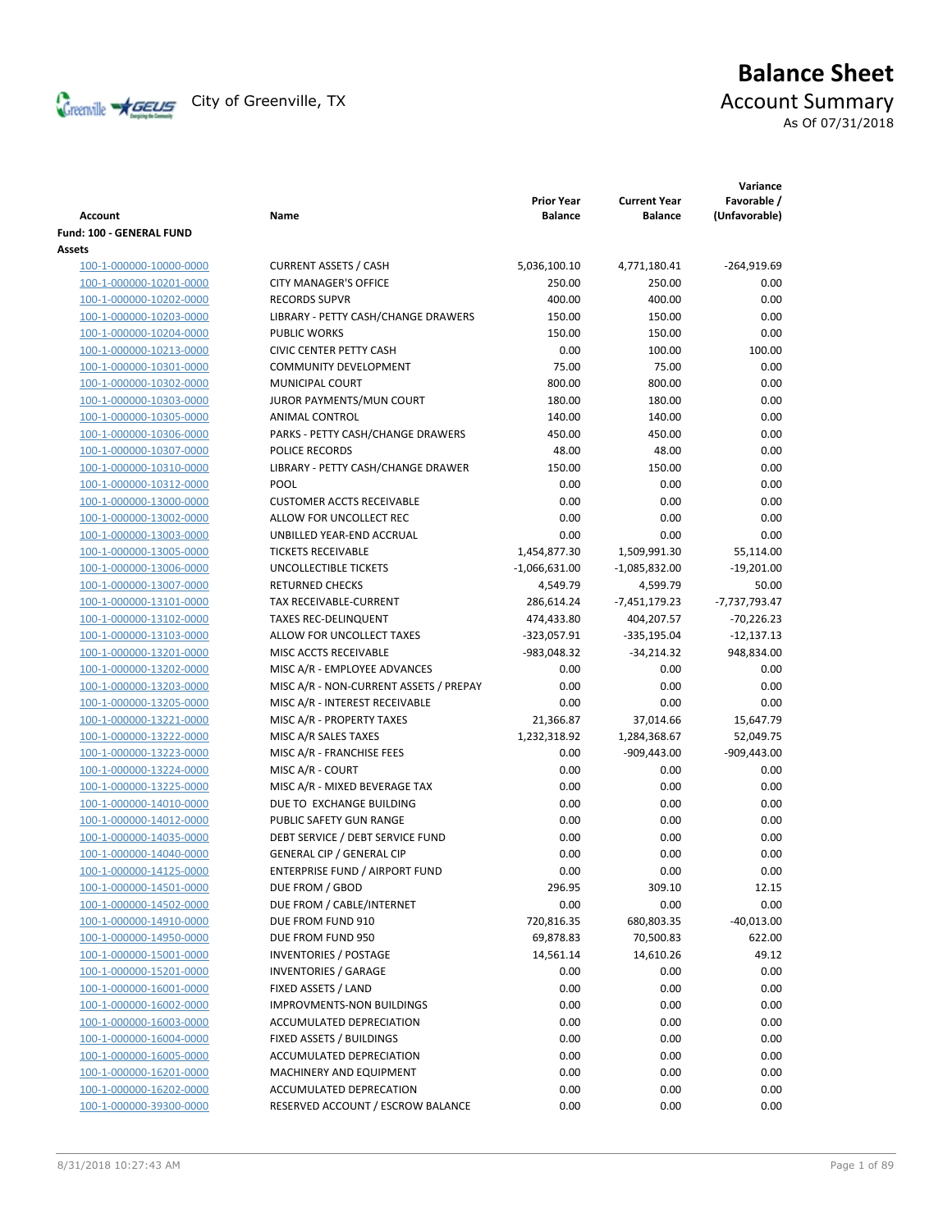

# **Balance Sheet** Creenville  $\star$  GEUS</del> City of Greenville, TX **Account Summary** As Of 07/31/2018

| Account                  | Name                                   | <b>Prior Year</b><br><b>Balance</b> | <b>Current Year</b><br><b>Balance</b> | Variance<br>Favorable /<br>(Unfavorable) |
|--------------------------|----------------------------------------|-------------------------------------|---------------------------------------|------------------------------------------|
| Fund: 100 - GENERAL FUND |                                        |                                     |                                       |                                          |
| Assets                   |                                        |                                     |                                       |                                          |
| 100-1-000000-10000-0000  | <b>CURRENT ASSETS / CASH</b>           | 5,036,100.10                        | 4,771,180.41                          | $-264,919.69$                            |
| 100-1-000000-10201-0000  | <b>CITY MANAGER'S OFFICE</b>           | 250.00                              | 250.00                                | 0.00                                     |
| 100-1-000000-10202-0000  | <b>RECORDS SUPVR</b>                   | 400.00                              | 400.00                                | 0.00                                     |
| 100-1-000000-10203-0000  | LIBRARY - PETTY CASH/CHANGE DRAWERS    | 150.00                              | 150.00                                | 0.00                                     |
| 100-1-000000-10204-0000  | <b>PUBLIC WORKS</b>                    | 150.00                              | 150.00                                | 0.00                                     |
| 100-1-000000-10213-0000  | <b>CIVIC CENTER PETTY CASH</b>         | 0.00                                | 100.00                                | 100.00                                   |
| 100-1-000000-10301-0000  | <b>COMMUNITY DEVELOPMENT</b>           | 75.00                               | 75.00                                 | 0.00                                     |
| 100-1-000000-10302-0000  | MUNICIPAL COURT                        | 800.00                              | 800.00                                | 0.00                                     |
| 100-1-000000-10303-0000  | JUROR PAYMENTS/MUN COURT               | 180.00                              | 180.00                                | 0.00                                     |
| 100-1-000000-10305-0000  | ANIMAL CONTROL                         | 140.00                              | 140.00                                | 0.00                                     |
| 100-1-000000-10306-0000  | PARKS - PETTY CASH/CHANGE DRAWERS      | 450.00                              | 450.00                                | 0.00                                     |
| 100-1-000000-10307-0000  | POLICE RECORDS                         | 48.00                               | 48.00                                 | 0.00                                     |
| 100-1-000000-10310-0000  | LIBRARY - PETTY CASH/CHANGE DRAWER     | 150.00                              | 150.00                                | 0.00                                     |
| 100-1-000000-10312-0000  | POOL                                   | 0.00                                | 0.00                                  | 0.00                                     |
| 100-1-000000-13000-0000  | <b>CUSTOMER ACCTS RECEIVABLE</b>       | 0.00                                | 0.00                                  | 0.00                                     |
| 100-1-000000-13002-0000  | ALLOW FOR UNCOLLECT REC                | 0.00                                | 0.00                                  | 0.00                                     |
| 100-1-000000-13003-0000  | UNBILLED YEAR-END ACCRUAL              | 0.00                                | 0.00                                  | 0.00                                     |
| 100-1-000000-13005-0000  | <b>TICKETS RECEIVABLE</b>              | 1,454,877.30                        | 1,509,991.30                          | 55,114.00                                |
| 100-1-000000-13006-0000  | UNCOLLECTIBLE TICKETS                  | $-1,066,631.00$                     | $-1,085,832.00$                       | $-19,201.00$                             |
| 100-1-000000-13007-0000  | <b>RETURNED CHECKS</b>                 | 4,549.79                            | 4,599.79                              | 50.00                                    |
| 100-1-000000-13101-0000  | TAX RECEIVABLE-CURRENT                 | 286,614.24                          | -7,451,179.23                         | -7,737,793.47                            |
| 100-1-000000-13102-0000  | <b>TAXES REC-DELINQUENT</b>            | 474,433.80                          | 404,207.57                            | $-70,226.23$                             |
| 100-1-000000-13103-0000  | ALLOW FOR UNCOLLECT TAXES              | $-323,057.91$                       | $-335,195.04$                         | $-12,137.13$                             |
| 100-1-000000-13201-0000  | MISC ACCTS RECEIVABLE                  | -983,048.32                         | $-34,214.32$                          | 948,834.00                               |
| 100-1-000000-13202-0000  | MISC A/R - EMPLOYEE ADVANCES           | 0.00                                | 0.00                                  | 0.00                                     |
| 100-1-000000-13203-0000  | MISC A/R - NON-CURRENT ASSETS / PREPAY | 0.00                                | 0.00                                  | 0.00                                     |
| 100-1-000000-13205-0000  | MISC A/R - INTEREST RECEIVABLE         | 0.00                                | 0.00                                  | 0.00                                     |
| 100-1-000000-13221-0000  | MISC A/R - PROPERTY TAXES              | 21,366.87                           | 37,014.66                             | 15,647.79                                |
| 100-1-000000-13222-0000  | MISC A/R SALES TAXES                   | 1,232,318.92                        | 1,284,368.67                          | 52,049.75                                |
| 100-1-000000-13223-0000  | MISC A/R - FRANCHISE FEES              | 0.00                                | $-909,443.00$                         | -909,443.00                              |
| 100-1-000000-13224-0000  | MISC A/R - COURT                       | 0.00                                | 0.00                                  | 0.00                                     |
| 100-1-000000-13225-0000  | MISC A/R - MIXED BEVERAGE TAX          | 0.00                                | 0.00                                  | 0.00                                     |
| 100-1-000000-14010-0000  | DUE TO EXCHANGE BUILDING               | 0.00                                | 0.00                                  | 0.00                                     |
| 100-1-000000-14012-0000  | PUBLIC SAFETY GUN RANGE                | 0.00                                | 0.00                                  | 0.00                                     |
| 100-1-000000-14035-0000  | DEBT SERVICE / DEBT SERVICE FUND       | 0.00                                | 0.00                                  | 0.00                                     |
| 100-1-000000-14040-0000  | <b>GENERAL CIP / GENERAL CIP</b>       | 0.00                                | 0.00                                  | 0.00                                     |
| 100-1-000000-14125-0000  | <b>ENTERPRISE FUND / AIRPORT FUND</b>  | 0.00                                | 0.00                                  | 0.00                                     |
| 100-1-000000-14501-0000  | DUE FROM / GBOD                        | 296.95                              | 309.10                                | 12.15                                    |
| 100-1-000000-14502-0000  | DUE FROM / CABLE/INTERNET              | 0.00                                | 0.00                                  | 0.00                                     |
| 100-1-000000-14910-0000  | DUE FROM FUND 910                      | 720,816.35                          | 680,803.35                            | $-40,013.00$                             |
| 100-1-000000-14950-0000  | DUE FROM FUND 950                      | 69,878.83                           | 70,500.83                             | 622.00                                   |
| 100-1-000000-15001-0000  | <b>INVENTORIES / POSTAGE</b>           | 14,561.14                           | 14,610.26                             | 49.12                                    |
| 100-1-000000-15201-0000  | <b>INVENTORIES / GARAGE</b>            | 0.00                                | 0.00                                  | 0.00                                     |
| 100-1-000000-16001-0000  | FIXED ASSETS / LAND                    | 0.00                                | 0.00                                  | 0.00                                     |
| 100-1-000000-16002-0000  | <b>IMPROVMENTS-NON BUILDINGS</b>       | 0.00                                | 0.00                                  | 0.00                                     |
| 100-1-000000-16003-0000  | ACCUMULATED DEPRECIATION               | 0.00                                | 0.00                                  | 0.00                                     |
| 100-1-000000-16004-0000  | FIXED ASSETS / BUILDINGS               | 0.00                                | 0.00                                  | 0.00                                     |
| 100-1-000000-16005-0000  | ACCUMULATED DEPRECIATION               | 0.00                                | 0.00                                  | 0.00                                     |
| 100-1-000000-16201-0000  | MACHINERY AND EQUIPMENT                | 0.00                                | 0.00                                  | 0.00                                     |
| 100-1-000000-16202-0000  | ACCUMULATED DEPRECATION                | 0.00                                | 0.00                                  | 0.00                                     |
| 100-1-000000-39300-0000  | RESERVED ACCOUNT / ESCROW BALANCE      | 0.00                                | 0.00                                  | 0.00                                     |
|                          |                                        |                                     |                                       |                                          |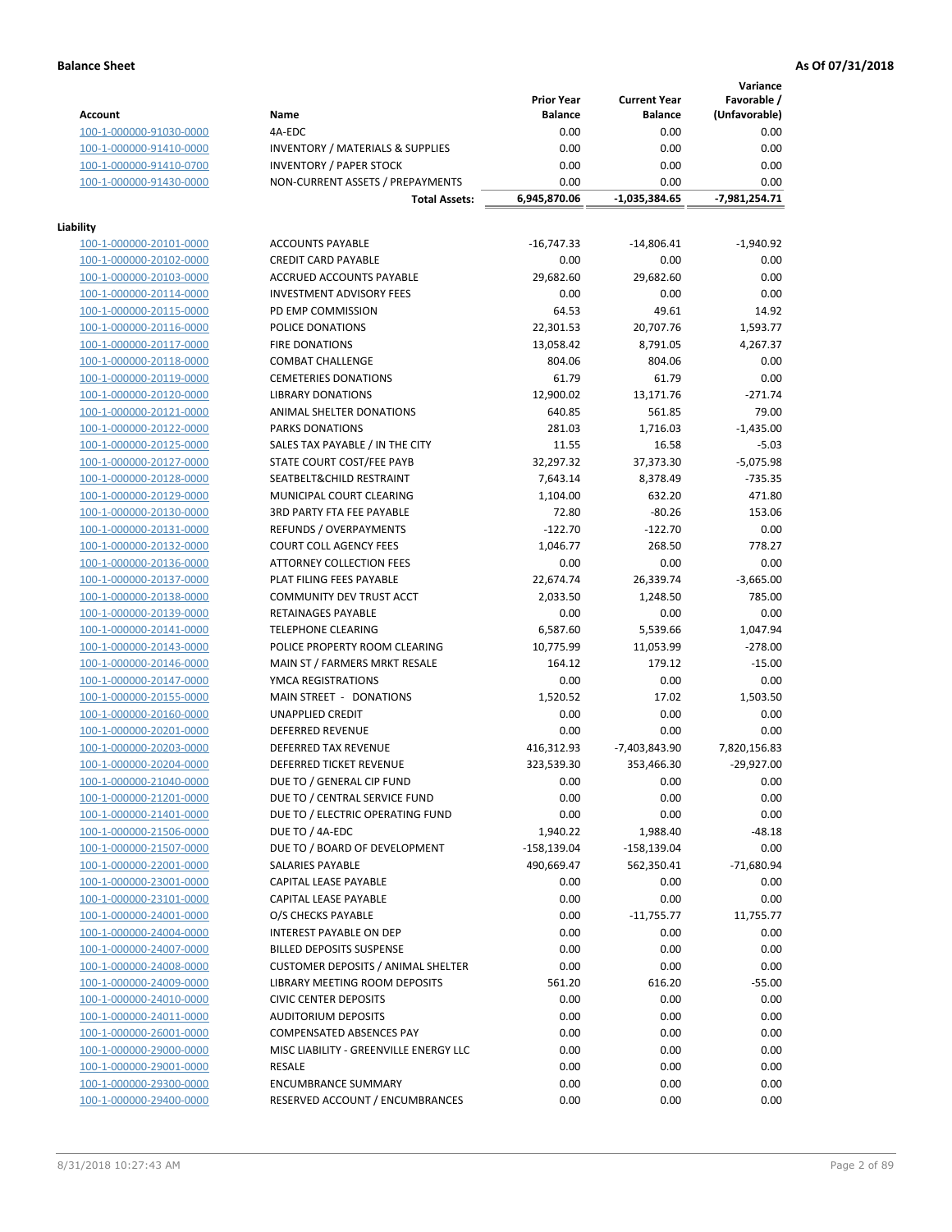**Variance**

|                         |                                             | <b>Prior Year</b> | <b>Current Year</b> | Favorable /     |
|-------------------------|---------------------------------------------|-------------------|---------------------|-----------------|
| <b>Account</b>          | Name                                        | <b>Balance</b>    | <b>Balance</b>      | (Unfavorable)   |
| 100-1-000000-91030-0000 | 4A-EDC                                      | 0.00              | 0.00                | 0.00            |
| 100-1-000000-91410-0000 | <b>INVENTORY / MATERIALS &amp; SUPPLIES</b> | 0.00              | 0.00                | 0.00            |
| 100-1-000000-91410-0700 | <b>INVENTORY / PAPER STOCK</b>              | 0.00              | 0.00                | 0.00            |
| 100-1-000000-91430-0000 | NON-CURRENT ASSETS / PREPAYMENTS            | 0.00              | 0.00                | 0.00            |
|                         | <b>Total Assets:</b>                        | 6,945,870.06      | $-1,035,384.65$     | $-7,981,254.71$ |
|                         |                                             |                   |                     |                 |
| Liability               |                                             |                   |                     |                 |
| 100-1-000000-20101-0000 | <b>ACCOUNTS PAYABLE</b>                     | $-16,747.33$      | $-14,806.41$        | $-1,940.92$     |
| 100-1-000000-20102-0000 | <b>CREDIT CARD PAYABLE</b>                  | 0.00              | 0.00                | 0.00            |
| 100-1-000000-20103-0000 | <b>ACCRUED ACCOUNTS PAYABLE</b>             | 29,682.60         | 29,682.60           | 0.00            |
| 100-1-000000-20114-0000 | <b>INVESTMENT ADVISORY FEES</b>             | 0.00              | 0.00                | 0.00            |
| 100-1-000000-20115-0000 | PD EMP COMMISSION                           | 64.53             | 49.61               | 14.92           |
| 100-1-000000-20116-0000 | POLICE DONATIONS                            | 22,301.53         | 20,707.76           | 1,593.77        |
| 100-1-000000-20117-0000 | <b>FIRE DONATIONS</b>                       | 13,058.42         | 8,791.05            | 4,267.37        |
| 100-1-000000-20118-0000 | <b>COMBAT CHALLENGE</b>                     | 804.06            | 804.06              | 0.00            |
| 100-1-000000-20119-0000 | <b>CEMETERIES DONATIONS</b>                 | 61.79             | 61.79               | 0.00            |
| 100-1-000000-20120-0000 | <b>LIBRARY DONATIONS</b>                    | 12,900.02         | 13,171.76           | $-271.74$       |
| 100-1-000000-20121-0000 | ANIMAL SHELTER DONATIONS                    | 640.85            | 561.85              | 79.00           |
| 100-1-000000-20122-0000 | <b>PARKS DONATIONS</b>                      | 281.03            | 1,716.03            | $-1,435.00$     |
| 100-1-000000-20125-0000 | SALES TAX PAYABLE / IN THE CITY             | 11.55             | 16.58               | $-5.03$         |
| 100-1-000000-20127-0000 | STATE COURT COST/FEE PAYB                   | 32,297.32         | 37,373.30           | $-5,075.98$     |
| 100-1-000000-20128-0000 | SEATBELT&CHILD RESTRAINT                    | 7,643.14          | 8,378.49            | $-735.35$       |
| 100-1-000000-20129-0000 | MUNICIPAL COURT CLEARING                    | 1,104.00          | 632.20              | 471.80          |
| 100-1-000000-20130-0000 | <b>3RD PARTY FTA FEE PAYABLE</b>            | 72.80             | $-80.26$            | 153.06          |
| 100-1-000000-20131-0000 | REFUNDS / OVERPAYMENTS                      | $-122.70$         | $-122.70$           | 0.00            |
| 100-1-000000-20132-0000 | <b>COURT COLL AGENCY FEES</b>               | 1,046.77          | 268.50              | 778.27          |
| 100-1-000000-20136-0000 | <b>ATTORNEY COLLECTION FEES</b>             | 0.00              | 0.00                | 0.00            |
| 100-1-000000-20137-0000 | PLAT FILING FEES PAYABLE                    | 22,674.74         | 26,339.74           | $-3,665.00$     |
| 100-1-000000-20138-0000 | COMMUNITY DEV TRUST ACCT                    | 2,033.50          | 1,248.50            | 785.00          |
| 100-1-000000-20139-0000 | RETAINAGES PAYABLE                          | 0.00              | 0.00                | 0.00            |
| 100-1-000000-20141-0000 | <b>TELEPHONE CLEARING</b>                   | 6,587.60          | 5,539.66            | 1,047.94        |
| 100-1-000000-20143-0000 | POLICE PROPERTY ROOM CLEARING               | 10,775.99         | 11,053.99           | $-278.00$       |
| 100-1-000000-20146-0000 | MAIN ST / FARMERS MRKT RESALE               | 164.12            | 179.12              | $-15.00$        |
| 100-1-000000-20147-0000 | YMCA REGISTRATIONS                          | 0.00              | 0.00                | 0.00            |
| 100-1-000000-20155-0000 | MAIN STREET - DONATIONS                     | 1,520.52          | 17.02               | 1,503.50        |
| 100-1-000000-20160-0000 | <b>UNAPPLIED CREDIT</b>                     | 0.00              | 0.00                | 0.00            |
| 100-1-000000-20201-0000 | <b>DEFERRED REVENUE</b>                     | 0.00              | 0.00                | 0.00            |
| 100-1-000000-20203-0000 | DEFERRED TAX REVENUE                        | 416,312.93        | $-7,403,843.90$     | 7,820,156.83    |
| 100-1-000000-20204-0000 | DEFERRED TICKET REVENUE                     | 323,539.30        | 353,466.30          | $-29,927.00$    |
| 100-1-000000-21040-0000 | DUE TO / GENERAL CIP FUND                   | 0.00              | 0.00                | 0.00            |
| 100-1-000000-21201-0000 | DUE TO / CENTRAL SERVICE FUND               | 0.00              | 0.00                | 0.00            |
| 100-1-000000-21401-0000 | DUE TO / ELECTRIC OPERATING FUND            | 0.00              | 0.00                | 0.00            |
| 100-1-000000-21506-0000 | DUE TO / 4A-EDC                             | 1,940.22          | 1,988.40            | $-48.18$        |
| 100-1-000000-21507-0000 | DUE TO / BOARD OF DEVELOPMENT               | $-158,139.04$     | -158,139.04         | 0.00            |
| 100-1-000000-22001-0000 | SALARIES PAYABLE                            | 490,669.47        | 562,350.41          | $-71,680.94$    |
| 100-1-000000-23001-0000 | CAPITAL LEASE PAYABLE                       | 0.00              | 0.00                | 0.00            |
| 100-1-000000-23101-0000 | CAPITAL LEASE PAYABLE                       | 0.00              | 0.00                | 0.00            |
| 100-1-000000-24001-0000 | O/S CHECKS PAYABLE                          | 0.00              | $-11,755.77$        | 11,755.77       |
| 100-1-000000-24004-0000 | INTEREST PAYABLE ON DEP                     | 0.00              | 0.00                | 0.00            |
| 100-1-000000-24007-0000 | <b>BILLED DEPOSITS SUSPENSE</b>             | 0.00              | 0.00                | 0.00            |
| 100-1-000000-24008-0000 | <b>CUSTOMER DEPOSITS / ANIMAL SHELTER</b>   | 0.00              | 0.00                | 0.00            |
| 100-1-000000-24009-0000 | LIBRARY MEETING ROOM DEPOSITS               | 561.20            | 616.20              | $-55.00$        |
| 100-1-000000-24010-0000 | <b>CIVIC CENTER DEPOSITS</b>                | 0.00              | 0.00                | 0.00            |
| 100-1-000000-24011-0000 | <b>AUDITORIUM DEPOSITS</b>                  | 0.00              | 0.00                | 0.00            |
| 100-1-000000-26001-0000 | COMPENSATED ABSENCES PAY                    | 0.00              | 0.00                | 0.00            |
| 100-1-000000-29000-0000 | MISC LIABILITY - GREENVILLE ENERGY LLC      | 0.00              | 0.00                | 0.00            |
| 100-1-000000-29001-0000 | <b>RESALE</b>                               | 0.00              | 0.00                | 0.00            |
| 100-1-000000-29300-0000 | <b>ENCUMBRANCE SUMMARY</b>                  | 0.00              | 0.00                | 0.00            |
| 100-1-000000-29400-0000 | RESERVED ACCOUNT / ENCUMBRANCES             | 0.00              | 0.00                | 0.00            |
|                         |                                             |                   |                     |                 |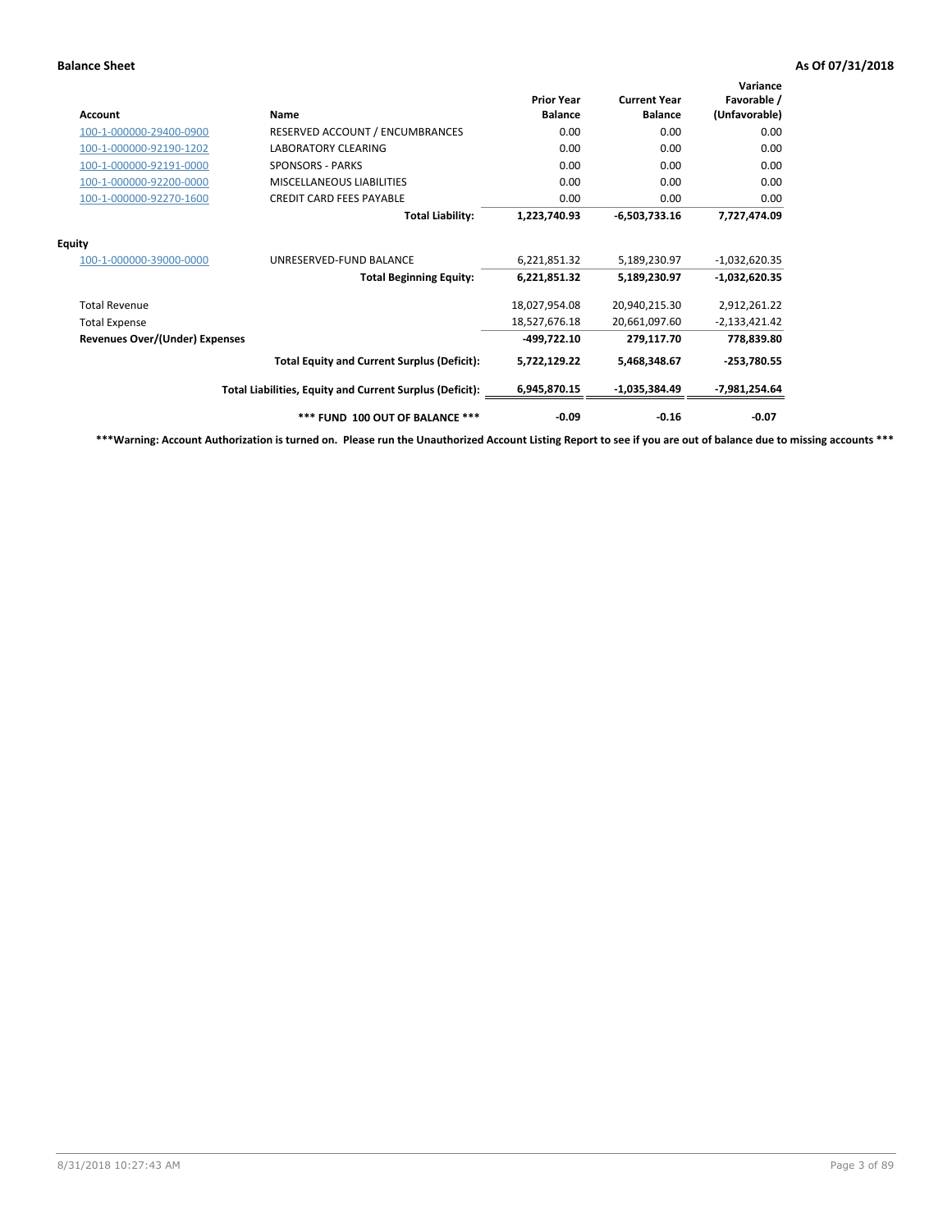| <b>Account</b>                        | Name                                                     | <b>Prior Year</b><br><b>Balance</b> | <b>Current Year</b><br><b>Balance</b> | Variance<br>Favorable /<br>(Unfavorable) |
|---------------------------------------|----------------------------------------------------------|-------------------------------------|---------------------------------------|------------------------------------------|
| 100-1-000000-29400-0900               | RESERVED ACCOUNT / ENCUMBRANCES                          | 0.00                                | 0.00                                  | 0.00                                     |
| 100-1-000000-92190-1202               | LABORATORY CLEARING                                      | 0.00                                | 0.00                                  | 0.00                                     |
| 100-1-000000-92191-0000               | <b>SPONSORS - PARKS</b>                                  | 0.00                                | 0.00                                  | 0.00                                     |
| 100-1-000000-92200-0000               | MISCELLANEOUS LIABILITIES                                | 0.00                                | 0.00                                  | 0.00                                     |
| 100-1-000000-92270-1600               | <b>CREDIT CARD FEES PAYABLE</b>                          | 0.00                                | 0.00                                  | 0.00                                     |
|                                       | <b>Total Liability:</b>                                  | 1,223,740.93                        | $-6,503,733.16$                       | 7,727,474.09                             |
| <b>Equity</b>                         |                                                          |                                     |                                       |                                          |
| 100-1-000000-39000-0000               | UNRESERVED-FUND BALANCE                                  | 6,221,851.32                        | 5,189,230.97                          | $-1,032,620.35$                          |
|                                       | <b>Total Beginning Equity:</b>                           | 6,221,851.32                        | 5,189,230.97                          | $-1,032,620.35$                          |
| <b>Total Revenue</b>                  |                                                          | 18,027,954.08                       | 20,940,215.30                         | 2,912,261.22                             |
| <b>Total Expense</b>                  |                                                          | 18,527,676.18                       | 20,661,097.60                         | $-2,133,421.42$                          |
| <b>Revenues Over/(Under) Expenses</b> |                                                          | -499,722.10                         | 279,117.70                            | 778,839.80                               |
|                                       | <b>Total Equity and Current Surplus (Deficit):</b>       | 5,722,129.22                        | 5,468,348.67                          | $-253,780.55$                            |
|                                       | Total Liabilities, Equity and Current Surplus (Deficit): | 6,945,870.15                        | $-1,035,384.49$                       | -7,981,254.64                            |
|                                       | *** FUND 100 OUT OF BALANCE ***                          | $-0.09$                             | $-0.16$                               | $-0.07$                                  |

**\*\*\*Warning: Account Authorization is turned on. Please run the Unauthorized Account Listing Report to see if you are out of balance due to missing accounts \*\*\***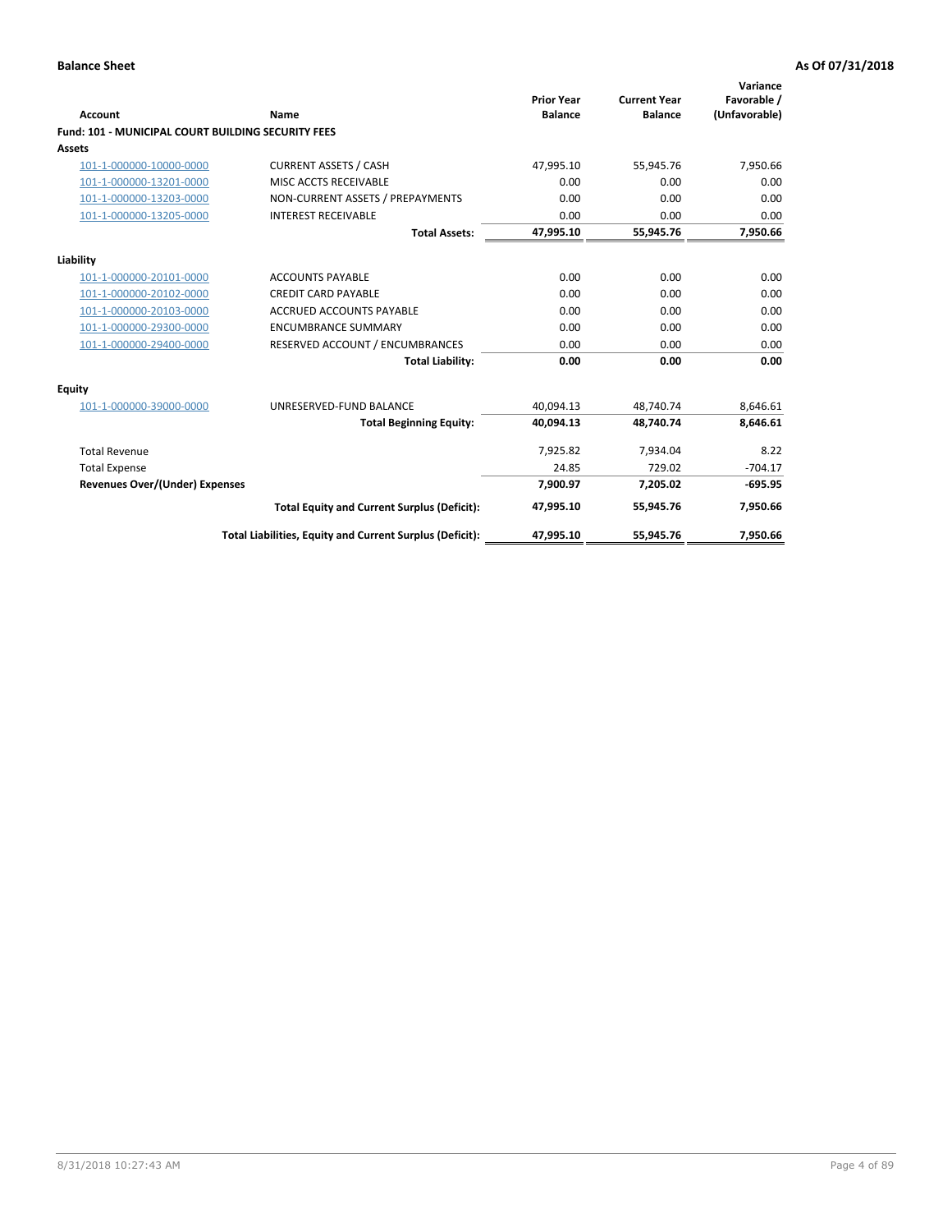| Account                                                   | Name                                                     | <b>Prior Year</b><br><b>Balance</b> | <b>Current Year</b><br><b>Balance</b> | Variance<br>Favorable /<br>(Unfavorable) |
|-----------------------------------------------------------|----------------------------------------------------------|-------------------------------------|---------------------------------------|------------------------------------------|
| <b>Fund: 101 - MUNICIPAL COURT BUILDING SECURITY FEES</b> |                                                          |                                     |                                       |                                          |
| Assets                                                    |                                                          |                                     |                                       |                                          |
| 101-1-000000-10000-0000                                   | <b>CURRENT ASSETS / CASH</b>                             | 47,995.10                           | 55,945.76                             | 7,950.66                                 |
| 101-1-000000-13201-0000                                   | MISC ACCTS RECEIVABLE                                    | 0.00                                | 0.00                                  | 0.00                                     |
| 101-1-000000-13203-0000                                   | NON-CURRENT ASSETS / PREPAYMENTS                         | 0.00                                | 0.00                                  | 0.00                                     |
| 101-1-000000-13205-0000                                   | <b>INTEREST RECEIVABLE</b>                               | 0.00                                | 0.00                                  | 0.00                                     |
|                                                           | <b>Total Assets:</b>                                     | 47,995.10                           | 55,945.76                             | 7,950.66                                 |
| Liability                                                 |                                                          |                                     |                                       |                                          |
| 101-1-000000-20101-0000                                   | <b>ACCOUNTS PAYABLE</b>                                  | 0.00                                | 0.00                                  | 0.00                                     |
| 101-1-000000-20102-0000                                   | <b>CREDIT CARD PAYABLE</b>                               | 0.00                                | 0.00                                  | 0.00                                     |
| 101-1-000000-20103-0000                                   | <b>ACCRUED ACCOUNTS PAYABLE</b>                          | 0.00                                | 0.00                                  | 0.00                                     |
| 101-1-000000-29300-0000                                   | <b>ENCUMBRANCE SUMMARY</b>                               | 0.00                                | 0.00                                  | 0.00                                     |
| 101-1-000000-29400-0000                                   | RESERVED ACCOUNT / ENCUMBRANCES                          | 0.00                                | 0.00                                  | 0.00                                     |
|                                                           | <b>Total Liability:</b>                                  | 0.00                                | 0.00                                  | 0.00                                     |
| <b>Equity</b>                                             |                                                          |                                     |                                       |                                          |
| 101-1-000000-39000-0000                                   | UNRESERVED-FUND BALANCE                                  | 40,094.13                           | 48,740.74                             | 8,646.61                                 |
|                                                           | <b>Total Beginning Equity:</b>                           | 40,094.13                           | 48.740.74                             | 8,646.61                                 |
| <b>Total Revenue</b>                                      |                                                          | 7,925.82                            | 7,934.04                              | 8.22                                     |
| <b>Total Expense</b>                                      |                                                          | 24.85                               | 729.02                                | $-704.17$                                |
| Revenues Over/(Under) Expenses                            |                                                          | 7,900.97                            | 7,205.02                              | $-695.95$                                |
|                                                           | <b>Total Equity and Current Surplus (Deficit):</b>       | 47,995.10                           | 55,945.76                             | 7,950.66                                 |
|                                                           | Total Liabilities, Equity and Current Surplus (Deficit): | 47,995.10                           | 55,945.76                             | 7,950.66                                 |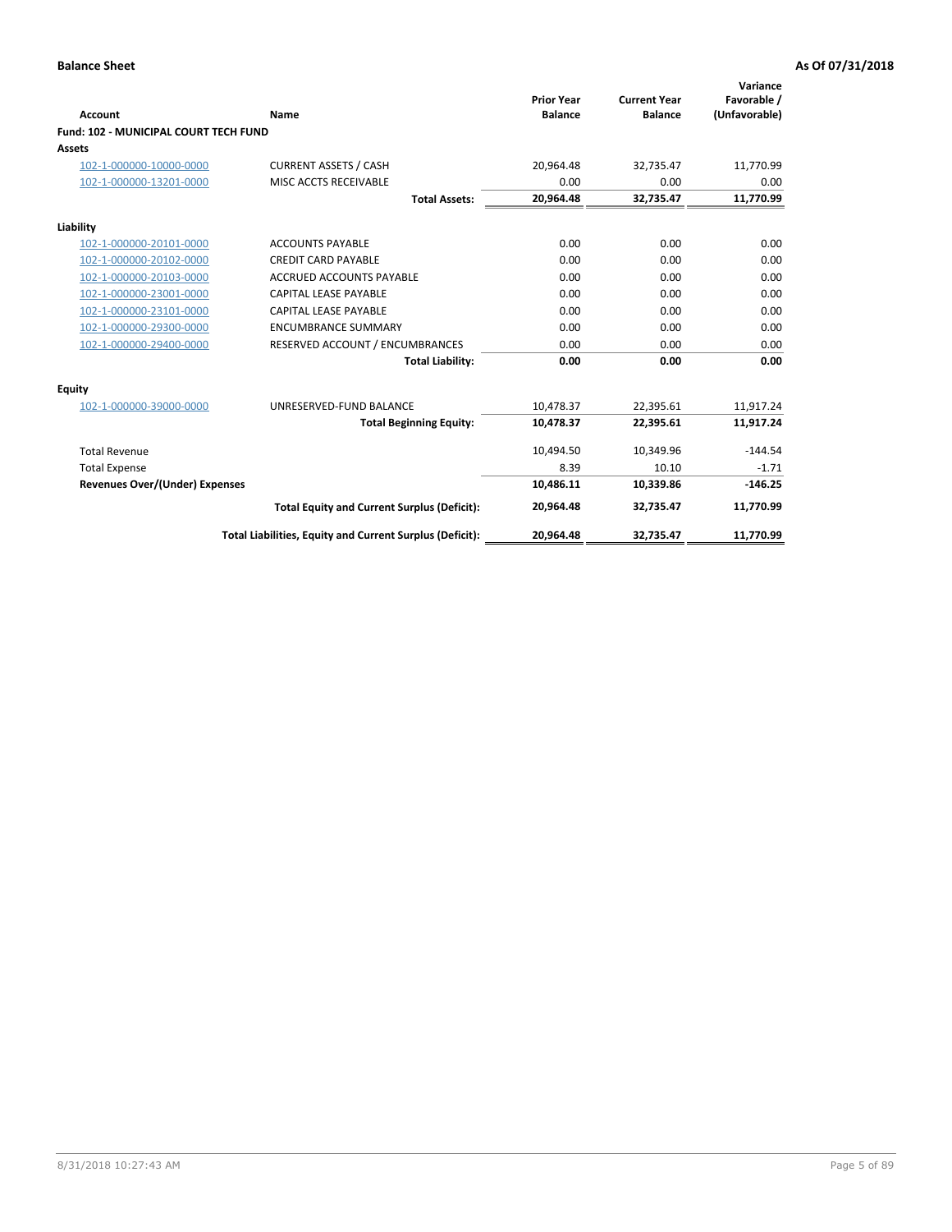| <b>Account</b>                        | Name                                                     | <b>Prior Year</b><br><b>Balance</b> | <b>Current Year</b><br><b>Balance</b> | Variance<br>Favorable /<br>(Unfavorable) |
|---------------------------------------|----------------------------------------------------------|-------------------------------------|---------------------------------------|------------------------------------------|
| Fund: 102 - MUNICIPAL COURT TECH FUND |                                                          |                                     |                                       |                                          |
| Assets                                |                                                          |                                     |                                       |                                          |
| 102-1-000000-10000-0000               | <b>CURRENT ASSETS / CASH</b>                             | 20.964.48                           | 32.735.47                             | 11,770.99                                |
| 102-1-000000-13201-0000               | MISC ACCTS RECEIVABLE                                    | 0.00                                | 0.00                                  | 0.00                                     |
|                                       | <b>Total Assets:</b>                                     | 20,964.48                           | 32,735.47                             | 11,770.99                                |
| Liability                             |                                                          |                                     |                                       |                                          |
| 102-1-000000-20101-0000               | <b>ACCOUNTS PAYABLE</b>                                  | 0.00                                | 0.00                                  | 0.00                                     |
| 102-1-000000-20102-0000               | <b>CREDIT CARD PAYABLE</b>                               | 0.00                                | 0.00                                  | 0.00                                     |
| 102-1-000000-20103-0000               | <b>ACCRUED ACCOUNTS PAYABLE</b>                          | 0.00                                | 0.00                                  | 0.00                                     |
| 102-1-000000-23001-0000               | CAPITAL LEASE PAYABLE                                    | 0.00                                | 0.00                                  | 0.00                                     |
| 102-1-000000-23101-0000               | <b>CAPITAL LEASE PAYABLE</b>                             | 0.00                                | 0.00                                  | 0.00                                     |
| 102-1-000000-29300-0000               | <b>ENCUMBRANCE SUMMARY</b>                               | 0.00                                | 0.00                                  | 0.00                                     |
| 102-1-000000-29400-0000               | RESERVED ACCOUNT / ENCUMBRANCES                          | 0.00                                | 0.00                                  | 0.00                                     |
|                                       | <b>Total Liability:</b>                                  | 0.00                                | 0.00                                  | 0.00                                     |
| <b>Equity</b>                         |                                                          |                                     |                                       |                                          |
| 102-1-000000-39000-0000               | UNRESERVED-FUND BALANCE                                  | 10,478.37                           | 22,395.61                             | 11,917.24                                |
|                                       | <b>Total Beginning Equity:</b>                           | 10,478.37                           | 22,395.61                             | 11,917.24                                |
| <b>Total Revenue</b>                  |                                                          | 10,494.50                           | 10,349.96                             | $-144.54$                                |
| <b>Total Expense</b>                  |                                                          | 8.39                                | 10.10                                 | $-1.71$                                  |
| <b>Revenues Over/(Under) Expenses</b> |                                                          | 10,486.11                           | 10,339.86                             | $-146.25$                                |
|                                       | <b>Total Equity and Current Surplus (Deficit):</b>       | 20,964.48                           | 32,735.47                             | 11,770.99                                |
|                                       | Total Liabilities, Equity and Current Surplus (Deficit): | 20,964.48                           | 32,735.47                             | 11,770.99                                |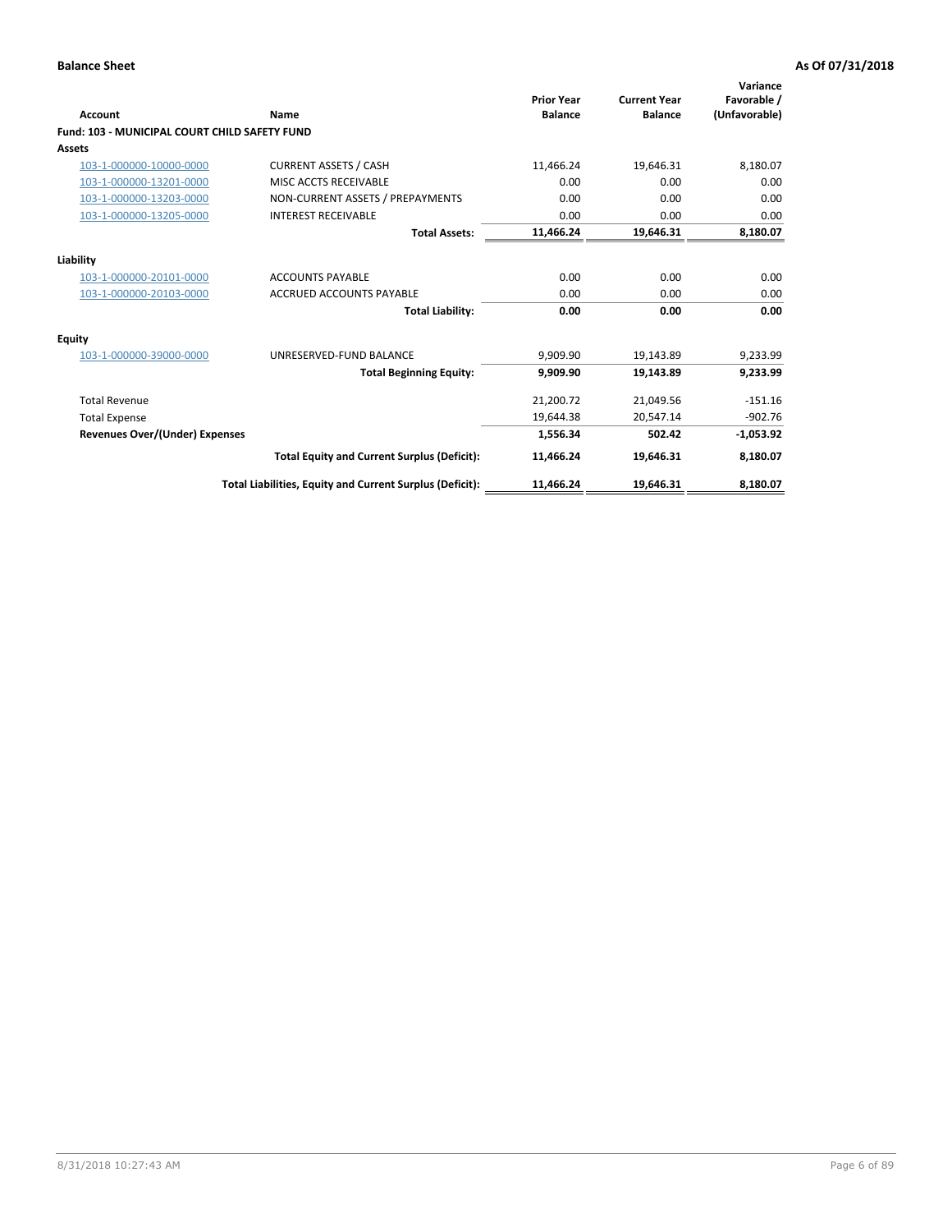| Account                                       | Name                                                     | <b>Prior Year</b><br><b>Balance</b> | <b>Current Year</b><br><b>Balance</b> | Variance<br>Favorable /<br>(Unfavorable) |
|-----------------------------------------------|----------------------------------------------------------|-------------------------------------|---------------------------------------|------------------------------------------|
| Fund: 103 - MUNICIPAL COURT CHILD SAFETY FUND |                                                          |                                     |                                       |                                          |
| Assets                                        |                                                          |                                     |                                       |                                          |
| 103-1-000000-10000-0000                       | <b>CURRENT ASSETS / CASH</b>                             | 11,466.24                           | 19,646.31                             | 8,180.07                                 |
| 103-1-000000-13201-0000                       | MISC ACCTS RECEIVABLE                                    | 0.00                                | 0.00                                  | 0.00                                     |
| 103-1-000000-13203-0000                       | NON-CURRENT ASSETS / PREPAYMENTS                         | 0.00                                | 0.00                                  | 0.00                                     |
| 103-1-000000-13205-0000                       | <b>INTEREST RECEIVABLE</b>                               | 0.00                                | 0.00                                  | 0.00                                     |
|                                               | <b>Total Assets:</b>                                     | 11,466.24                           | 19,646.31                             | 8,180.07                                 |
| Liability                                     |                                                          |                                     |                                       |                                          |
| 103-1-000000-20101-0000                       | <b>ACCOUNTS PAYABLE</b>                                  | 0.00                                | 0.00                                  | 0.00                                     |
| 103-1-000000-20103-0000                       | <b>ACCRUED ACCOUNTS PAYABLE</b>                          | 0.00                                | 0.00                                  | 0.00                                     |
|                                               | <b>Total Liability:</b>                                  | 0.00                                | 0.00                                  | 0.00                                     |
| Equity                                        |                                                          |                                     |                                       |                                          |
| 103-1-000000-39000-0000                       | UNRESERVED-FUND BALANCE                                  | 9,909.90                            | 19,143.89                             | 9,233.99                                 |
|                                               | <b>Total Beginning Equity:</b>                           | 9,909.90                            | 19,143.89                             | 9,233.99                                 |
| <b>Total Revenue</b>                          |                                                          | 21,200.72                           | 21,049.56                             | $-151.16$                                |
| <b>Total Expense</b>                          |                                                          | 19,644.38                           | 20,547.14                             | $-902.76$                                |
| Revenues Over/(Under) Expenses                |                                                          | 1,556.34                            | 502.42                                | $-1,053.92$                              |
|                                               | <b>Total Equity and Current Surplus (Deficit):</b>       | 11,466.24                           | 19,646.31                             | 8,180.07                                 |
|                                               | Total Liabilities, Equity and Current Surplus (Deficit): | 11,466.24                           | 19,646.31                             | 8,180.07                                 |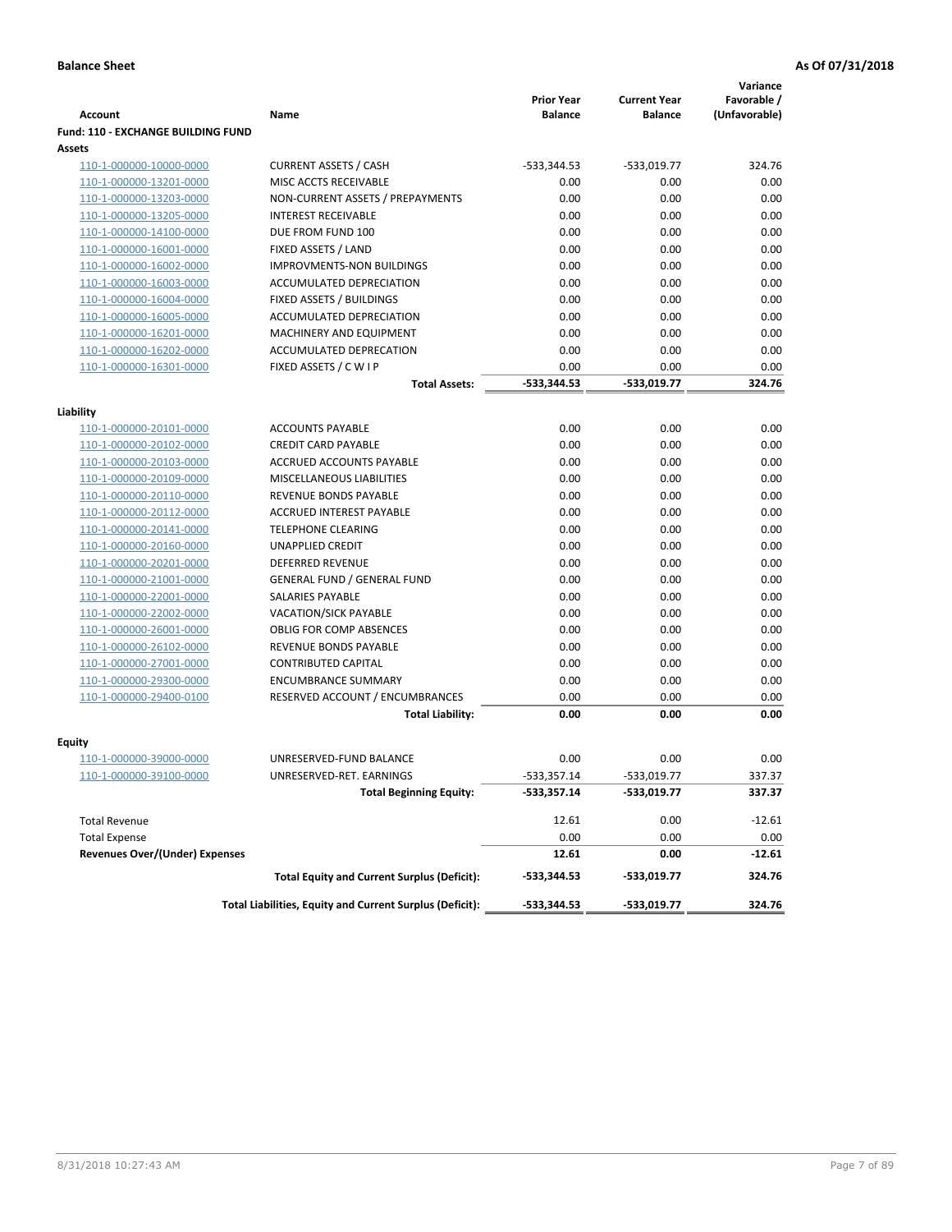|                                           |                                                          | <b>Prior Year</b> | <b>Current Year</b> | Variance<br>Favorable / |
|-------------------------------------------|----------------------------------------------------------|-------------------|---------------------|-------------------------|
| Account                                   | Name                                                     | <b>Balance</b>    | <b>Balance</b>      | (Unfavorable)           |
| <b>Fund: 110 - EXCHANGE BUILDING FUND</b> |                                                          |                   |                     |                         |
| <b>Assets</b>                             |                                                          |                   |                     |                         |
| 110-1-000000-10000-0000                   | <b>CURRENT ASSETS / CASH</b>                             | -533,344.53       | $-533,019.77$       | 324.76                  |
| 110-1-000000-13201-0000                   | MISC ACCTS RECEIVABLE                                    | 0.00              | 0.00                | 0.00                    |
| 110-1-000000-13203-0000                   | NON-CURRENT ASSETS / PREPAYMENTS                         | 0.00              | 0.00                | 0.00                    |
| 110-1-000000-13205-0000                   | <b>INTEREST RECEIVABLE</b>                               | 0.00              | 0.00                | 0.00                    |
| 110-1-000000-14100-0000                   | DUE FROM FUND 100                                        | 0.00              | 0.00                | 0.00                    |
| 110-1-000000-16001-0000                   | FIXED ASSETS / LAND                                      | 0.00              | 0.00                | 0.00                    |
| 110-1-000000-16002-0000                   | <b>IMPROVMENTS-NON BUILDINGS</b>                         | 0.00              | 0.00                | 0.00                    |
| 110-1-000000-16003-0000                   | ACCUMULATED DEPRECIATION                                 | 0.00              | 0.00                | 0.00                    |
| 110-1-000000-16004-0000                   | <b>FIXED ASSETS / BUILDINGS</b>                          | 0.00              | 0.00                | 0.00                    |
| 110-1-000000-16005-0000                   | ACCUMULATED DEPRECIATION                                 | 0.00              | 0.00                | 0.00                    |
| 110-1-000000-16201-0000                   | MACHINERY AND EQUIPMENT                                  | 0.00              | 0.00                | 0.00                    |
| 110-1-000000-16202-0000                   | ACCUMULATED DEPRECATION                                  | 0.00              | 0.00                | 0.00                    |
| 110-1-000000-16301-0000                   | FIXED ASSETS / C W I P                                   | 0.00              | 0.00                | 0.00                    |
|                                           | <b>Total Assets:</b>                                     | $-533,344.53$     | -533,019.77         | 324.76                  |
| Liability                                 |                                                          |                   |                     |                         |
| 110-1-000000-20101-0000                   | <b>ACCOUNTS PAYABLE</b>                                  | 0.00              | 0.00                | 0.00                    |
| 110-1-000000-20102-0000                   | <b>CREDIT CARD PAYABLE</b>                               | 0.00              | 0.00                | 0.00                    |
| 110-1-000000-20103-0000                   | <b>ACCRUED ACCOUNTS PAYABLE</b>                          | 0.00              | 0.00                | 0.00                    |
| 110-1-000000-20109-0000                   | MISCELLANEOUS LIABILITIES                                | 0.00              | 0.00                | 0.00                    |
| 110-1-000000-20110-0000                   | REVENUE BONDS PAYABLE                                    | 0.00              | 0.00                | 0.00                    |
| 110-1-000000-20112-0000                   | ACCRUED INTEREST PAYABLE                                 | 0.00              | 0.00                | 0.00                    |
| 110-1-000000-20141-0000                   | <b>TELEPHONE CLEARING</b>                                | 0.00              | 0.00                | 0.00                    |
| 110-1-000000-20160-0000                   | <b>UNAPPLIED CREDIT</b>                                  | 0.00              | 0.00                | 0.00                    |
| 110-1-000000-20201-0000                   | <b>DEFERRED REVENUE</b>                                  | 0.00              | 0.00                | 0.00                    |
| 110-1-000000-21001-0000                   | <b>GENERAL FUND / GENERAL FUND</b>                       | 0.00              | 0.00                | 0.00                    |
| 110-1-000000-22001-0000                   | SALARIES PAYABLE                                         | 0.00              | 0.00                | 0.00                    |
| 110-1-000000-22002-0000                   | VACATION/SICK PAYABLE                                    | 0.00              | 0.00                | 0.00                    |
| 110-1-000000-26001-0000                   | <b>OBLIG FOR COMP ABSENCES</b>                           | 0.00              | 0.00                | 0.00                    |
| 110-1-000000-26102-0000                   | REVENUE BONDS PAYABLE                                    | 0.00              | 0.00                | 0.00                    |
| 110-1-000000-27001-0000                   | <b>CONTRIBUTED CAPITAL</b>                               | 0.00              | 0.00                | 0.00                    |
| 110-1-000000-29300-0000                   | <b>ENCUMBRANCE SUMMARY</b>                               | 0.00              | 0.00                | 0.00                    |
| 110-1-000000-29400-0100                   | RESERVED ACCOUNT / ENCUMBRANCES                          | 0.00              | 0.00                | 0.00                    |
|                                           | <b>Total Liability:</b>                                  | 0.00              | 0.00                | 0.00                    |
| Equity                                    |                                                          |                   |                     |                         |
| 110-1-000000-39000-0000                   | UNRESERVED-FUND BALANCE                                  | 0.00              | 0.00                | 0.00                    |
| 110-1-000000-39100-0000                   | UNRESERVED-RET. EARNINGS                                 | $-533,357.14$     | -533,019.77         | 337.37                  |
|                                           | <b>Total Beginning Equity:</b>                           | $-533,357.14$     | -533,019.77         | 337.37                  |
|                                           |                                                          |                   |                     |                         |
| <b>Total Revenue</b>                      |                                                          | 12.61             | 0.00                | $-12.61$                |
| <b>Total Expense</b>                      |                                                          | 0.00              | 0.00                | 0.00                    |
| <b>Revenues Over/(Under) Expenses</b>     |                                                          | 12.61             | 0.00                | $-12.61$                |
|                                           | <b>Total Equity and Current Surplus (Deficit):</b>       | $-533,344.53$     | -533,019.77         | 324.76                  |
|                                           | Total Liabilities, Equity and Current Surplus (Deficit): | -533,344.53       | -533,019.77         | 324.76                  |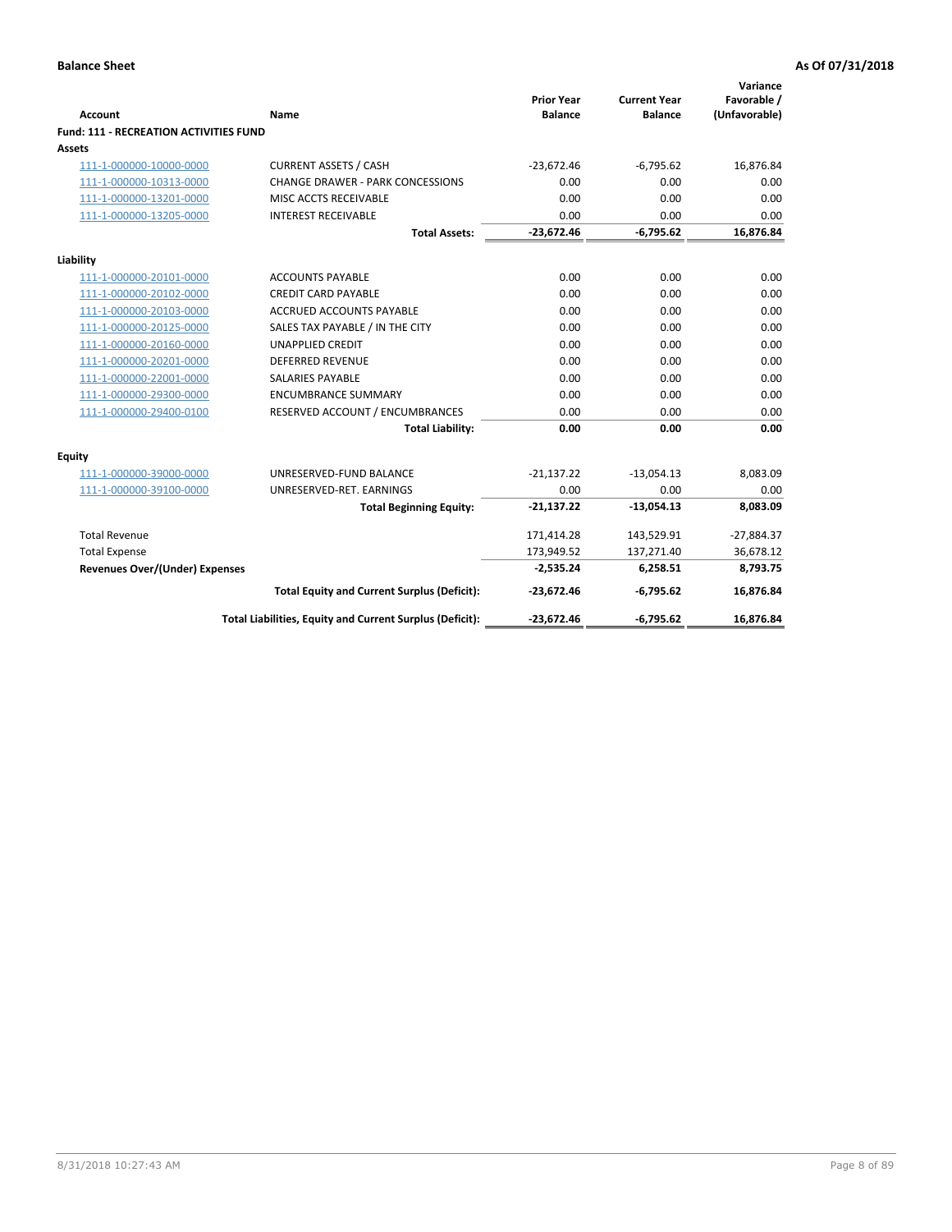| <b>Account</b>                         | Name                                                     | <b>Prior Year</b><br><b>Balance</b> | <b>Current Year</b><br><b>Balance</b> | Variance<br>Favorable /<br>(Unfavorable) |
|----------------------------------------|----------------------------------------------------------|-------------------------------------|---------------------------------------|------------------------------------------|
| Fund: 111 - RECREATION ACTIVITIES FUND |                                                          |                                     |                                       |                                          |
| <b>Assets</b>                          |                                                          |                                     |                                       |                                          |
| 111-1-000000-10000-0000                | <b>CURRENT ASSETS / CASH</b>                             | $-23,672.46$                        | $-6,795.62$                           | 16,876.84                                |
| 111-1-000000-10313-0000                | <b>CHANGE DRAWER - PARK CONCESSIONS</b>                  | 0.00                                | 0.00                                  | 0.00                                     |
| 111-1-000000-13201-0000                | MISC ACCTS RECEIVABLE                                    | 0.00                                | 0.00                                  | 0.00                                     |
| 111-1-000000-13205-0000                | <b>INTEREST RECEIVABLE</b>                               | 0.00                                | 0.00                                  | 0.00                                     |
|                                        | <b>Total Assets:</b>                                     | $-23,672.46$                        | $-6,795.62$                           | 16,876.84                                |
| Liability                              |                                                          |                                     |                                       |                                          |
| 111-1-000000-20101-0000                | <b>ACCOUNTS PAYABLE</b>                                  | 0.00                                | 0.00                                  | 0.00                                     |
| 111-1-000000-20102-0000                | <b>CREDIT CARD PAYABLE</b>                               | 0.00                                | 0.00                                  | 0.00                                     |
| 111-1-000000-20103-0000                | <b>ACCRUED ACCOUNTS PAYABLE</b>                          | 0.00                                | 0.00                                  | 0.00                                     |
| 111-1-000000-20125-0000                | SALES TAX PAYABLE / IN THE CITY                          | 0.00                                | 0.00                                  | 0.00                                     |
| 111-1-000000-20160-0000                | <b>UNAPPLIED CREDIT</b>                                  | 0.00                                | 0.00                                  | 0.00                                     |
| 111-1-000000-20201-0000                | <b>DEFERRED REVENUE</b>                                  | 0.00                                | 0.00                                  | 0.00                                     |
| 111-1-000000-22001-0000                | <b>SALARIES PAYABLE</b>                                  | 0.00                                | 0.00                                  | 0.00                                     |
| 111-1-000000-29300-0000                | <b>ENCUMBRANCE SUMMARY</b>                               | 0.00                                | 0.00                                  | 0.00                                     |
| 111-1-000000-29400-0100                | RESERVED ACCOUNT / ENCUMBRANCES                          | 0.00                                | 0.00                                  | 0.00                                     |
|                                        | <b>Total Liability:</b>                                  | 0.00                                | 0.00                                  | 0.00                                     |
| Equity                                 |                                                          |                                     |                                       |                                          |
| 111-1-000000-39000-0000                | UNRESERVED-FUND BALANCE                                  | $-21,137.22$                        | $-13,054.13$                          | 8,083.09                                 |
| 111-1-000000-39100-0000                | UNRESERVED-RET. EARNINGS                                 | 0.00                                | 0.00                                  | 0.00                                     |
|                                        | <b>Total Beginning Equity:</b>                           | $-21,137.22$                        | $-13,054.13$                          | 8,083.09                                 |
| <b>Total Revenue</b>                   |                                                          | 171,414.28                          | 143,529.91                            | $-27,884.37$                             |
| <b>Total Expense</b>                   |                                                          | 173,949.52                          | 137,271.40                            | 36,678.12                                |
| <b>Revenues Over/(Under) Expenses</b>  |                                                          | $-2,535.24$                         | 6,258.51                              | 8,793.75                                 |
|                                        | <b>Total Equity and Current Surplus (Deficit):</b>       | $-23,672.46$                        | $-6,795.62$                           | 16,876.84                                |
|                                        | Total Liabilities, Equity and Current Surplus (Deficit): | $-23,672.46$                        | $-6,795.62$                           | 16,876.84                                |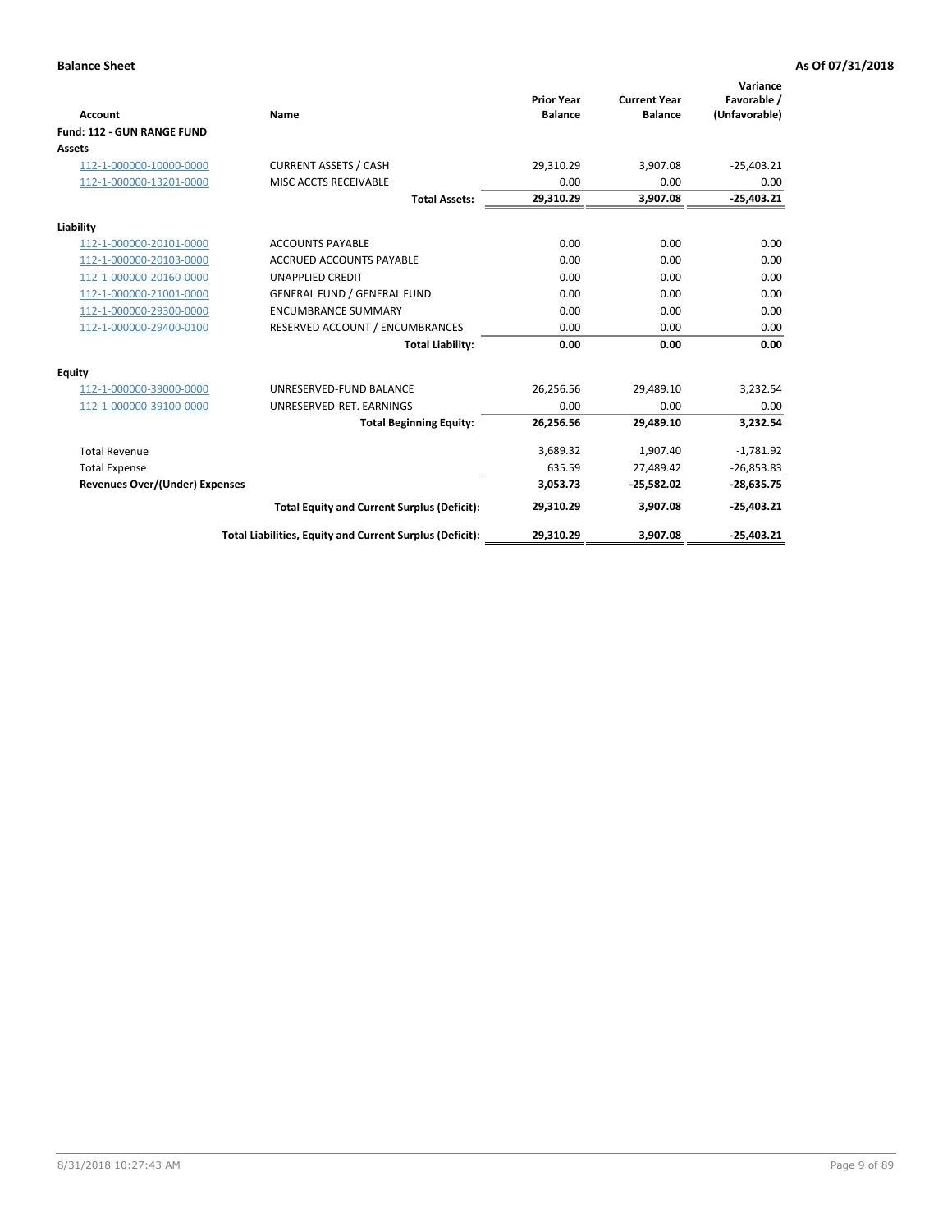|                                       |                                                          |                                     |                                       | Variance                     |
|---------------------------------------|----------------------------------------------------------|-------------------------------------|---------------------------------------|------------------------------|
| <b>Account</b>                        | Name                                                     | <b>Prior Year</b><br><b>Balance</b> | <b>Current Year</b><br><b>Balance</b> | Favorable /<br>(Unfavorable) |
| Fund: 112 - GUN RANGE FUND            |                                                          |                                     |                                       |                              |
| <b>Assets</b>                         |                                                          |                                     |                                       |                              |
| 112-1-000000-10000-0000               | <b>CURRENT ASSETS / CASH</b>                             | 29,310.29                           | 3,907.08                              | $-25,403.21$                 |
| 112-1-000000-13201-0000               | MISC ACCTS RECEIVABLE                                    | 0.00                                | 0.00                                  | 0.00                         |
|                                       | <b>Total Assets:</b>                                     | 29,310.29                           | 3,907.08                              | $-25,403.21$                 |
| Liability                             |                                                          |                                     |                                       |                              |
| 112-1-000000-20101-0000               | <b>ACCOUNTS PAYABLE</b>                                  | 0.00                                | 0.00                                  | 0.00                         |
| 112-1-000000-20103-0000               | <b>ACCRUED ACCOUNTS PAYABLE</b>                          | 0.00                                | 0.00                                  | 0.00                         |
| 112-1-000000-20160-0000               | <b>UNAPPLIED CREDIT</b>                                  | 0.00                                | 0.00                                  | 0.00                         |
| 112-1-000000-21001-0000               | <b>GENERAL FUND / GENERAL FUND</b>                       | 0.00                                | 0.00                                  | 0.00                         |
| 112-1-000000-29300-0000               | <b>ENCUMBRANCE SUMMARY</b>                               | 0.00                                | 0.00                                  | 0.00                         |
| 112-1-000000-29400-0100               | RESERVED ACCOUNT / ENCUMBRANCES                          | 0.00                                | 0.00                                  | 0.00                         |
|                                       | <b>Total Liability:</b>                                  | 0.00                                | 0.00                                  | 0.00                         |
| Equity                                |                                                          |                                     |                                       |                              |
| 112-1-000000-39000-0000               | UNRESERVED-FUND BALANCE                                  | 26,256.56                           | 29,489.10                             | 3,232.54                     |
| 112-1-000000-39100-0000               | UNRESERVED-RET. EARNINGS                                 | 0.00                                | 0.00                                  | 0.00                         |
|                                       | <b>Total Beginning Equity:</b>                           | 26,256.56                           | 29.489.10                             | 3.232.54                     |
| <b>Total Revenue</b>                  |                                                          | 3,689.32                            | 1,907.40                              | $-1,781.92$                  |
| <b>Total Expense</b>                  |                                                          | 635.59                              | 27,489.42                             | $-26,853.83$                 |
| <b>Revenues Over/(Under) Expenses</b> |                                                          | 3,053.73                            | $-25,582.02$                          | $-28,635.75$                 |
|                                       | <b>Total Equity and Current Surplus (Deficit):</b>       | 29,310.29                           | 3,907.08                              | $-25,403.21$                 |
|                                       | Total Liabilities, Equity and Current Surplus (Deficit): | 29,310.29                           | 3,907.08                              | $-25,403.21$                 |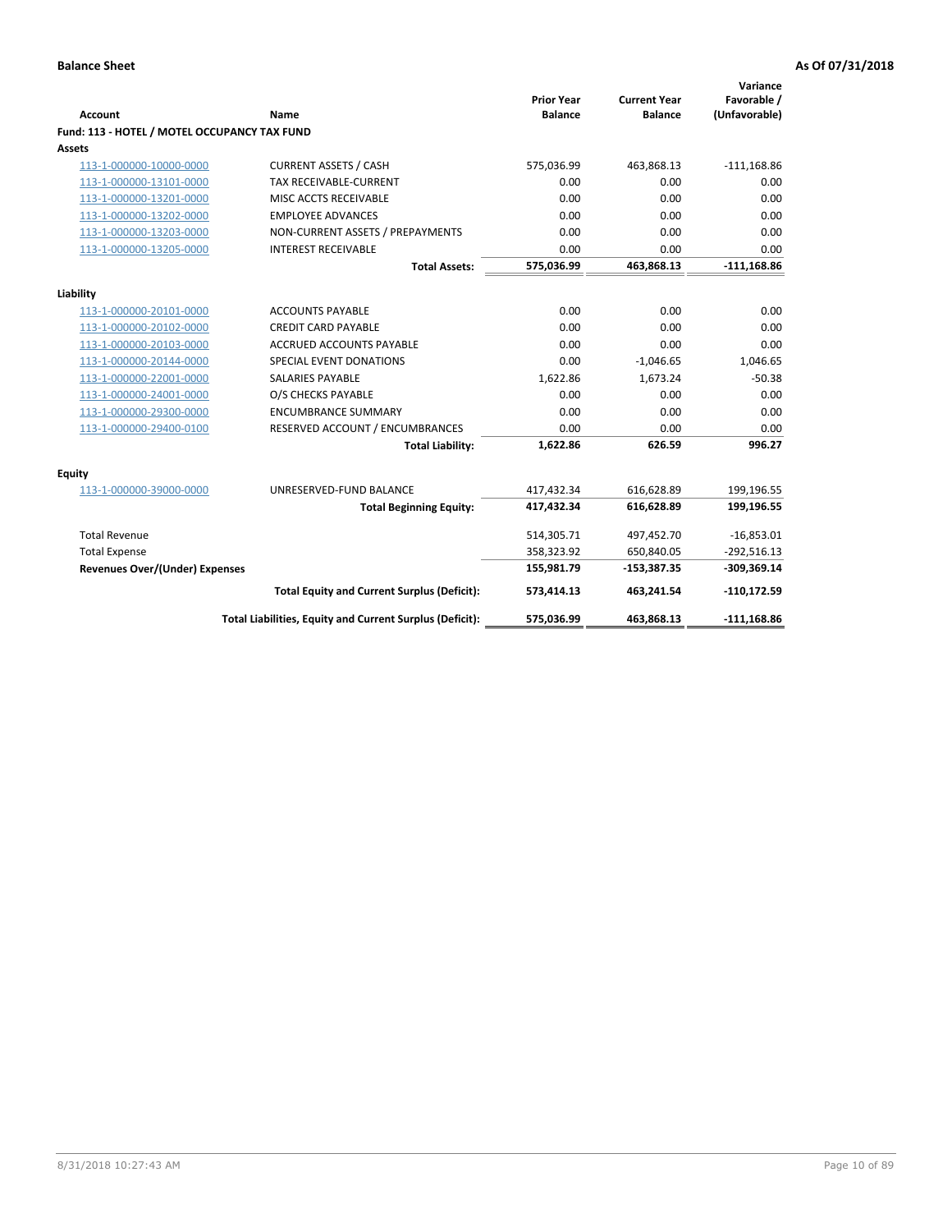| <b>Account</b>                               | <b>Name</b>                                              | <b>Prior Year</b><br><b>Balance</b> | <b>Current Year</b><br><b>Balance</b> | Variance<br>Favorable /<br>(Unfavorable) |
|----------------------------------------------|----------------------------------------------------------|-------------------------------------|---------------------------------------|------------------------------------------|
| Fund: 113 - HOTEL / MOTEL OCCUPANCY TAX FUND |                                                          |                                     |                                       |                                          |
| Assets                                       |                                                          |                                     |                                       |                                          |
| 113-1-000000-10000-0000                      | <b>CURRENT ASSETS / CASH</b>                             | 575,036.99                          | 463,868.13                            | $-111,168.86$                            |
| 113-1-000000-13101-0000                      | TAX RECEIVABLE-CURRENT                                   | 0.00                                | 0.00                                  | 0.00                                     |
| 113-1-000000-13201-0000                      | MISC ACCTS RECEIVABLE                                    | 0.00                                | 0.00                                  | 0.00                                     |
| 113-1-000000-13202-0000                      | <b>EMPLOYEE ADVANCES</b>                                 | 0.00                                | 0.00                                  | 0.00                                     |
| 113-1-000000-13203-0000                      | NON-CURRENT ASSETS / PREPAYMENTS                         | 0.00                                | 0.00                                  | 0.00                                     |
| 113-1-000000-13205-0000                      | <b>INTEREST RECEIVABLE</b>                               | 0.00                                | 0.00                                  | 0.00                                     |
|                                              | <b>Total Assets:</b>                                     | 575,036.99                          | 463,868.13                            | $-111,168.86$                            |
| Liability                                    |                                                          |                                     |                                       |                                          |
| 113-1-000000-20101-0000                      | <b>ACCOUNTS PAYABLE</b>                                  | 0.00                                | 0.00                                  | 0.00                                     |
| 113-1-000000-20102-0000                      | <b>CREDIT CARD PAYABLE</b>                               | 0.00                                | 0.00                                  | 0.00                                     |
| 113-1-000000-20103-0000                      | <b>ACCRUED ACCOUNTS PAYABLE</b>                          | 0.00                                | 0.00                                  | 0.00                                     |
| 113-1-000000-20144-0000                      | SPECIAL EVENT DONATIONS                                  | 0.00                                | $-1,046.65$                           | 1,046.65                                 |
| 113-1-000000-22001-0000                      | <b>SALARIES PAYABLE</b>                                  | 1,622.86                            | 1,673.24                              | $-50.38$                                 |
| 113-1-000000-24001-0000                      | O/S CHECKS PAYABLE                                       | 0.00                                | 0.00                                  | 0.00                                     |
| 113-1-000000-29300-0000                      | <b>ENCUMBRANCE SUMMARY</b>                               | 0.00                                | 0.00                                  | 0.00                                     |
| 113-1-000000-29400-0100                      | RESERVED ACCOUNT / ENCUMBRANCES                          | 0.00                                | 0.00                                  | 0.00                                     |
|                                              | <b>Total Liability:</b>                                  | 1,622.86                            | 626.59                                | 996.27                                   |
|                                              |                                                          |                                     |                                       |                                          |
| Equity                                       |                                                          |                                     |                                       |                                          |
| 113-1-000000-39000-0000                      | UNRESERVED-FUND BALANCE                                  | 417,432.34                          | 616,628.89                            | 199,196.55                               |
|                                              | <b>Total Beginning Equity:</b>                           | 417,432.34                          | 616,628.89                            | 199,196.55                               |
| <b>Total Revenue</b>                         |                                                          | 514,305.71                          | 497,452.70                            | $-16,853.01$                             |
| <b>Total Expense</b>                         |                                                          | 358,323.92                          | 650,840.05                            | $-292,516.13$                            |
| <b>Revenues Over/(Under) Expenses</b>        |                                                          | 155,981.79                          | $-153,387.35$                         | $-309,369.14$                            |
|                                              | <b>Total Equity and Current Surplus (Deficit):</b>       | 573,414.13                          | 463,241.54                            | $-110, 172.59$                           |
|                                              | Total Liabilities, Equity and Current Surplus (Deficit): | 575,036.99                          | 463,868.13                            | $-111,168.86$                            |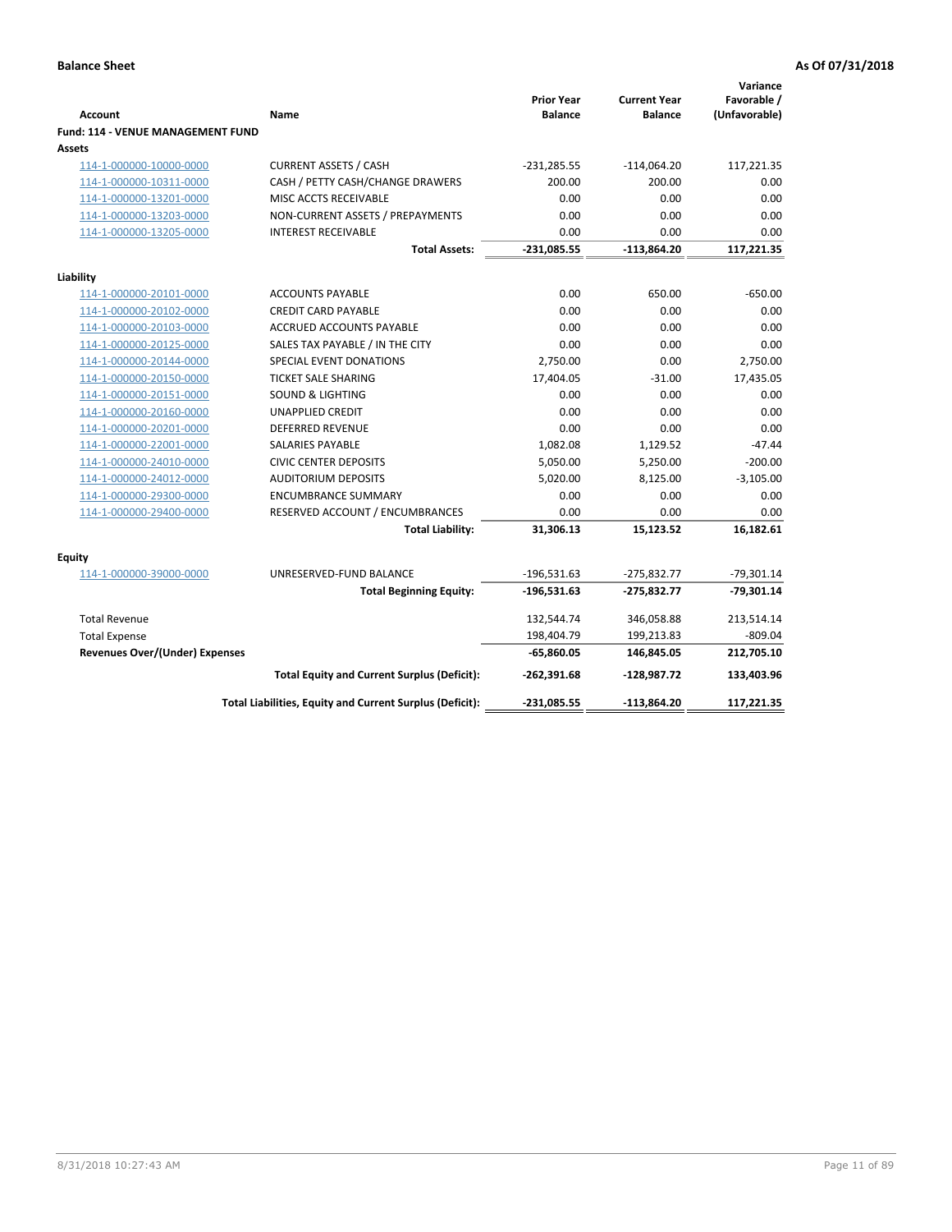|                                          |                                                                  | <b>Prior Year</b> | <b>Current Year</b> | Variance<br>Favorable / |
|------------------------------------------|------------------------------------------------------------------|-------------------|---------------------|-------------------------|
| <b>Account</b>                           | Name                                                             | <b>Balance</b>    | <b>Balance</b>      | (Unfavorable)           |
| <b>Fund: 114 - VENUE MANAGEMENT FUND</b> |                                                                  |                   |                     |                         |
| Assets                                   | <b>CURRENT ASSETS / CASH</b>                                     |                   |                     |                         |
| 114-1-000000-10000-0000                  |                                                                  | $-231,285.55$     | $-114,064.20$       | 117,221.35              |
| 114-1-000000-10311-0000                  | CASH / PETTY CASH/CHANGE DRAWERS<br><b>MISC ACCTS RECEIVABLE</b> | 200.00<br>0.00    | 200.00<br>0.00      | 0.00<br>0.00            |
| 114-1-000000-13201-0000                  |                                                                  |                   | 0.00                | 0.00                    |
| 114-1-000000-13203-0000                  | NON-CURRENT ASSETS / PREPAYMENTS<br><b>INTEREST RECEIVABLE</b>   | 0.00<br>0.00      | 0.00                | 0.00                    |
| 114-1-000000-13205-0000                  | <b>Total Assets:</b>                                             |                   |                     |                         |
|                                          |                                                                  | $-231,085.55$     | $-113,864.20$       | 117,221.35              |
| Liability                                |                                                                  |                   |                     |                         |
| 114-1-000000-20101-0000                  | <b>ACCOUNTS PAYABLE</b>                                          | 0.00              | 650.00              | $-650.00$               |
| 114-1-000000-20102-0000                  | <b>CREDIT CARD PAYABLE</b>                                       | 0.00              | 0.00                | 0.00                    |
| 114-1-000000-20103-0000                  | <b>ACCRUED ACCOUNTS PAYABLE</b>                                  | 0.00              | 0.00                | 0.00                    |
| 114-1-000000-20125-0000                  | SALES TAX PAYABLE / IN THE CITY                                  | 0.00              | 0.00                | 0.00                    |
| 114-1-000000-20144-0000                  | SPECIAL EVENT DONATIONS                                          | 2,750.00          | 0.00                | 2,750.00                |
| 114-1-000000-20150-0000                  | <b>TICKET SALE SHARING</b>                                       | 17,404.05         | $-31.00$            | 17,435.05               |
| 114-1-000000-20151-0000                  | <b>SOUND &amp; LIGHTING</b>                                      | 0.00              | 0.00                | 0.00                    |
| 114-1-000000-20160-0000                  | <b>UNAPPLIED CREDIT</b>                                          | 0.00              | 0.00                | 0.00                    |
| 114-1-000000-20201-0000                  | <b>DEFERRED REVENUE</b>                                          | 0.00              | 0.00                | 0.00                    |
| 114-1-000000-22001-0000                  | <b>SALARIES PAYABLE</b>                                          | 1,082.08          | 1,129.52            | $-47.44$                |
| 114-1-000000-24010-0000                  | <b>CIVIC CENTER DEPOSITS</b>                                     | 5,050.00          | 5,250.00            | $-200.00$               |
| 114-1-000000-24012-0000                  | <b>AUDITORIUM DEPOSITS</b>                                       | 5,020.00          | 8,125.00            | $-3,105.00$             |
| 114-1-000000-29300-0000                  | <b>ENCUMBRANCE SUMMARY</b>                                       | 0.00              | 0.00                | 0.00                    |
| 114-1-000000-29400-0000                  | RESERVED ACCOUNT / ENCUMBRANCES                                  | 0.00              | 0.00                | 0.00                    |
|                                          | <b>Total Liability:</b>                                          | 31,306.13         | 15,123.52           | 16,182.61               |
| <b>Equity</b>                            |                                                                  |                   |                     |                         |
| 114-1-000000-39000-0000                  | UNRESERVED-FUND BALANCE                                          | $-196,531.63$     | $-275,832.77$       | $-79,301.14$            |
|                                          | <b>Total Beginning Equity:</b>                                   | -196,531.63       | $-275,832.77$       | -79,301.14              |
|                                          |                                                                  |                   |                     |                         |
| <b>Total Revenue</b>                     |                                                                  | 132,544.74        | 346,058.88          | 213,514.14              |
| <b>Total Expense</b>                     |                                                                  | 198,404.79        | 199,213.83          | $-809.04$               |
| <b>Revenues Over/(Under) Expenses</b>    |                                                                  | $-65,860.05$      | 146,845.05          | 212,705.10              |
|                                          | <b>Total Equity and Current Surplus (Deficit):</b>               | $-262,391.68$     | $-128,987.72$       | 133,403.96              |
|                                          | Total Liabilities, Equity and Current Surplus (Deficit):         | $-231,085.55$     | $-113,864.20$       | 117,221.35              |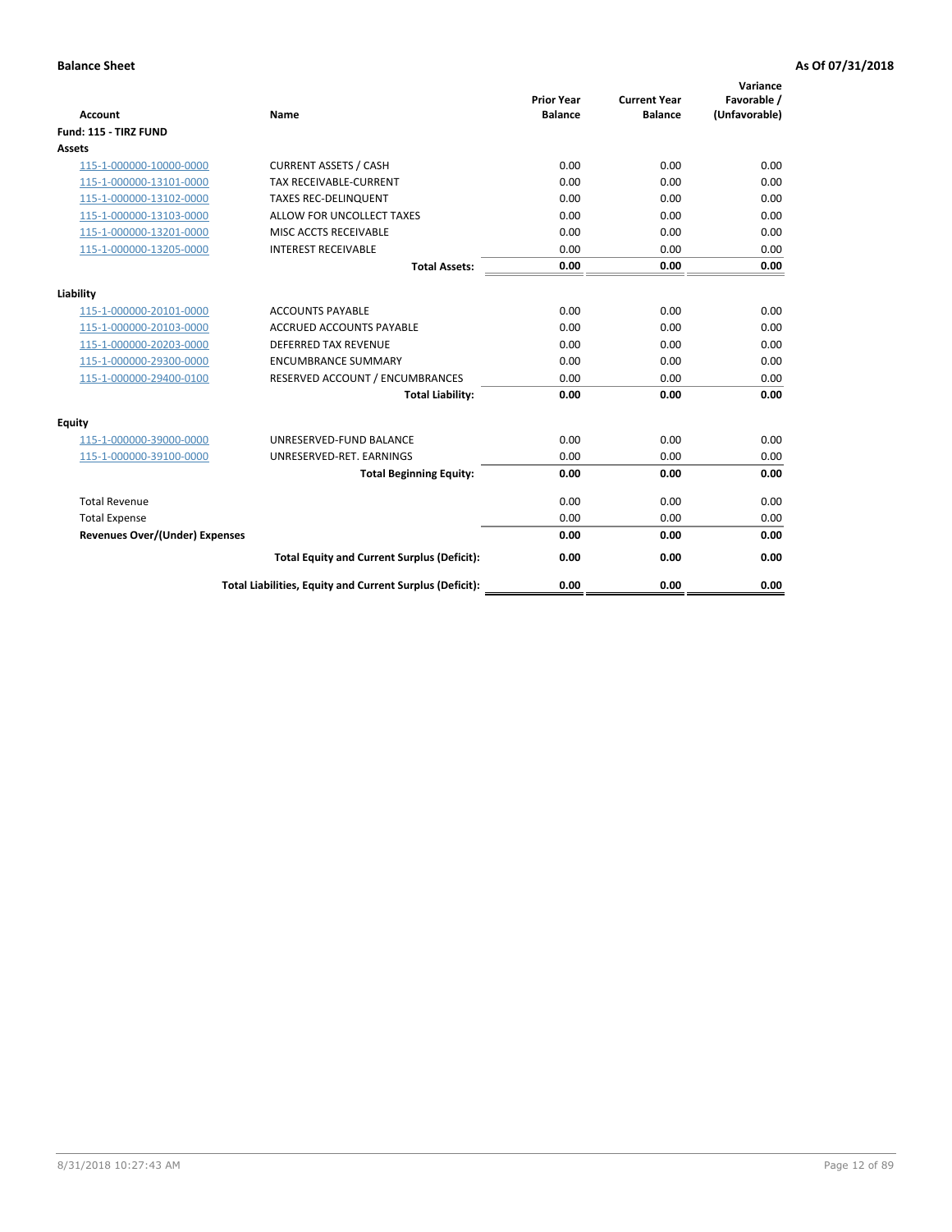| <b>Account</b>                        | <b>Name</b>                                              | <b>Prior Year</b><br><b>Balance</b> | <b>Current Year</b><br><b>Balance</b> | Variance<br>Favorable /<br>(Unfavorable) |
|---------------------------------------|----------------------------------------------------------|-------------------------------------|---------------------------------------|------------------------------------------|
| Fund: 115 - TIRZ FUND                 |                                                          |                                     |                                       |                                          |
| <b>Assets</b>                         |                                                          |                                     |                                       |                                          |
| 115-1-000000-10000-0000               | <b>CURRENT ASSETS / CASH</b>                             | 0.00                                | 0.00                                  | 0.00                                     |
| 115-1-000000-13101-0000               | TAX RECEIVABLE-CURRENT                                   | 0.00                                | 0.00                                  | 0.00                                     |
| 115-1-000000-13102-0000               | <b>TAXES REC-DELINQUENT</b>                              | 0.00                                | 0.00                                  | 0.00                                     |
| 115-1-000000-13103-0000               | ALLOW FOR UNCOLLECT TAXES                                | 0.00                                | 0.00                                  | 0.00                                     |
| 115-1-000000-13201-0000               | MISC ACCTS RECEIVABLE                                    | 0.00                                | 0.00                                  | 0.00                                     |
| 115-1-000000-13205-0000               | <b>INTEREST RECEIVABLE</b>                               | 0.00                                | 0.00                                  | 0.00                                     |
|                                       | <b>Total Assets:</b>                                     | 0.00                                | 0.00                                  | 0.00                                     |
| Liability                             |                                                          |                                     |                                       |                                          |
| 115-1-000000-20101-0000               | <b>ACCOUNTS PAYABLE</b>                                  | 0.00                                | 0.00                                  | 0.00                                     |
| 115-1-000000-20103-0000               | <b>ACCRUED ACCOUNTS PAYABLE</b>                          | 0.00                                | 0.00                                  | 0.00                                     |
| 115-1-000000-20203-0000               | <b>DEFERRED TAX REVENUE</b>                              | 0.00                                | 0.00                                  | 0.00                                     |
| 115-1-000000-29300-0000               | <b>ENCUMBRANCE SUMMARY</b>                               | 0.00                                | 0.00                                  | 0.00                                     |
| 115-1-000000-29400-0100               | RESERVED ACCOUNT / ENCUMBRANCES                          | 0.00                                | 0.00                                  | 0.00                                     |
|                                       | <b>Total Liability:</b>                                  | 0.00                                | 0.00                                  | 0.00                                     |
| Equity                                |                                                          |                                     |                                       |                                          |
| 115-1-000000-39000-0000               | UNRESERVED-FUND BALANCE                                  | 0.00                                | 0.00                                  | 0.00                                     |
| 115-1-000000-39100-0000               | UNRESERVED-RET. EARNINGS                                 | 0.00                                | 0.00                                  | 0.00                                     |
|                                       | <b>Total Beginning Equity:</b>                           | 0.00                                | 0.00                                  | 0.00                                     |
| <b>Total Revenue</b>                  |                                                          | 0.00                                | 0.00                                  | 0.00                                     |
| <b>Total Expense</b>                  |                                                          | 0.00                                | 0.00                                  | 0.00                                     |
| <b>Revenues Over/(Under) Expenses</b> |                                                          | 0.00                                | 0.00                                  | 0.00                                     |
|                                       | <b>Total Equity and Current Surplus (Deficit):</b>       | 0.00                                | 0.00                                  | 0.00                                     |
|                                       | Total Liabilities, Equity and Current Surplus (Deficit): | 0.00                                | 0.00                                  | 0.00                                     |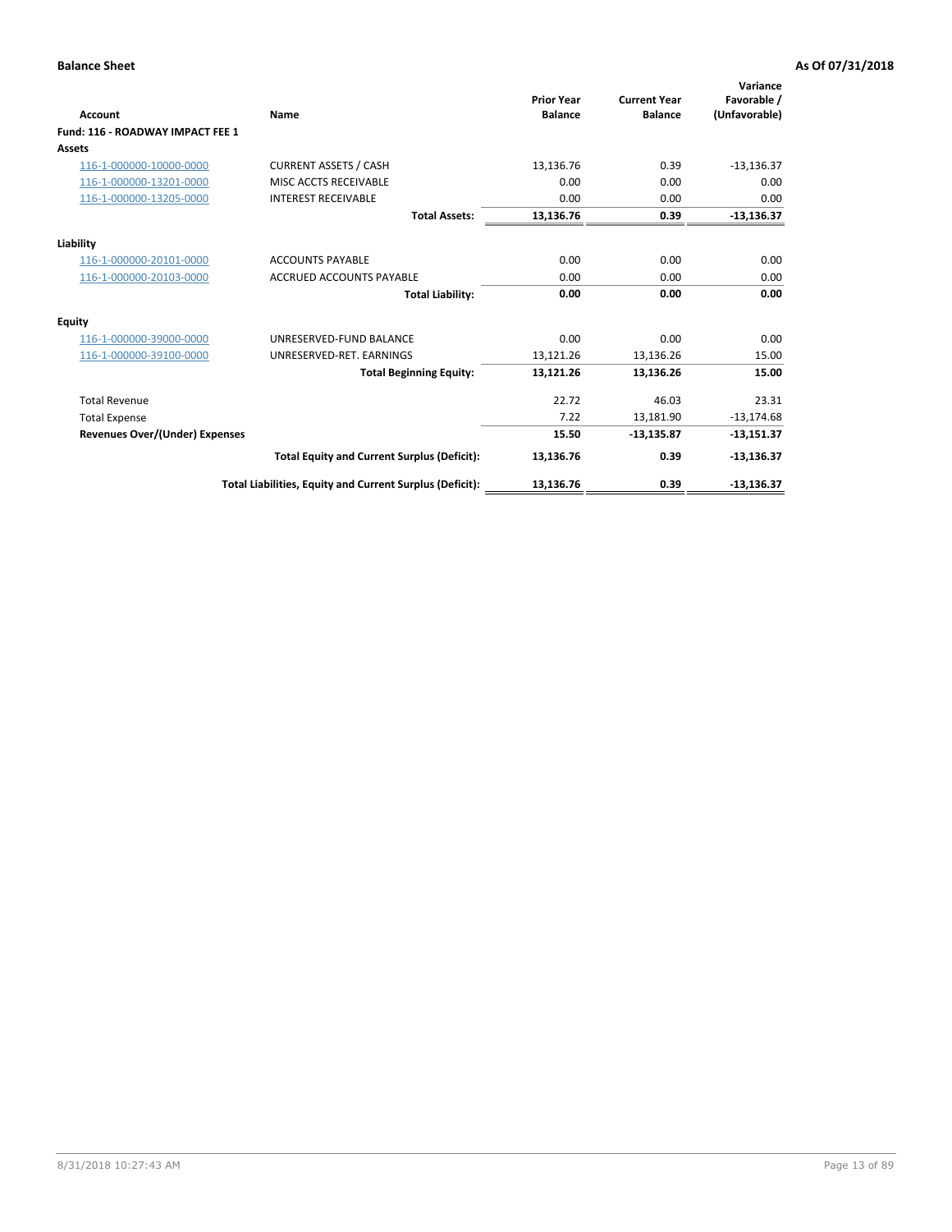| <b>Account</b>                   | Name                                                     | <b>Prior Year</b><br><b>Balance</b> | <b>Current Year</b><br><b>Balance</b> | Variance<br>Favorable /<br>(Unfavorable) |
|----------------------------------|----------------------------------------------------------|-------------------------------------|---------------------------------------|------------------------------------------|
| Fund: 116 - ROADWAY IMPACT FEE 1 |                                                          |                                     |                                       |                                          |
| Assets                           |                                                          |                                     |                                       |                                          |
| 116-1-000000-10000-0000          | <b>CURRENT ASSETS / CASH</b>                             | 13,136.76                           | 0.39                                  | $-13,136.37$                             |
| 116-1-000000-13201-0000          | MISC ACCTS RECEIVABLE                                    | 0.00                                | 0.00                                  | 0.00                                     |
| 116-1-000000-13205-0000          | <b>INTEREST RECEIVABLE</b>                               | 0.00                                | 0.00                                  | 0.00                                     |
|                                  | <b>Total Assets:</b>                                     | 13,136.76                           | 0.39                                  | $-13,136.37$                             |
| Liability                        |                                                          |                                     |                                       |                                          |
| 116-1-000000-20101-0000          | <b>ACCOUNTS PAYABLE</b>                                  | 0.00                                | 0.00                                  | 0.00                                     |
| 116-1-000000-20103-0000          | <b>ACCRUED ACCOUNTS PAYABLE</b>                          | 0.00                                | 0.00                                  | 0.00                                     |
|                                  | <b>Total Liability:</b>                                  | 0.00                                | 0.00                                  | 0.00                                     |
| Equity                           |                                                          |                                     |                                       |                                          |
| 116-1-000000-39000-0000          | UNRESERVED-FUND BALANCE                                  | 0.00                                | 0.00                                  | 0.00                                     |
| 116-1-000000-39100-0000          | UNRESERVED-RET. EARNINGS                                 | 13,121.26                           | 13,136.26                             | 15.00                                    |
|                                  | <b>Total Beginning Equity:</b>                           | 13,121.26                           | 13,136.26                             | 15.00                                    |
| <b>Total Revenue</b>             |                                                          | 22.72                               | 46.03                                 | 23.31                                    |
| <b>Total Expense</b>             |                                                          | 7.22                                | 13,181.90                             | $-13,174.68$                             |
| Revenues Over/(Under) Expenses   |                                                          | 15.50                               | $-13,135.87$                          | $-13,151.37$                             |
|                                  | <b>Total Equity and Current Surplus (Deficit):</b>       | 13,136.76                           | 0.39                                  | $-13,136.37$                             |
|                                  | Total Liabilities, Equity and Current Surplus (Deficit): | 13,136.76                           | 0.39                                  | $-13,136.37$                             |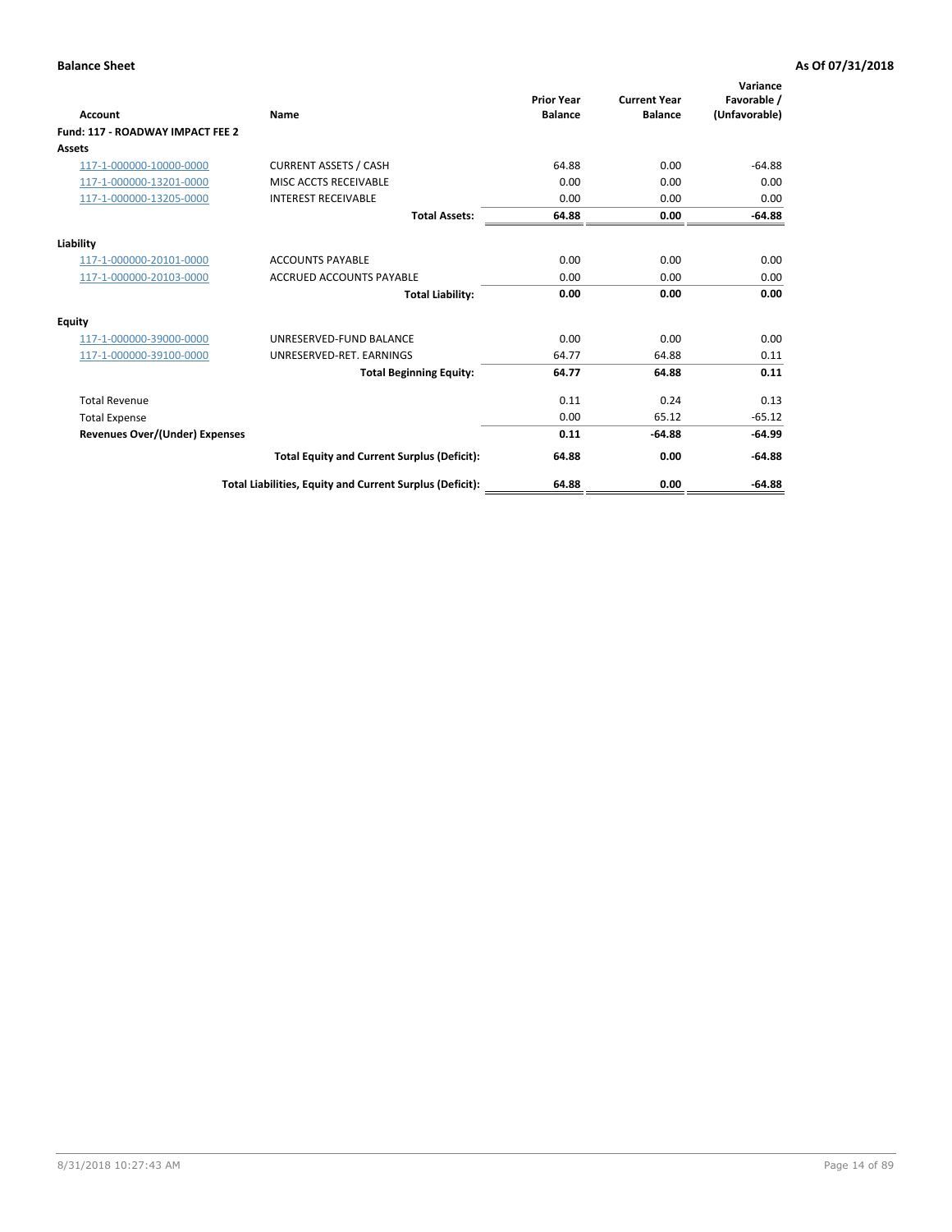| Account                               | Name                                                     | <b>Prior Year</b><br><b>Balance</b> | <b>Current Year</b><br><b>Balance</b> | Variance<br>Favorable /<br>(Unfavorable) |
|---------------------------------------|----------------------------------------------------------|-------------------------------------|---------------------------------------|------------------------------------------|
| Fund: 117 - ROADWAY IMPACT FEE 2      |                                                          |                                     |                                       |                                          |
| Assets                                |                                                          |                                     |                                       |                                          |
| 117-1-000000-10000-0000               | <b>CURRENT ASSETS / CASH</b>                             | 64.88                               | 0.00                                  | $-64.88$                                 |
| 117-1-000000-13201-0000               | MISC ACCTS RECEIVABLE                                    | 0.00                                | 0.00                                  | 0.00                                     |
| 117-1-000000-13205-0000               | <b>INTEREST RECEIVABLE</b>                               | 0.00                                | 0.00                                  | 0.00                                     |
|                                       | <b>Total Assets:</b>                                     | 64.88                               | 0.00                                  | $-64.88$                                 |
| Liability                             |                                                          |                                     |                                       |                                          |
| 117-1-000000-20101-0000               | <b>ACCOUNTS PAYABLE</b>                                  | 0.00                                | 0.00                                  | 0.00                                     |
| 117-1-000000-20103-0000               | <b>ACCRUED ACCOUNTS PAYABLE</b>                          | 0.00                                | 0.00                                  | 0.00                                     |
|                                       | <b>Total Liability:</b>                                  | 0.00                                | 0.00                                  | 0.00                                     |
| Equity                                |                                                          |                                     |                                       |                                          |
| 117-1-000000-39000-0000               | UNRESERVED-FUND BALANCE                                  | 0.00                                | 0.00                                  | 0.00                                     |
| 117-1-000000-39100-0000               | UNRESERVED-RET. EARNINGS                                 | 64.77                               | 64.88                                 | 0.11                                     |
|                                       | <b>Total Beginning Equity:</b>                           | 64.77                               | 64.88                                 | 0.11                                     |
| <b>Total Revenue</b>                  |                                                          | 0.11                                | 0.24                                  | 0.13                                     |
| <b>Total Expense</b>                  |                                                          | 0.00                                | 65.12                                 | $-65.12$                                 |
| <b>Revenues Over/(Under) Expenses</b> |                                                          | 0.11                                | $-64.88$                              | $-64.99$                                 |
|                                       | <b>Total Equity and Current Surplus (Deficit):</b>       | 64.88                               | 0.00                                  | $-64.88$                                 |
|                                       | Total Liabilities, Equity and Current Surplus (Deficit): | 64.88                               | 0.00                                  | $-64.88$                                 |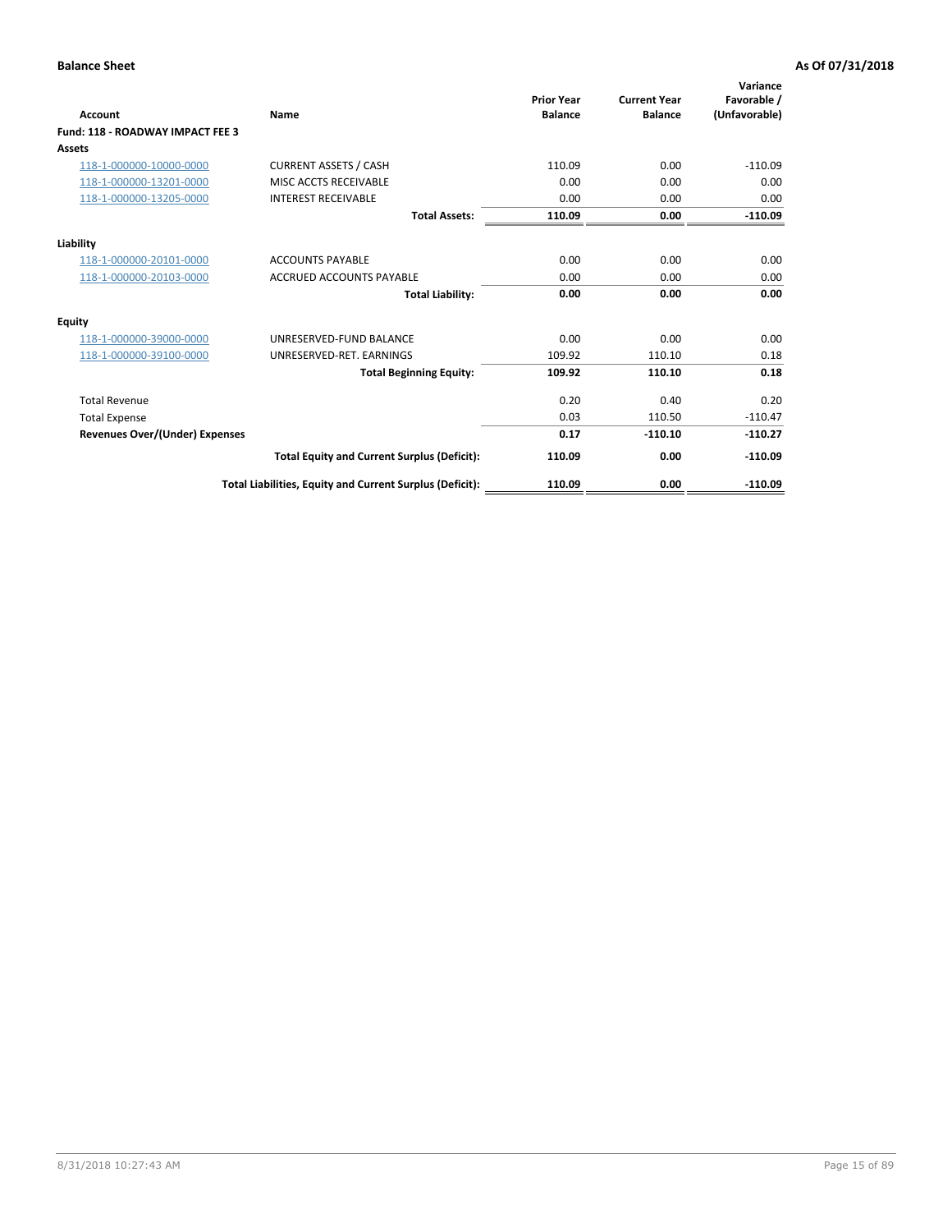| <b>Account</b>                        | Name                                                     | <b>Prior Year</b><br><b>Balance</b> | <b>Current Year</b><br><b>Balance</b> | Variance<br>Favorable /<br>(Unfavorable) |
|---------------------------------------|----------------------------------------------------------|-------------------------------------|---------------------------------------|------------------------------------------|
| Fund: 118 - ROADWAY IMPACT FEE 3      |                                                          |                                     |                                       |                                          |
| Assets                                |                                                          |                                     |                                       |                                          |
| 118-1-000000-10000-0000               | <b>CURRENT ASSETS / CASH</b>                             | 110.09                              | 0.00                                  | $-110.09$                                |
| 118-1-000000-13201-0000               | MISC ACCTS RECEIVABLE                                    | 0.00                                | 0.00                                  | 0.00                                     |
| 118-1-000000-13205-0000               | <b>INTEREST RECEIVABLE</b>                               | 0.00                                | 0.00                                  | 0.00                                     |
|                                       | <b>Total Assets:</b>                                     | 110.09                              | 0.00                                  | $-110.09$                                |
| Liability                             |                                                          |                                     |                                       |                                          |
| 118-1-000000-20101-0000               | <b>ACCOUNTS PAYABLE</b>                                  | 0.00                                | 0.00                                  | 0.00                                     |
| 118-1-000000-20103-0000               | <b>ACCRUED ACCOUNTS PAYABLE</b>                          | 0.00                                | 0.00                                  | 0.00                                     |
|                                       | <b>Total Liability:</b>                                  | 0.00                                | 0.00                                  | 0.00                                     |
| Equity                                |                                                          |                                     |                                       |                                          |
| 118-1-000000-39000-0000               | UNRESERVED-FUND BALANCE                                  | 0.00                                | 0.00                                  | 0.00                                     |
| 118-1-000000-39100-0000               | UNRESERVED-RET, EARNINGS                                 | 109.92                              | 110.10                                | 0.18                                     |
|                                       | <b>Total Beginning Equity:</b>                           | 109.92                              | 110.10                                | 0.18                                     |
| <b>Total Revenue</b>                  |                                                          | 0.20                                | 0.40                                  | 0.20                                     |
| <b>Total Expense</b>                  |                                                          | 0.03                                | 110.50                                | $-110.47$                                |
| <b>Revenues Over/(Under) Expenses</b> |                                                          | 0.17                                | $-110.10$                             | $-110.27$                                |
|                                       | <b>Total Equity and Current Surplus (Deficit):</b>       | 110.09                              | 0.00                                  | $-110.09$                                |
|                                       | Total Liabilities, Equity and Current Surplus (Deficit): | 110.09                              | 0.00                                  | $-110.09$                                |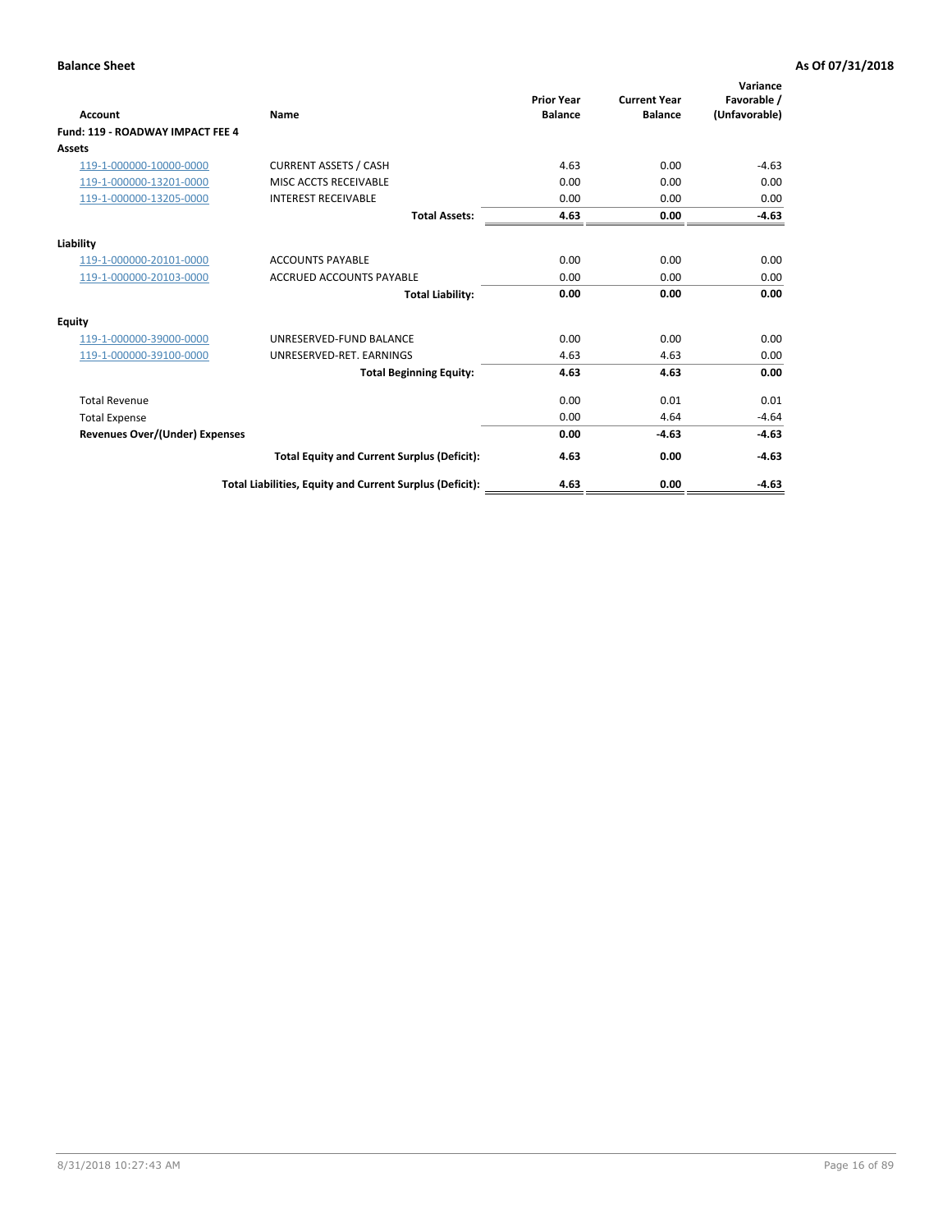| <b>Account</b>                        | Name                                                     | <b>Prior Year</b><br><b>Balance</b> | <b>Current Year</b><br><b>Balance</b> | Variance<br>Favorable /<br>(Unfavorable) |
|---------------------------------------|----------------------------------------------------------|-------------------------------------|---------------------------------------|------------------------------------------|
| Fund: 119 - ROADWAY IMPACT FEE 4      |                                                          |                                     |                                       |                                          |
| Assets                                |                                                          |                                     |                                       |                                          |
| 119-1-000000-10000-0000               | <b>CURRENT ASSETS / CASH</b>                             | 4.63                                | 0.00                                  | $-4.63$                                  |
| 119-1-000000-13201-0000               | MISC ACCTS RECEIVABLE                                    | 0.00                                | 0.00                                  | 0.00                                     |
| 119-1-000000-13205-0000               | <b>INTEREST RECEIVABLE</b>                               | 0.00                                | 0.00                                  | 0.00                                     |
|                                       | <b>Total Assets:</b>                                     | 4.63                                | 0.00                                  | $-4.63$                                  |
| Liability                             |                                                          |                                     |                                       |                                          |
| 119-1-000000-20101-0000               | <b>ACCOUNTS PAYABLE</b>                                  | 0.00                                | 0.00                                  | 0.00                                     |
| 119-1-000000-20103-0000               | <b>ACCRUED ACCOUNTS PAYABLE</b>                          | 0.00                                | 0.00                                  | 0.00                                     |
|                                       | <b>Total Liability:</b>                                  | 0.00                                | 0.00                                  | 0.00                                     |
| Equity                                |                                                          |                                     |                                       |                                          |
| 119-1-000000-39000-0000               | UNRESERVED-FUND BALANCE                                  | 0.00                                | 0.00                                  | 0.00                                     |
| 119-1-000000-39100-0000               | UNRESERVED-RET, EARNINGS                                 | 4.63                                | 4.63                                  | 0.00                                     |
|                                       | <b>Total Beginning Equity:</b>                           | 4.63                                | 4.63                                  | 0.00                                     |
| <b>Total Revenue</b>                  |                                                          | 0.00                                | 0.01                                  | 0.01                                     |
| <b>Total Expense</b>                  |                                                          | 0.00                                | 4.64                                  | $-4.64$                                  |
| <b>Revenues Over/(Under) Expenses</b> |                                                          | 0.00                                | $-4.63$                               | $-4.63$                                  |
|                                       | <b>Total Equity and Current Surplus (Deficit):</b>       | 4.63                                | 0.00                                  | $-4.63$                                  |
|                                       | Total Liabilities, Equity and Current Surplus (Deficit): | 4.63                                | 0.00                                  | $-4.63$                                  |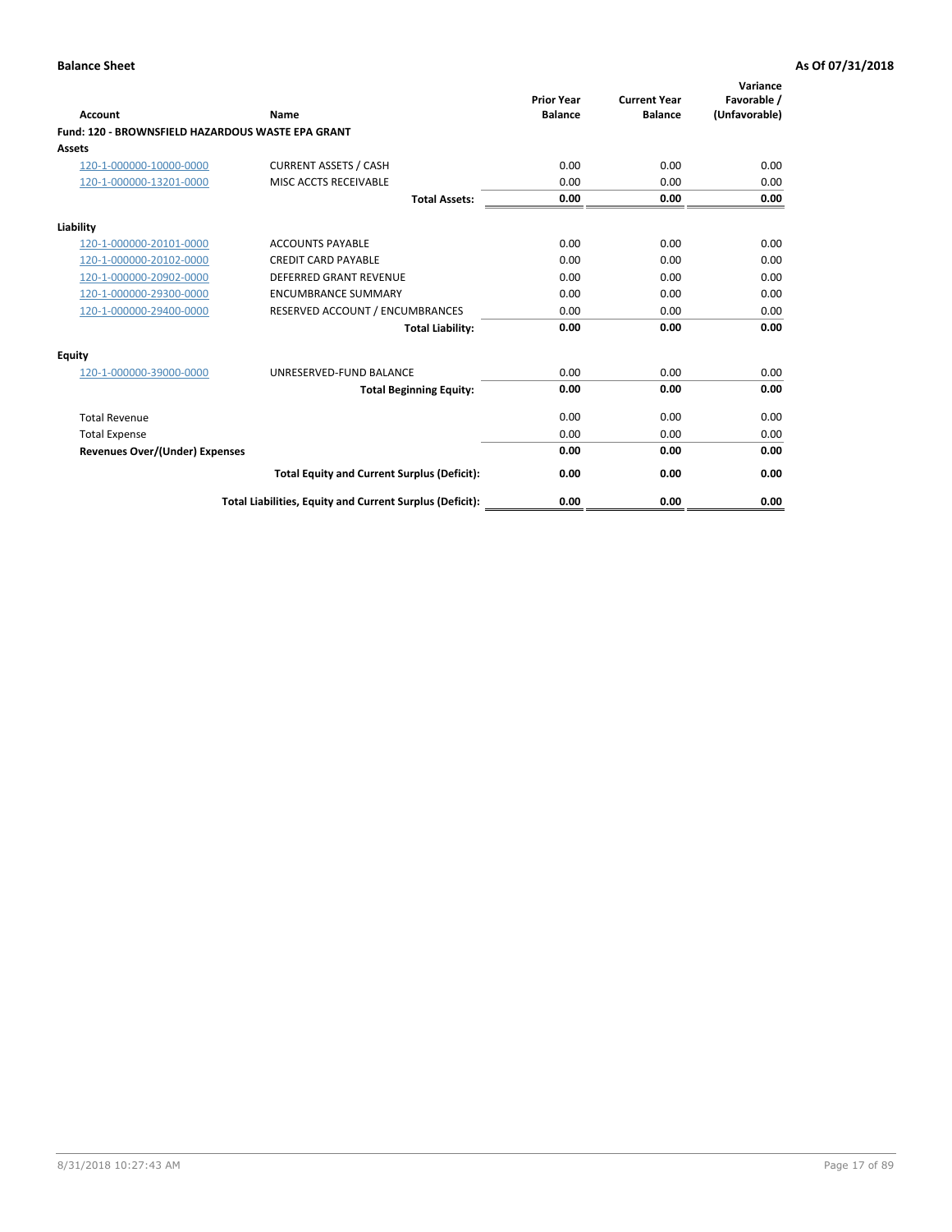|                                                   |                                                          | <b>Prior Year</b> | <b>Current Year</b> | Variance<br>Favorable / |
|---------------------------------------------------|----------------------------------------------------------|-------------------|---------------------|-------------------------|
| <b>Account</b>                                    | <b>Name</b>                                              | <b>Balance</b>    | <b>Balance</b>      | (Unfavorable)           |
| Fund: 120 - BROWNSFIELD HAZARDOUS WASTE EPA GRANT |                                                          |                   |                     |                         |
| <b>Assets</b>                                     |                                                          |                   |                     |                         |
| 120-1-000000-10000-0000                           | <b>CURRENT ASSETS / CASH</b>                             | 0.00              | 0.00                | 0.00                    |
| 120-1-000000-13201-0000                           | MISC ACCTS RECEIVABLE                                    | 0.00              | 0.00                | 0.00                    |
|                                                   | <b>Total Assets:</b>                                     | 0.00              | 0.00                | 0.00                    |
| Liability                                         |                                                          |                   |                     |                         |
| 120-1-000000-20101-0000                           | <b>ACCOUNTS PAYABLE</b>                                  | 0.00              | 0.00                | 0.00                    |
| 120-1-000000-20102-0000                           | <b>CREDIT CARD PAYABLE</b>                               | 0.00              | 0.00                | 0.00                    |
| 120-1-000000-20902-0000                           | <b>DEFERRED GRANT REVENUE</b>                            | 0.00              | 0.00                | 0.00                    |
| 120-1-000000-29300-0000                           | <b>ENCUMBRANCE SUMMARY</b>                               | 0.00              | 0.00                | 0.00                    |
| 120-1-000000-29400-0000                           | RESERVED ACCOUNT / ENCUMBRANCES                          | 0.00              | 0.00                | 0.00                    |
|                                                   | <b>Total Liability:</b>                                  | 0.00              | 0.00                | 0.00                    |
| Equity                                            |                                                          |                   |                     |                         |
| 120-1-000000-39000-0000                           | UNRESERVED-FUND BALANCE                                  | 0.00              | 0.00                | 0.00                    |
|                                                   | <b>Total Beginning Equity:</b>                           | 0.00              | 0.00                | 0.00                    |
| <b>Total Revenue</b>                              |                                                          | 0.00              | 0.00                | 0.00                    |
| <b>Total Expense</b>                              |                                                          | 0.00              | 0.00                | 0.00                    |
| <b>Revenues Over/(Under) Expenses</b>             |                                                          | 0.00              | 0.00                | 0.00                    |
|                                                   | <b>Total Equity and Current Surplus (Deficit):</b>       | 0.00              | 0.00                | 0.00                    |
|                                                   | Total Liabilities, Equity and Current Surplus (Deficit): | 0.00              | 0.00                | 0.00                    |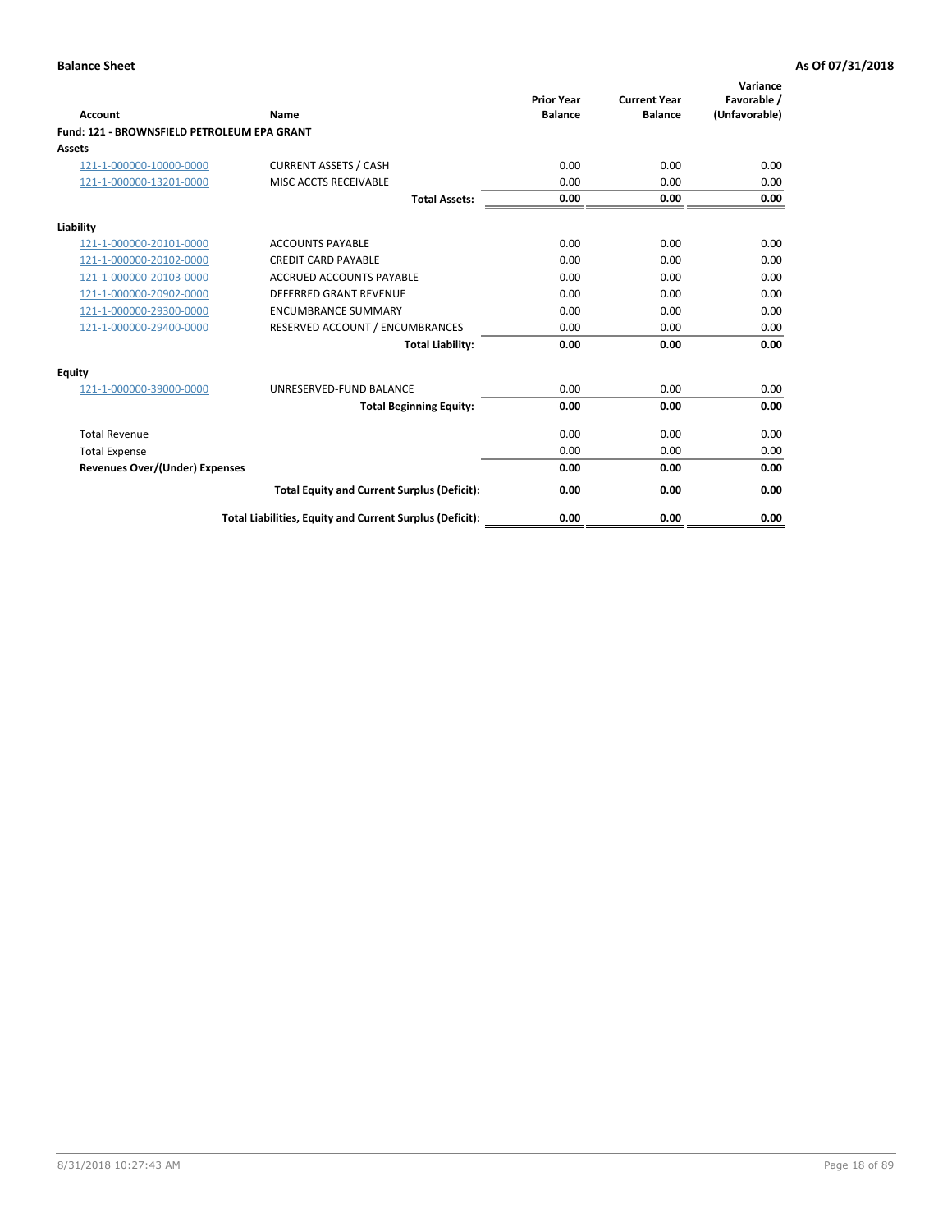| Account                                     | Name                                                     | <b>Prior Year</b><br><b>Balance</b> | <b>Current Year</b><br><b>Balance</b> | Variance<br>Favorable /<br>(Unfavorable) |
|---------------------------------------------|----------------------------------------------------------|-------------------------------------|---------------------------------------|------------------------------------------|
| Fund: 121 - BROWNSFIELD PETROLEUM EPA GRANT |                                                          |                                     |                                       |                                          |
| <b>Assets</b>                               |                                                          |                                     |                                       |                                          |
| 121-1-000000-10000-0000                     | <b>CURRENT ASSETS / CASH</b>                             | 0.00                                | 0.00                                  | 0.00                                     |
| 121-1-000000-13201-0000                     | <b>MISC ACCTS RECEIVABLE</b>                             | 0.00                                | 0.00                                  | 0.00                                     |
|                                             | <b>Total Assets:</b>                                     | 0.00                                | 0.00                                  | 0.00                                     |
| Liability                                   |                                                          |                                     |                                       |                                          |
| 121-1-000000-20101-0000                     | <b>ACCOUNTS PAYABLE</b>                                  | 0.00                                | 0.00                                  | 0.00                                     |
| 121-1-000000-20102-0000                     | <b>CREDIT CARD PAYABLE</b>                               | 0.00                                | 0.00                                  | 0.00                                     |
| 121-1-000000-20103-0000                     | <b>ACCRUED ACCOUNTS PAYABLE</b>                          | 0.00                                | 0.00                                  | 0.00                                     |
| 121-1-000000-20902-0000                     | <b>DEFERRED GRANT REVENUE</b>                            | 0.00                                | 0.00                                  | 0.00                                     |
| 121-1-000000-29300-0000                     | <b>ENCUMBRANCE SUMMARY</b>                               | 0.00                                | 0.00                                  | 0.00                                     |
| 121-1-000000-29400-0000                     | RESERVED ACCOUNT / ENCUMBRANCES                          | 0.00                                | 0.00                                  | 0.00                                     |
|                                             | <b>Total Liability:</b>                                  | 0.00                                | 0.00                                  | 0.00                                     |
| <b>Equity</b>                               |                                                          |                                     |                                       |                                          |
| 121-1-000000-39000-0000                     | UNRESERVED-FUND BALANCE                                  | 0.00                                | 0.00                                  | 0.00                                     |
|                                             | <b>Total Beginning Equity:</b>                           | 0.00                                | 0.00                                  | 0.00                                     |
| <b>Total Revenue</b>                        |                                                          | 0.00                                | 0.00                                  | 0.00                                     |
| <b>Total Expense</b>                        |                                                          | 0.00                                | 0.00                                  | 0.00                                     |
| <b>Revenues Over/(Under) Expenses</b>       |                                                          | 0.00                                | 0.00                                  | 0.00                                     |
|                                             | <b>Total Equity and Current Surplus (Deficit):</b>       | 0.00                                | 0.00                                  | 0.00                                     |
|                                             | Total Liabilities, Equity and Current Surplus (Deficit): | 0.00                                | 0.00                                  | 0.00                                     |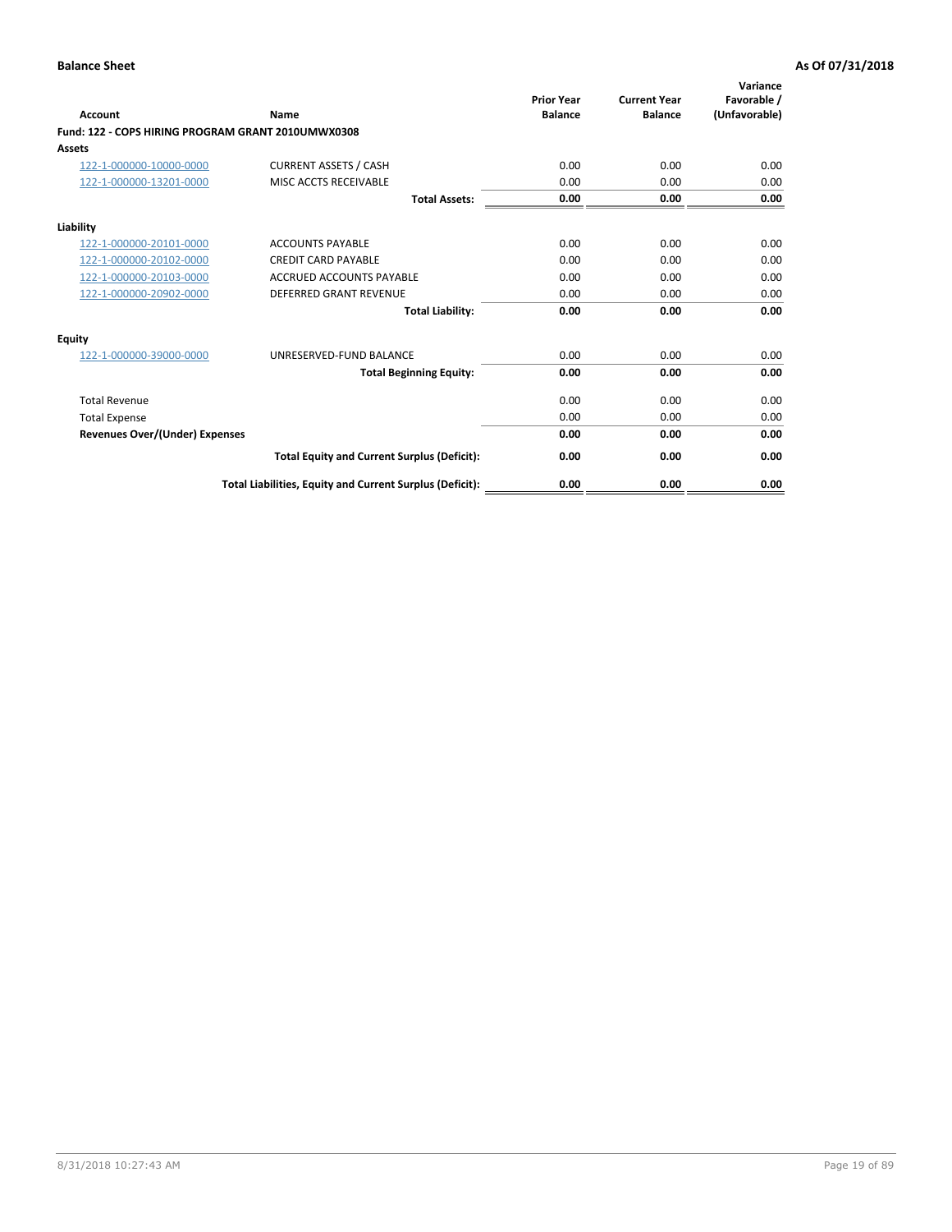| <b>Account</b>                                     | Name                                                     | <b>Prior Year</b><br><b>Balance</b> | <b>Current Year</b><br><b>Balance</b> | Variance<br>Favorable /<br>(Unfavorable) |
|----------------------------------------------------|----------------------------------------------------------|-------------------------------------|---------------------------------------|------------------------------------------|
| Fund: 122 - COPS HIRING PROGRAM GRANT 2010UMWX0308 |                                                          |                                     |                                       |                                          |
| Assets                                             |                                                          |                                     |                                       |                                          |
| 122-1-000000-10000-0000                            | <b>CURRENT ASSETS / CASH</b>                             | 0.00                                | 0.00                                  | 0.00                                     |
| 122-1-000000-13201-0000                            | MISC ACCTS RECEIVABLE                                    | 0.00                                | 0.00                                  | 0.00                                     |
|                                                    | <b>Total Assets:</b>                                     | 0.00                                | 0.00                                  | 0.00                                     |
| Liability                                          |                                                          |                                     |                                       |                                          |
| 122-1-000000-20101-0000                            | <b>ACCOUNTS PAYABLE</b>                                  | 0.00                                | 0.00                                  | 0.00                                     |
| 122-1-000000-20102-0000                            | <b>CREDIT CARD PAYABLE</b>                               | 0.00                                | 0.00                                  | 0.00                                     |
| 122-1-000000-20103-0000                            | <b>ACCRUED ACCOUNTS PAYABLE</b>                          | 0.00                                | 0.00                                  | 0.00                                     |
| 122-1-000000-20902-0000                            | <b>DEFERRED GRANT REVENUE</b>                            | 0.00                                | 0.00                                  | 0.00                                     |
|                                                    | <b>Total Liability:</b>                                  | 0.00                                | 0.00                                  | 0.00                                     |
| Equity                                             |                                                          |                                     |                                       |                                          |
| 122-1-000000-39000-0000                            | UNRESERVED-FUND BALANCE                                  | 0.00                                | 0.00                                  | 0.00                                     |
|                                                    | <b>Total Beginning Equity:</b>                           | 0.00                                | 0.00                                  | 0.00                                     |
| <b>Total Revenue</b>                               |                                                          | 0.00                                | 0.00                                  | 0.00                                     |
| <b>Total Expense</b>                               |                                                          | 0.00                                | 0.00                                  | 0.00                                     |
| <b>Revenues Over/(Under) Expenses</b>              |                                                          | 0.00                                | 0.00                                  | 0.00                                     |
|                                                    | <b>Total Equity and Current Surplus (Deficit):</b>       | 0.00                                | 0.00                                  | 0.00                                     |
|                                                    | Total Liabilities, Equity and Current Surplus (Deficit): | 0.00                                | 0.00                                  | 0.00                                     |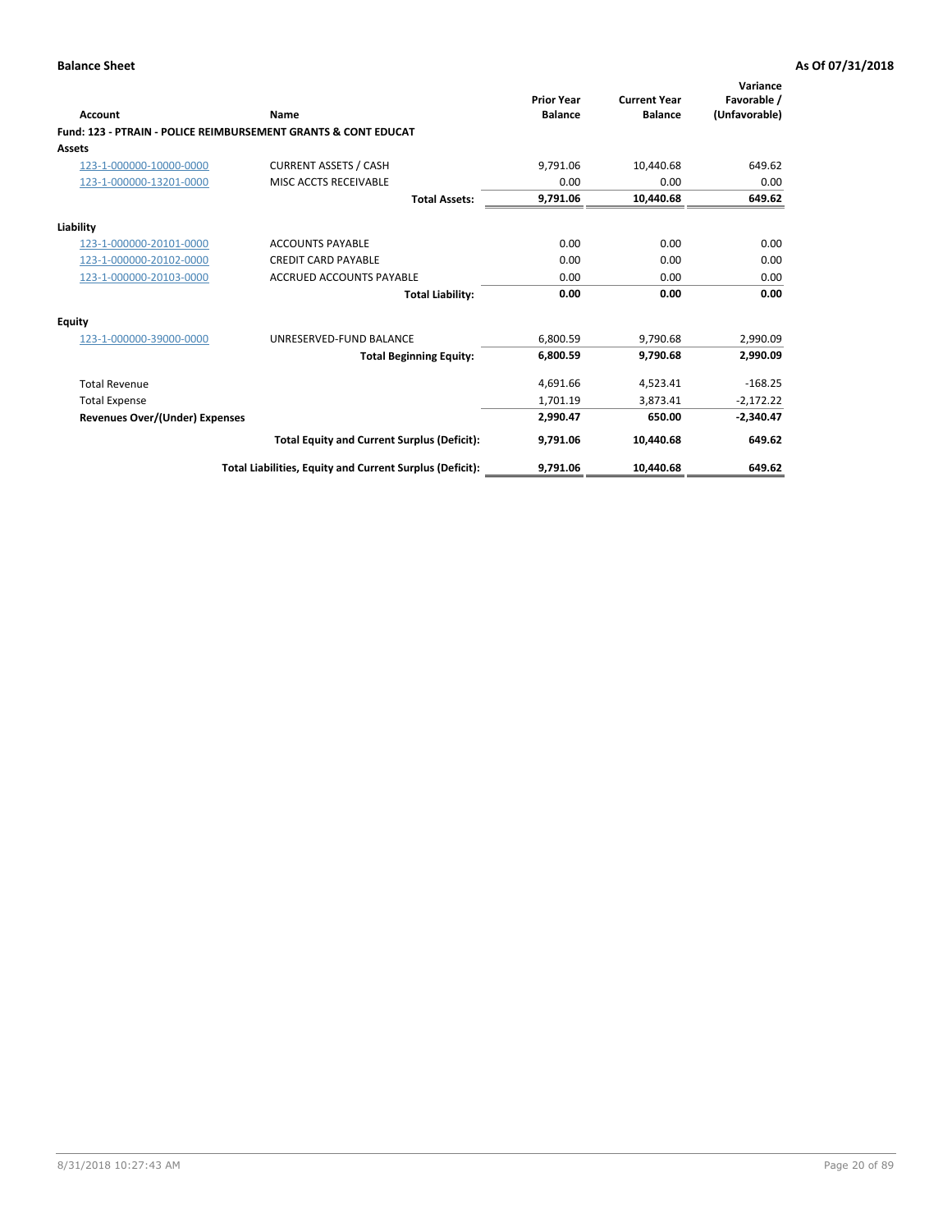| Account                        | Name                                                           | <b>Prior Year</b><br><b>Balance</b> | <b>Current Year</b><br><b>Balance</b> | Variance<br>Favorable /<br>(Unfavorable) |
|--------------------------------|----------------------------------------------------------------|-------------------------------------|---------------------------------------|------------------------------------------|
|                                | Fund: 123 - PTRAIN - POLICE REIMBURSEMENT GRANTS & CONT EDUCAT |                                     |                                       |                                          |
| Assets                         |                                                                |                                     |                                       |                                          |
| 123-1-000000-10000-0000        | <b>CURRENT ASSETS / CASH</b>                                   | 9.791.06                            | 10.440.68                             | 649.62                                   |
| 123-1-000000-13201-0000        | MISC ACCTS RECEIVABLE                                          | 0.00                                | 0.00                                  | 0.00                                     |
|                                | <b>Total Assets:</b>                                           | 9,791.06                            | 10.440.68                             | 649.62                                   |
| Liability                      |                                                                |                                     |                                       |                                          |
| 123-1-000000-20101-0000        | <b>ACCOUNTS PAYABLE</b>                                        | 0.00                                | 0.00                                  | 0.00                                     |
| 123-1-000000-20102-0000        | <b>CREDIT CARD PAYABLE</b>                                     | 0.00                                | 0.00                                  | 0.00                                     |
| 123-1-000000-20103-0000        | ACCRUED ACCOUNTS PAYABLE                                       | 0.00                                | 0.00                                  | 0.00                                     |
|                                | <b>Total Liability:</b>                                        | 0.00                                | 0.00                                  | 0.00                                     |
| Equity                         |                                                                |                                     |                                       |                                          |
| 123-1-000000-39000-0000        | UNRESERVED-FUND BALANCE                                        | 6,800.59                            | 9,790.68                              | 2,990.09                                 |
|                                | <b>Total Beginning Equity:</b>                                 | 6,800.59                            | 9,790.68                              | 2,990.09                                 |
| <b>Total Revenue</b>           |                                                                | 4,691.66                            | 4,523.41                              | $-168.25$                                |
| <b>Total Expense</b>           |                                                                | 1,701.19                            | 3,873.41                              | $-2,172.22$                              |
| Revenues Over/(Under) Expenses |                                                                | 2,990.47                            | 650.00                                | $-2,340.47$                              |
|                                | <b>Total Equity and Current Surplus (Deficit):</b>             | 9,791.06                            | 10.440.68                             | 649.62                                   |
|                                | Total Liabilities, Equity and Current Surplus (Deficit):       | 9,791.06                            | 10.440.68                             | 649.62                                   |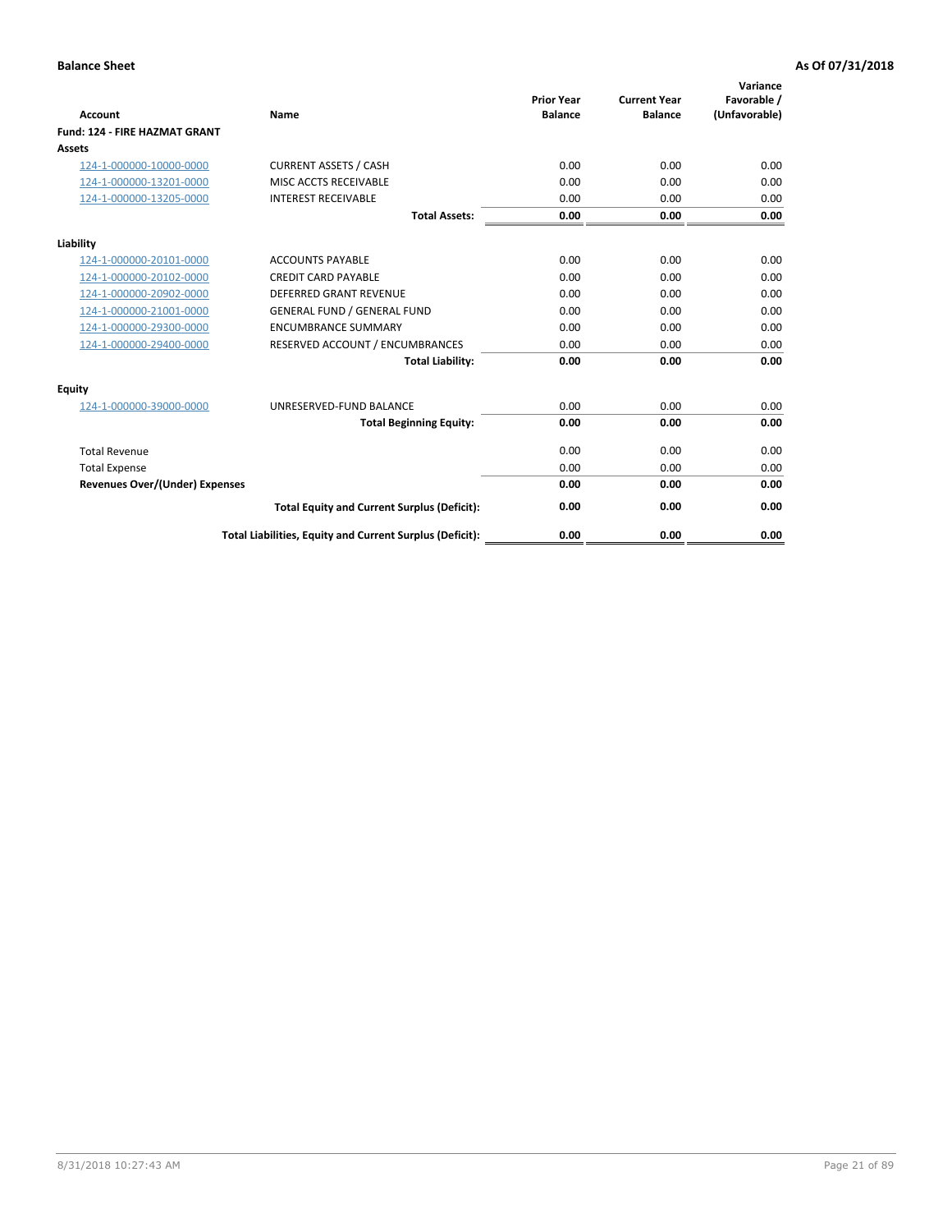| <b>Account</b>                        | Name                                                     | <b>Prior Year</b><br><b>Balance</b> | <b>Current Year</b><br><b>Balance</b> | Variance<br>Favorable /<br>(Unfavorable) |
|---------------------------------------|----------------------------------------------------------|-------------------------------------|---------------------------------------|------------------------------------------|
| Fund: 124 - FIRE HAZMAT GRANT         |                                                          |                                     |                                       |                                          |
| Assets                                |                                                          |                                     |                                       |                                          |
| 124-1-000000-10000-0000               | <b>CURRENT ASSETS / CASH</b>                             | 0.00                                | 0.00                                  | 0.00                                     |
| 124-1-000000-13201-0000               | <b>MISC ACCTS RECEIVABLE</b>                             | 0.00                                | 0.00                                  | 0.00                                     |
| 124-1-000000-13205-0000               | <b>INTEREST RECEIVABLE</b>                               | 0.00                                | 0.00                                  | 0.00                                     |
|                                       | <b>Total Assets:</b>                                     | 0.00                                | 0.00                                  | 0.00                                     |
| Liability                             |                                                          |                                     |                                       |                                          |
| 124-1-000000-20101-0000               | <b>ACCOUNTS PAYABLE</b>                                  | 0.00                                | 0.00                                  | 0.00                                     |
| 124-1-000000-20102-0000               | <b>CREDIT CARD PAYABLE</b>                               | 0.00                                | 0.00                                  | 0.00                                     |
| 124-1-000000-20902-0000               | <b>DEFERRED GRANT REVENUE</b>                            | 0.00                                | 0.00                                  | 0.00                                     |
| 124-1-000000-21001-0000               | <b>GENERAL FUND / GENERAL FUND</b>                       | 0.00                                | 0.00                                  | 0.00                                     |
| 124-1-000000-29300-0000               | <b>ENCUMBRANCE SUMMARY</b>                               | 0.00                                | 0.00                                  | 0.00                                     |
| 124-1-000000-29400-0000               | RESERVED ACCOUNT / ENCUMBRANCES                          | 0.00                                | 0.00                                  | 0.00                                     |
|                                       | <b>Total Liability:</b>                                  | 0.00                                | 0.00                                  | 0.00                                     |
| <b>Equity</b>                         |                                                          |                                     |                                       |                                          |
| 124-1-000000-39000-0000               | UNRESERVED-FUND BALANCE                                  | 0.00                                | 0.00                                  | 0.00                                     |
|                                       | <b>Total Beginning Equity:</b>                           | 0.00                                | 0.00                                  | 0.00                                     |
| <b>Total Revenue</b>                  |                                                          | 0.00                                | 0.00                                  | 0.00                                     |
| <b>Total Expense</b>                  |                                                          | 0.00                                | 0.00                                  | 0.00                                     |
| <b>Revenues Over/(Under) Expenses</b> |                                                          | 0.00                                | 0.00                                  | 0.00                                     |
|                                       | <b>Total Equity and Current Surplus (Deficit):</b>       | 0.00                                | 0.00                                  | 0.00                                     |
|                                       | Total Liabilities, Equity and Current Surplus (Deficit): | 0.00                                | 0.00                                  | 0.00                                     |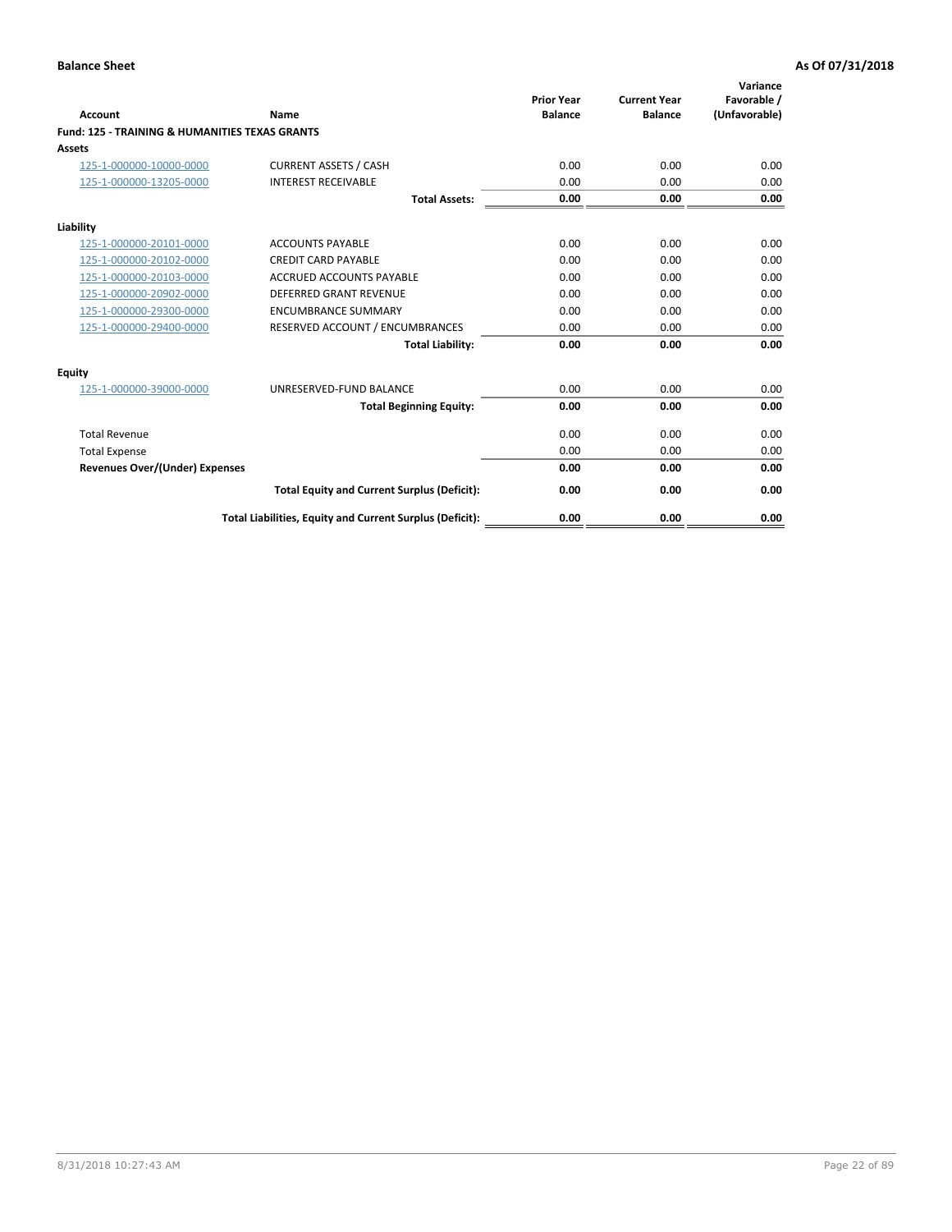| Account                                                   | Name                                                     | <b>Prior Year</b><br><b>Balance</b> | <b>Current Year</b><br><b>Balance</b> | Variance<br>Favorable /<br>(Unfavorable) |
|-----------------------------------------------------------|----------------------------------------------------------|-------------------------------------|---------------------------------------|------------------------------------------|
| <b>Fund: 125 - TRAINING &amp; HUMANITIES TEXAS GRANTS</b> |                                                          |                                     |                                       |                                          |
| <b>Assets</b>                                             |                                                          |                                     |                                       |                                          |
| 125-1-000000-10000-0000                                   | <b>CURRENT ASSETS / CASH</b>                             | 0.00                                | 0.00                                  | 0.00                                     |
| 125-1-000000-13205-0000                                   | <b>INTEREST RECEIVABLE</b>                               | 0.00                                | 0.00                                  | 0.00                                     |
|                                                           | <b>Total Assets:</b>                                     | 0.00                                | 0.00                                  | 0.00                                     |
| Liability                                                 |                                                          |                                     |                                       |                                          |
| 125-1-000000-20101-0000                                   | <b>ACCOUNTS PAYABLE</b>                                  | 0.00                                | 0.00                                  | 0.00                                     |
| 125-1-000000-20102-0000                                   | <b>CREDIT CARD PAYABLE</b>                               | 0.00                                | 0.00                                  | 0.00                                     |
| 125-1-000000-20103-0000                                   | <b>ACCRUED ACCOUNTS PAYABLE</b>                          | 0.00                                | 0.00                                  | 0.00                                     |
| 125-1-000000-20902-0000                                   | <b>DEFERRED GRANT REVENUE</b>                            | 0.00                                | 0.00                                  | 0.00                                     |
| 125-1-000000-29300-0000                                   | <b>ENCUMBRANCE SUMMARY</b>                               | 0.00                                | 0.00                                  | 0.00                                     |
| 125-1-000000-29400-0000                                   | RESERVED ACCOUNT / ENCUMBRANCES                          | 0.00                                | 0.00                                  | 0.00                                     |
|                                                           | <b>Total Liability:</b>                                  | 0.00                                | 0.00                                  | 0.00                                     |
| <b>Equity</b>                                             |                                                          |                                     |                                       |                                          |
| 125-1-000000-39000-0000                                   | UNRESERVED-FUND BALANCE                                  | 0.00                                | 0.00                                  | 0.00                                     |
|                                                           | <b>Total Beginning Equity:</b>                           | 0.00                                | 0.00                                  | 0.00                                     |
| <b>Total Revenue</b>                                      |                                                          | 0.00                                | 0.00                                  | 0.00                                     |
| <b>Total Expense</b>                                      |                                                          | 0.00                                | 0.00                                  | 0.00                                     |
| <b>Revenues Over/(Under) Expenses</b>                     |                                                          | 0.00                                | 0.00                                  | 0.00                                     |
|                                                           | <b>Total Equity and Current Surplus (Deficit):</b>       | 0.00                                | 0.00                                  | 0.00                                     |
|                                                           | Total Liabilities, Equity and Current Surplus (Deficit): | 0.00                                | 0.00                                  | 0.00                                     |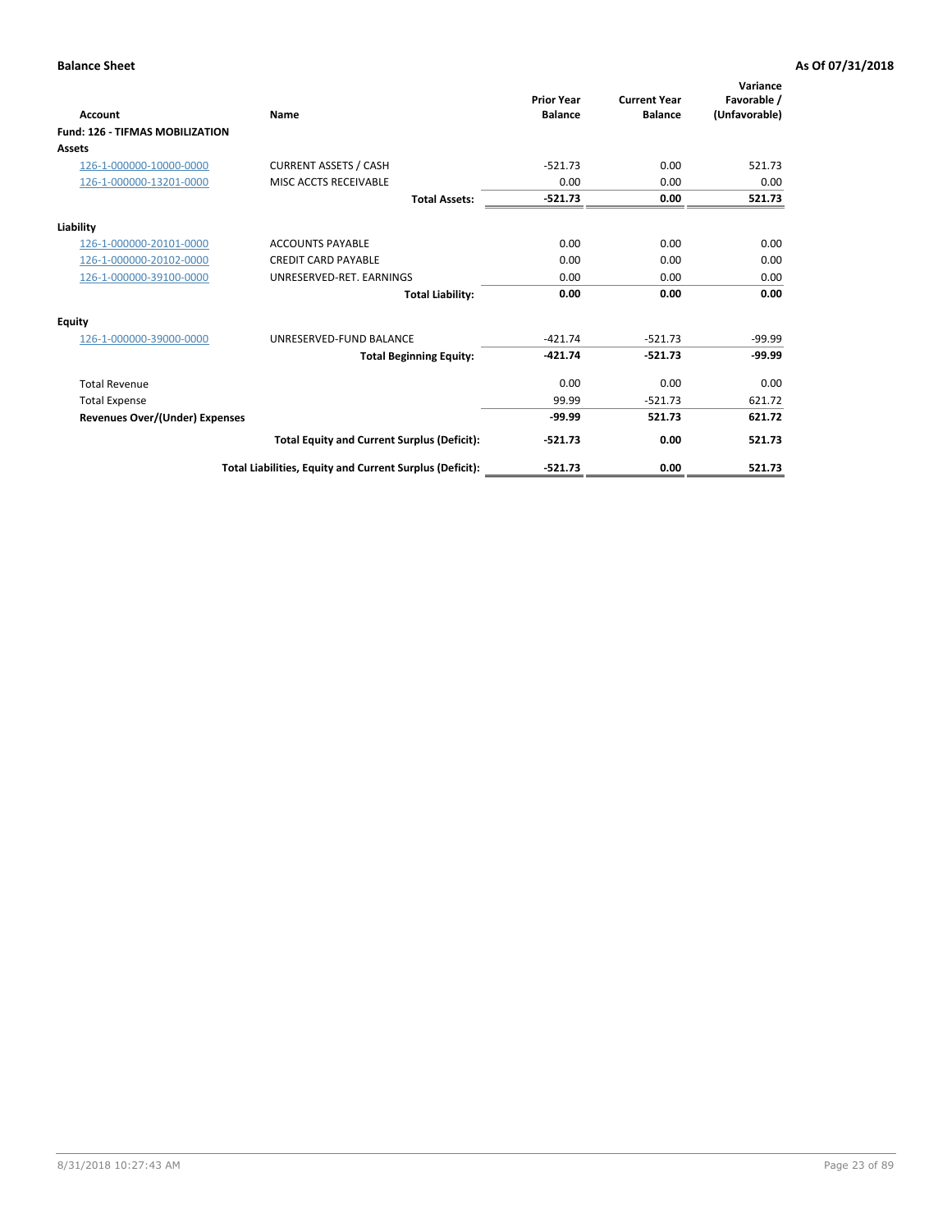| <b>Account</b>                         | Name                                                     | <b>Prior Year</b><br><b>Balance</b> | <b>Current Year</b><br><b>Balance</b> | Variance<br>Favorable /<br>(Unfavorable) |
|----------------------------------------|----------------------------------------------------------|-------------------------------------|---------------------------------------|------------------------------------------|
| <b>Fund: 126 - TIFMAS MOBILIZATION</b> |                                                          |                                     |                                       |                                          |
| Assets                                 |                                                          |                                     |                                       |                                          |
| 126-1-000000-10000-0000                | <b>CURRENT ASSETS / CASH</b>                             | $-521.73$                           | 0.00                                  | 521.73                                   |
| 126-1-000000-13201-0000                | MISC ACCTS RECEIVABLE                                    | 0.00                                | 0.00                                  | 0.00                                     |
|                                        | <b>Total Assets:</b>                                     | $-521.73$                           | 0.00                                  | 521.73                                   |
| Liability                              |                                                          |                                     |                                       |                                          |
| 126-1-000000-20101-0000                | <b>ACCOUNTS PAYABLE</b>                                  | 0.00                                | 0.00                                  | 0.00                                     |
| 126-1-000000-20102-0000                | <b>CREDIT CARD PAYABLE</b>                               | 0.00                                | 0.00                                  | 0.00                                     |
| 126-1-000000-39100-0000                | UNRESERVED-RET. EARNINGS                                 | 0.00                                | 0.00                                  | 0.00                                     |
|                                        | <b>Total Liability:</b>                                  | 0.00                                | 0.00                                  | 0.00                                     |
| Equity                                 |                                                          |                                     |                                       |                                          |
| 126-1-000000-39000-0000                | UNRESERVED-FUND BALANCE                                  | $-421.74$                           | $-521.73$                             | $-99.99$                                 |
|                                        | <b>Total Beginning Equity:</b>                           | $-421.74$                           | $-521.73$                             | $-99.99$                                 |
| <b>Total Revenue</b>                   |                                                          | 0.00                                | 0.00                                  | 0.00                                     |
| <b>Total Expense</b>                   |                                                          | 99.99                               | $-521.73$                             | 621.72                                   |
| Revenues Over/(Under) Expenses         |                                                          | $-99.99$                            | 521.73                                | 621.72                                   |
|                                        | <b>Total Equity and Current Surplus (Deficit):</b>       | $-521.73$                           | 0.00                                  | 521.73                                   |
|                                        | Total Liabilities, Equity and Current Surplus (Deficit): | $-521.73$                           | 0.00                                  | 521.73                                   |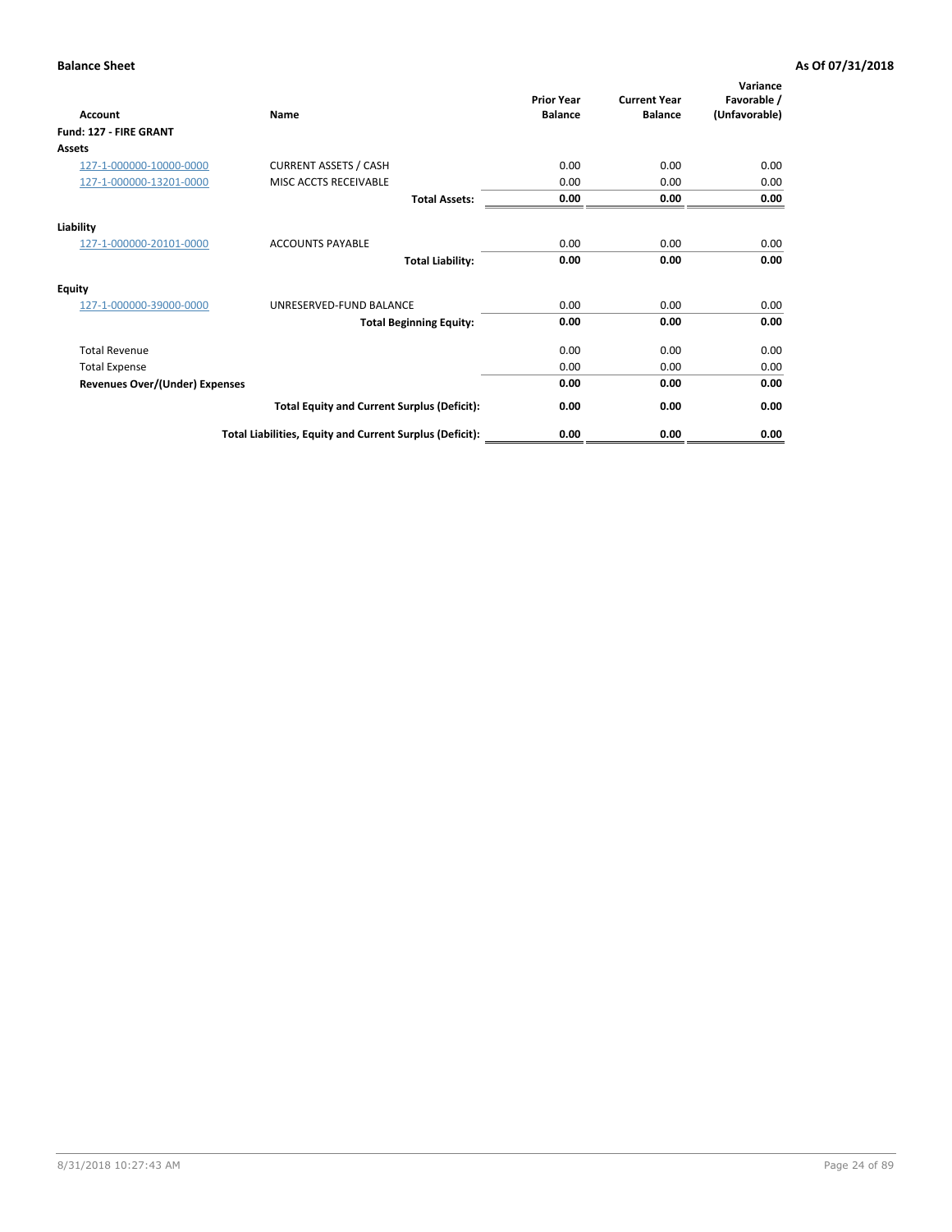| Account                               | Name                                                     | <b>Prior Year</b><br><b>Balance</b> | <b>Current Year</b><br><b>Balance</b> | Variance<br>Favorable /<br>(Unfavorable) |
|---------------------------------------|----------------------------------------------------------|-------------------------------------|---------------------------------------|------------------------------------------|
| Fund: 127 - FIRE GRANT                |                                                          |                                     |                                       |                                          |
| Assets                                |                                                          |                                     |                                       |                                          |
| 127-1-000000-10000-0000               | <b>CURRENT ASSETS / CASH</b>                             | 0.00                                | 0.00                                  | 0.00                                     |
| 127-1-000000-13201-0000               | MISC ACCTS RECEIVABLE                                    | 0.00                                | 0.00                                  | 0.00                                     |
|                                       | <b>Total Assets:</b>                                     | 0.00                                | 0.00                                  | 0.00                                     |
| Liability                             |                                                          |                                     |                                       |                                          |
| 127-1-000000-20101-0000               | <b>ACCOUNTS PAYABLE</b>                                  | 0.00                                | 0.00                                  | 0.00                                     |
|                                       | <b>Total Liability:</b>                                  | 0.00                                | 0.00                                  | 0.00                                     |
| <b>Equity</b>                         |                                                          |                                     |                                       |                                          |
| 127-1-000000-39000-0000               | UNRESERVED-FUND BALANCE                                  | 0.00                                | 0.00                                  | 0.00                                     |
|                                       | <b>Total Beginning Equity:</b>                           | 0.00                                | 0.00                                  | 0.00                                     |
| <b>Total Revenue</b>                  |                                                          | 0.00                                | 0.00                                  | 0.00                                     |
| <b>Total Expense</b>                  |                                                          | 0.00                                | 0.00                                  | 0.00                                     |
| <b>Revenues Over/(Under) Expenses</b> |                                                          | 0.00                                | 0.00                                  | 0.00                                     |
|                                       | <b>Total Equity and Current Surplus (Deficit):</b>       | 0.00                                | 0.00                                  | 0.00                                     |
|                                       | Total Liabilities, Equity and Current Surplus (Deficit): | 0.00                                | 0.00                                  | 0.00                                     |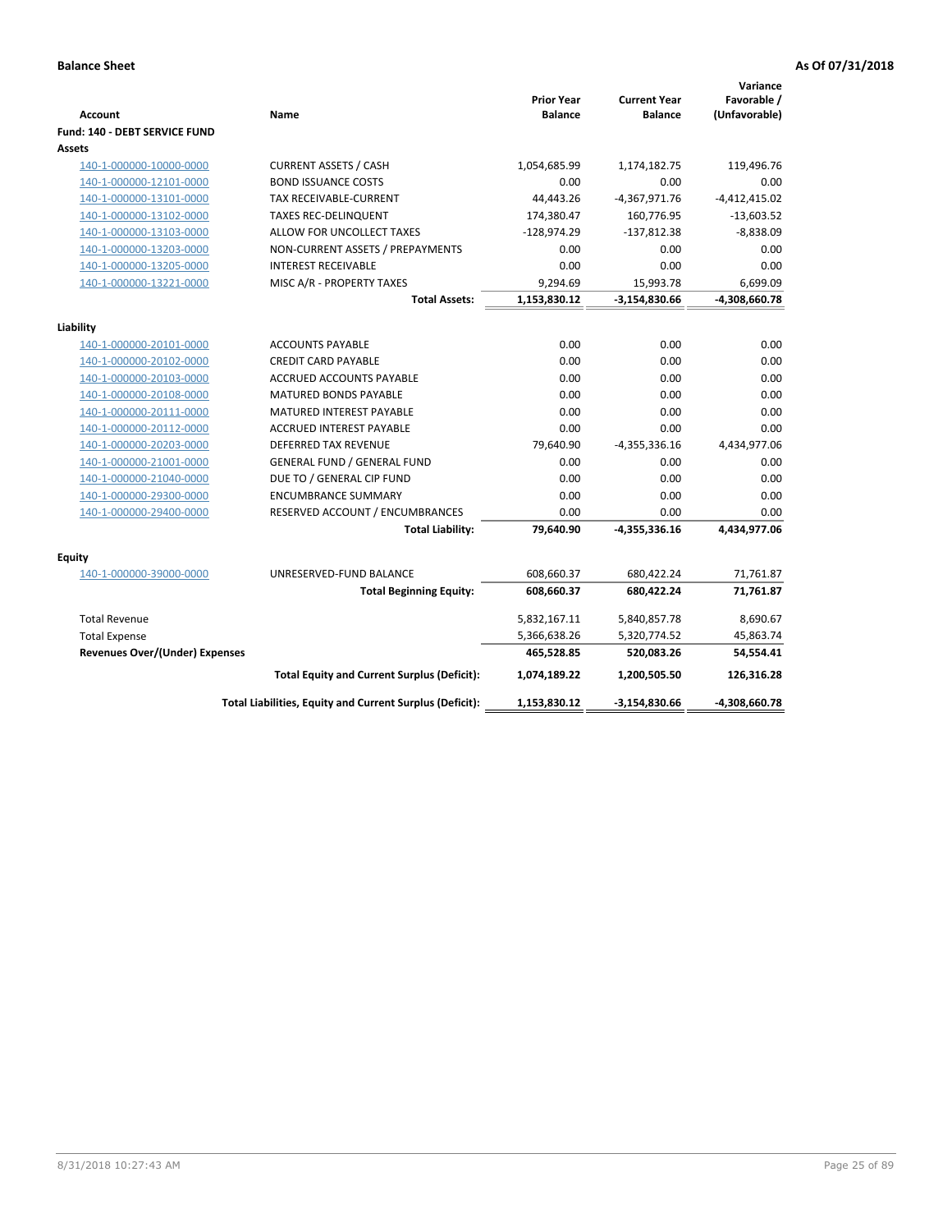| <b>Account</b><br>Fund: 140 - DEBT SERVICE FUND | Name                                                     | <b>Prior Year</b><br><b>Balance</b> | <b>Current Year</b><br><b>Balance</b> | Variance<br>Favorable /<br>(Unfavorable) |
|-------------------------------------------------|----------------------------------------------------------|-------------------------------------|---------------------------------------|------------------------------------------|
| Assets                                          |                                                          |                                     |                                       |                                          |
| 140-1-000000-10000-0000                         | <b>CURRENT ASSETS / CASH</b>                             | 1,054,685.99                        | 1,174,182.75                          | 119,496.76                               |
| 140-1-000000-12101-0000                         | <b>BOND ISSUANCE COSTS</b>                               | 0.00                                | 0.00                                  | 0.00                                     |
| 140-1-000000-13101-0000                         | TAX RECEIVABLE-CURRENT                                   | 44,443.26                           | $-4,367,971.76$                       | $-4,412,415.02$                          |
| 140-1-000000-13102-0000                         | <b>TAXES REC-DELINQUENT</b>                              | 174,380.47                          | 160,776.95                            | $-13,603.52$                             |
| 140-1-000000-13103-0000                         | ALLOW FOR UNCOLLECT TAXES                                | $-128,974.29$                       | $-137,812.38$                         | $-8,838.09$                              |
| 140-1-000000-13203-0000                         | NON-CURRENT ASSETS / PREPAYMENTS                         | 0.00                                | 0.00                                  | 0.00                                     |
| 140-1-000000-13205-0000                         | <b>INTEREST RECEIVABLE</b>                               | 0.00                                | 0.00                                  | 0.00                                     |
| 140-1-000000-13221-0000                         | MISC A/R - PROPERTY TAXES                                | 9,294.69                            | 15,993.78                             | 6,699.09                                 |
|                                                 | <b>Total Assets:</b>                                     | 1,153,830.12                        | $-3,154,830.66$                       | -4,308,660.78                            |
|                                                 |                                                          |                                     |                                       |                                          |
| Liability<br>140-1-000000-20101-0000            | <b>ACCOUNTS PAYABLE</b>                                  | 0.00                                | 0.00                                  | 0.00                                     |
| 140-1-000000-20102-0000                         | <b>CREDIT CARD PAYABLE</b>                               | 0.00                                | 0.00                                  | 0.00                                     |
| 140-1-000000-20103-0000                         | ACCRUED ACCOUNTS PAYABLE                                 | 0.00                                | 0.00                                  | 0.00                                     |
| 140-1-000000-20108-0000                         | MATURED BONDS PAYABLE                                    | 0.00                                | 0.00                                  | 0.00                                     |
| 140-1-000000-20111-0000                         | MATURED INTEREST PAYABLE                                 | 0.00                                | 0.00                                  | 0.00                                     |
| 140-1-000000-20112-0000                         | ACCRUED INTEREST PAYABLE                                 | 0.00                                | 0.00                                  | 0.00                                     |
| 140-1-000000-20203-0000                         | <b>DEFERRED TAX REVENUE</b>                              | 79,640.90                           | $-4,355,336.16$                       | 4,434,977.06                             |
| 140-1-000000-21001-0000                         | <b>GENERAL FUND / GENERAL FUND</b>                       | 0.00                                | 0.00                                  | 0.00                                     |
| 140-1-000000-21040-0000                         | DUE TO / GENERAL CIP FUND                                | 0.00                                | 0.00                                  | 0.00                                     |
| 140-1-000000-29300-0000                         | <b>ENCUMBRANCE SUMMARY</b>                               | 0.00                                | 0.00                                  | 0.00                                     |
| 140-1-000000-29400-0000                         | RESERVED ACCOUNT / ENCUMBRANCES                          | 0.00                                | 0.00                                  | 0.00                                     |
|                                                 | <b>Total Liability:</b>                                  | 79,640.90                           | $-4,355,336.16$                       | 4,434,977.06                             |
| Equity                                          |                                                          |                                     |                                       |                                          |
| 140-1-000000-39000-0000                         | UNRESERVED-FUND BALANCE                                  | 608,660.37                          | 680,422.24                            | 71,761.87                                |
|                                                 | <b>Total Beginning Equity:</b>                           | 608,660.37                          | 680,422.24                            | 71,761.87                                |
| <b>Total Revenue</b>                            |                                                          | 5,832,167.11                        | 5,840,857.78                          | 8,690.67                                 |
| <b>Total Expense</b>                            |                                                          | 5,366,638.26                        | 5,320,774.52                          | 45,863.74                                |
| <b>Revenues Over/(Under) Expenses</b>           |                                                          | 465,528.85                          | 520,083.26                            | 54,554.41                                |
|                                                 | <b>Total Equity and Current Surplus (Deficit):</b>       | 1,074,189.22                        | 1,200,505.50                          | 126,316.28                               |
|                                                 | Total Liabilities, Equity and Current Surplus (Deficit): | 1,153,830.12                        | $-3,154,830.66$                       | -4,308,660.78                            |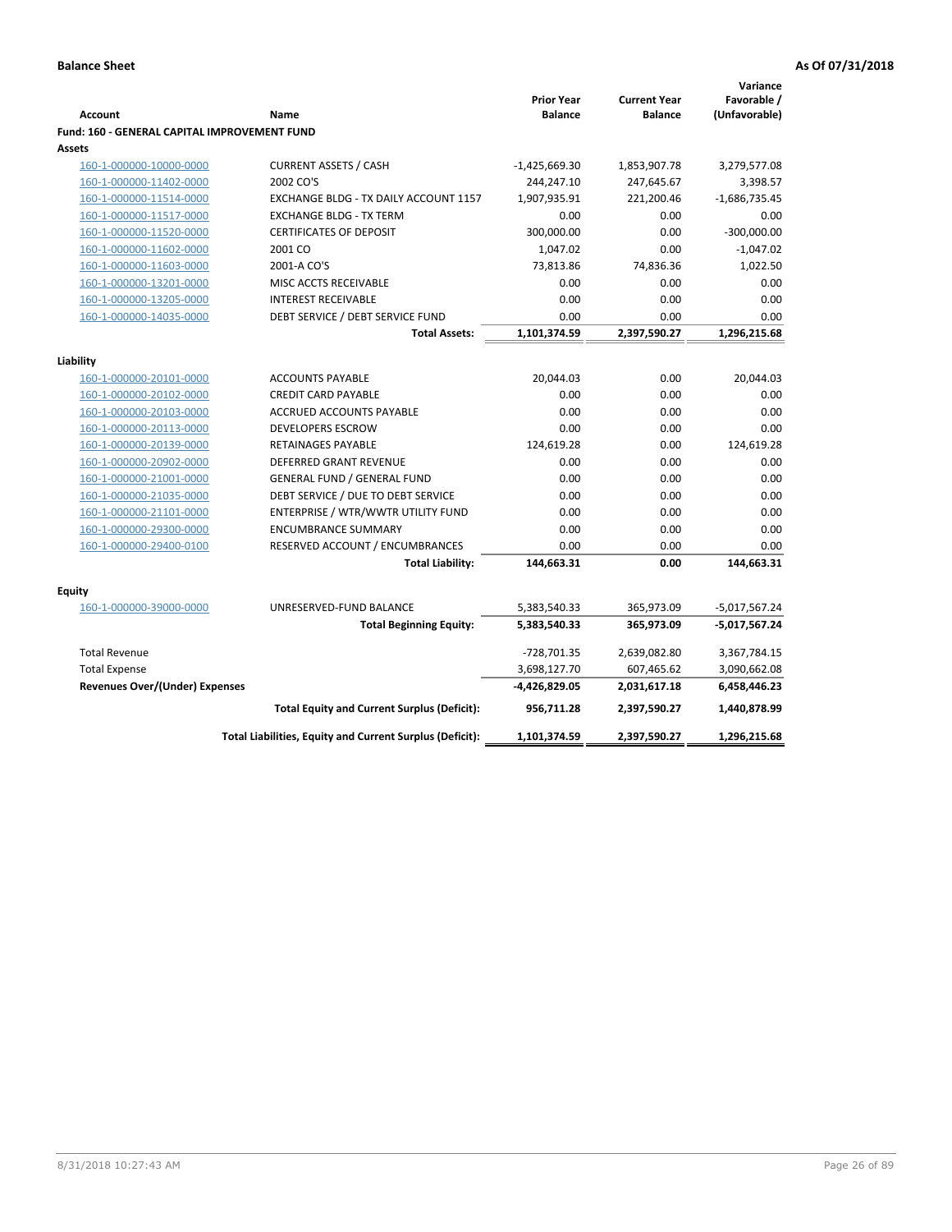|                                              |                                                          |                   |                     | Variance        |
|----------------------------------------------|----------------------------------------------------------|-------------------|---------------------|-----------------|
|                                              |                                                          | <b>Prior Year</b> | <b>Current Year</b> | Favorable /     |
| <b>Account</b>                               | Name                                                     | <b>Balance</b>    | <b>Balance</b>      | (Unfavorable)   |
| Fund: 160 - GENERAL CAPITAL IMPROVEMENT FUND |                                                          |                   |                     |                 |
| <b>Assets</b>                                |                                                          |                   |                     |                 |
| 160-1-000000-10000-0000                      | <b>CURRENT ASSETS / CASH</b>                             | $-1,425,669.30$   | 1,853,907.78        | 3,279,577.08    |
| 160-1-000000-11402-0000                      | 2002 CO'S                                                | 244,247.10        | 247,645.67          | 3,398.57        |
| 160-1-000000-11514-0000                      | EXCHANGE BLDG - TX DAILY ACCOUNT 1157                    | 1,907,935.91      | 221,200.46          | $-1,686,735.45$ |
| 160-1-000000-11517-0000                      | <b>EXCHANGE BLDG - TX TERM</b>                           | 0.00              | 0.00                | 0.00            |
| 160-1-000000-11520-0000                      | <b>CERTIFICATES OF DEPOSIT</b>                           | 300,000.00        | 0.00                | $-300,000.00$   |
| 160-1-000000-11602-0000                      | 2001 CO                                                  | 1,047.02          | 0.00                | $-1,047.02$     |
| 160-1-000000-11603-0000                      | 2001-A CO'S                                              | 73,813.86         | 74,836.36           | 1,022.50        |
| 160-1-000000-13201-0000                      | MISC ACCTS RECEIVABLE                                    | 0.00              | 0.00                | 0.00            |
| 160-1-000000-13205-0000                      | <b>INTEREST RECEIVABLE</b>                               | 0.00              | 0.00                | 0.00            |
| 160-1-000000-14035-0000                      | DEBT SERVICE / DEBT SERVICE FUND                         | 0.00              | 0.00                | 0.00            |
|                                              | <b>Total Assets:</b>                                     | 1,101,374.59      | 2,397,590.27        | 1,296,215.68    |
| Liability                                    |                                                          |                   |                     |                 |
| 160-1-000000-20101-0000                      | <b>ACCOUNTS PAYABLE</b>                                  | 20,044.03         | 0.00                | 20,044.03       |
| 160-1-000000-20102-0000                      | <b>CREDIT CARD PAYABLE</b>                               | 0.00              | 0.00                | 0.00            |
| 160-1-000000-20103-0000                      | ACCRUED ACCOUNTS PAYABLE                                 | 0.00              | 0.00                | 0.00            |
| 160-1-000000-20113-0000                      | <b>DEVELOPERS ESCROW</b>                                 | 0.00              | 0.00                | 0.00            |
| 160-1-000000-20139-0000                      | <b>RETAINAGES PAYABLE</b>                                | 124,619.28        | 0.00                | 124,619.28      |
| 160-1-000000-20902-0000                      | <b>DEFERRED GRANT REVENUE</b>                            | 0.00              | 0.00                | 0.00            |
| 160-1-000000-21001-0000                      | <b>GENERAL FUND / GENERAL FUND</b>                       | 0.00              | 0.00                | 0.00            |
| 160-1-000000-21035-0000                      | DEBT SERVICE / DUE TO DEBT SERVICE                       | 0.00              | 0.00                | 0.00            |
| 160-1-000000-21101-0000                      | ENTERPRISE / WTR/WWTR UTILITY FUND                       | 0.00              | 0.00                | 0.00            |
| 160-1-000000-29300-0000                      | <b>ENCUMBRANCE SUMMARY</b>                               | 0.00              | 0.00                | 0.00            |
| 160-1-000000-29400-0100                      | RESERVED ACCOUNT / ENCUMBRANCES                          | 0.00              | 0.00                | 0.00            |
|                                              | <b>Total Liability:</b>                                  | 144,663.31        | 0.00                | 144,663.31      |
|                                              |                                                          |                   |                     |                 |
| <b>Equity</b>                                |                                                          |                   |                     |                 |
| 160-1-000000-39000-0000                      | UNRESERVED-FUND BALANCE                                  | 5,383,540.33      | 365,973.09          | $-5,017,567.24$ |
|                                              | <b>Total Beginning Equity:</b>                           | 5,383,540.33      | 365,973.09          | -5,017,567.24   |
| <b>Total Revenue</b>                         |                                                          | -728,701.35       | 2,639,082.80        | 3,367,784.15    |
| <b>Total Expense</b>                         |                                                          | 3,698,127.70      | 607,465.62          | 3,090,662.08    |
| <b>Revenues Over/(Under) Expenses</b>        |                                                          | -4,426,829.05     | 2,031,617.18        | 6,458,446.23    |
|                                              | <b>Total Equity and Current Surplus (Deficit):</b>       | 956,711.28        | 2,397,590.27        | 1,440,878.99    |
|                                              | Total Liabilities, Equity and Current Surplus (Deficit): | 1,101,374.59      | 2,397,590.27        | 1,296,215.68    |
|                                              |                                                          |                   |                     |                 |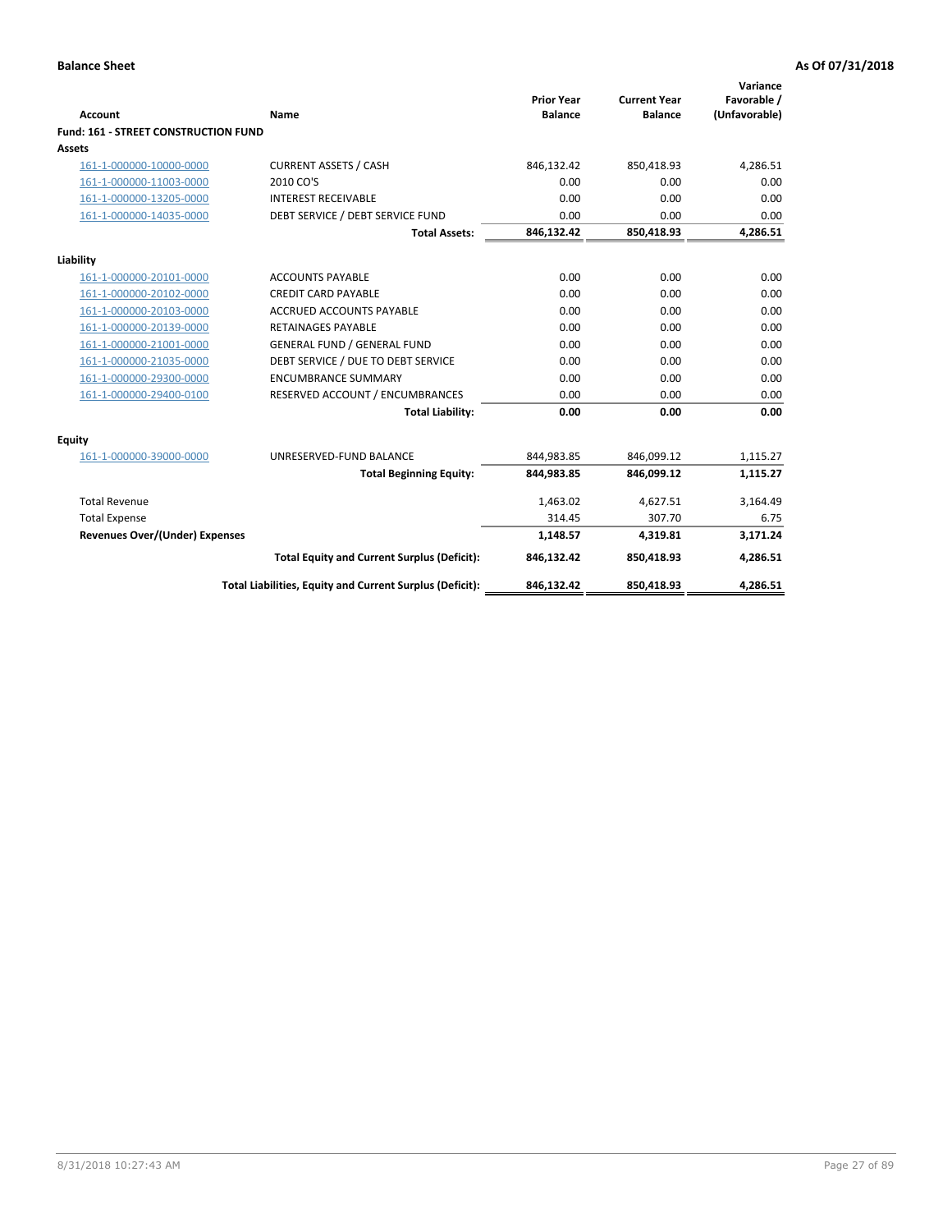| <b>Account</b>                       | Name                                                     | <b>Prior Year</b><br><b>Balance</b> | <b>Current Year</b><br><b>Balance</b> | Variance<br>Favorable /<br>(Unfavorable) |
|--------------------------------------|----------------------------------------------------------|-------------------------------------|---------------------------------------|------------------------------------------|
| Fund: 161 - STREET CONSTRUCTION FUND |                                                          |                                     |                                       |                                          |
| <b>Assets</b>                        |                                                          |                                     |                                       |                                          |
| 161-1-000000-10000-0000              | <b>CURRENT ASSETS / CASH</b>                             | 846,132.42                          | 850,418.93                            | 4.286.51                                 |
| 161-1-000000-11003-0000              | 2010 CO'S                                                | 0.00                                | 0.00                                  | 0.00                                     |
| 161-1-000000-13205-0000              | <b>INTEREST RECEIVABLE</b>                               | 0.00                                | 0.00                                  | 0.00                                     |
| 161-1-000000-14035-0000              | DEBT SERVICE / DEBT SERVICE FUND                         | 0.00                                | 0.00                                  | 0.00                                     |
|                                      | <b>Total Assets:</b>                                     | 846,132.42                          | 850,418.93                            | 4,286.51                                 |
| Liability                            |                                                          |                                     |                                       |                                          |
| 161-1-000000-20101-0000              | <b>ACCOUNTS PAYABLE</b>                                  | 0.00                                | 0.00                                  | 0.00                                     |
| 161-1-000000-20102-0000              | <b>CREDIT CARD PAYABLE</b>                               | 0.00                                | 0.00                                  | 0.00                                     |
| 161-1-000000-20103-0000              | <b>ACCRUED ACCOUNTS PAYABLE</b>                          | 0.00                                | 0.00                                  | 0.00                                     |
| 161-1-000000-20139-0000              | <b>RETAINAGES PAYABLE</b>                                | 0.00                                | 0.00                                  | 0.00                                     |
| 161-1-000000-21001-0000              | <b>GENERAL FUND / GENERAL FUND</b>                       | 0.00                                | 0.00                                  | 0.00                                     |
| 161-1-000000-21035-0000              | DEBT SERVICE / DUE TO DEBT SERVICE                       | 0.00                                | 0.00                                  | 0.00                                     |
| 161-1-000000-29300-0000              | <b>ENCUMBRANCE SUMMARY</b>                               | 0.00                                | 0.00                                  | 0.00                                     |
| 161-1-000000-29400-0100              | RESERVED ACCOUNT / ENCUMBRANCES                          | 0.00                                | 0.00                                  | 0.00                                     |
|                                      | <b>Total Liability:</b>                                  | 0.00                                | 0.00                                  | 0.00                                     |
| <b>Equity</b>                        |                                                          |                                     |                                       |                                          |
| 161-1-000000-39000-0000              | UNRESERVED-FUND BALANCE                                  | 844,983.85                          | 846,099.12                            | 1,115.27                                 |
|                                      | <b>Total Beginning Equity:</b>                           | 844,983.85                          | 846,099.12                            | 1,115.27                                 |
| <b>Total Revenue</b>                 |                                                          | 1,463.02                            | 4,627.51                              | 3,164.49                                 |
| <b>Total Expense</b>                 |                                                          | 314.45                              | 307.70                                | 6.75                                     |
| Revenues Over/(Under) Expenses       |                                                          | 1,148.57                            | 4,319.81                              | 3,171.24                                 |
|                                      | <b>Total Equity and Current Surplus (Deficit):</b>       | 846,132.42                          | 850,418.93                            | 4,286.51                                 |
|                                      | Total Liabilities, Equity and Current Surplus (Deficit): | 846,132.42                          | 850,418.93                            | 4,286.51                                 |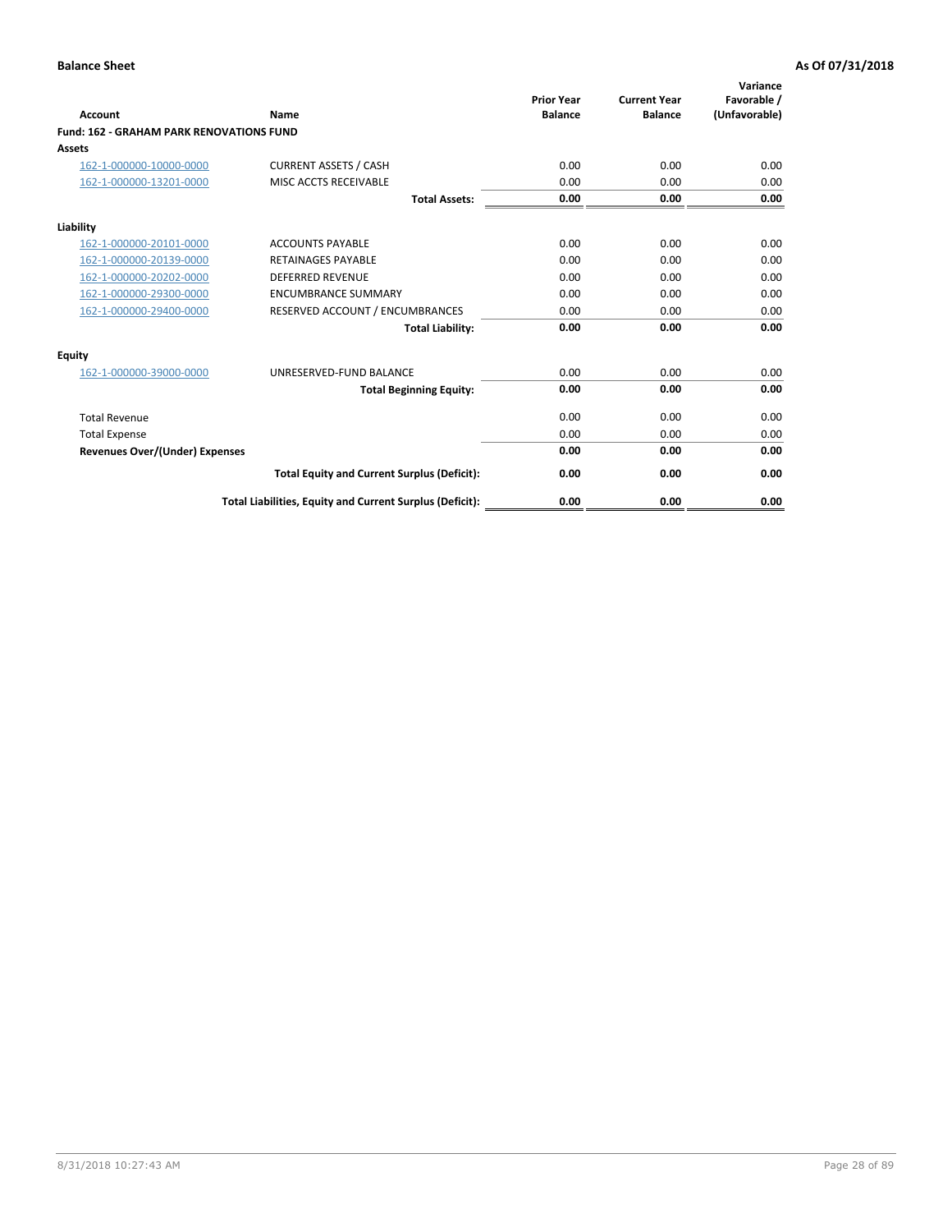| Account                                         | Name                                                     | <b>Prior Year</b><br><b>Balance</b> | <b>Current Year</b><br><b>Balance</b> | Variance<br>Favorable /<br>(Unfavorable) |
|-------------------------------------------------|----------------------------------------------------------|-------------------------------------|---------------------------------------|------------------------------------------|
| <b>Fund: 162 - GRAHAM PARK RENOVATIONS FUND</b> |                                                          |                                     |                                       |                                          |
| <b>Assets</b>                                   |                                                          |                                     |                                       |                                          |
| 162-1-000000-10000-0000                         | <b>CURRENT ASSETS / CASH</b>                             | 0.00                                | 0.00                                  | 0.00                                     |
| 162-1-000000-13201-0000                         | MISC ACCTS RECEIVABLE                                    | 0.00                                | 0.00                                  | 0.00                                     |
|                                                 | <b>Total Assets:</b>                                     | 0.00                                | 0.00                                  | 0.00                                     |
| Liability                                       |                                                          |                                     |                                       |                                          |
| 162-1-000000-20101-0000                         | <b>ACCOUNTS PAYABLE</b>                                  | 0.00                                | 0.00                                  | 0.00                                     |
| 162-1-000000-20139-0000                         | <b>RETAINAGES PAYABLE</b>                                | 0.00                                | 0.00                                  | 0.00                                     |
| 162-1-000000-20202-0000                         | <b>DEFERRED REVENUE</b>                                  | 0.00                                | 0.00                                  | 0.00                                     |
| 162-1-000000-29300-0000                         | <b>ENCUMBRANCE SUMMARY</b>                               | 0.00                                | 0.00                                  | 0.00                                     |
| 162-1-000000-29400-0000                         | RESERVED ACCOUNT / ENCUMBRANCES                          | 0.00                                | 0.00                                  | 0.00                                     |
|                                                 | <b>Total Liability:</b>                                  | 0.00                                | 0.00                                  | 0.00                                     |
| Equity                                          |                                                          |                                     |                                       |                                          |
| 162-1-000000-39000-0000                         | UNRESERVED-FUND BALANCE                                  | 0.00                                | 0.00                                  | 0.00                                     |
|                                                 | <b>Total Beginning Equity:</b>                           | 0.00                                | 0.00                                  | 0.00                                     |
| <b>Total Revenue</b>                            |                                                          | 0.00                                | 0.00                                  | 0.00                                     |
| <b>Total Expense</b>                            |                                                          | 0.00                                | 0.00                                  | 0.00                                     |
| <b>Revenues Over/(Under) Expenses</b>           |                                                          | 0.00                                | 0.00                                  | 0.00                                     |
|                                                 | <b>Total Equity and Current Surplus (Deficit):</b>       | 0.00                                | 0.00                                  | 0.00                                     |
|                                                 | Total Liabilities, Equity and Current Surplus (Deficit): | 0.00                                | 0.00                                  | 0.00                                     |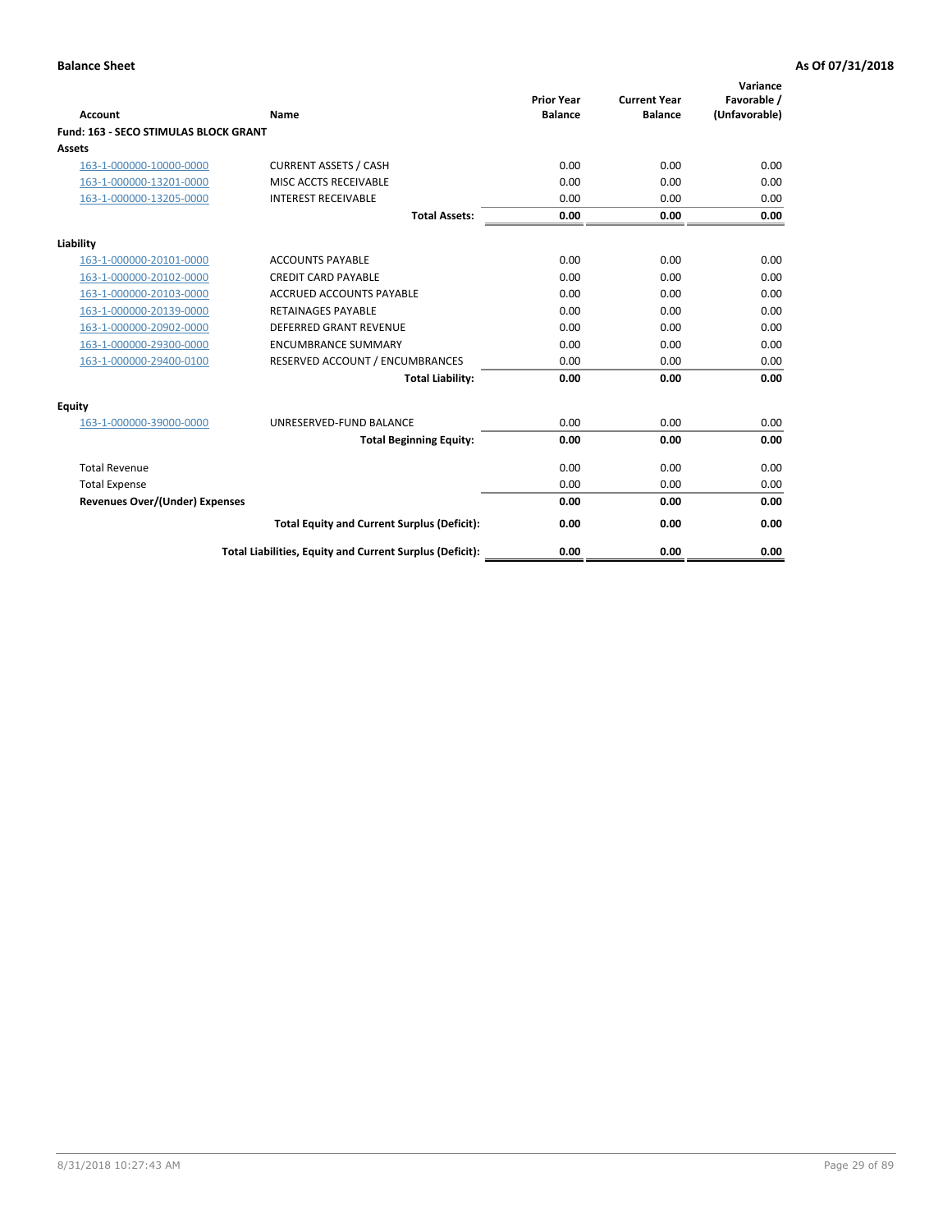|                                              |                                                          | <b>Prior Year</b> | <b>Current Year</b> | Variance<br>Favorable / |
|----------------------------------------------|----------------------------------------------------------|-------------------|---------------------|-------------------------|
| <b>Account</b>                               | Name                                                     | <b>Balance</b>    | <b>Balance</b>      | (Unfavorable)           |
| <b>Fund: 163 - SECO STIMULAS BLOCK GRANT</b> |                                                          |                   |                     |                         |
| Assets                                       |                                                          |                   |                     |                         |
| 163-1-000000-10000-0000                      | <b>CURRENT ASSETS / CASH</b>                             | 0.00              | 0.00                | 0.00                    |
| 163-1-000000-13201-0000                      | MISC ACCTS RECEIVABLE                                    | 0.00              | 0.00                | 0.00                    |
| 163-1-000000-13205-0000                      | <b>INTEREST RECEIVABLE</b>                               | 0.00              | 0.00                | 0.00                    |
|                                              | <b>Total Assets:</b>                                     | 0.00              | 0.00                | 0.00                    |
| Liability                                    |                                                          |                   |                     |                         |
| 163-1-000000-20101-0000                      | <b>ACCOUNTS PAYABLE</b>                                  | 0.00              | 0.00                | 0.00                    |
| 163-1-000000-20102-0000                      | <b>CREDIT CARD PAYABLE</b>                               | 0.00              | 0.00                | 0.00                    |
| 163-1-000000-20103-0000                      | <b>ACCRUED ACCOUNTS PAYABLE</b>                          | 0.00              | 0.00                | 0.00                    |
| 163-1-000000-20139-0000                      | <b>RETAINAGES PAYABLE</b>                                | 0.00              | 0.00                | 0.00                    |
| 163-1-000000-20902-0000                      | <b>DEFERRED GRANT REVENUE</b>                            | 0.00              | 0.00                | 0.00                    |
| 163-1-000000-29300-0000                      | <b>ENCUMBRANCE SUMMARY</b>                               | 0.00              | 0.00                | 0.00                    |
| 163-1-000000-29400-0100                      | RESERVED ACCOUNT / ENCUMBRANCES                          | 0.00              | 0.00                | 0.00                    |
|                                              | <b>Total Liability:</b>                                  | 0.00              | 0.00                | 0.00                    |
| <b>Equity</b>                                |                                                          |                   |                     |                         |
| 163-1-000000-39000-0000                      | UNRESERVED-FUND BALANCE                                  | 0.00              | 0.00                | 0.00                    |
|                                              | <b>Total Beginning Equity:</b>                           | 0.00              | 0.00                | 0.00                    |
| <b>Total Revenue</b>                         |                                                          | 0.00              | 0.00                | 0.00                    |
| <b>Total Expense</b>                         |                                                          | 0.00              | 0.00                | 0.00                    |
| Revenues Over/(Under) Expenses               |                                                          | 0.00              | 0.00                | 0.00                    |
|                                              | <b>Total Equity and Current Surplus (Deficit):</b>       | 0.00              | 0.00                | 0.00                    |
|                                              | Total Liabilities, Equity and Current Surplus (Deficit): | 0.00              | 0.00                | 0.00                    |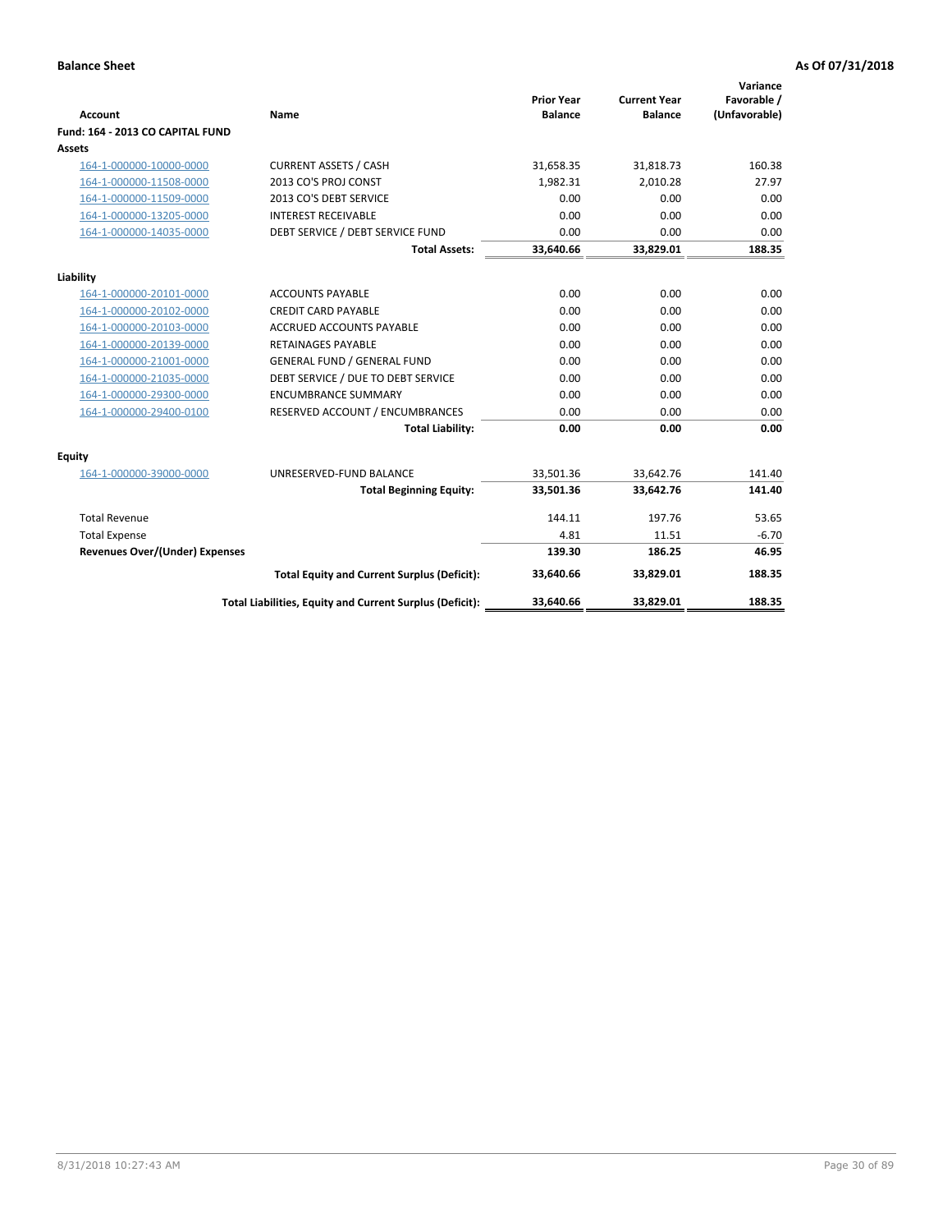| <b>Account</b>                        | Name                                                     | <b>Prior Year</b><br><b>Balance</b> | <b>Current Year</b><br><b>Balance</b> | Variance<br>Favorable /<br>(Unfavorable) |
|---------------------------------------|----------------------------------------------------------|-------------------------------------|---------------------------------------|------------------------------------------|
| Fund: 164 - 2013 CO CAPITAL FUND      |                                                          |                                     |                                       |                                          |
| Assets                                |                                                          |                                     |                                       |                                          |
| 164-1-000000-10000-0000               | <b>CURRENT ASSETS / CASH</b>                             | 31,658.35                           | 31,818.73                             | 160.38                                   |
| 164-1-000000-11508-0000               | 2013 CO'S PROJ CONST                                     | 1.982.31                            | 2.010.28                              | 27.97                                    |
| 164-1-000000-11509-0000               | 2013 CO'S DEBT SERVICE                                   | 0.00                                | 0.00                                  | 0.00                                     |
| 164-1-000000-13205-0000               | <b>INTEREST RECEIVABLE</b>                               | 0.00                                | 0.00                                  | 0.00                                     |
| 164-1-000000-14035-0000               | DEBT SERVICE / DEBT SERVICE FUND                         | 0.00                                | 0.00                                  | 0.00                                     |
|                                       | <b>Total Assets:</b>                                     | 33,640.66                           | 33,829.01                             | 188.35                                   |
| Liability                             |                                                          |                                     |                                       |                                          |
| 164-1-000000-20101-0000               | <b>ACCOUNTS PAYABLE</b>                                  | 0.00                                | 0.00                                  | 0.00                                     |
| 164-1-000000-20102-0000               | <b>CREDIT CARD PAYABLE</b>                               | 0.00                                | 0.00                                  | 0.00                                     |
| 164-1-000000-20103-0000               | <b>ACCRUED ACCOUNTS PAYABLE</b>                          | 0.00                                | 0.00                                  | 0.00                                     |
| 164-1-000000-20139-0000               | <b>RETAINAGES PAYABLE</b>                                | 0.00                                | 0.00                                  | 0.00                                     |
| 164-1-000000-21001-0000               | <b>GENERAL FUND / GENERAL FUND</b>                       | 0.00                                | 0.00                                  | 0.00                                     |
| 164-1-000000-21035-0000               | DEBT SERVICE / DUE TO DEBT SERVICE                       | 0.00                                | 0.00                                  | 0.00                                     |
| 164-1-000000-29300-0000               | <b>ENCUMBRANCE SUMMARY</b>                               | 0.00                                | 0.00                                  | 0.00                                     |
| 164-1-000000-29400-0100               | RESERVED ACCOUNT / ENCUMBRANCES                          | 0.00                                | 0.00                                  | 0.00                                     |
|                                       | <b>Total Liability:</b>                                  | 0.00                                | 0.00                                  | 0.00                                     |
| Equity                                |                                                          |                                     |                                       |                                          |
| 164-1-000000-39000-0000               | UNRESERVED-FUND BALANCE                                  | 33,501.36                           | 33,642.76                             | 141.40                                   |
|                                       | <b>Total Beginning Equity:</b>                           | 33,501.36                           | 33,642.76                             | 141.40                                   |
| <b>Total Revenue</b>                  |                                                          | 144.11                              | 197.76                                | 53.65                                    |
| <b>Total Expense</b>                  |                                                          | 4.81                                | 11.51                                 | $-6.70$                                  |
| <b>Revenues Over/(Under) Expenses</b> |                                                          | 139.30                              | 186.25                                | 46.95                                    |
|                                       | <b>Total Equity and Current Surplus (Deficit):</b>       | 33,640.66                           | 33,829.01                             | 188.35                                   |
|                                       | Total Liabilities, Equity and Current Surplus (Deficit): | 33,640.66                           | 33.829.01                             | 188.35                                   |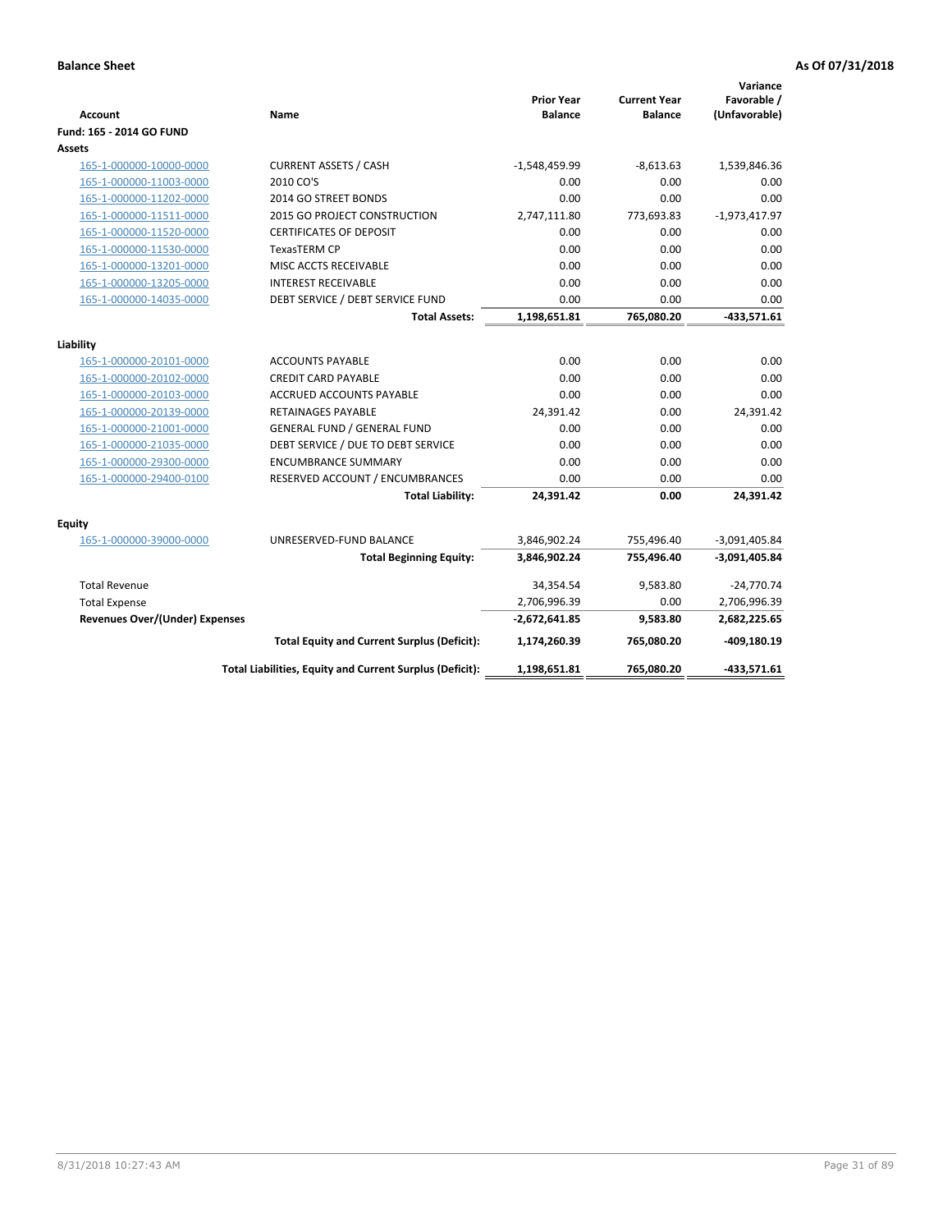| <b>Account</b>                        | Name                                                     | <b>Prior Year</b><br><b>Balance</b> | <b>Current Year</b><br><b>Balance</b> | Variance<br>Favorable /<br>(Unfavorable) |
|---------------------------------------|----------------------------------------------------------|-------------------------------------|---------------------------------------|------------------------------------------|
| Fund: 165 - 2014 GO FUND              |                                                          |                                     |                                       |                                          |
| <b>Assets</b>                         |                                                          |                                     |                                       |                                          |
| 165-1-000000-10000-0000               | <b>CURRENT ASSETS / CASH</b>                             | $-1,548,459.99$                     | $-8,613.63$                           | 1,539,846.36                             |
| 165-1-000000-11003-0000               | 2010 CO'S                                                | 0.00                                | 0.00                                  | 0.00                                     |
| 165-1-000000-11202-0000               | 2014 GO STREET BONDS                                     | 0.00                                | 0.00                                  | 0.00                                     |
| 165-1-000000-11511-0000               | 2015 GO PROJECT CONSTRUCTION                             | 2,747,111.80                        | 773,693.83                            | $-1,973,417.97$                          |
| 165-1-000000-11520-0000               | <b>CERTIFICATES OF DEPOSIT</b>                           | 0.00                                | 0.00                                  | 0.00                                     |
| 165-1-000000-11530-0000               | <b>TexasTERM CP</b>                                      | 0.00                                | 0.00                                  | 0.00                                     |
| 165-1-000000-13201-0000               | MISC ACCTS RECEIVABLE                                    | 0.00                                | 0.00                                  | 0.00                                     |
| 165-1-000000-13205-0000               | <b>INTEREST RECEIVABLE</b>                               | 0.00                                | 0.00                                  | 0.00                                     |
| 165-1-000000-14035-0000               | DEBT SERVICE / DEBT SERVICE FUND                         | 0.00                                | 0.00                                  | 0.00                                     |
|                                       | <b>Total Assets:</b>                                     | 1,198,651.81                        | 765,080.20                            | $-433,571.61$                            |
| Liability                             |                                                          |                                     |                                       |                                          |
| 165-1-000000-20101-0000               | <b>ACCOUNTS PAYABLE</b>                                  | 0.00                                | 0.00                                  | 0.00                                     |
| 165-1-000000-20102-0000               | <b>CREDIT CARD PAYABLE</b>                               | 0.00                                | 0.00                                  | 0.00                                     |
| 165-1-000000-20103-0000               | <b>ACCRUED ACCOUNTS PAYABLE</b>                          | 0.00                                | 0.00                                  | 0.00                                     |
| 165-1-000000-20139-0000               | <b>RETAINAGES PAYABLE</b>                                | 24,391.42                           | 0.00                                  | 24,391.42                                |
| 165-1-000000-21001-0000               | <b>GENERAL FUND / GENERAL FUND</b>                       | 0.00                                | 0.00                                  | 0.00                                     |
| 165-1-000000-21035-0000               | DEBT SERVICE / DUE TO DEBT SERVICE                       | 0.00                                | 0.00                                  | 0.00                                     |
| 165-1-000000-29300-0000               | <b>ENCUMBRANCE SUMMARY</b>                               | 0.00                                | 0.00                                  | 0.00                                     |
| 165-1-000000-29400-0100               | RESERVED ACCOUNT / ENCUMBRANCES                          | 0.00                                | 0.00                                  | 0.00                                     |
|                                       | <b>Total Liability:</b>                                  | 24,391.42                           | 0.00                                  | 24,391.42                                |
| <b>Equity</b>                         |                                                          |                                     |                                       |                                          |
| 165-1-000000-39000-0000               | UNRESERVED-FUND BALANCE                                  | 3,846,902.24                        | 755,496.40                            | $-3,091,405.84$                          |
|                                       | <b>Total Beginning Equity:</b>                           | 3,846,902.24                        | 755,496.40                            | $-3,091,405.84$                          |
| <b>Total Revenue</b>                  |                                                          | 34,354.54                           | 9,583.80                              | $-24,770.74$                             |
| <b>Total Expense</b>                  |                                                          | 2,706,996.39                        | 0.00                                  | 2,706,996.39                             |
| <b>Revenues Over/(Under) Expenses</b> |                                                          | $-2,672,641.85$                     | 9,583.80                              | 2,682,225.65                             |
|                                       | <b>Total Equity and Current Surplus (Deficit):</b>       | 1,174,260.39                        | 765,080.20                            | -409,180.19                              |
|                                       | Total Liabilities, Equity and Current Surplus (Deficit): | 1,198,651.81                        | 765,080.20                            | -433,571.61                              |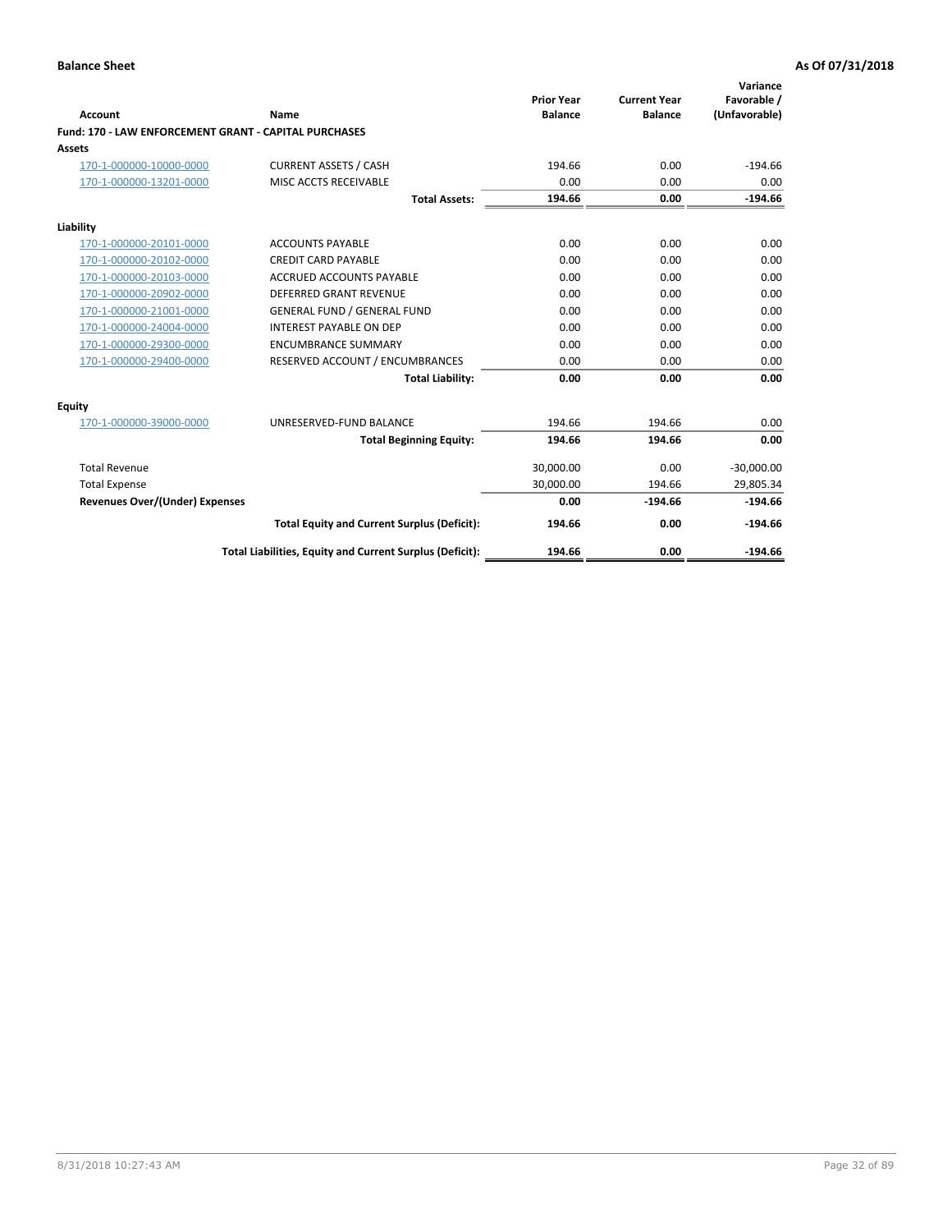|                                                       |                                                          |                                     |                                       | Variance                     |
|-------------------------------------------------------|----------------------------------------------------------|-------------------------------------|---------------------------------------|------------------------------|
| Account                                               | Name                                                     | <b>Prior Year</b><br><b>Balance</b> | <b>Current Year</b><br><b>Balance</b> | Favorable /<br>(Unfavorable) |
| Fund: 170 - LAW ENFORCEMENT GRANT - CAPITAL PURCHASES |                                                          |                                     |                                       |                              |
| Assets                                                |                                                          |                                     |                                       |                              |
| 170-1-000000-10000-0000                               | <b>CURRENT ASSETS / CASH</b>                             | 194.66                              | 0.00                                  | $-194.66$                    |
| 170-1-000000-13201-0000                               | MISC ACCTS RECEIVABLE                                    | 0.00                                | 0.00                                  | 0.00                         |
|                                                       | <b>Total Assets:</b>                                     | 194.66                              | 0.00                                  | $-194.66$                    |
| Liability                                             |                                                          |                                     |                                       |                              |
| 170-1-000000-20101-0000                               | <b>ACCOUNTS PAYABLE</b>                                  | 0.00                                | 0.00                                  | 0.00                         |
| 170-1-000000-20102-0000                               | <b>CREDIT CARD PAYABLE</b>                               | 0.00                                | 0.00                                  | 0.00                         |
| 170-1-000000-20103-0000                               | <b>ACCRUED ACCOUNTS PAYABLE</b>                          | 0.00                                | 0.00                                  | 0.00                         |
| 170-1-000000-20902-0000                               | <b>DEFERRED GRANT REVENUE</b>                            | 0.00                                | 0.00                                  | 0.00                         |
| 170-1-000000-21001-0000                               | <b>GENERAL FUND / GENERAL FUND</b>                       | 0.00                                | 0.00                                  | 0.00                         |
| 170-1-000000-24004-0000                               | <b>INTEREST PAYABLE ON DEP</b>                           | 0.00                                | 0.00                                  | 0.00                         |
| 170-1-000000-29300-0000                               | <b>ENCUMBRANCE SUMMARY</b>                               | 0.00                                | 0.00                                  | 0.00                         |
| 170-1-000000-29400-0000                               | RESERVED ACCOUNT / ENCUMBRANCES                          | 0.00                                | 0.00                                  | 0.00                         |
|                                                       | <b>Total Liability:</b>                                  | 0.00                                | 0.00                                  | 0.00                         |
| <b>Equity</b>                                         |                                                          |                                     |                                       |                              |
| 170-1-000000-39000-0000                               | UNRESERVED-FUND BALANCE                                  | 194.66                              | 194.66                                | 0.00                         |
|                                                       | <b>Total Beginning Equity:</b>                           | 194.66                              | 194.66                                | 0.00                         |
| <b>Total Revenue</b>                                  |                                                          | 30.000.00                           | 0.00                                  | $-30,000.00$                 |
| <b>Total Expense</b>                                  |                                                          | 30,000.00                           | 194.66                                | 29.805.34                    |
| <b>Revenues Over/(Under) Expenses</b>                 |                                                          | 0.00                                | $-194.66$                             | $-194.66$                    |
|                                                       | <b>Total Equity and Current Surplus (Deficit):</b>       | 194.66                              | 0.00                                  | $-194.66$                    |
|                                                       | Total Liabilities, Equity and Current Surplus (Deficit): | 194.66                              | 0.00                                  | $-194.66$                    |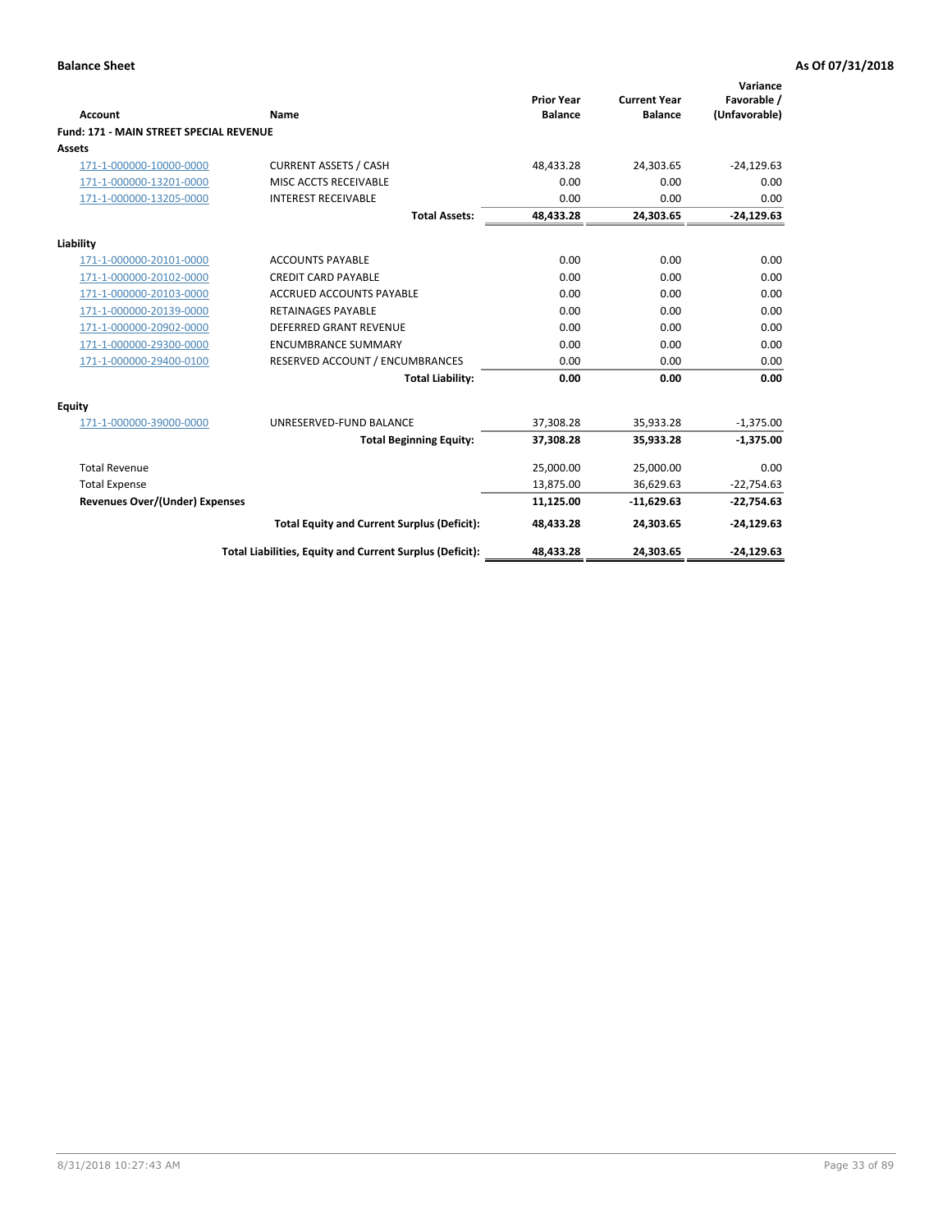|                                                |                                                          | <b>Prior Year</b> | <b>Current Year</b> | Variance<br>Favorable / |
|------------------------------------------------|----------------------------------------------------------|-------------------|---------------------|-------------------------|
| <b>Account</b>                                 | Name                                                     | <b>Balance</b>    | <b>Balance</b>      | (Unfavorable)           |
| <b>Fund: 171 - MAIN STREET SPECIAL REVENUE</b> |                                                          |                   |                     |                         |
| Assets                                         |                                                          |                   |                     |                         |
| 171-1-000000-10000-0000                        | <b>CURRENT ASSETS / CASH</b>                             | 48,433.28         | 24,303.65           | $-24,129.63$            |
| 171-1-000000-13201-0000                        | MISC ACCTS RECEIVABLE                                    | 0.00              | 0.00                | 0.00                    |
| 171-1-000000-13205-0000                        | <b>INTEREST RECEIVABLE</b>                               | 0.00              | 0.00                | 0.00                    |
|                                                | <b>Total Assets:</b>                                     | 48,433.28         | 24.303.65           | $-24,129.63$            |
| Liability                                      |                                                          |                   |                     |                         |
| 171-1-000000-20101-0000                        | <b>ACCOUNTS PAYABLE</b>                                  | 0.00              | 0.00                | 0.00                    |
| 171-1-000000-20102-0000                        | <b>CREDIT CARD PAYABLE</b>                               | 0.00              | 0.00                | 0.00                    |
| 171-1-000000-20103-0000                        | <b>ACCRUED ACCOUNTS PAYABLE</b>                          | 0.00              | 0.00                | 0.00                    |
| 171-1-000000-20139-0000                        | <b>RETAINAGES PAYABLE</b>                                | 0.00              | 0.00                | 0.00                    |
| 171-1-000000-20902-0000                        | <b>DEFERRED GRANT REVENUE</b>                            | 0.00              | 0.00                | 0.00                    |
| 171-1-000000-29300-0000                        | <b>ENCUMBRANCE SUMMARY</b>                               | 0.00              | 0.00                | 0.00                    |
| 171-1-000000-29400-0100                        | RESERVED ACCOUNT / ENCUMBRANCES                          | 0.00              | 0.00                | 0.00                    |
|                                                | <b>Total Liability:</b>                                  | 0.00              | 0.00                | 0.00                    |
| <b>Equity</b>                                  |                                                          |                   |                     |                         |
| 171-1-000000-39000-0000                        | UNRESERVED-FUND BALANCE                                  | 37,308.28         | 35,933.28           | $-1,375.00$             |
|                                                | <b>Total Beginning Equity:</b>                           | 37,308.28         | 35,933.28           | $-1,375.00$             |
| <b>Total Revenue</b>                           |                                                          | 25,000.00         | 25,000.00           | 0.00                    |
| <b>Total Expense</b>                           |                                                          | 13,875.00         | 36,629.63           | $-22,754.63$            |
| <b>Revenues Over/(Under) Expenses</b>          |                                                          | 11,125.00         | $-11,629.63$        | $-22,754.63$            |
|                                                | <b>Total Equity and Current Surplus (Deficit):</b>       | 48,433.28         | 24,303.65           | $-24,129.63$            |
|                                                | Total Liabilities, Equity and Current Surplus (Deficit): | 48.433.28         | 24.303.65           | $-24.129.63$            |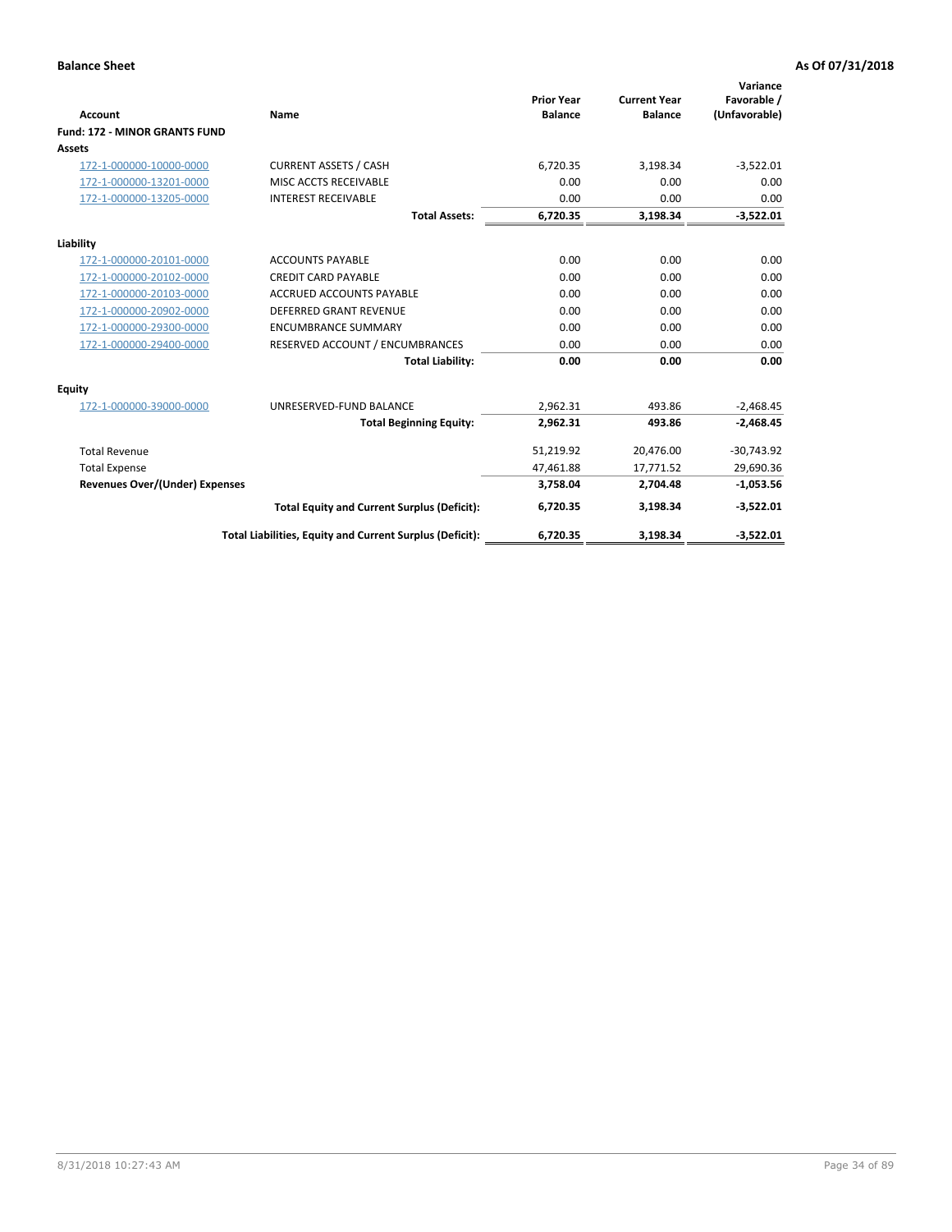|                                       |                                                          |                                     |                                       | Variance                     |
|---------------------------------------|----------------------------------------------------------|-------------------------------------|---------------------------------------|------------------------------|
| <b>Account</b>                        | Name                                                     | <b>Prior Year</b><br><b>Balance</b> | <b>Current Year</b><br><b>Balance</b> | Favorable /<br>(Unfavorable) |
| <b>Fund: 172 - MINOR GRANTS FUND</b>  |                                                          |                                     |                                       |                              |
| <b>Assets</b>                         |                                                          |                                     |                                       |                              |
| 172-1-000000-10000-0000               | <b>CURRENT ASSETS / CASH</b>                             | 6,720.35                            | 3,198.34                              | $-3,522.01$                  |
| 172-1-000000-13201-0000               | MISC ACCTS RECEIVABLE                                    | 0.00                                | 0.00                                  | 0.00                         |
| 172-1-000000-13205-0000               | <b>INTEREST RECEIVABLE</b>                               | 0.00                                | 0.00                                  | 0.00                         |
|                                       | <b>Total Assets:</b>                                     | 6,720.35                            | 3,198.34                              | $-3,522.01$                  |
| Liability                             |                                                          |                                     |                                       |                              |
| 172-1-000000-20101-0000               | <b>ACCOUNTS PAYABLE</b>                                  | 0.00                                | 0.00                                  | 0.00                         |
| 172-1-000000-20102-0000               | <b>CREDIT CARD PAYABLE</b>                               | 0.00                                | 0.00                                  | 0.00                         |
| 172-1-000000-20103-0000               | ACCRUED ACCOUNTS PAYABLE                                 | 0.00                                | 0.00                                  | 0.00                         |
| 172-1-000000-20902-0000               | <b>DEFERRED GRANT REVENUE</b>                            | 0.00                                | 0.00                                  | 0.00                         |
| 172-1-000000-29300-0000               | <b>ENCUMBRANCE SUMMARY</b>                               | 0.00                                | 0.00                                  | 0.00                         |
| 172-1-000000-29400-0000               | RESERVED ACCOUNT / ENCUMBRANCES                          | 0.00                                | 0.00                                  | 0.00                         |
|                                       | <b>Total Liability:</b>                                  | 0.00                                | 0.00                                  | 0.00                         |
| Equity                                |                                                          |                                     |                                       |                              |
| 172-1-000000-39000-0000               | UNRESERVED-FUND BALANCE                                  | 2,962.31                            | 493.86                                | $-2,468.45$                  |
|                                       | <b>Total Beginning Equity:</b>                           | 2,962.31                            | 493.86                                | $-2,468.45$                  |
| <b>Total Revenue</b>                  |                                                          | 51,219.92                           | 20,476.00                             | $-30,743.92$                 |
| <b>Total Expense</b>                  |                                                          | 47,461.88                           | 17,771.52                             | 29,690.36                    |
| <b>Revenues Over/(Under) Expenses</b> |                                                          | 3,758.04                            | 2,704.48                              | $-1,053.56$                  |
|                                       | <b>Total Equity and Current Surplus (Deficit):</b>       | 6,720.35                            | 3,198.34                              | $-3,522.01$                  |
|                                       | Total Liabilities, Equity and Current Surplus (Deficit): | 6,720.35                            | 3,198.34                              | $-3,522.01$                  |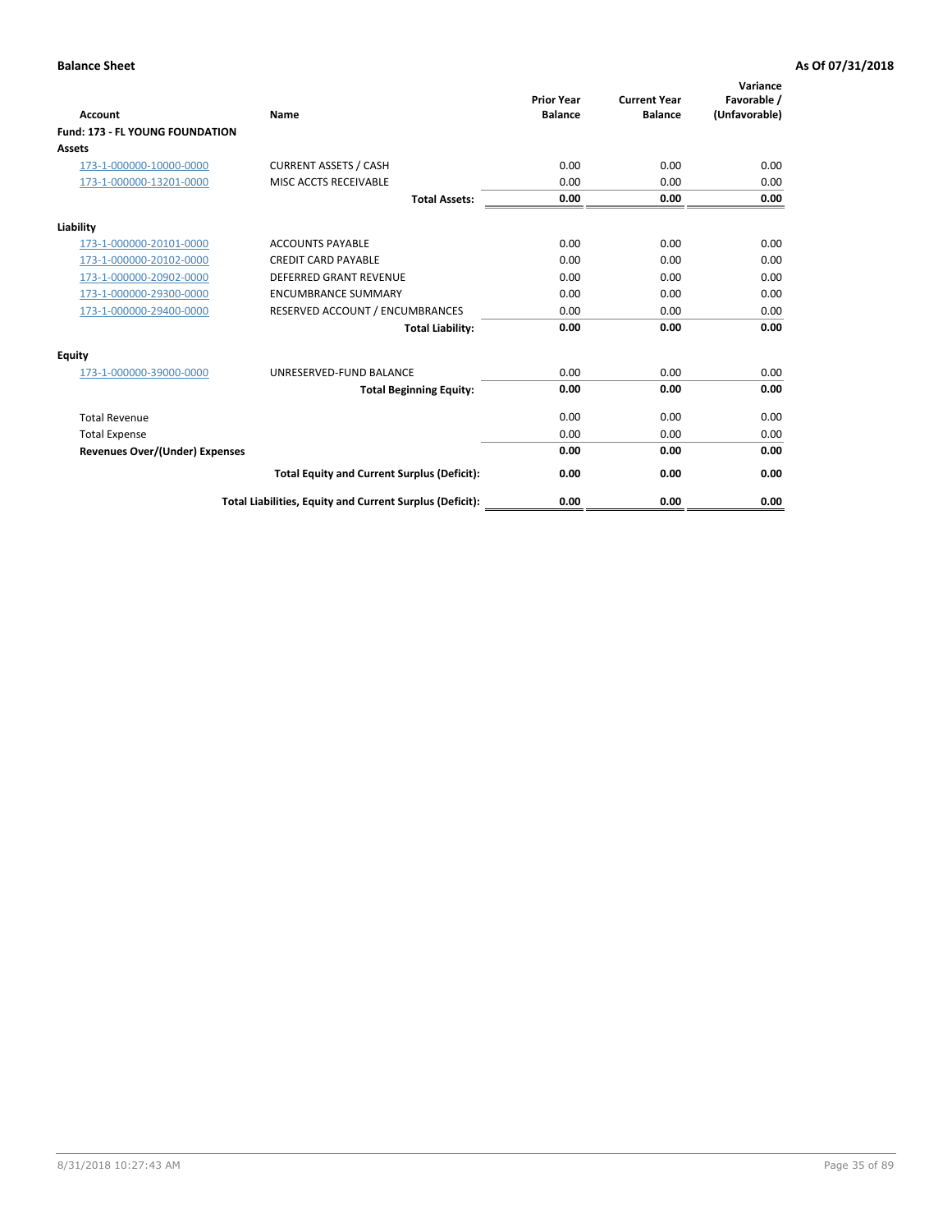| <b>Account</b>                         | <b>Name</b>                                              | <b>Prior Year</b><br><b>Balance</b> | <b>Current Year</b><br><b>Balance</b> | Variance<br>Favorable /<br>(Unfavorable) |
|----------------------------------------|----------------------------------------------------------|-------------------------------------|---------------------------------------|------------------------------------------|
| <b>Fund: 173 - FL YOUNG FOUNDATION</b> |                                                          |                                     |                                       |                                          |
| Assets                                 |                                                          |                                     |                                       |                                          |
| 173-1-000000-10000-0000                | <b>CURRENT ASSETS / CASH</b>                             | 0.00                                | 0.00                                  | 0.00                                     |
| 173-1-000000-13201-0000                | MISC ACCTS RECEIVABLE                                    | 0.00                                | 0.00                                  | 0.00                                     |
|                                        | <b>Total Assets:</b>                                     | 0.00                                | 0.00                                  | 0.00                                     |
| Liability                              |                                                          |                                     |                                       |                                          |
| 173-1-000000-20101-0000                | <b>ACCOUNTS PAYABLE</b>                                  | 0.00                                | 0.00                                  | 0.00                                     |
| 173-1-000000-20102-0000                | <b>CREDIT CARD PAYABLE</b>                               | 0.00                                | 0.00                                  | 0.00                                     |
| 173-1-000000-20902-0000                | <b>DEFERRED GRANT REVENUE</b>                            | 0.00                                | 0.00                                  | 0.00                                     |
| 173-1-000000-29300-0000                | <b>ENCUMBRANCE SUMMARY</b>                               | 0.00                                | 0.00                                  | 0.00                                     |
| 173-1-000000-29400-0000                | RESERVED ACCOUNT / ENCUMBRANCES                          | 0.00                                | 0.00                                  | 0.00                                     |
|                                        | <b>Total Liability:</b>                                  | 0.00                                | 0.00                                  | 0.00                                     |
| Equity                                 |                                                          |                                     |                                       |                                          |
| 173-1-000000-39000-0000                | UNRESERVED-FUND BALANCE                                  | 0.00                                | 0.00                                  | 0.00                                     |
|                                        | <b>Total Beginning Equity:</b>                           | 0.00                                | 0.00                                  | 0.00                                     |
| <b>Total Revenue</b>                   |                                                          | 0.00                                | 0.00                                  | 0.00                                     |
| <b>Total Expense</b>                   |                                                          | 0.00                                | 0.00                                  | 0.00                                     |
| <b>Revenues Over/(Under) Expenses</b>  |                                                          | 0.00                                | 0.00                                  | 0.00                                     |
|                                        | <b>Total Equity and Current Surplus (Deficit):</b>       | 0.00                                | 0.00                                  | 0.00                                     |
|                                        | Total Liabilities, Equity and Current Surplus (Deficit): | 0.00                                | 0.00                                  | 0.00                                     |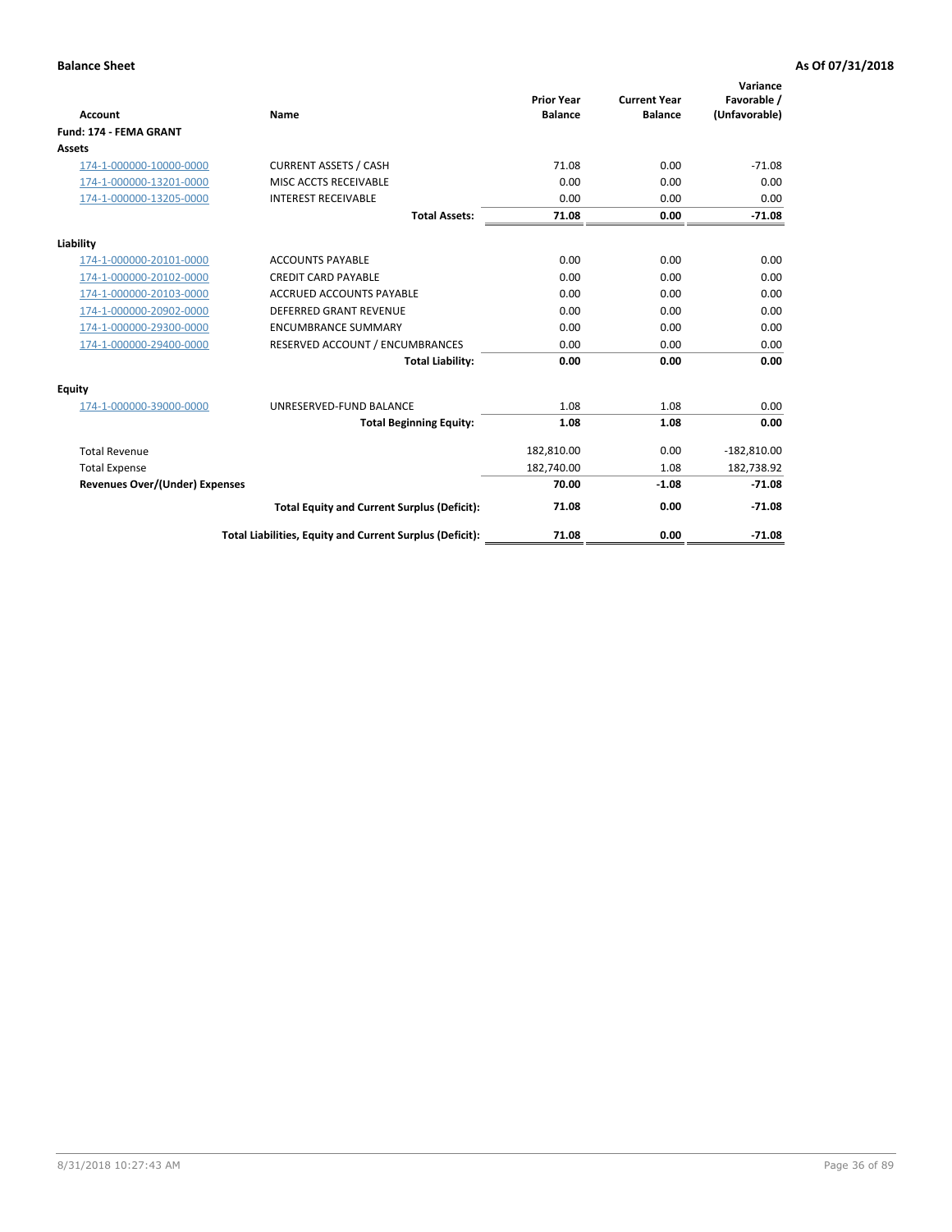|                                       |                                                          |                                     |                                       | Variance                     |
|---------------------------------------|----------------------------------------------------------|-------------------------------------|---------------------------------------|------------------------------|
| <b>Account</b>                        | Name                                                     | <b>Prior Year</b><br><b>Balance</b> | <b>Current Year</b><br><b>Balance</b> | Favorable /<br>(Unfavorable) |
| Fund: 174 - FEMA GRANT                |                                                          |                                     |                                       |                              |
| <b>Assets</b>                         |                                                          |                                     |                                       |                              |
| 174-1-000000-10000-0000               | <b>CURRENT ASSETS / CASH</b>                             | 71.08                               | 0.00                                  | $-71.08$                     |
| 174-1-000000-13201-0000               | MISC ACCTS RECEIVABLE                                    | 0.00                                | 0.00                                  | 0.00                         |
| 174-1-000000-13205-0000               | <b>INTEREST RECEIVABLE</b>                               | 0.00                                | 0.00                                  | 0.00                         |
|                                       | <b>Total Assets:</b>                                     | 71.08                               | 0.00                                  | $-71.08$                     |
| Liability                             |                                                          |                                     |                                       |                              |
| 174-1-000000-20101-0000               | <b>ACCOUNTS PAYABLE</b>                                  | 0.00                                | 0.00                                  | 0.00                         |
| 174-1-000000-20102-0000               | <b>CREDIT CARD PAYABLE</b>                               | 0.00                                | 0.00                                  | 0.00                         |
| 174-1-000000-20103-0000               | <b>ACCRUED ACCOUNTS PAYABLE</b>                          | 0.00                                | 0.00                                  | 0.00                         |
| 174-1-000000-20902-0000               | <b>DEFERRED GRANT REVENUE</b>                            | 0.00                                | 0.00                                  | 0.00                         |
| 174-1-000000-29300-0000               | <b>ENCUMBRANCE SUMMARY</b>                               | 0.00                                | 0.00                                  | 0.00                         |
| 174-1-000000-29400-0000               | RESERVED ACCOUNT / ENCUMBRANCES                          | 0.00                                | 0.00                                  | 0.00                         |
|                                       | <b>Total Liability:</b>                                  | 0.00                                | 0.00                                  | 0.00                         |
| Equity                                |                                                          |                                     |                                       |                              |
| 174-1-000000-39000-0000               | UNRESERVED-FUND BALANCE                                  | 1.08                                | 1.08                                  | 0.00                         |
|                                       | <b>Total Beginning Equity:</b>                           | 1.08                                | 1.08                                  | 0.00                         |
| <b>Total Revenue</b>                  |                                                          | 182,810.00                          | 0.00                                  | $-182,810.00$                |
| <b>Total Expense</b>                  |                                                          | 182,740.00                          | 1.08                                  | 182.738.92                   |
| <b>Revenues Over/(Under) Expenses</b> |                                                          | 70.00                               | $-1.08$                               | $-71.08$                     |
|                                       | <b>Total Equity and Current Surplus (Deficit):</b>       | 71.08                               | 0.00                                  | $-71.08$                     |
|                                       | Total Liabilities, Equity and Current Surplus (Deficit): | 71.08                               | 0.00                                  | $-71.08$                     |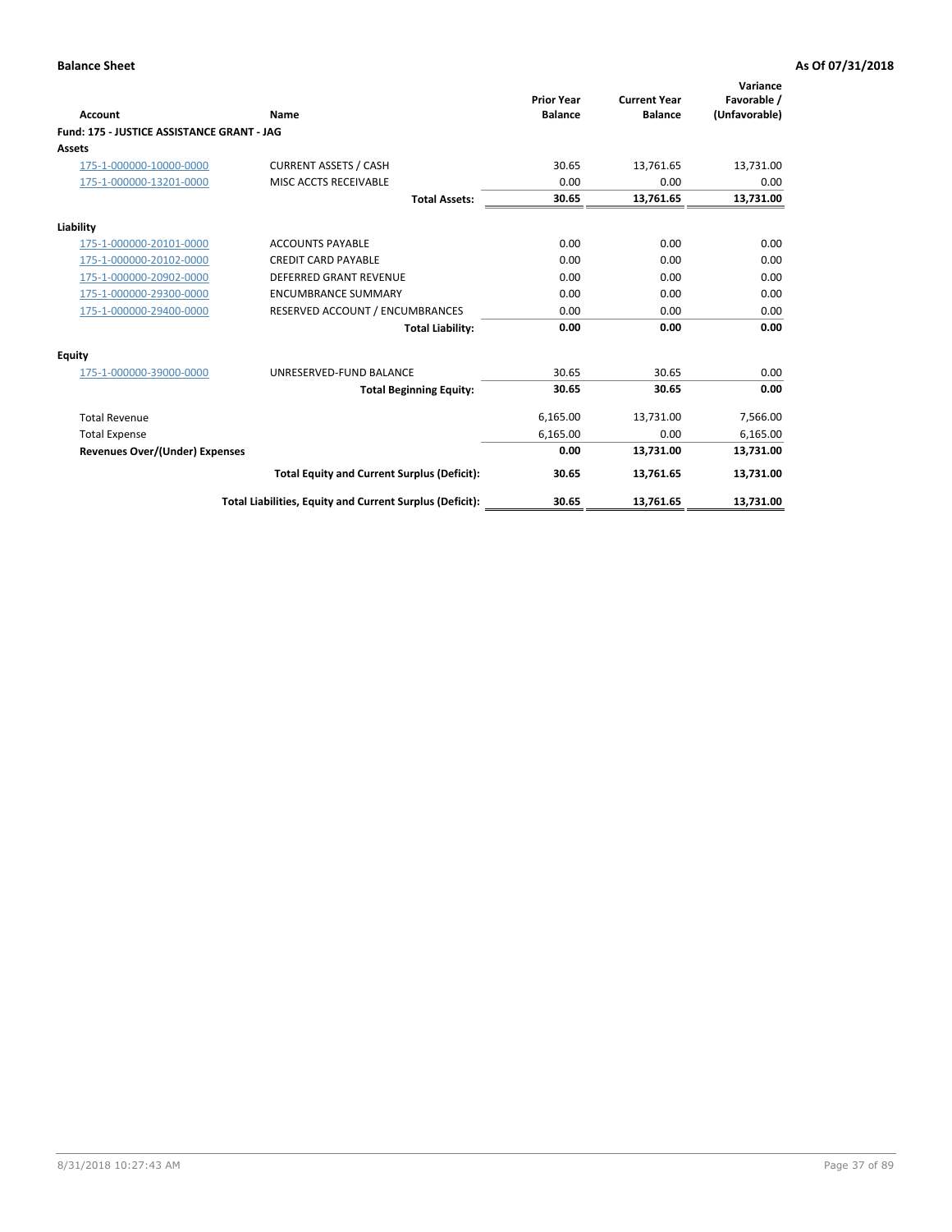| <b>Account</b>                             | Name                                                     | <b>Prior Year</b><br><b>Balance</b> | <b>Current Year</b><br><b>Balance</b> | Variance<br>Favorable /<br>(Unfavorable) |
|--------------------------------------------|----------------------------------------------------------|-------------------------------------|---------------------------------------|------------------------------------------|
| Fund: 175 - JUSTICE ASSISTANCE GRANT - JAG |                                                          |                                     |                                       |                                          |
| <b>Assets</b>                              |                                                          |                                     |                                       |                                          |
| 175-1-000000-10000-0000                    | <b>CURRENT ASSETS / CASH</b>                             | 30.65                               | 13,761.65                             | 13,731.00                                |
| 175-1-000000-13201-0000                    | MISC ACCTS RECEIVABLE                                    | 0.00                                | 0.00                                  | 0.00                                     |
|                                            | <b>Total Assets:</b>                                     | 30.65                               | 13,761.65                             | 13,731.00                                |
| Liability                                  |                                                          |                                     |                                       |                                          |
| 175-1-000000-20101-0000                    | <b>ACCOUNTS PAYABLE</b>                                  | 0.00                                | 0.00                                  | 0.00                                     |
| 175-1-000000-20102-0000                    | <b>CREDIT CARD PAYABLE</b>                               | 0.00                                | 0.00                                  | 0.00                                     |
| 175-1-000000-20902-0000                    | <b>DEFERRED GRANT REVENUE</b>                            | 0.00                                | 0.00                                  | 0.00                                     |
| 175-1-000000-29300-0000                    | <b>ENCUMBRANCE SUMMARY</b>                               | 0.00                                | 0.00                                  | 0.00                                     |
| 175-1-000000-29400-0000                    | RESERVED ACCOUNT / ENCUMBRANCES                          | 0.00                                | 0.00                                  | 0.00                                     |
|                                            | <b>Total Liability:</b>                                  | 0.00                                | 0.00                                  | 0.00                                     |
| Equity                                     |                                                          |                                     |                                       |                                          |
| 175-1-000000-39000-0000                    | UNRESERVED-FUND BALANCE                                  | 30.65                               | 30.65                                 | 0.00                                     |
|                                            | <b>Total Beginning Equity:</b>                           | 30.65                               | 30.65                                 | 0.00                                     |
| <b>Total Revenue</b>                       |                                                          | 6,165.00                            | 13,731.00                             | 7,566.00                                 |
| <b>Total Expense</b>                       |                                                          | 6,165.00                            | 0.00                                  | 6,165.00                                 |
| <b>Revenues Over/(Under) Expenses</b>      |                                                          | 0.00                                | 13,731.00                             | 13,731.00                                |
|                                            | <b>Total Equity and Current Surplus (Deficit):</b>       | 30.65                               | 13,761.65                             | 13,731.00                                |
|                                            | Total Liabilities, Equity and Current Surplus (Deficit): | 30.65                               | 13,761.65                             | 13,731.00                                |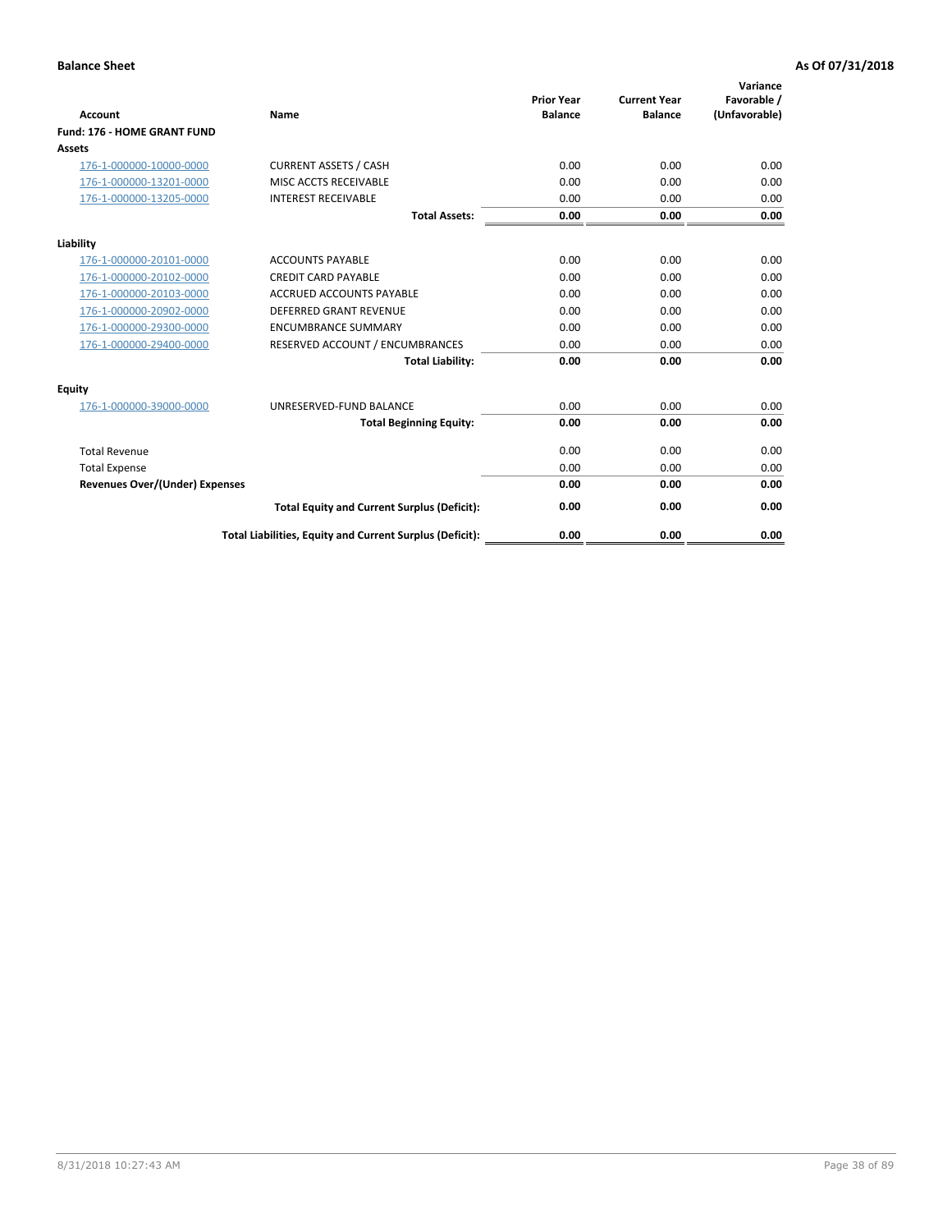| Account                               | Name                                                     | <b>Prior Year</b><br><b>Balance</b> | <b>Current Year</b><br><b>Balance</b> | Variance<br>Favorable /<br>(Unfavorable) |
|---------------------------------------|----------------------------------------------------------|-------------------------------------|---------------------------------------|------------------------------------------|
| Fund: 176 - HOME GRANT FUND           |                                                          |                                     |                                       |                                          |
| Assets                                |                                                          |                                     |                                       |                                          |
| 176-1-000000-10000-0000               | <b>CURRENT ASSETS / CASH</b>                             | 0.00                                | 0.00                                  | 0.00                                     |
| 176-1-000000-13201-0000               | MISC ACCTS RECEIVABLE                                    | 0.00                                | 0.00                                  | 0.00                                     |
| 176-1-000000-13205-0000               | <b>INTEREST RECEIVABLE</b>                               | 0.00                                | 0.00                                  | 0.00                                     |
|                                       | <b>Total Assets:</b>                                     | 0.00                                | 0.00                                  | 0.00                                     |
| Liability                             |                                                          |                                     |                                       |                                          |
| 176-1-000000-20101-0000               | <b>ACCOUNTS PAYABLE</b>                                  | 0.00                                | 0.00                                  | 0.00                                     |
| 176-1-000000-20102-0000               | <b>CREDIT CARD PAYABLE</b>                               | 0.00                                | 0.00                                  | 0.00                                     |
| 176-1-000000-20103-0000               | <b>ACCRUED ACCOUNTS PAYABLE</b>                          | 0.00                                | 0.00                                  | 0.00                                     |
| 176-1-000000-20902-0000               | <b>DEFERRED GRANT REVENUE</b>                            | 0.00                                | 0.00                                  | 0.00                                     |
| 176-1-000000-29300-0000               | <b>ENCUMBRANCE SUMMARY</b>                               | 0.00                                | 0.00                                  | 0.00                                     |
| 176-1-000000-29400-0000               | RESERVED ACCOUNT / ENCUMBRANCES                          | 0.00                                | 0.00                                  | 0.00                                     |
|                                       | <b>Total Liability:</b>                                  | 0.00                                | 0.00                                  | 0.00                                     |
| <b>Equity</b>                         |                                                          |                                     |                                       |                                          |
| 176-1-000000-39000-0000               | UNRESERVED-FUND BALANCE                                  | 0.00                                | 0.00                                  | 0.00                                     |
|                                       | <b>Total Beginning Equity:</b>                           | 0.00                                | 0.00                                  | 0.00                                     |
| <b>Total Revenue</b>                  |                                                          | 0.00                                | 0.00                                  | 0.00                                     |
| <b>Total Expense</b>                  |                                                          | 0.00                                | 0.00                                  | 0.00                                     |
| <b>Revenues Over/(Under) Expenses</b> |                                                          | 0.00                                | 0.00                                  | 0.00                                     |
|                                       | <b>Total Equity and Current Surplus (Deficit):</b>       | 0.00                                | 0.00                                  | 0.00                                     |
|                                       | Total Liabilities, Equity and Current Surplus (Deficit): | 0.00                                | 0.00                                  | 0.00                                     |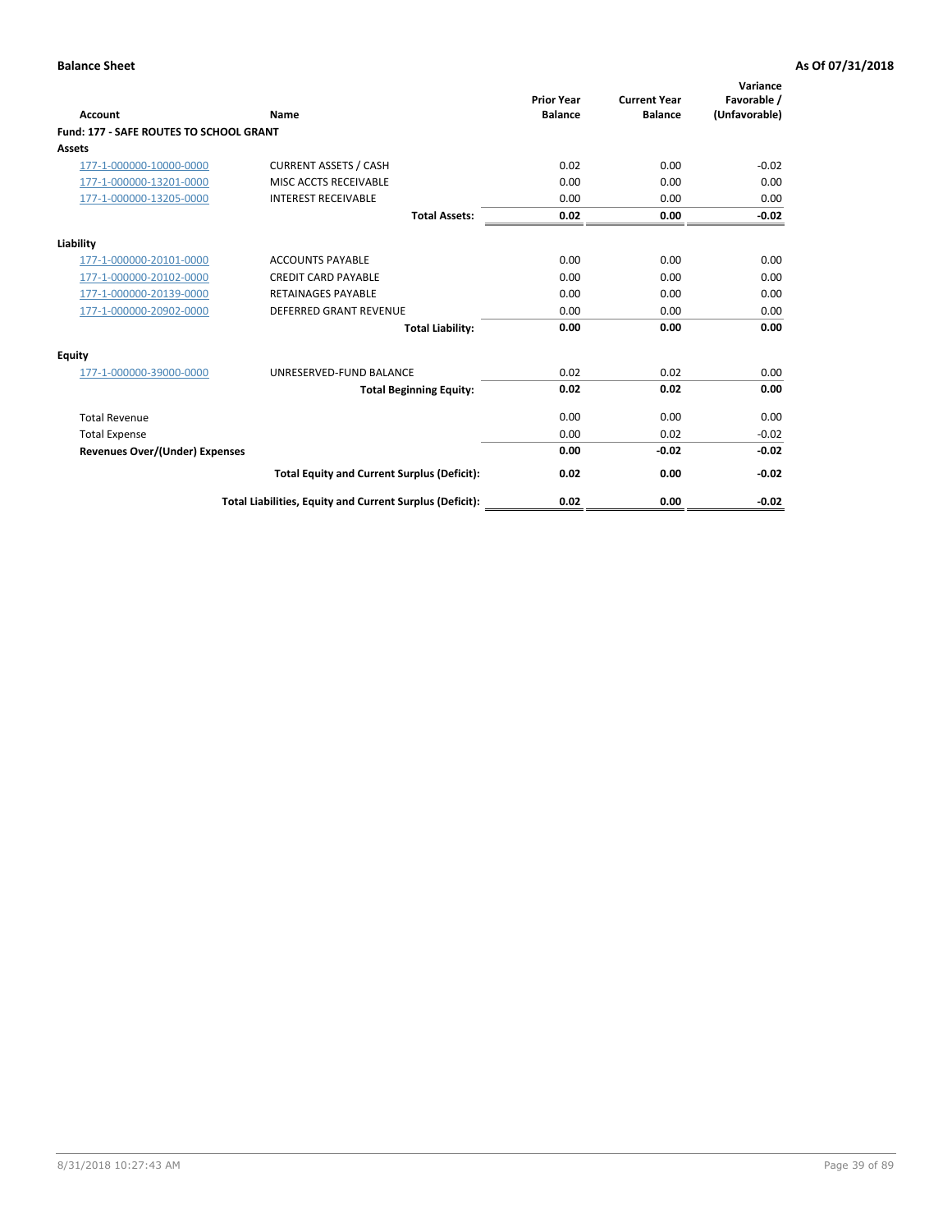| <b>Account</b>                                 | Name                                                     | <b>Prior Year</b><br><b>Balance</b> | <b>Current Year</b><br><b>Balance</b> | Variance<br>Favorable /<br>(Unfavorable) |
|------------------------------------------------|----------------------------------------------------------|-------------------------------------|---------------------------------------|------------------------------------------|
| <b>Fund: 177 - SAFE ROUTES TO SCHOOL GRANT</b> |                                                          |                                     |                                       |                                          |
| <b>Assets</b>                                  |                                                          |                                     |                                       |                                          |
| 177-1-000000-10000-0000                        | <b>CURRENT ASSETS / CASH</b>                             | 0.02                                | 0.00                                  | $-0.02$                                  |
| 177-1-000000-13201-0000                        | MISC ACCTS RECEIVABLE                                    | 0.00                                | 0.00                                  | 0.00                                     |
| 177-1-000000-13205-0000                        | <b>INTEREST RECEIVABLE</b>                               | 0.00                                | 0.00                                  | 0.00                                     |
|                                                | <b>Total Assets:</b>                                     | 0.02                                | 0.00                                  | $-0.02$                                  |
| Liability                                      |                                                          |                                     |                                       |                                          |
| 177-1-000000-20101-0000                        | <b>ACCOUNTS PAYABLE</b>                                  | 0.00                                | 0.00                                  | 0.00                                     |
| 177-1-000000-20102-0000                        | <b>CREDIT CARD PAYABLE</b>                               | 0.00                                | 0.00                                  | 0.00                                     |
| 177-1-000000-20139-0000                        | <b>RETAINAGES PAYABLE</b>                                | 0.00                                | 0.00                                  | 0.00                                     |
| 177-1-000000-20902-0000                        | <b>DEFERRED GRANT REVENUE</b>                            | 0.00                                | 0.00                                  | 0.00                                     |
|                                                | <b>Total Liability:</b>                                  | 0.00                                | 0.00                                  | 0.00                                     |
| <b>Equity</b>                                  |                                                          |                                     |                                       |                                          |
| 177-1-000000-39000-0000                        | UNRESERVED-FUND BALANCE                                  | 0.02                                | 0.02                                  | 0.00                                     |
|                                                | <b>Total Beginning Equity:</b>                           | 0.02                                | 0.02                                  | 0.00                                     |
| <b>Total Revenue</b>                           |                                                          | 0.00                                | 0.00                                  | 0.00                                     |
| <b>Total Expense</b>                           |                                                          | 0.00                                | 0.02                                  | $-0.02$                                  |
| Revenues Over/(Under) Expenses                 |                                                          | 0.00                                | $-0.02$                               | $-0.02$                                  |
|                                                | <b>Total Equity and Current Surplus (Deficit):</b>       | 0.02                                | 0.00                                  | $-0.02$                                  |
|                                                | Total Liabilities, Equity and Current Surplus (Deficit): | 0.02                                | 0.00                                  | $-0.02$                                  |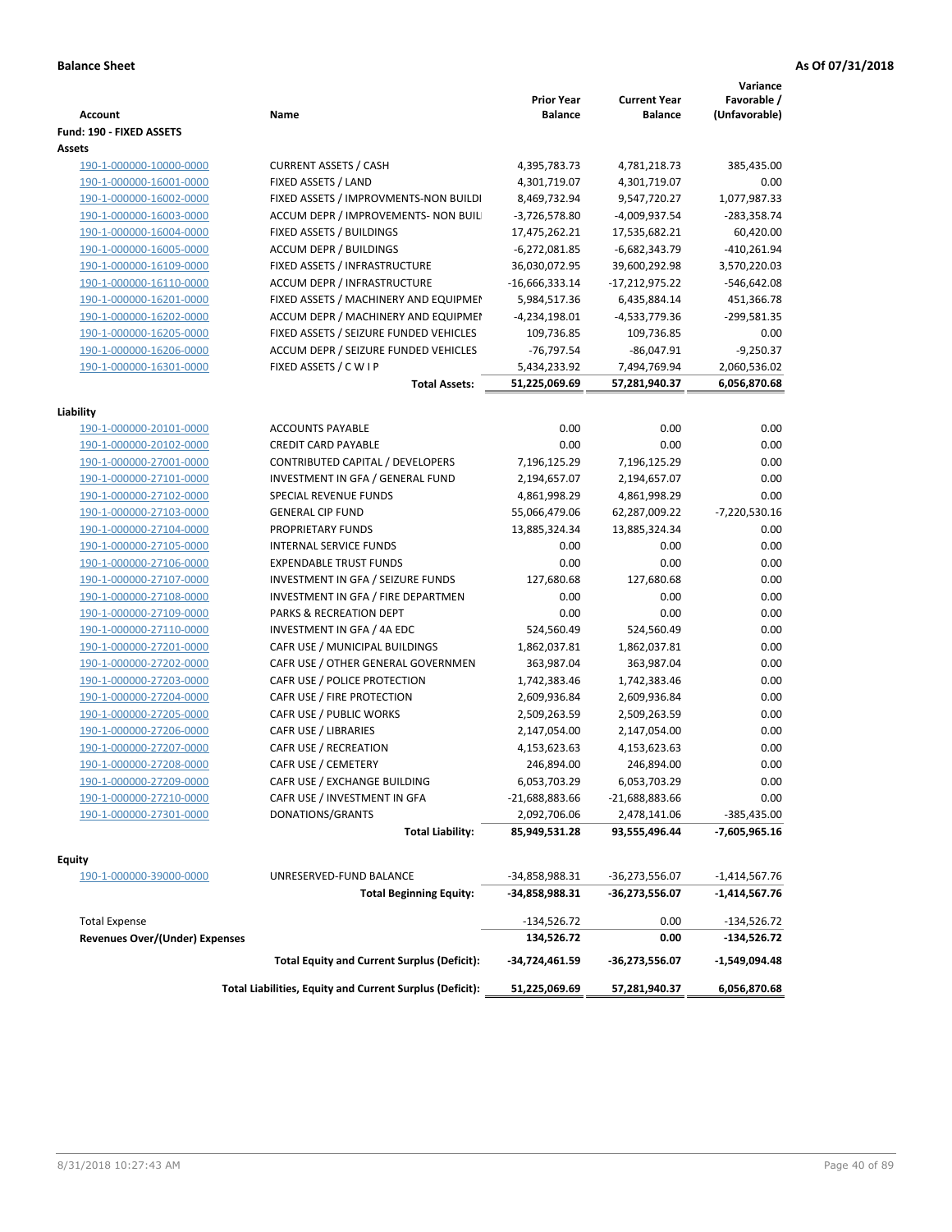| <b>Account</b>                        | Name                                                     | <b>Prior Year</b><br><b>Balance</b> | <b>Current Year</b><br><b>Balance</b> | Variance<br>Favorable /<br>(Unfavorable) |
|---------------------------------------|----------------------------------------------------------|-------------------------------------|---------------------------------------|------------------------------------------|
| Fund: 190 - FIXED ASSETS              |                                                          |                                     |                                       |                                          |
| <b>Assets</b>                         |                                                          |                                     |                                       |                                          |
| 190-1-000000-10000-0000               | <b>CURRENT ASSETS / CASH</b>                             | 4,395,783.73                        | 4,781,218.73                          | 385,435.00                               |
| 190-1-000000-16001-0000               | FIXED ASSETS / LAND                                      | 4,301,719.07                        | 4,301,719.07                          | 0.00                                     |
| 190-1-000000-16002-0000               | FIXED ASSETS / IMPROVMENTS-NON BUILDI                    | 8,469,732.94                        | 9,547,720.27                          | 1,077,987.33                             |
| 190-1-000000-16003-0000               | ACCUM DEPR / IMPROVEMENTS- NON BUIL                      | $-3,726,578.80$                     | -4,009,937.54                         | $-283,358.74$                            |
| 190-1-000000-16004-0000               | FIXED ASSETS / BUILDINGS                                 | 17,475,262.21                       | 17,535,682.21                         | 60,420.00                                |
| 190-1-000000-16005-0000               | <b>ACCUM DEPR / BUILDINGS</b>                            | $-6,272,081.85$                     | $-6,682,343.79$                       | $-410,261.94$                            |
| 190-1-000000-16109-0000               | FIXED ASSETS / INFRASTRUCTURE                            | 36,030,072.95                       | 39,600,292.98                         | 3,570,220.03                             |
| 190-1-000000-16110-0000               | ACCUM DEPR / INFRASTRUCTURE                              | $-16,666,333.14$                    | $-17,212,975.22$                      | $-546,642.08$                            |
| 190-1-000000-16201-0000               | FIXED ASSETS / MACHINERY AND EQUIPMEN                    | 5,984,517.36                        | 6,435,884.14                          | 451,366.78                               |
| 190-1-000000-16202-0000               | ACCUM DEPR / MACHINERY AND EQUIPMEI                      | -4,234,198.01                       | -4,533,779.36                         | -299,581.35                              |
| 190-1-000000-16205-0000               | FIXED ASSETS / SEIZURE FUNDED VEHICLES                   | 109,736.85                          | 109,736.85                            | 0.00                                     |
| 190-1-000000-16206-0000               | ACCUM DEPR / SEIZURE FUNDED VEHICLES                     | $-76,797.54$                        | $-86,047.91$                          | $-9,250.37$                              |
| 190-1-000000-16301-0000               | FIXED ASSETS / C W I P                                   | 5,434,233.92                        | 7,494,769.94                          | 2,060,536.02                             |
|                                       | <b>Total Assets:</b>                                     | 51,225,069.69                       | 57,281,940.37                         | 6,056,870.68                             |
|                                       |                                                          |                                     |                                       |                                          |
| Liability                             |                                                          |                                     |                                       |                                          |
| 190-1-000000-20101-0000               | <b>ACCOUNTS PAYABLE</b>                                  | 0.00                                | 0.00                                  | 0.00                                     |
| 190-1-000000-20102-0000               | <b>CREDIT CARD PAYABLE</b>                               | 0.00                                | 0.00                                  | 0.00                                     |
| 190-1-000000-27001-0000               | CONTRIBUTED CAPITAL / DEVELOPERS                         | 7,196,125.29                        | 7,196,125.29                          | 0.00                                     |
| 190-1-000000-27101-0000               | INVESTMENT IN GFA / GENERAL FUND                         | 2,194,657.07                        | 2,194,657.07                          | 0.00                                     |
| 190-1-000000-27102-0000               | <b>SPECIAL REVENUE FUNDS</b>                             | 4,861,998.29                        | 4,861,998.29                          | 0.00                                     |
| 190-1-000000-27103-0000               | <b>GENERAL CIP FUND</b>                                  | 55,066,479.06                       | 62,287,009.22                         | $-7,220,530.16$                          |
| 190-1-000000-27104-0000               | PROPRIETARY FUNDS                                        | 13,885,324.34                       | 13,885,324.34                         | 0.00                                     |
| 190-1-000000-27105-0000               | <b>INTERNAL SERVICE FUNDS</b>                            | 0.00                                | 0.00                                  | 0.00                                     |
| 190-1-000000-27106-0000               | <b>EXPENDABLE TRUST FUNDS</b>                            | 0.00                                | 0.00                                  | 0.00                                     |
| 190-1-000000-27107-0000               | INVESTMENT IN GFA / SEIZURE FUNDS                        | 127,680.68                          | 127,680.68                            | 0.00                                     |
| 190-1-000000-27108-0000               | INVESTMENT IN GFA / FIRE DEPARTMEN                       | 0.00                                | 0.00                                  | 0.00                                     |
| 190-1-000000-27109-0000               | PARKS & RECREATION DEPT                                  | 0.00                                | 0.00                                  | 0.00                                     |
| 190-1-000000-27110-0000               | INVESTMENT IN GFA / 4A EDC                               | 524,560.49                          | 524,560.49                            | 0.00                                     |
| 190-1-000000-27201-0000               | CAFR USE / MUNICIPAL BUILDINGS                           | 1,862,037.81                        | 1,862,037.81                          | 0.00                                     |
| 190-1-000000-27202-0000               | CAFR USE / OTHER GENERAL GOVERNMEN                       | 363,987.04                          | 363,987.04                            | 0.00                                     |
| 190-1-000000-27203-0000               | CAFR USE / POLICE PROTECTION                             | 1,742,383.46                        | 1,742,383.46                          | 0.00                                     |
| 190-1-000000-27204-0000               | CAFR USE / FIRE PROTECTION                               | 2,609,936.84                        | 2,609,936.84                          | 0.00                                     |
| 190-1-000000-27205-0000               | CAFR USE / PUBLIC WORKS                                  | 2,509,263.59                        | 2,509,263.59                          | 0.00                                     |
| 190-1-000000-27206-0000               | <b>CAFR USE / LIBRARIES</b>                              | 2,147,054.00                        | 2,147,054.00                          | 0.00                                     |
| 190-1-000000-27207-0000               | CAFR USE / RECREATION                                    | 4,153,623.63                        | 4,153,623.63                          | 0.00                                     |
| 190-1-000000-27208-0000               | CAFR USE / CEMETERY                                      | 246,894.00                          | 246,894.00                            | 0.00                                     |
| 190-1-000000-27209-0000               | CAFR USE / EXCHANGE BUILDING                             | 6,053,703.29                        | 6,053,703.29                          | 0.00                                     |
| 190-1-000000-27210-0000               | CAFR USE / INVESTMENT IN GFA                             | -21,688,883.66                      | -21,688,883.66                        | 0.00                                     |
| 190-1-000000-27301-0000               | DONATIONS/GRANTS                                         | 2,092,706.06                        | 2,478,141.06                          | -385,435.00                              |
|                                       | <b>Total Liability:</b>                                  | 85,949,531.28                       | 93,555,496.44                         | -7,605,965.16                            |
| <b>Equity</b>                         |                                                          |                                     |                                       |                                          |
| 190-1-000000-39000-0000               | UNRESERVED-FUND BALANCE                                  | -34,858,988.31                      | -36,273,556.07                        | $-1,414,567.76$                          |
|                                       | <b>Total Beginning Equity:</b>                           | -34,858,988.31                      | -36,273,556.07                        | $-1,414,567.76$                          |
| <b>Total Expense</b>                  |                                                          |                                     | 0.00                                  |                                          |
| <b>Revenues Over/(Under) Expenses</b> |                                                          | $-134,526.72$<br>134,526.72         | 0.00                                  | -134,526.72<br>-134,526.72               |
|                                       | <b>Total Equity and Current Surplus (Deficit):</b>       | -34,724,461.59                      | -36,273,556.07                        | $-1,549,094.48$                          |
|                                       | Total Liabilities, Equity and Current Surplus (Deficit): | 51,225,069.69                       | 57,281,940.37                         | 6,056,870.68                             |
|                                       |                                                          |                                     |                                       |                                          |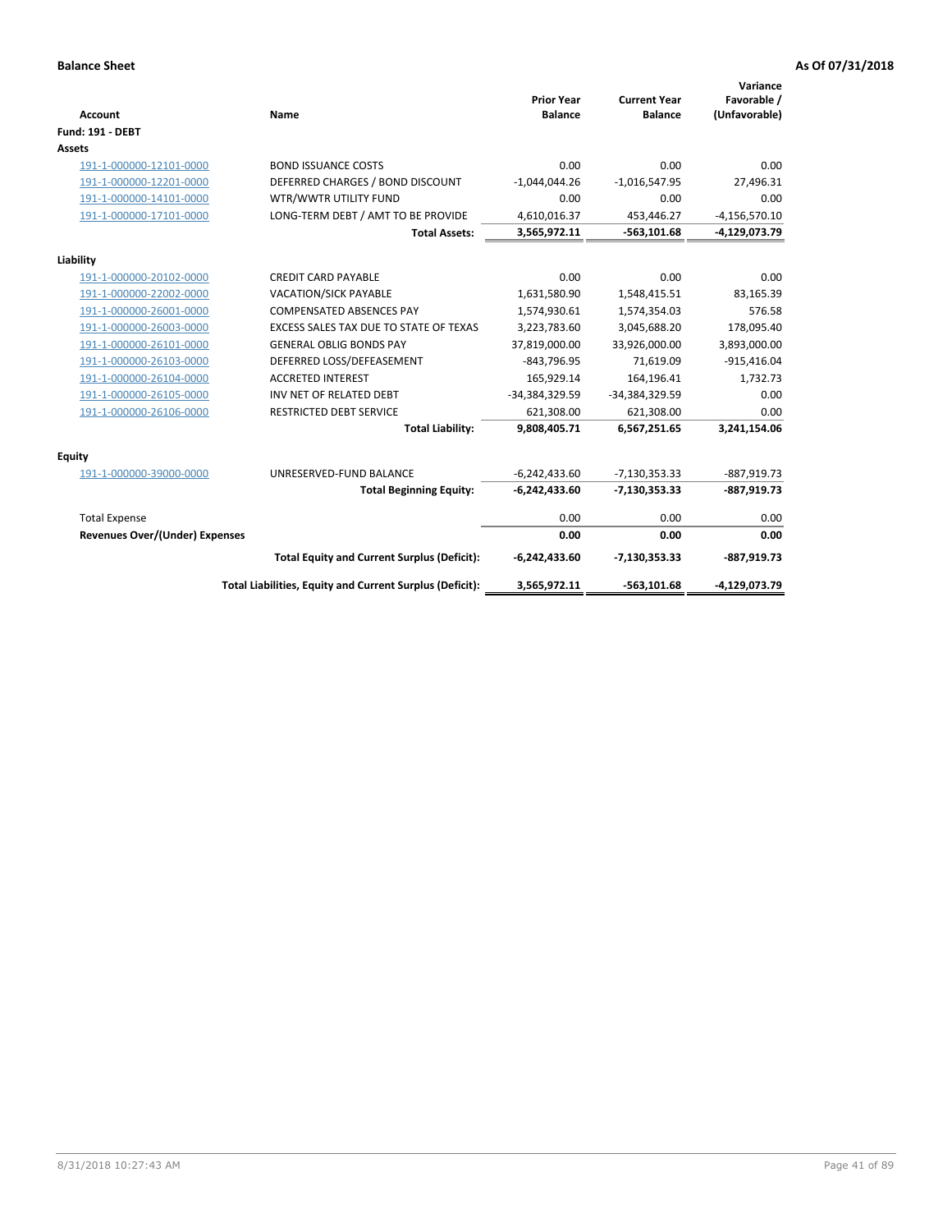| <b>Account</b>                 | Name                                                     | <b>Prior Year</b><br><b>Balance</b> | <b>Current Year</b><br><b>Balance</b> | Variance<br>Favorable /<br>(Unfavorable) |
|--------------------------------|----------------------------------------------------------|-------------------------------------|---------------------------------------|------------------------------------------|
| <b>Fund: 191 - DEBT</b>        |                                                          |                                     |                                       |                                          |
| <b>Assets</b>                  |                                                          |                                     |                                       |                                          |
| 191-1-000000-12101-0000        | <b>BOND ISSUANCE COSTS</b>                               | 0.00                                | 0.00                                  | 0.00                                     |
| 191-1-000000-12201-0000        | DEFERRED CHARGES / BOND DISCOUNT                         | $-1,044,044.26$                     | $-1,016,547.95$                       | 27,496.31                                |
| 191-1-000000-14101-0000        | WTR/WWTR UTILITY FUND                                    | 0.00                                | 0.00                                  | 0.00                                     |
| 191-1-000000-17101-0000        | LONG-TERM DEBT / AMT TO BE PROVIDE                       | 4,610,016.37                        | 453,446.27                            | $-4, 156, 570.10$                        |
|                                | <b>Total Assets:</b>                                     | 3,565,972.11                        | $-563,101.68$                         | -4,129,073.79                            |
| Liability                      |                                                          |                                     |                                       |                                          |
| 191-1-000000-20102-0000        | <b>CREDIT CARD PAYABLE</b>                               | 0.00                                | 0.00                                  | 0.00                                     |
| 191-1-000000-22002-0000        | <b>VACATION/SICK PAYABLE</b>                             | 1,631,580.90                        | 1,548,415.51                          | 83,165.39                                |
| 191-1-000000-26001-0000        | <b>COMPENSATED ABSENCES PAY</b>                          | 1,574,930.61                        | 1,574,354.03                          | 576.58                                   |
| 191-1-000000-26003-0000        | EXCESS SALES TAX DUE TO STATE OF TEXAS                   | 3,223,783.60                        | 3,045,688.20                          | 178,095.40                               |
| 191-1-000000-26101-0000        | <b>GENERAL OBLIG BONDS PAY</b>                           | 37,819,000.00                       | 33,926,000.00                         | 3,893,000.00                             |
| 191-1-000000-26103-0000        | DEFERRED LOSS/DEFEASEMENT                                | $-843,796.95$                       | 71,619.09                             | $-915,416.04$                            |
| 191-1-000000-26104-0000        | <b>ACCRETED INTEREST</b>                                 | 165,929.14                          | 164,196.41                            | 1,732.73                                 |
| 191-1-000000-26105-0000        | INV NET OF RELATED DEBT                                  | -34,384,329.59                      | -34,384,329.59                        | 0.00                                     |
| 191-1-000000-26106-0000        | <b>RESTRICTED DEBT SERVICE</b>                           | 621,308.00                          | 621,308.00                            | 0.00                                     |
|                                | <b>Total Liability:</b>                                  | 9,808,405.71                        | 6,567,251.65                          | 3,241,154.06                             |
| Equity                         |                                                          |                                     |                                       |                                          |
| 191-1-000000-39000-0000        | UNRESERVED-FUND BALANCE                                  | $-6,242,433.60$                     | $-7,130,353.33$                       | $-887,919.73$                            |
|                                | <b>Total Beginning Equity:</b>                           | $-6,242,433.60$                     | $-7,130,353.33$                       | $-887,919.73$                            |
| <b>Total Expense</b>           |                                                          | 0.00                                | 0.00                                  | 0.00                                     |
| Revenues Over/(Under) Expenses |                                                          | 0.00                                | 0.00                                  | 0.00                                     |
|                                | <b>Total Equity and Current Surplus (Deficit):</b>       | $-6,242,433.60$                     | $-7,130,353.33$                       | $-887,919.73$                            |
|                                | Total Liabilities, Equity and Current Surplus (Deficit): | 3,565,972.11                        | $-563, 101.68$                        | -4,129,073.79                            |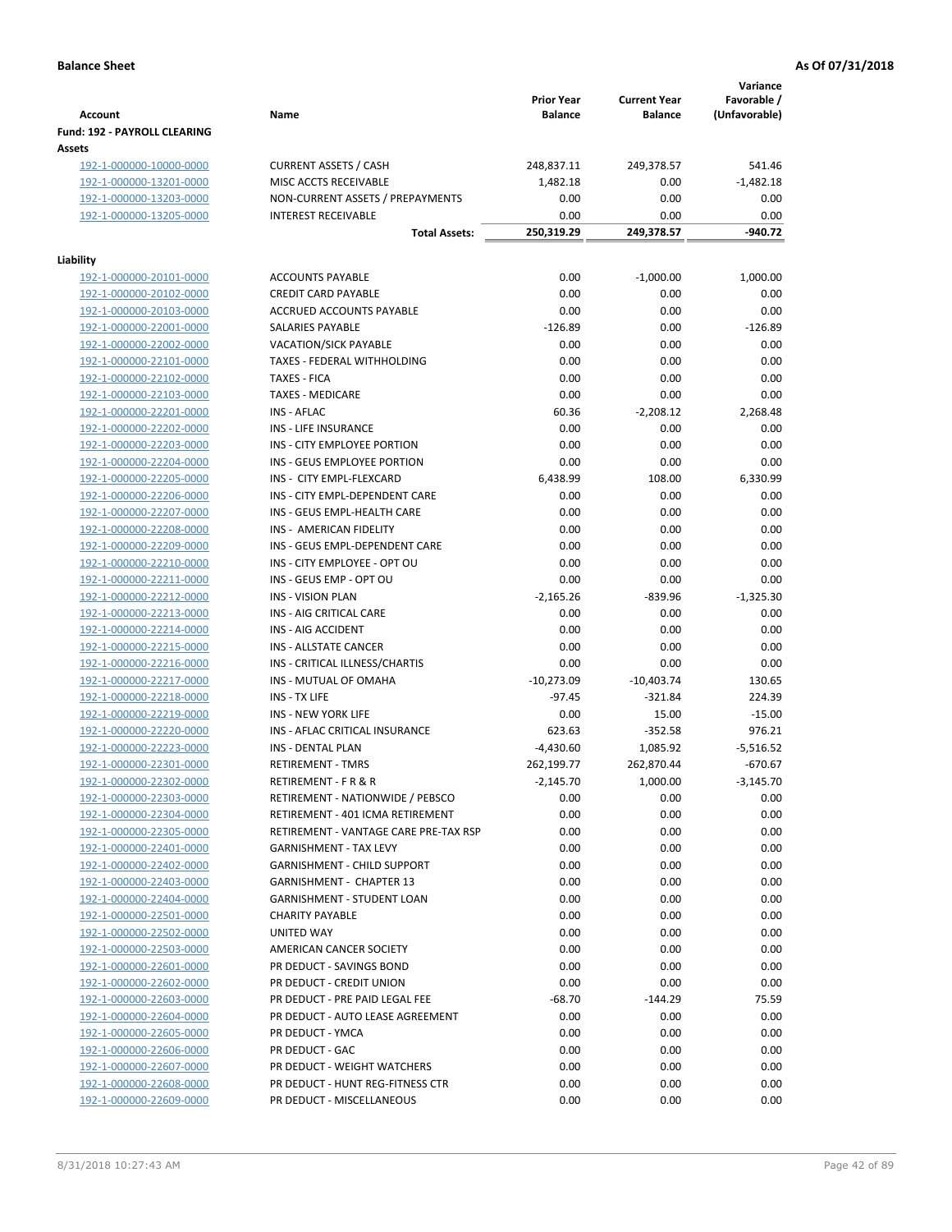| <b>Account</b>                                     | Name                                                | <b>Prior Year</b><br><b>Balance</b> | <b>Current Year</b><br><b>Balance</b> | Variance<br>Favorable /<br>(Unfavorable) |
|----------------------------------------------------|-----------------------------------------------------|-------------------------------------|---------------------------------------|------------------------------------------|
| <b>Fund: 192 - PAYROLL CLEARING</b><br>Assets      |                                                     |                                     |                                       |                                          |
| 192-1-000000-10000-0000                            | <b>CURRENT ASSETS / CASH</b>                        | 248,837.11                          | 249,378.57                            | 541.46                                   |
| 192-1-000000-13201-0000                            | MISC ACCTS RECEIVABLE                               | 1,482.18                            | 0.00                                  | $-1,482.18$                              |
| 192-1-000000-13203-0000                            | NON-CURRENT ASSETS / PREPAYMENTS                    | 0.00                                | 0.00                                  | 0.00                                     |
| 192-1-000000-13205-0000                            | <b>INTEREST RECEIVABLE</b>                          | 0.00                                | 0.00                                  | 0.00                                     |
|                                                    | <b>Total Assets:</b>                                | 250,319.29                          | 249,378.57                            | $-940.72$                                |
| Liability                                          |                                                     |                                     |                                       |                                          |
| 192-1-000000-20101-0000                            | <b>ACCOUNTS PAYABLE</b>                             | 0.00                                | $-1,000.00$                           | 1,000.00                                 |
| 192-1-000000-20102-0000                            | <b>CREDIT CARD PAYABLE</b>                          | 0.00                                | 0.00                                  | 0.00                                     |
| 192-1-000000-20103-0000                            | ACCRUED ACCOUNTS PAYABLE                            | 0.00                                | 0.00                                  | 0.00                                     |
| 192-1-000000-22001-0000                            | SALARIES PAYABLE                                    | $-126.89$                           | 0.00                                  | $-126.89$                                |
| 192-1-000000-22002-0000                            | VACATION/SICK PAYABLE                               | 0.00                                | 0.00                                  | 0.00                                     |
| 192-1-000000-22101-0000                            | TAXES - FEDERAL WITHHOLDING                         | 0.00                                | 0.00                                  | 0.00                                     |
| 192-1-000000-22102-0000                            | <b>TAXES - FICA</b>                                 | 0.00                                | 0.00                                  | 0.00                                     |
| 192-1-000000-22103-0000                            | <b>TAXES - MEDICARE</b>                             | 0.00                                | 0.00                                  | 0.00                                     |
| 192-1-000000-22201-0000                            | <b>INS - AFLAC</b>                                  | 60.36                               | $-2,208.12$                           | 2,268.48                                 |
| 192-1-000000-22202-0000                            | INS - LIFE INSURANCE                                | 0.00                                | 0.00                                  | 0.00                                     |
| 192-1-000000-22203-0000                            | INS - CITY EMPLOYEE PORTION                         | 0.00                                | 0.00                                  | 0.00                                     |
| 192-1-000000-22204-0000                            | INS - GEUS EMPLOYEE PORTION                         | 0.00                                | 0.00                                  | 0.00                                     |
| 192-1-000000-22205-0000                            | INS - CITY EMPL-FLEXCARD                            | 6,438.99                            | 108.00                                | 6,330.99                                 |
| 192-1-000000-22206-0000                            | INS - CITY EMPL-DEPENDENT CARE                      | 0.00                                | 0.00                                  | 0.00                                     |
| 192-1-000000-22207-0000                            | INS - GEUS EMPL-HEALTH CARE                         | 0.00                                | 0.00                                  | 0.00                                     |
| 192-1-000000-22208-0000                            | INS - AMERICAN FIDELITY                             | 0.00                                | 0.00                                  | 0.00                                     |
| 192-1-000000-22209-0000                            | INS - GEUS EMPL-DEPENDENT CARE                      | 0.00                                | 0.00                                  | 0.00                                     |
| 192-1-000000-22210-0000                            | INS - CITY EMPLOYEE - OPT OU                        | 0.00                                | 0.00                                  | 0.00                                     |
| 192-1-000000-22211-0000                            | INS - GEUS EMP - OPT OU<br><b>INS - VISION PLAN</b> | 0.00<br>$-2,165.26$                 | 0.00<br>$-839.96$                     | 0.00<br>$-1,325.30$                      |
| 192-1-000000-22212-0000<br>192-1-000000-22213-0000 | INS - AIG CRITICAL CARE                             | 0.00                                | 0.00                                  | 0.00                                     |
| 192-1-000000-22214-0000                            | INS - AIG ACCIDENT                                  | 0.00                                | 0.00                                  | 0.00                                     |
| 192-1-000000-22215-0000                            | INS - ALLSTATE CANCER                               | 0.00                                | 0.00                                  | 0.00                                     |
| 192-1-000000-22216-0000                            | INS - CRITICAL ILLNESS/CHARTIS                      | 0.00                                | 0.00                                  | 0.00                                     |
| 192-1-000000-22217-0000                            | INS - MUTUAL OF OMAHA                               | $-10,273.09$                        | $-10,403.74$                          | 130.65                                   |
| 192-1-000000-22218-0000                            | INS - TX LIFE                                       | $-97.45$                            | $-321.84$                             | 224.39                                   |
| 192-1-000000-22219-0000                            | <b>INS - NEW YORK LIFE</b>                          | 0.00                                | 15.00                                 | $-15.00$                                 |
| 192-1-000000-22220-0000                            | INS - AFLAC CRITICAL INSURANCE                      | 623.63                              | $-352.58$                             | 976.21                                   |
| 192-1-000000-22223-0000                            | INS - DENTAL PLAN                                   | $-4,430.60$                         | 1,085.92                              | $-5,516.52$                              |
| 192-1-000000-22301-0000                            | <b>RETIREMENT - TMRS</b>                            | 262,199.77                          | 262,870.44                            | $-670.67$                                |
| 192-1-000000-22302-0000                            | RETIREMENT - F R & R                                | $-2,145.70$                         | 1,000.00                              | $-3,145.70$                              |
| 192-1-000000-22303-0000                            | RETIREMENT - NATIONWIDE / PEBSCO                    | 0.00                                | 0.00                                  | 0.00                                     |
| 192-1-000000-22304-0000                            | RETIREMENT - 401 ICMA RETIREMENT                    | 0.00                                | 0.00                                  | 0.00                                     |
| 192-1-000000-22305-0000                            | RETIREMENT - VANTAGE CARE PRE-TAX RSP               | 0.00                                | 0.00                                  | 0.00                                     |
| 192-1-000000-22401-0000                            | <b>GARNISHMENT - TAX LEVY</b>                       | 0.00                                | 0.00                                  | 0.00                                     |
| 192-1-000000-22402-0000                            | GARNISHMENT - CHILD SUPPORT                         | 0.00                                | 0.00                                  | 0.00                                     |
| 192-1-000000-22403-0000                            | <b>GARNISHMENT - CHAPTER 13</b>                     | 0.00                                | 0.00                                  | 0.00                                     |
| 192-1-000000-22404-0000                            | <b>GARNISHMENT - STUDENT LOAN</b>                   | 0.00                                | 0.00                                  | 0.00                                     |
| 192-1-000000-22501-0000                            | <b>CHARITY PAYABLE</b>                              | 0.00                                | 0.00                                  | 0.00                                     |
| 192-1-000000-22502-0000                            | UNITED WAY                                          | 0.00                                | 0.00                                  | 0.00                                     |
| 192-1-000000-22503-0000                            | AMERICAN CANCER SOCIETY                             | 0.00                                | 0.00                                  | 0.00                                     |
| 192-1-000000-22601-0000                            | PR DEDUCT - SAVINGS BOND                            | 0.00                                | 0.00                                  | 0.00                                     |
| 192-1-000000-22602-0000                            | PR DEDUCT - CREDIT UNION                            | 0.00                                | 0.00                                  | 0.00                                     |
| 192-1-000000-22603-0000                            | PR DEDUCT - PRE PAID LEGAL FEE                      | $-68.70$                            | $-144.29$                             | 75.59                                    |
| 192-1-000000-22604-0000                            | PR DEDUCT - AUTO LEASE AGREEMENT                    | 0.00                                | 0.00                                  | 0.00                                     |
| 192-1-000000-22605-0000                            | PR DEDUCT - YMCA                                    | 0.00                                | 0.00                                  | 0.00                                     |
| 192-1-000000-22606-0000                            | PR DEDUCT - GAC                                     | 0.00                                | 0.00                                  | 0.00                                     |
| 192-1-000000-22607-0000                            | PR DEDUCT - WEIGHT WATCHERS                         | 0.00                                | 0.00                                  | 0.00                                     |
| 192-1-000000-22608-0000                            | PR DEDUCT - HUNT REG-FITNESS CTR                    | 0.00                                | 0.00                                  | 0.00                                     |
| 192-1-000000-22609-0000                            | PR DEDUCT - MISCELLANEOUS                           | 0.00                                | 0.00                                  | 0.00                                     |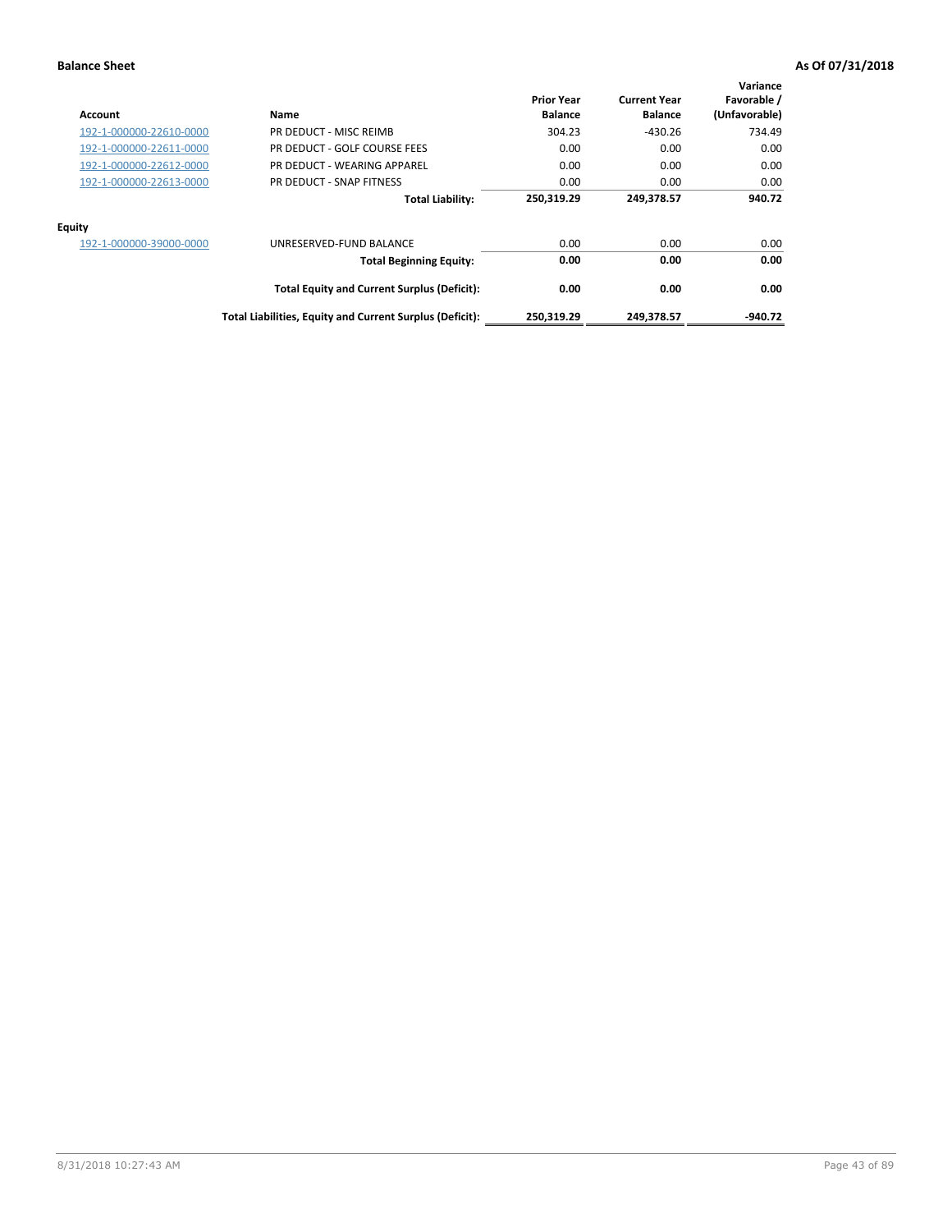| Account                 | Name                                                     | <b>Prior Year</b><br><b>Balance</b> | <b>Current Year</b><br><b>Balance</b> | Variance<br>Favorable /<br>(Unfavorable) |
|-------------------------|----------------------------------------------------------|-------------------------------------|---------------------------------------|------------------------------------------|
| 192-1-000000-22610-0000 | PR DEDUCT - MISC REIMB                                   | 304.23                              | $-430.26$                             | 734.49                                   |
| 192-1-000000-22611-0000 | PR DEDUCT - GOLF COURSE FEES                             | 0.00                                | 0.00                                  | 0.00                                     |
| 192-1-000000-22612-0000 | PR DEDUCT - WEARING APPAREL                              | 0.00                                | 0.00                                  | 0.00                                     |
| 192-1-000000-22613-0000 | PR DEDUCT - SNAP FITNESS                                 | 0.00                                | 0.00                                  | 0.00                                     |
|                         | <b>Total Liability:</b>                                  | 250,319.29                          | 249,378.57                            | 940.72                                   |
| <b>Equity</b>           |                                                          |                                     |                                       |                                          |
| 192-1-000000-39000-0000 | UNRESERVED-FUND BALANCE                                  | 0.00                                | 0.00                                  | 0.00                                     |
|                         | <b>Total Beginning Equity:</b>                           | 0.00                                | 0.00                                  | 0.00                                     |
|                         | <b>Total Equity and Current Surplus (Deficit):</b>       | 0.00                                | 0.00                                  | 0.00                                     |
|                         | Total Liabilities, Equity and Current Surplus (Deficit): | 250.319.29                          | 249.378.57                            | -940.72                                  |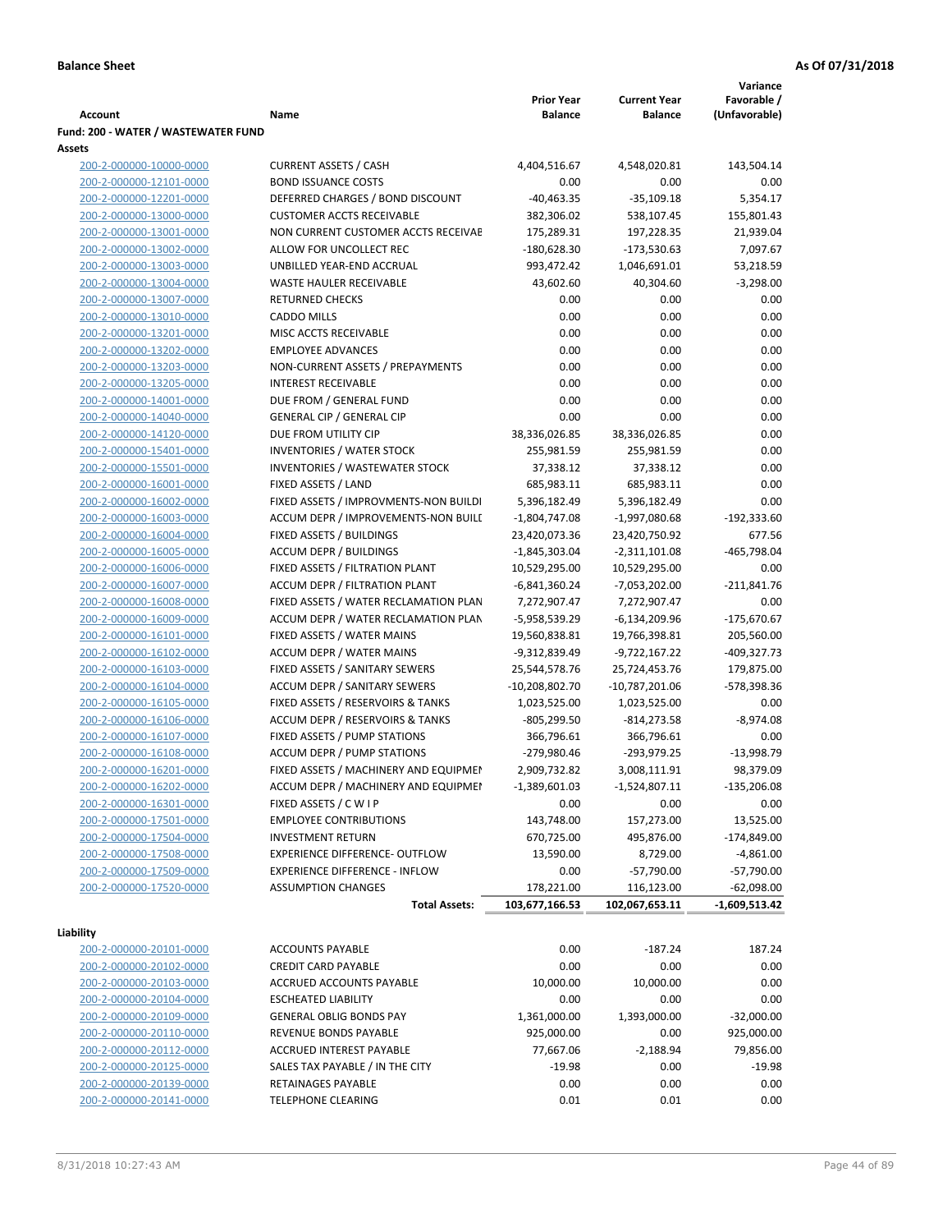|                                     |                                       |                   |                     | Variance        |
|-------------------------------------|---------------------------------------|-------------------|---------------------|-----------------|
|                                     |                                       | <b>Prior Year</b> | <b>Current Year</b> | Favorable /     |
| <b>Account</b>                      | Name                                  | <b>Balance</b>    | <b>Balance</b>      | (Unfavorable)   |
| Fund: 200 - WATER / WASTEWATER FUND |                                       |                   |                     |                 |
| Assets                              |                                       |                   |                     |                 |
| 200-2-000000-10000-0000             | <b>CURRENT ASSETS / CASH</b>          | 4,404,516.67      | 4,548,020.81        | 143,504.14      |
| 200-2-000000-12101-0000             | <b>BOND ISSUANCE COSTS</b>            | 0.00              | 0.00                | 0.00            |
| 200-2-000000-12201-0000             | DEFERRED CHARGES / BOND DISCOUNT      | $-40,463.35$      | $-35,109.18$        | 5,354.17        |
| 200-2-000000-13000-0000             | <b>CUSTOMER ACCTS RECEIVABLE</b>      | 382,306.02        | 538,107.45          | 155,801.43      |
| 200-2-000000-13001-0000             | NON CURRENT CUSTOMER ACCTS RECEIVAE   | 175,289.31        | 197,228.35          | 21,939.04       |
| 200-2-000000-13002-0000             | ALLOW FOR UNCOLLECT REC               | $-180,628.30$     | $-173,530.63$       | 7,097.67        |
| 200-2-000000-13003-0000             | UNBILLED YEAR-END ACCRUAL             | 993,472.42        | 1,046,691.01        | 53,218.59       |
| 200-2-000000-13004-0000             | <b>WASTE HAULER RECEIVABLE</b>        | 43,602.60         | 40,304.60           | $-3,298.00$     |
| 200-2-000000-13007-0000             | <b>RETURNED CHECKS</b>                | 0.00              | 0.00                | 0.00            |
| 200-2-000000-13010-0000             | <b>CADDO MILLS</b>                    | 0.00              | 0.00                | 0.00            |
| 200-2-000000-13201-0000             | MISC ACCTS RECEIVABLE                 | 0.00              | 0.00                | 0.00            |
| 200-2-000000-13202-0000             | <b>EMPLOYEE ADVANCES</b>              | 0.00              | 0.00                | 0.00            |
| 200-2-000000-13203-0000             | NON-CURRENT ASSETS / PREPAYMENTS      | 0.00              | 0.00                | 0.00            |
| 200-2-000000-13205-0000             | <b>INTEREST RECEIVABLE</b>            | 0.00              | 0.00                | 0.00            |
| 200-2-000000-14001-0000             | DUE FROM / GENERAL FUND               | 0.00              | 0.00                | 0.00            |
| 200-2-000000-14040-0000             | <b>GENERAL CIP / GENERAL CIP</b>      | 0.00              | 0.00                | 0.00            |
| 200-2-000000-14120-0000             | DUE FROM UTILITY CIP                  | 38,336,026.85     | 38,336,026.85       | 0.00            |
| 200-2-000000-15401-0000             | <b>INVENTORIES / WATER STOCK</b>      | 255,981.59        | 255,981.59          | 0.00            |
| 200-2-000000-15501-0000             | <b>INVENTORIES / WASTEWATER STOCK</b> | 37,338.12         | 37,338.12           | 0.00            |
| 200-2-000000-16001-0000             | FIXED ASSETS / LAND                   | 685,983.11        | 685,983.11          | 0.00            |
| 200-2-000000-16002-0000             | FIXED ASSETS / IMPROVMENTS-NON BUILDI | 5,396,182.49      | 5,396,182.49        | 0.00            |
| 200-2-000000-16003-0000             | ACCUM DEPR / IMPROVEMENTS-NON BUILI   | $-1,804,747.08$   | -1,997,080.68       | $-192,333.60$   |
| 200-2-000000-16004-0000             | FIXED ASSETS / BUILDINGS              | 23,420,073.36     | 23,420,750.92       | 677.56          |
| 200-2-000000-16005-0000             | <b>ACCUM DEPR / BUILDINGS</b>         | $-1,845,303.04$   | $-2,311,101.08$     | -465,798.04     |
| 200-2-000000-16006-0000             | FIXED ASSETS / FILTRATION PLANT       | 10,529,295.00     | 10,529,295.00       | 0.00            |
| 200-2-000000-16007-0000             | ACCUM DEPR / FILTRATION PLANT         | -6,841,360.24     | $-7,053,202.00$     | $-211,841.76$   |
| 200-2-000000-16008-0000             | FIXED ASSETS / WATER RECLAMATION PLAN | 7,272,907.47      | 7,272,907.47        | 0.00            |
| 200-2-000000-16009-0000             | ACCUM DEPR / WATER RECLAMATION PLAN   | -5,958,539.29     | $-6,134,209.96$     | $-175,670.67$   |
| 200-2-000000-16101-0000             | FIXED ASSETS / WATER MAINS            | 19,560,838.81     | 19,766,398.81       | 205,560.00      |
| 200-2-000000-16102-0000             | <b>ACCUM DEPR / WATER MAINS</b>       | -9,312,839.49     | -9,722,167.22       | -409,327.73     |
| 200-2-000000-16103-0000             | FIXED ASSETS / SANITARY SEWERS        | 25,544,578.76     | 25,724,453.76       | 179,875.00      |
| 200-2-000000-16104-0000             | <b>ACCUM DEPR / SANITARY SEWERS</b>   | $-10,208,802.70$  | $-10,787,201.06$    | -578,398.36     |
| 200-2-000000-16105-0000             | FIXED ASSETS / RESERVOIRS & TANKS     | 1,023,525.00      | 1,023,525.00        | 0.00            |
| 200-2-000000-16106-0000             | ACCUM DEPR / RESERVOIRS & TANKS       | $-805,299.50$     | $-814,273.58$       | $-8,974.08$     |
| 200-2-000000-16107-0000             | FIXED ASSETS / PUMP STATIONS          | 366,796.61        | 366,796.61          | 0.00            |
| 200-2-000000-16108-0000             | <b>ACCUM DEPR / PUMP STATIONS</b>     | -279,980.46       | -293,979.25         | $-13,998.79$    |
| 200-2-000000-16201-0000             | FIXED ASSETS / MACHINERY AND EQUIPMEN | 2,909,732.82      | 3,008,111.91        | 98,379.09       |
| 200-2-000000-16202-0000             | ACCUM DEPR / MACHINERY AND EQUIPMEI   | -1,389,601.03     | $-1,524,807.11$     | $-135,206.08$   |
| 200-2-000000-16301-0000             | FIXED ASSETS / C W I P                | 0.00              | 0.00                | 0.00            |
| 200-2-000000-17501-0000             | <b>EMPLOYEE CONTRIBUTIONS</b>         | 143,748.00        | 157,273.00          | 13,525.00       |
| 200-2-000000-17504-0000             | <b>INVESTMENT RETURN</b>              | 670,725.00        | 495,876.00          | $-174,849.00$   |
| 200-2-000000-17508-0000             | EXPERIENCE DIFFERENCE- OUTFLOW        | 13,590.00         | 8,729.00            | $-4,861.00$     |
| 200-2-000000-17509-0000             | <b>EXPERIENCE DIFFERENCE - INFLOW</b> | 0.00              | $-57,790.00$        | $-57,790.00$    |
| 200-2-000000-17520-0000             | <b>ASSUMPTION CHANGES</b>             | 178,221.00        | 116,123.00          | $-62,098.00$    |
|                                     | <b>Total Assets:</b>                  | 103,677,166.53    | 102,067,653.11      | $-1,609,513.42$ |
| Liability                           |                                       |                   |                     |                 |
| 200-2-000000-20101-0000             | <b>ACCOUNTS PAYABLE</b>               | 0.00              | $-187.24$           | 187.24          |
| 200-2-000000-20102-0000             | <b>CREDIT CARD PAYABLE</b>            | 0.00              | 0.00                | 0.00            |
| 200-2-000000-20103-0000             | ACCRUED ACCOUNTS PAYABLE              | 10,000.00         | 10,000.00           | 0.00            |
| 200-2-000000-20104-0000             | <b>ESCHEATED LIABILITY</b>            | 0.00              | 0.00                | 0.00            |
| 200-2-000000-20109-0000             | <b>GENERAL OBLIG BONDS PAY</b>        | 1,361,000.00      | 1,393,000.00        | $-32,000.00$    |
| 200-2-000000-20110-0000             | REVENUE BONDS PAYABLE                 | 925,000.00        | 0.00                | 925,000.00      |
| 200-2-000000-20112-0000             | ACCRUED INTEREST PAYABLE              | 77,667.06         | $-2,188.94$         | 79,856.00       |
| 200-2-000000-20125-0000             | SALES TAX PAYABLE / IN THE CITY       | $-19.98$          | 0.00                | $-19.98$        |
| 200-2-000000-20139-0000             | RETAINAGES PAYABLE                    | 0.00              | 0.00                | 0.00            |
| 200-2-000000-20141-0000             | <b>TELEPHONE CLEARING</b>             | 0.01              | 0.01                | 0.00            |
|                                     |                                       |                   |                     |                 |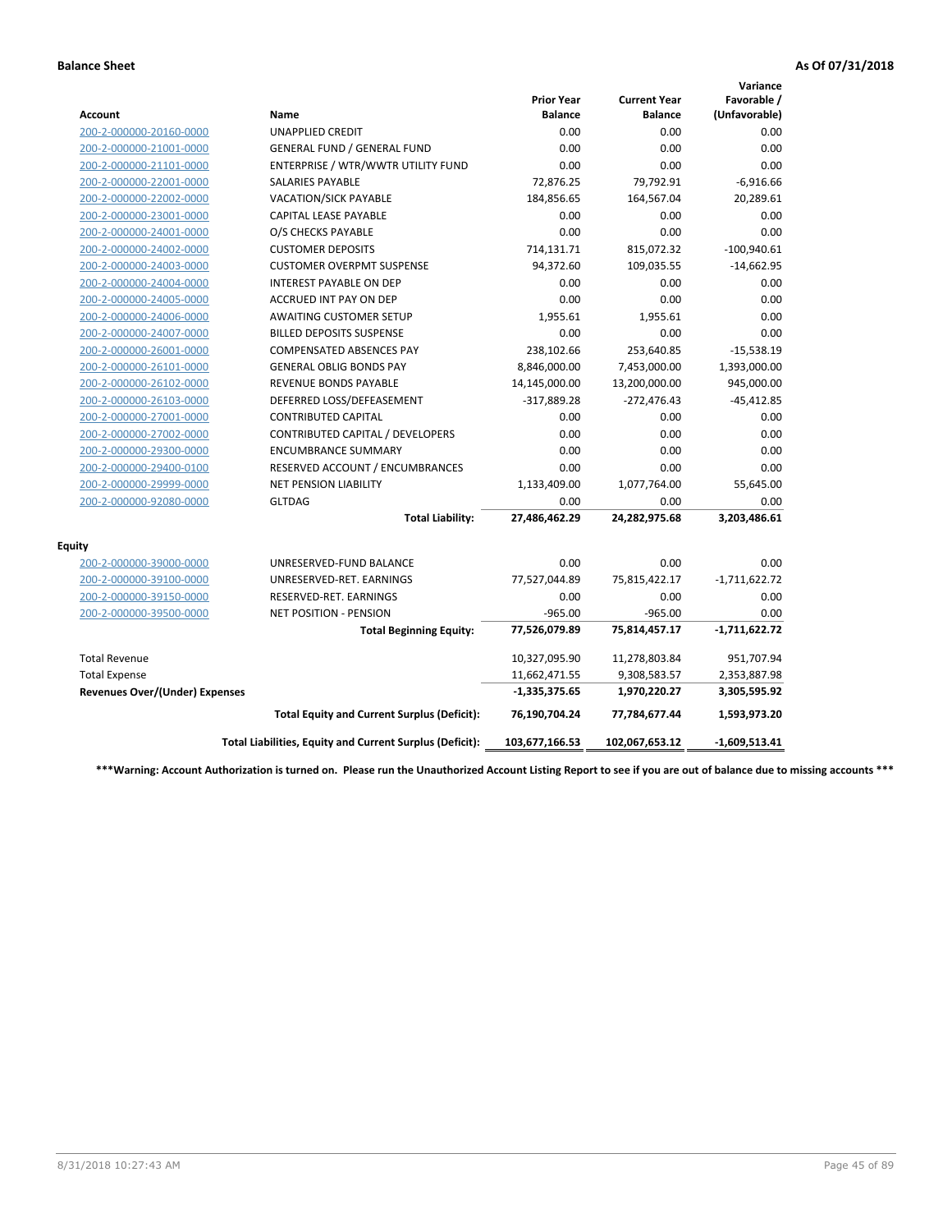|                                       |                                                          |                                     |                                       | Variance                     |
|---------------------------------------|----------------------------------------------------------|-------------------------------------|---------------------------------------|------------------------------|
| <b>Account</b>                        | Name                                                     | <b>Prior Year</b><br><b>Balance</b> | <b>Current Year</b><br><b>Balance</b> | Favorable /<br>(Unfavorable) |
| 200-2-000000-20160-0000               | <b>UNAPPLIED CREDIT</b>                                  | 0.00                                | 0.00                                  | 0.00                         |
| 200-2-000000-21001-0000               | GENERAL FUND / GENERAL FUND                              | 0.00                                | 0.00                                  | 0.00                         |
| 200-2-000000-21101-0000               | ENTERPRISE / WTR/WWTR UTILITY FUND                       | 0.00                                | 0.00                                  | 0.00                         |
| 200-2-000000-22001-0000               | <b>SALARIES PAYABLE</b>                                  | 72,876.25                           | 79,792.91                             | $-6,916.66$                  |
| 200-2-000000-22002-0000               | VACATION/SICK PAYABLE                                    | 184,856.65                          | 164,567.04                            | 20,289.61                    |
| 200-2-000000-23001-0000               | <b>CAPITAL LEASE PAYABLE</b>                             | 0.00                                | 0.00                                  | 0.00                         |
| 200-2-000000-24001-0000               | O/S CHECKS PAYABLE                                       | 0.00                                | 0.00                                  | 0.00                         |
| 200-2-000000-24002-0000               | <b>CUSTOMER DEPOSITS</b>                                 | 714,131.71                          | 815,072.32                            | $-100,940.61$                |
| 200-2-000000-24003-0000               | <b>CUSTOMER OVERPMT SUSPENSE</b>                         | 94,372.60                           | 109,035.55                            | $-14,662.95$                 |
| 200-2-000000-24004-0000               | <b>INTEREST PAYABLE ON DEP</b>                           | 0.00                                | 0.00                                  | 0.00                         |
| 200-2-000000-24005-0000               | <b>ACCRUED INT PAY ON DEP</b>                            | 0.00                                | 0.00                                  | 0.00                         |
| 200-2-000000-24006-0000               | <b>AWAITING CUSTOMER SETUP</b>                           | 1,955.61                            | 1,955.61                              | 0.00                         |
| 200-2-000000-24007-0000               | <b>BILLED DEPOSITS SUSPENSE</b>                          | 0.00                                | 0.00                                  | 0.00                         |
| 200-2-000000-26001-0000               | <b>COMPENSATED ABSENCES PAY</b>                          | 238,102.66                          | 253,640.85                            | $-15,538.19$                 |
| 200-2-000000-26101-0000               | <b>GENERAL OBLIG BONDS PAY</b>                           | 8,846,000.00                        | 7,453,000.00                          | 1,393,000.00                 |
| 200-2-000000-26102-0000               | <b>REVENUE BONDS PAYABLE</b>                             | 14,145,000.00                       | 13,200,000.00                         | 945,000.00                   |
| 200-2-000000-26103-0000               | DEFERRED LOSS/DEFEASEMENT                                | $-317,889.28$                       | $-272,476.43$                         | $-45,412.85$                 |
| 200-2-000000-27001-0000               | <b>CONTRIBUTED CAPITAL</b>                               | 0.00                                | 0.00                                  | 0.00                         |
| 200-2-000000-27002-0000               | CONTRIBUTED CAPITAL / DEVELOPERS                         | 0.00                                | 0.00                                  | 0.00                         |
| 200-2-000000-29300-0000               | <b>ENCUMBRANCE SUMMARY</b>                               | 0.00                                | 0.00                                  | 0.00                         |
| 200-2-000000-29400-0100               | RESERVED ACCOUNT / ENCUMBRANCES                          | 0.00                                | 0.00                                  | 0.00                         |
| 200-2-000000-29999-0000               | NET PENSION LIABILITY                                    | 1,133,409.00                        | 1,077,764.00                          | 55,645.00                    |
| 200-2-000000-92080-0000               | <b>GLTDAG</b>                                            | 0.00                                | 0.00                                  | 0.00                         |
|                                       | <b>Total Liability:</b>                                  | 27,486,462.29                       | 24,282,975.68                         | 3,203,486.61                 |
| <b>Equity</b>                         |                                                          |                                     |                                       |                              |
| 200-2-000000-39000-0000               | UNRESERVED-FUND BALANCE                                  | 0.00                                | 0.00                                  | 0.00                         |
| 200-2-000000-39100-0000               | UNRESERVED-RET. EARNINGS                                 | 77,527,044.89                       | 75,815,422.17                         | $-1,711,622.72$              |
| 200-2-000000-39150-0000               | RESERVED-RET. EARNINGS                                   | 0.00                                | 0.00                                  | 0.00                         |
| 200-2-000000-39500-0000               | <b>NET POSITION - PENSION</b>                            | $-965.00$                           | $-965.00$                             | 0.00                         |
|                                       | <b>Total Beginning Equity:</b>                           | 77,526,079.89                       | 75,814,457.17                         | $-1,711,622.72$              |
| <b>Total Revenue</b>                  |                                                          | 10,327,095.90                       | 11,278,803.84                         | 951,707.94                   |
| <b>Total Expense</b>                  |                                                          | 11,662,471.55                       | 9,308,583.57                          | 2,353,887.98                 |
| <b>Revenues Over/(Under) Expenses</b> |                                                          | $-1,335,375.65$                     | 1,970,220.27                          | 3,305,595.92                 |
|                                       | <b>Total Equity and Current Surplus (Deficit):</b>       | 76,190,704.24                       | 77,784,677.44                         | 1,593,973.20                 |
|                                       | Total Liabilities, Equity and Current Surplus (Deficit): | 103,677,166.53                      | 102,067,653.12                        | $-1,609,513.41$              |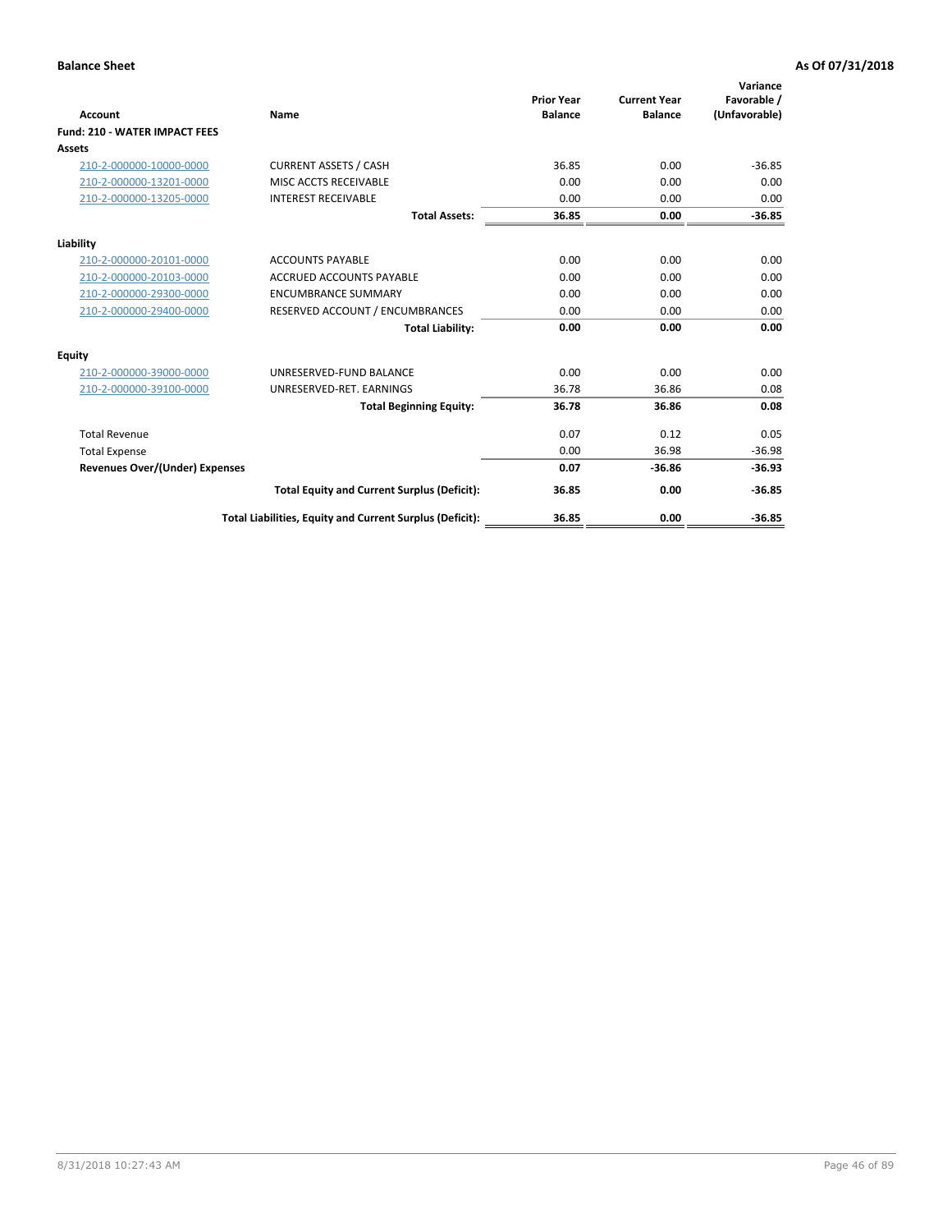| Account                               | Name                                                     | <b>Prior Year</b><br><b>Balance</b> | <b>Current Year</b><br><b>Balance</b> | Variance<br>Favorable /<br>(Unfavorable) |
|---------------------------------------|----------------------------------------------------------|-------------------------------------|---------------------------------------|------------------------------------------|
| <b>Fund: 210 - WATER IMPACT FEES</b>  |                                                          |                                     |                                       |                                          |
| <b>Assets</b>                         |                                                          |                                     |                                       |                                          |
| 210-2-000000-10000-0000               | <b>CURRENT ASSETS / CASH</b>                             | 36.85                               | 0.00                                  | $-36.85$                                 |
| 210-2-000000-13201-0000               | MISC ACCTS RECEIVABLE                                    | 0.00                                | 0.00                                  | 0.00                                     |
| 210-2-000000-13205-0000               | <b>INTEREST RECEIVABLE</b>                               | 0.00                                | 0.00                                  | 0.00                                     |
|                                       | <b>Total Assets:</b>                                     | 36.85                               | 0.00                                  | $-36.85$                                 |
| Liability                             |                                                          |                                     |                                       |                                          |
| 210-2-000000-20101-0000               | <b>ACCOUNTS PAYABLE</b>                                  | 0.00                                | 0.00                                  | 0.00                                     |
| 210-2-000000-20103-0000               | <b>ACCRUED ACCOUNTS PAYABLE</b>                          | 0.00                                | 0.00                                  | 0.00                                     |
| 210-2-000000-29300-0000               | <b>ENCUMBRANCE SUMMARY</b>                               | 0.00                                | 0.00                                  | 0.00                                     |
| 210-2-000000-29400-0000               | RESERVED ACCOUNT / ENCUMBRANCES                          | 0.00                                | 0.00                                  | 0.00                                     |
|                                       | <b>Total Liability:</b>                                  | 0.00                                | 0.00                                  | 0.00                                     |
| <b>Equity</b>                         |                                                          |                                     |                                       |                                          |
| 210-2-000000-39000-0000               | UNRESERVED-FUND BALANCE                                  | 0.00                                | 0.00                                  | 0.00                                     |
| 210-2-000000-39100-0000               | UNRESERVED-RET. EARNINGS                                 | 36.78                               | 36.86                                 | 0.08                                     |
|                                       | <b>Total Beginning Equity:</b>                           | 36.78                               | 36.86                                 | 0.08                                     |
| <b>Total Revenue</b>                  |                                                          | 0.07                                | 0.12                                  | 0.05                                     |
| <b>Total Expense</b>                  |                                                          | 0.00                                | 36.98                                 | $-36.98$                                 |
| <b>Revenues Over/(Under) Expenses</b> |                                                          | 0.07                                | $-36.86$                              | $-36.93$                                 |
|                                       | <b>Total Equity and Current Surplus (Deficit):</b>       | 36.85                               | 0.00                                  | $-36.85$                                 |
|                                       | Total Liabilities, Equity and Current Surplus (Deficit): | 36.85                               | 0.00                                  | $-36.85$                                 |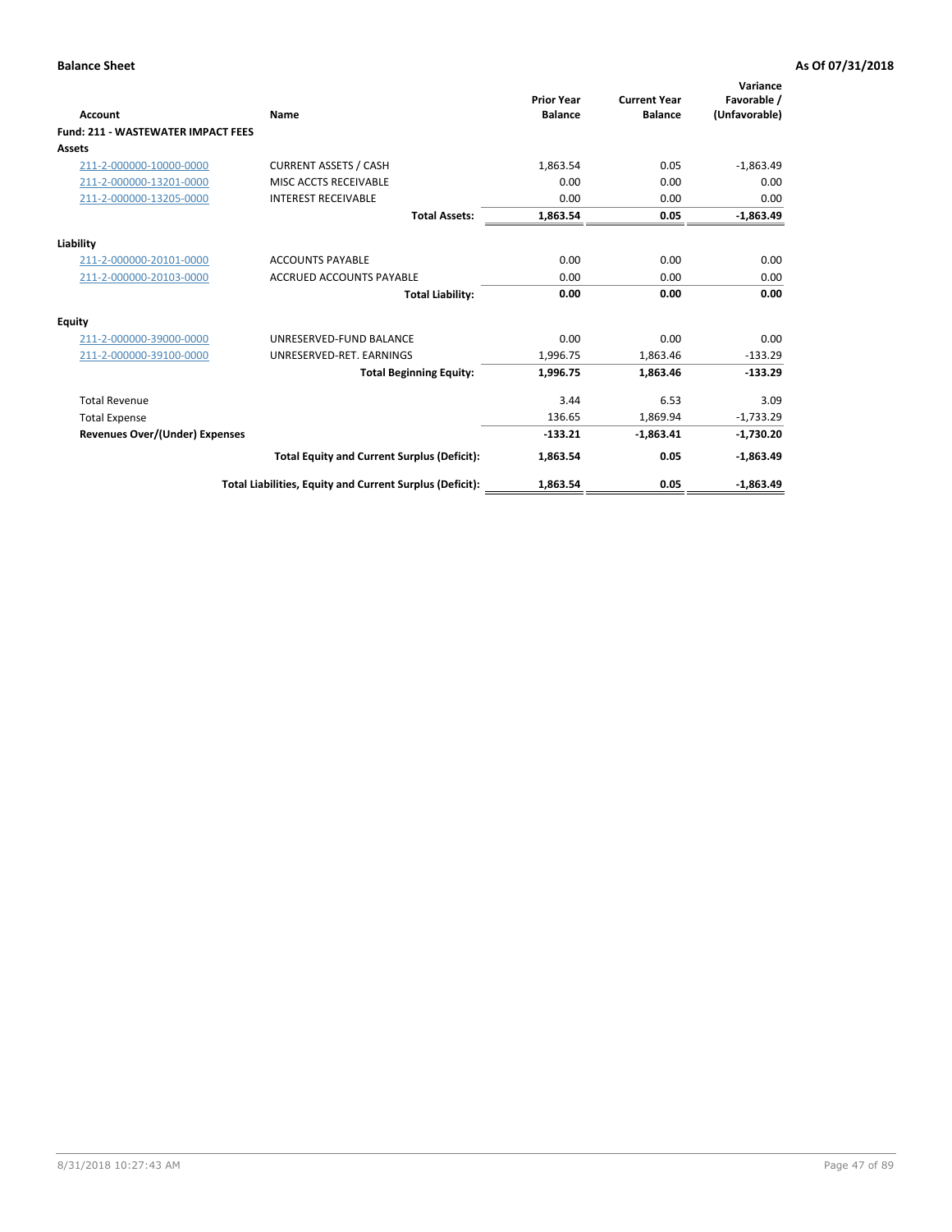| <b>Account</b>                            | Name                                                     | <b>Prior Year</b><br><b>Balance</b> | <b>Current Year</b><br><b>Balance</b> | Variance<br>Favorable /<br>(Unfavorable) |
|-------------------------------------------|----------------------------------------------------------|-------------------------------------|---------------------------------------|------------------------------------------|
| <b>Fund: 211 - WASTEWATER IMPACT FEES</b> |                                                          |                                     |                                       |                                          |
| <b>Assets</b>                             |                                                          |                                     |                                       |                                          |
| 211-2-000000-10000-0000                   | <b>CURRENT ASSETS / CASH</b>                             | 1,863.54                            | 0.05                                  | $-1,863.49$                              |
| 211-2-000000-13201-0000                   | MISC ACCTS RECEIVABLE                                    | 0.00                                | 0.00                                  | 0.00                                     |
| 211-2-000000-13205-0000                   | <b>INTEREST RECEIVABLE</b>                               | 0.00                                | 0.00                                  | 0.00                                     |
|                                           | <b>Total Assets:</b>                                     | 1,863.54                            | 0.05                                  | $-1,863.49$                              |
| Liability                                 |                                                          |                                     |                                       |                                          |
| 211-2-000000-20101-0000                   | <b>ACCOUNTS PAYABLE</b>                                  | 0.00                                | 0.00                                  | 0.00                                     |
| 211-2-000000-20103-0000                   | <b>ACCRUED ACCOUNTS PAYABLE</b>                          | 0.00                                | 0.00                                  | 0.00                                     |
|                                           | <b>Total Liability:</b>                                  | 0.00                                | 0.00                                  | 0.00                                     |
| Equity                                    |                                                          |                                     |                                       |                                          |
| 211-2-000000-39000-0000                   | UNRESERVED-FUND BALANCE                                  | 0.00                                | 0.00                                  | 0.00                                     |
| 211-2-000000-39100-0000                   | UNRESERVED-RET. EARNINGS                                 | 1,996.75                            | 1,863.46                              | $-133.29$                                |
|                                           | <b>Total Beginning Equity:</b>                           | 1,996.75                            | 1,863.46                              | $-133.29$                                |
| <b>Total Revenue</b>                      |                                                          | 3.44                                | 6.53                                  | 3.09                                     |
| <b>Total Expense</b>                      |                                                          | 136.65                              | 1,869.94                              | $-1,733.29$                              |
| <b>Revenues Over/(Under) Expenses</b>     |                                                          | $-133.21$                           | $-1,863.41$                           | $-1,730.20$                              |
|                                           | <b>Total Equity and Current Surplus (Deficit):</b>       | 1,863.54                            | 0.05                                  | $-1,863.49$                              |
|                                           | Total Liabilities, Equity and Current Surplus (Deficit): | 1,863.54                            | 0.05                                  | $-1,863.49$                              |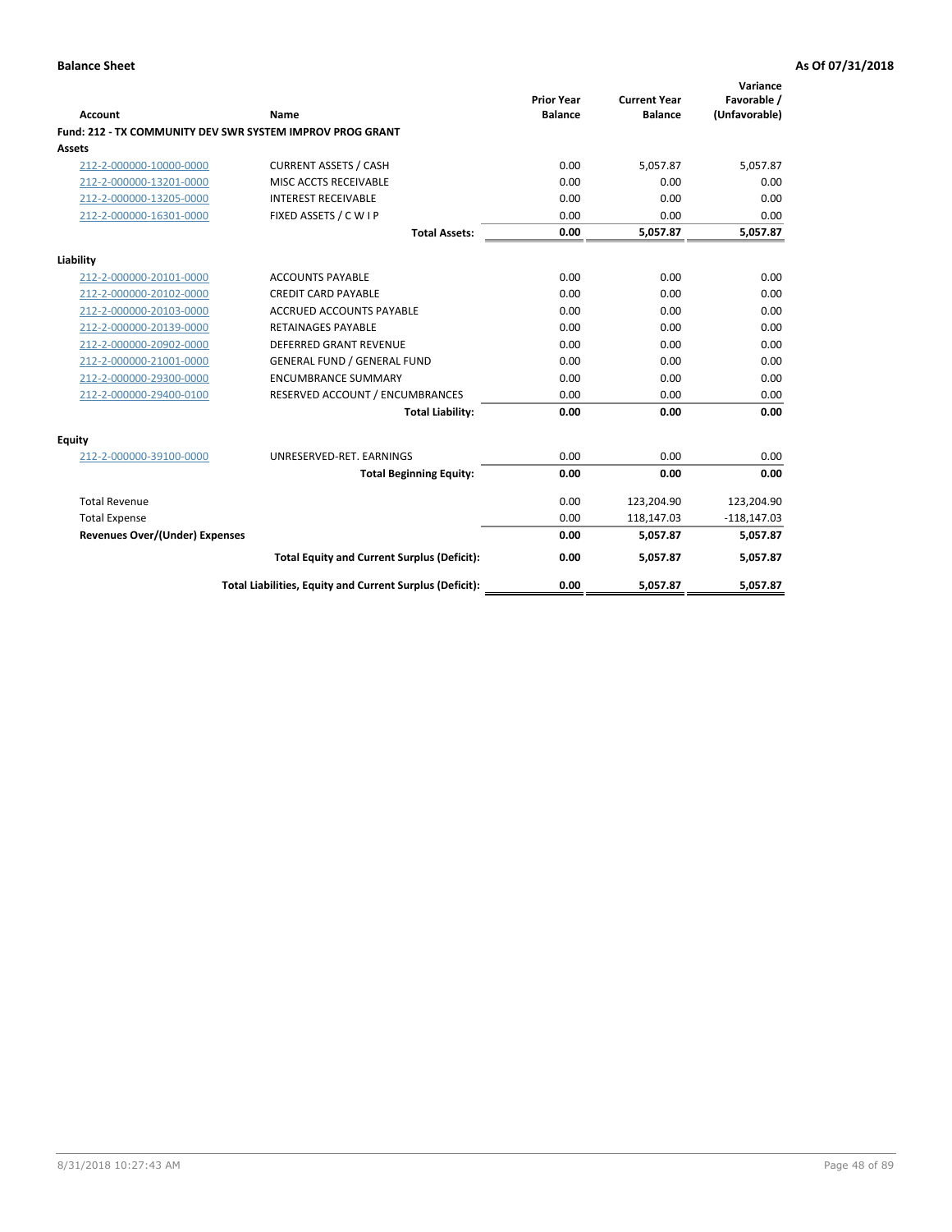| <b>Account</b>                        | Name                                                      | <b>Prior Year</b><br><b>Balance</b> | <b>Current Year</b><br><b>Balance</b> | Variance<br>Favorable /<br>(Unfavorable) |
|---------------------------------------|-----------------------------------------------------------|-------------------------------------|---------------------------------------|------------------------------------------|
|                                       | Fund: 212 - TX COMMUNITY DEV SWR SYSTEM IMPROV PROG GRANT |                                     |                                       |                                          |
| <b>Assets</b>                         |                                                           |                                     |                                       |                                          |
| 212-2-000000-10000-0000               | <b>CURRENT ASSETS / CASH</b>                              | 0.00                                | 5.057.87                              | 5,057.87                                 |
| 212-2-000000-13201-0000               | MISC ACCTS RECEIVABLE                                     | 0.00                                | 0.00                                  | 0.00                                     |
| 212-2-000000-13205-0000               | <b>INTEREST RECEIVABLE</b>                                | 0.00                                | 0.00                                  | 0.00                                     |
| 212-2-000000-16301-0000               | FIXED ASSETS / C W I P                                    | 0.00                                | 0.00                                  | 0.00                                     |
|                                       | <b>Total Assets:</b>                                      | 0.00                                | 5,057.87                              | 5,057.87                                 |
| Liability                             |                                                           |                                     |                                       |                                          |
| 212-2-000000-20101-0000               | <b>ACCOUNTS PAYABLE</b>                                   | 0.00                                | 0.00                                  | 0.00                                     |
| 212-2-000000-20102-0000               | <b>CREDIT CARD PAYABLE</b>                                | 0.00                                | 0.00                                  | 0.00                                     |
| 212-2-000000-20103-0000               | <b>ACCRUED ACCOUNTS PAYABLE</b>                           | 0.00                                | 0.00                                  | 0.00                                     |
| 212-2-000000-20139-0000               | <b>RETAINAGES PAYABLE</b>                                 | 0.00                                | 0.00                                  | 0.00                                     |
| 212-2-000000-20902-0000               | <b>DEFERRED GRANT REVENUE</b>                             | 0.00                                | 0.00                                  | 0.00                                     |
| 212-2-000000-21001-0000               | <b>GENERAL FUND / GENERAL FUND</b>                        | 0.00                                | 0.00                                  | 0.00                                     |
| 212-2-000000-29300-0000               | <b>ENCUMBRANCE SUMMARY</b>                                | 0.00                                | 0.00                                  | 0.00                                     |
| 212-2-000000-29400-0100               | RESERVED ACCOUNT / ENCUMBRANCES                           | 0.00                                | 0.00                                  | 0.00                                     |
|                                       | <b>Total Liability:</b>                                   | 0.00                                | 0.00                                  | 0.00                                     |
| <b>Equity</b>                         |                                                           |                                     |                                       |                                          |
| 212-2-000000-39100-0000               | UNRESERVED-RET. EARNINGS                                  | 0.00                                | 0.00                                  | 0.00                                     |
|                                       | <b>Total Beginning Equity:</b>                            | 0.00                                | 0.00                                  | 0.00                                     |
| <b>Total Revenue</b>                  |                                                           | 0.00                                | 123,204.90                            | 123,204.90                               |
| <b>Total Expense</b>                  |                                                           | 0.00                                | 118,147.03                            | $-118,147.03$                            |
| <b>Revenues Over/(Under) Expenses</b> |                                                           | 0.00                                | 5.057.87                              | 5,057.87                                 |
|                                       | <b>Total Equity and Current Surplus (Deficit):</b>        | 0.00                                | 5,057.87                              | 5,057.87                                 |
|                                       | Total Liabilities, Equity and Current Surplus (Deficit):  | 0.00                                | 5,057.87                              | 5,057.87                                 |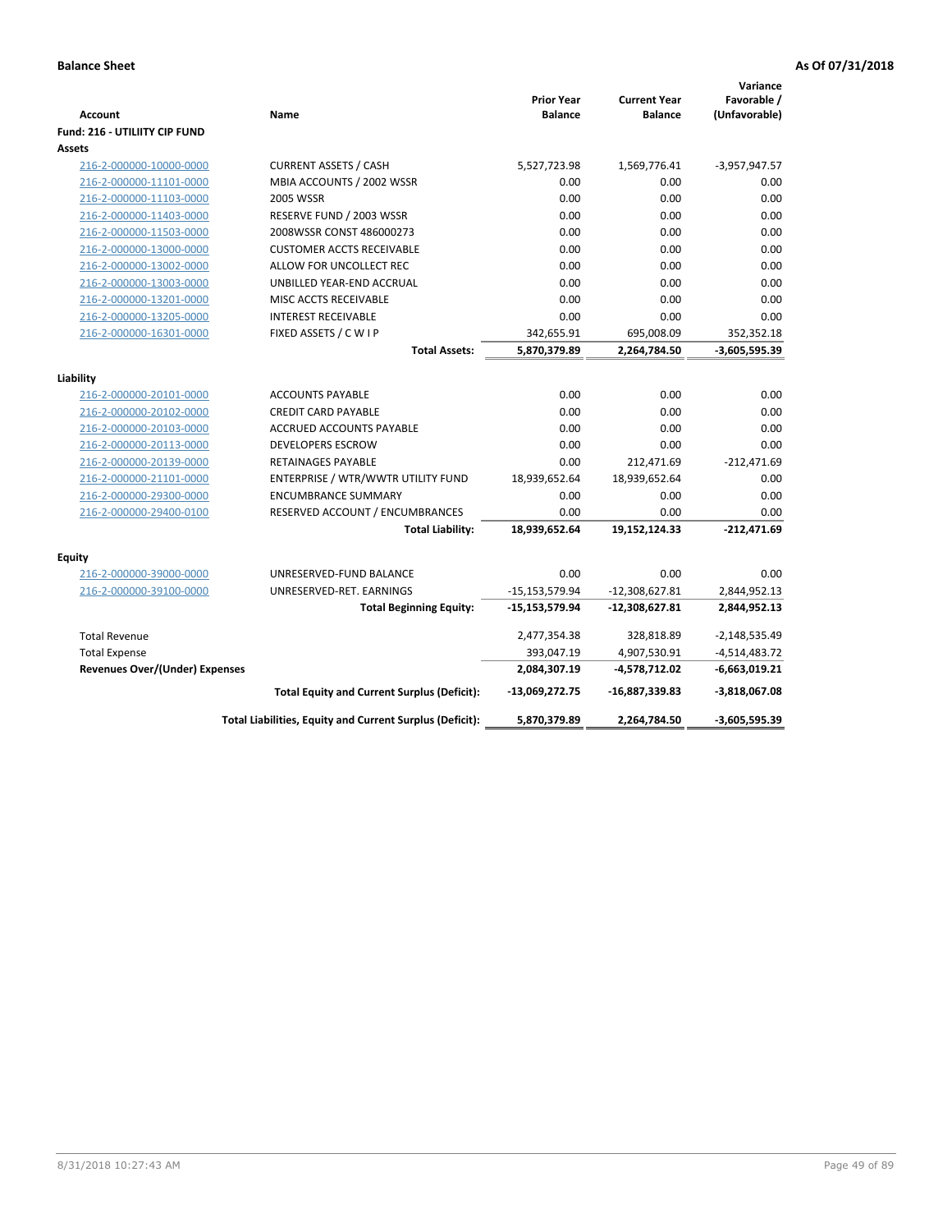| <b>Account</b>                        | Name                                                     | <b>Prior Year</b><br><b>Balance</b> | <b>Current Year</b><br><b>Balance</b> | Variance<br>Favorable /<br>(Unfavorable) |
|---------------------------------------|----------------------------------------------------------|-------------------------------------|---------------------------------------|------------------------------------------|
| Fund: 216 - UTILIITY CIP FUND         |                                                          |                                     |                                       |                                          |
| Assets                                |                                                          |                                     |                                       |                                          |
| 216-2-000000-10000-0000               | <b>CURRENT ASSETS / CASH</b>                             | 5,527,723.98                        | 1,569,776.41                          | $-3,957,947.57$                          |
| 216-2-000000-11101-0000               | MBIA ACCOUNTS / 2002 WSSR                                | 0.00                                | 0.00                                  | 0.00                                     |
| 216-2-000000-11103-0000               | 2005 WSSR                                                | 0.00                                | 0.00                                  | 0.00                                     |
| 216-2-000000-11403-0000               | RESERVE FUND / 2003 WSSR                                 | 0.00                                | 0.00                                  | 0.00                                     |
| 216-2-000000-11503-0000               | 2008WSSR CONST 486000273                                 | 0.00                                | 0.00                                  | 0.00                                     |
| 216-2-000000-13000-0000               | <b>CUSTOMER ACCTS RECEIVABLE</b>                         | 0.00                                | 0.00                                  | 0.00                                     |
| 216-2-000000-13002-0000               | ALLOW FOR UNCOLLECT REC                                  | 0.00                                | 0.00                                  | 0.00                                     |
| 216-2-000000-13003-0000               | UNBILLED YEAR-END ACCRUAL                                | 0.00                                | 0.00                                  | 0.00                                     |
| 216-2-000000-13201-0000               | MISC ACCTS RECEIVABLE                                    | 0.00                                | 0.00                                  | 0.00                                     |
| 216-2-000000-13205-0000               | <b>INTEREST RECEIVABLE</b>                               | 0.00                                | 0.00                                  | 0.00                                     |
| 216-2-000000-16301-0000               | FIXED ASSETS / C W I P                                   | 342,655.91                          | 695,008.09                            | 352,352.18                               |
|                                       | <b>Total Assets:</b>                                     | 5,870,379.89                        | 2,264,784.50                          | $-3,605,595.39$                          |
| Liability                             |                                                          |                                     |                                       |                                          |
| 216-2-000000-20101-0000               | <b>ACCOUNTS PAYABLE</b>                                  | 0.00                                | 0.00                                  | 0.00                                     |
| 216-2-000000-20102-0000               | <b>CREDIT CARD PAYABLE</b>                               | 0.00                                | 0.00                                  | 0.00                                     |
| 216-2-000000-20103-0000               | <b>ACCRUED ACCOUNTS PAYABLE</b>                          | 0.00                                | 0.00                                  | 0.00                                     |
| 216-2-000000-20113-0000               | <b>DEVELOPERS ESCROW</b>                                 | 0.00                                | 0.00                                  | 0.00                                     |
| 216-2-000000-20139-0000               | <b>RETAINAGES PAYABLE</b>                                | 0.00                                | 212,471.69                            | $-212,471.69$                            |
| 216-2-000000-21101-0000               | ENTERPRISE / WTR/WWTR UTILITY FUND                       | 18,939,652.64                       | 18,939,652.64                         | 0.00                                     |
| 216-2-000000-29300-0000               | <b>ENCUMBRANCE SUMMARY</b>                               | 0.00                                | 0.00                                  | 0.00                                     |
| 216-2-000000-29400-0100               | RESERVED ACCOUNT / ENCUMBRANCES                          | 0.00                                | 0.00                                  | 0.00                                     |
|                                       | <b>Total Liability:</b>                                  | 18,939,652.64                       | 19,152,124.33                         | $-212,471.69$                            |
|                                       |                                                          |                                     |                                       |                                          |
| <b>Equity</b>                         |                                                          |                                     |                                       |                                          |
| 216-2-000000-39000-0000               | UNRESERVED-FUND BALANCE                                  | 0.00                                | 0.00                                  | 0.00                                     |
| 216-2-000000-39100-0000               | UNRESERVED-RET. EARNINGS                                 | $-15, 153, 579.94$                  | $-12,308,627.81$                      | 2,844,952.13                             |
|                                       | <b>Total Beginning Equity:</b>                           | -15,153,579.94                      | $-12,308,627.81$                      | 2,844,952.13                             |
| <b>Total Revenue</b>                  |                                                          | 2,477,354.38                        | 328,818.89                            | $-2,148,535.49$                          |
| <b>Total Expense</b>                  |                                                          | 393,047.19                          | 4,907,530.91                          | $-4,514,483.72$                          |
| <b>Revenues Over/(Under) Expenses</b> |                                                          | 2,084,307.19                        | -4,578,712.02                         | $-6,663,019.21$                          |
|                                       | <b>Total Equity and Current Surplus (Deficit):</b>       | -13,069,272.75                      | -16,887,339.83                        | $-3,818,067.08$                          |
|                                       | Total Liabilities, Equity and Current Surplus (Deficit): | 5,870,379.89                        | 2,264,784.50                          | $-3,605,595.39$                          |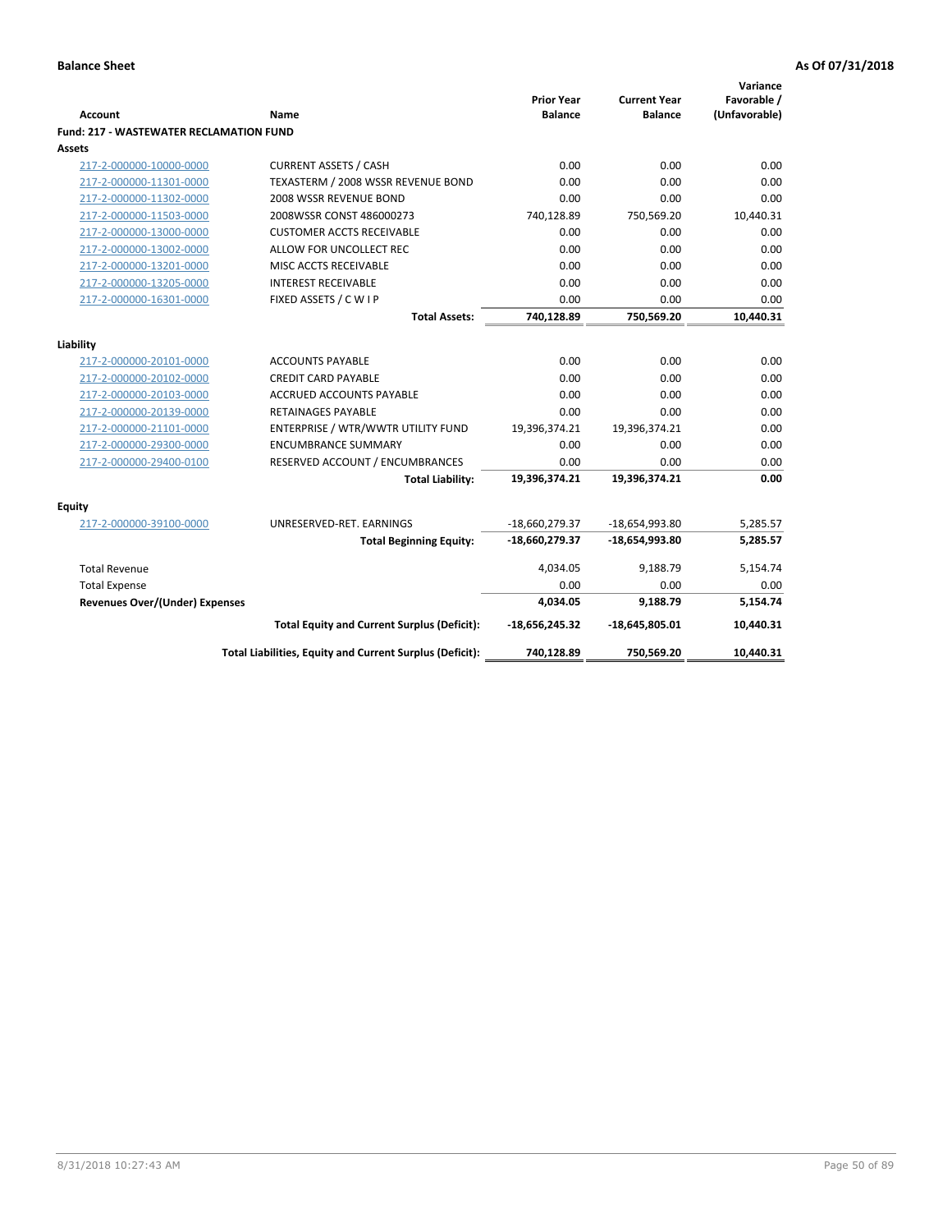| <b>Account</b>                                 | Name                                                     | <b>Prior Year</b><br><b>Balance</b> | <b>Current Year</b><br><b>Balance</b> | Variance<br>Favorable /<br>(Unfavorable) |
|------------------------------------------------|----------------------------------------------------------|-------------------------------------|---------------------------------------|------------------------------------------|
| <b>Fund: 217 - WASTEWATER RECLAMATION FUND</b> |                                                          |                                     |                                       |                                          |
| <b>Assets</b>                                  |                                                          |                                     |                                       |                                          |
| 217-2-000000-10000-0000                        | <b>CURRENT ASSETS / CASH</b>                             | 0.00                                | 0.00                                  | 0.00                                     |
| 217-2-000000-11301-0000                        | TEXASTERM / 2008 WSSR REVENUE BOND                       | 0.00                                | 0.00                                  | 0.00                                     |
| 217-2-000000-11302-0000                        | 2008 WSSR REVENUE BOND                                   | 0.00                                | 0.00                                  | 0.00                                     |
| 217-2-000000-11503-0000                        | 2008WSSR CONST 486000273                                 | 740,128.89                          | 750,569.20                            | 10,440.31                                |
| 217-2-000000-13000-0000                        | <b>CUSTOMER ACCTS RECEIVABLE</b>                         | 0.00                                | 0.00                                  | 0.00                                     |
| 217-2-000000-13002-0000                        | ALLOW FOR UNCOLLECT REC                                  | 0.00                                | 0.00                                  | 0.00                                     |
| 217-2-000000-13201-0000                        | MISC ACCTS RECEIVABLE                                    | 0.00                                | 0.00                                  | 0.00                                     |
| 217-2-000000-13205-0000                        | <b>INTEREST RECEIVABLE</b>                               | 0.00                                | 0.00                                  | 0.00                                     |
| 217-2-000000-16301-0000                        | FIXED ASSETS / C W I P                                   | 0.00                                | 0.00                                  | 0.00                                     |
|                                                | <b>Total Assets:</b>                                     | 740,128.89                          | 750,569.20                            | 10,440.31                                |
|                                                |                                                          |                                     |                                       |                                          |
| Liability                                      |                                                          |                                     |                                       |                                          |
| 217-2-000000-20101-0000                        | <b>ACCOUNTS PAYABLE</b>                                  | 0.00                                | 0.00                                  | 0.00                                     |
| 217-2-000000-20102-0000                        | <b>CREDIT CARD PAYABLE</b>                               | 0.00                                | 0.00                                  | 0.00                                     |
| 217-2-000000-20103-0000                        | <b>ACCRUED ACCOUNTS PAYABLE</b>                          | 0.00                                | 0.00                                  | 0.00                                     |
| 217-2-000000-20139-0000                        | <b>RETAINAGES PAYABLE</b>                                | 0.00                                | 0.00                                  | 0.00                                     |
| 217-2-000000-21101-0000                        | ENTERPRISE / WTR/WWTR UTILITY FUND                       | 19,396,374.21                       | 19,396,374.21                         | 0.00                                     |
| 217-2-000000-29300-0000                        | <b>ENCUMBRANCE SUMMARY</b>                               | 0.00                                | 0.00                                  | 0.00                                     |
| 217-2-000000-29400-0100                        | RESERVED ACCOUNT / ENCUMBRANCES                          | 0.00                                | 0.00                                  | 0.00                                     |
|                                                | <b>Total Liability:</b>                                  | 19,396,374.21                       | 19,396,374.21                         | 0.00                                     |
| <b>Equity</b>                                  |                                                          |                                     |                                       |                                          |
| 217-2-000000-39100-0000                        | UNRESERVED-RET. EARNINGS                                 | -18,660,279.37                      | -18,654,993.80                        | 5,285.57                                 |
|                                                | <b>Total Beginning Equity:</b>                           | -18,660,279.37                      | -18,654,993.80                        | 5,285.57                                 |
|                                                |                                                          |                                     |                                       |                                          |
| <b>Total Revenue</b>                           |                                                          | 4,034.05                            | 9,188.79                              | 5,154.74                                 |
| <b>Total Expense</b>                           |                                                          | 0.00                                | 0.00                                  | 0.00                                     |
| <b>Revenues Over/(Under) Expenses</b>          |                                                          | 4,034.05                            | 9,188.79                              | 5,154.74                                 |
|                                                | <b>Total Equity and Current Surplus (Deficit):</b>       | $-18,656,245.32$                    | $-18,645,805.01$                      | 10,440.31                                |
|                                                | Total Liabilities, Equity and Current Surplus (Deficit): | 740,128.89                          | 750,569.20                            | 10,440.31                                |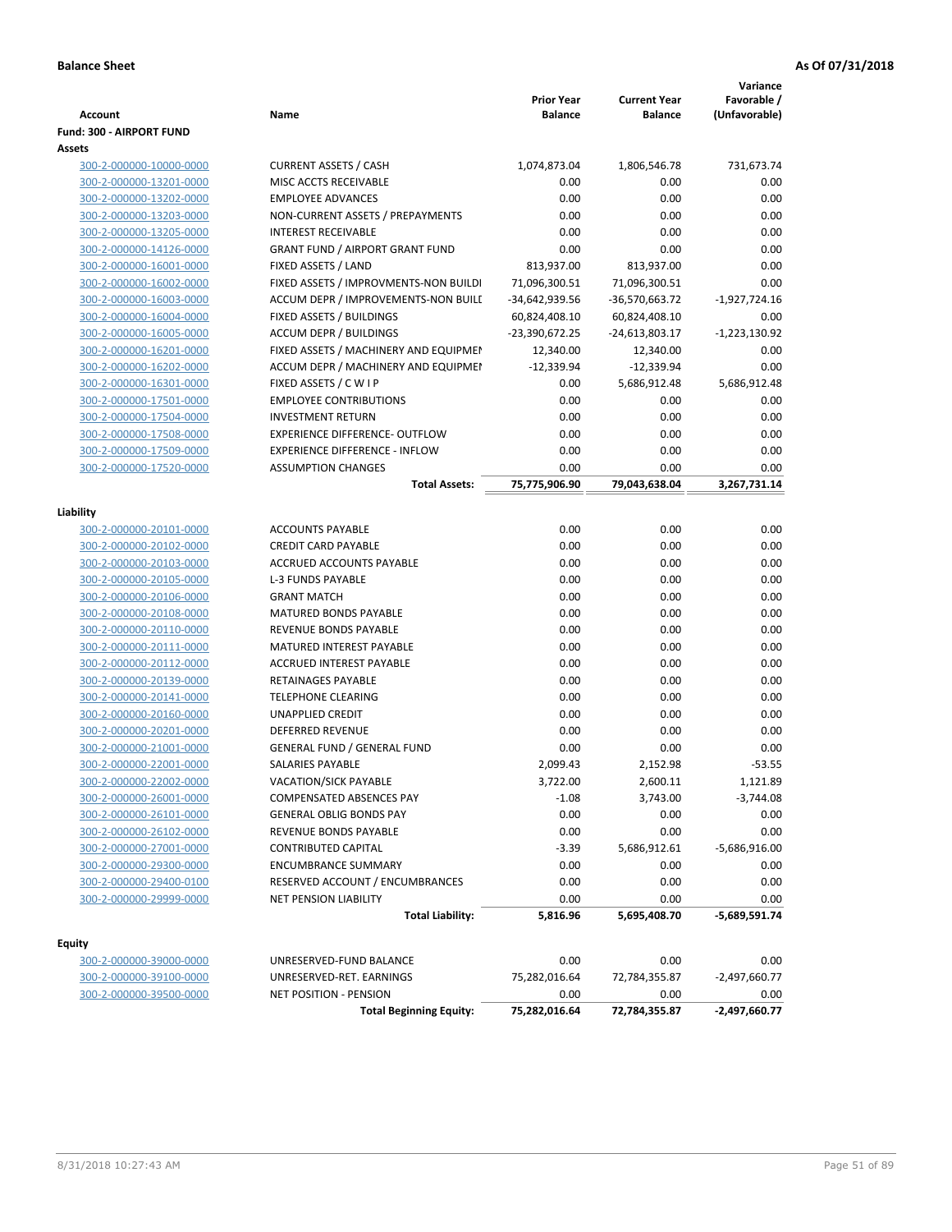|                                |                                        | <b>Prior Year</b> | <b>Current Year</b> | Variance<br>Favorable / |
|--------------------------------|----------------------------------------|-------------------|---------------------|-------------------------|
| <b>Account</b>                 | Name                                   | <b>Balance</b>    | <b>Balance</b>      | (Unfavorable)           |
| Fund: 300 - AIRPORT FUND       |                                        |                   |                     |                         |
| Assets                         |                                        |                   |                     |                         |
| 300-2-000000-10000-0000        | <b>CURRENT ASSETS / CASH</b>           | 1,074,873.04      | 1,806,546.78        | 731,673.74              |
| 300-2-000000-13201-0000        | MISC ACCTS RECEIVABLE                  | 0.00              | 0.00                | 0.00                    |
| 300-2-000000-13202-0000        | <b>EMPLOYEE ADVANCES</b>               | 0.00              | 0.00                | 0.00                    |
| 300-2-000000-13203-0000        | NON-CURRENT ASSETS / PREPAYMENTS       | 0.00              | 0.00                | 0.00                    |
| 300-2-000000-13205-0000        | <b>INTEREST RECEIVABLE</b>             | 0.00              | 0.00                | 0.00                    |
| 300-2-000000-14126-0000        | <b>GRANT FUND / AIRPORT GRANT FUND</b> | 0.00              | 0.00                | 0.00                    |
| 300-2-000000-16001-0000        | FIXED ASSETS / LAND                    | 813,937.00        | 813,937.00          | 0.00                    |
| 300-2-000000-16002-0000        | FIXED ASSETS / IMPROVMENTS-NON BUILDI  | 71,096,300.51     | 71,096,300.51       | 0.00                    |
| 300-2-000000-16003-0000        | ACCUM DEPR / IMPROVEMENTS-NON BUILI    | -34,642,939.56    | -36,570,663.72      | $-1,927,724.16$         |
| 300-2-000000-16004-0000        | FIXED ASSETS / BUILDINGS               | 60,824,408.10     | 60,824,408.10       | 0.00                    |
| 300-2-000000-16005-0000        | <b>ACCUM DEPR / BUILDINGS</b>          | -23,390,672.25    | -24,613,803.17      | $-1,223,130.92$         |
| 300-2-000000-16201-0000        | FIXED ASSETS / MACHINERY AND EQUIPMEN  | 12,340.00         | 12,340.00           | 0.00                    |
| 300-2-000000-16202-0000        | ACCUM DEPR / MACHINERY AND EQUIPMEI    | $-12,339.94$      | $-12,339.94$        | 0.00                    |
| 300-2-000000-16301-0000        | FIXED ASSETS / C W I P                 | 0.00              | 5,686,912.48        | 5,686,912.48            |
| 300-2-000000-17501-0000        | <b>EMPLOYEE CONTRIBUTIONS</b>          | 0.00              | 0.00                | 0.00                    |
| 300-2-000000-17504-0000        | <b>INVESTMENT RETURN</b>               | 0.00              | 0.00                | 0.00                    |
| 300-2-000000-17508-0000        | <b>EXPERIENCE DIFFERENCE- OUTFLOW</b>  | 0.00              | 0.00                | 0.00                    |
| 300-2-000000-17509-0000        | <b>EXPERIENCE DIFFERENCE - INFLOW</b>  | 0.00              | 0.00                | 0.00                    |
| 300-2-000000-17520-0000        | <b>ASSUMPTION CHANGES</b>              | 0.00              | 0.00                | 0.00                    |
|                                | <b>Total Assets:</b>                   | 75,775,906.90     | 79,043,638.04       | 3,267,731.14            |
| Liability                      |                                        |                   |                     |                         |
| 300-2-000000-20101-0000        | <b>ACCOUNTS PAYABLE</b>                | 0.00              | 0.00                | 0.00                    |
| 300-2-000000-20102-0000        | <b>CREDIT CARD PAYABLE</b>             | 0.00              | 0.00                | 0.00                    |
| 300-2-000000-20103-0000        | ACCRUED ACCOUNTS PAYABLE               | 0.00              | 0.00                | 0.00                    |
| 300-2-000000-20105-0000        | <b>L-3 FUNDS PAYABLE</b>               | 0.00              | 0.00                | 0.00                    |
| 300-2-000000-20106-0000        | <b>GRANT MATCH</b>                     | 0.00              | 0.00                | 0.00                    |
| 300-2-000000-20108-0000        | MATURED BONDS PAYABLE                  | 0.00              | 0.00                | 0.00                    |
| 300-2-000000-20110-0000        | REVENUE BONDS PAYABLE                  | 0.00              | 0.00                | 0.00                    |
| 300-2-000000-20111-0000        | MATURED INTEREST PAYABLE               | 0.00              | 0.00                | 0.00                    |
| 300-2-000000-20112-0000        | ACCRUED INTEREST PAYABLE               | 0.00              | 0.00                | 0.00                    |
| 300-2-000000-20139-0000        | RETAINAGES PAYABLE                     | 0.00              | 0.00                | 0.00                    |
| 300-2-000000-20141-0000        | <b>TELEPHONE CLEARING</b>              | 0.00              | 0.00                | 0.00                    |
| 300-2-000000-20160-0000        | <b>UNAPPLIED CREDIT</b>                | 0.00              | 0.00                | 0.00                    |
| 300-2-000000-20201-0000        | <b>DEFERRED REVENUE</b>                | 0.00              | 0.00                | 0.00                    |
| 300-2-000000-21001-0000        | <b>GENERAL FUND / GENERAL FUND</b>     | 0.00              | 0.00                | 0.00                    |
| <u>300-2-000000-22001-0000</u> | SALARIES PAYABLE                       | 2,099.43          | 2,152.98            | $-53.55$                |
| 300-2-000000-22002-0000        | VACATION/SICK PAYABLE                  | 3,722.00          | 2,600.11            | 1,121.89                |
| 300-2-000000-26001-0000        | <b>COMPENSATED ABSENCES PAY</b>        | $-1.08$           | 3,743.00            | $-3,744.08$             |
| 300-2-000000-26101-0000        | <b>GENERAL OBLIG BONDS PAY</b>         | 0.00              | 0.00                | 0.00                    |
| 300-2-000000-26102-0000        | REVENUE BONDS PAYABLE                  | 0.00              | 0.00                | 0.00                    |
| 300-2-000000-27001-0000        | <b>CONTRIBUTED CAPITAL</b>             | $-3.39$           | 5,686,912.61        | $-5,686,916.00$         |
| 300-2-000000-29300-0000        | <b>ENCUMBRANCE SUMMARY</b>             | 0.00              | 0.00                | 0.00                    |
| 300-2-000000-29400-0100        | RESERVED ACCOUNT / ENCUMBRANCES        | 0.00              | 0.00                | 0.00                    |
| 300-2-000000-29999-0000        | <b>NET PENSION LIABILITY</b>           | 0.00              | 0.00                | 0.00                    |
|                                | <b>Total Liability:</b>                | 5,816.96          | 5,695,408.70        | -5,689,591.74           |
|                                |                                        |                   |                     |                         |
| <b>Equity</b>                  |                                        |                   |                     |                         |
| 300-2-000000-39000-0000        | UNRESERVED-FUND BALANCE                | 0.00              | 0.00                | 0.00                    |
| 300-2-000000-39100-0000        | UNRESERVED-RET. EARNINGS               | 75,282,016.64     | 72,784,355.87       | $-2,497,660.77$         |
| 300-2-000000-39500-0000        | NET POSITION - PENSION                 | 0.00              | 0.00                | 0.00                    |
|                                | <b>Total Beginning Equity:</b>         | 75,282,016.64     | 72,784,355.87       | $-2,497,660.77$         |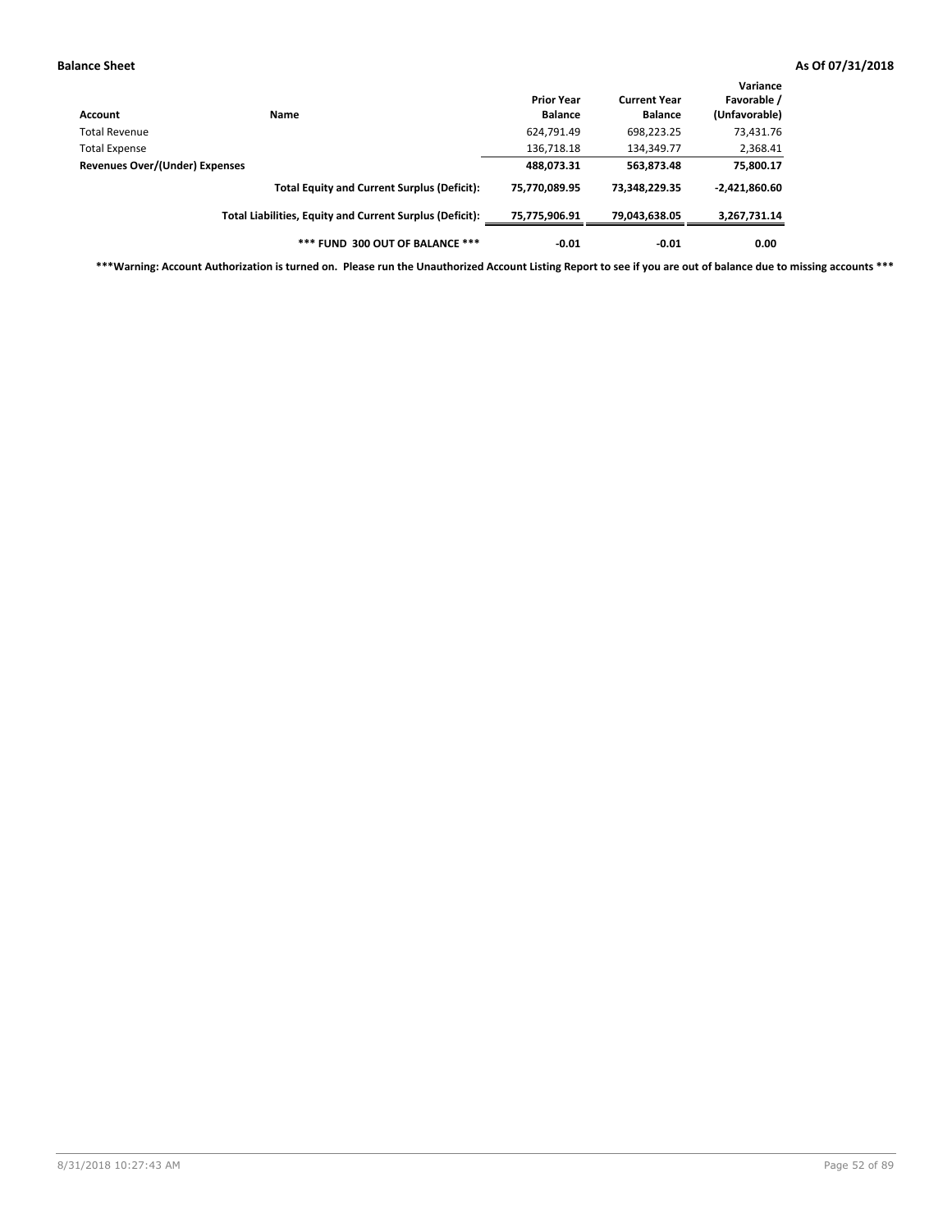| Account                        | Name                                                     | <b>Prior Year</b><br><b>Balance</b> | <b>Current Year</b><br><b>Balance</b> | Variance<br>Favorable /<br>(Unfavorable) |
|--------------------------------|----------------------------------------------------------|-------------------------------------|---------------------------------------|------------------------------------------|
| Total Revenue                  |                                                          | 624,791.49                          | 698,223.25                            | 73,431.76                                |
| Total Expense                  |                                                          | 136,718.18                          | 134,349.77                            | 2,368.41                                 |
| Revenues Over/(Under) Expenses |                                                          | 488,073.31                          | 563,873.48                            | 75,800.17                                |
|                                | <b>Total Equity and Current Surplus (Deficit):</b>       | 75,770,089.95                       | 73,348,229.35                         | $-2,421,860.60$                          |
|                                | Total Liabilities, Equity and Current Surplus (Deficit): | 75,775,906.91                       | 79,043,638.05                         | 3,267,731.14                             |
|                                | *** FUND 300 OUT OF BALANCE ***                          | $-0.01$                             | $-0.01$                               | 0.00                                     |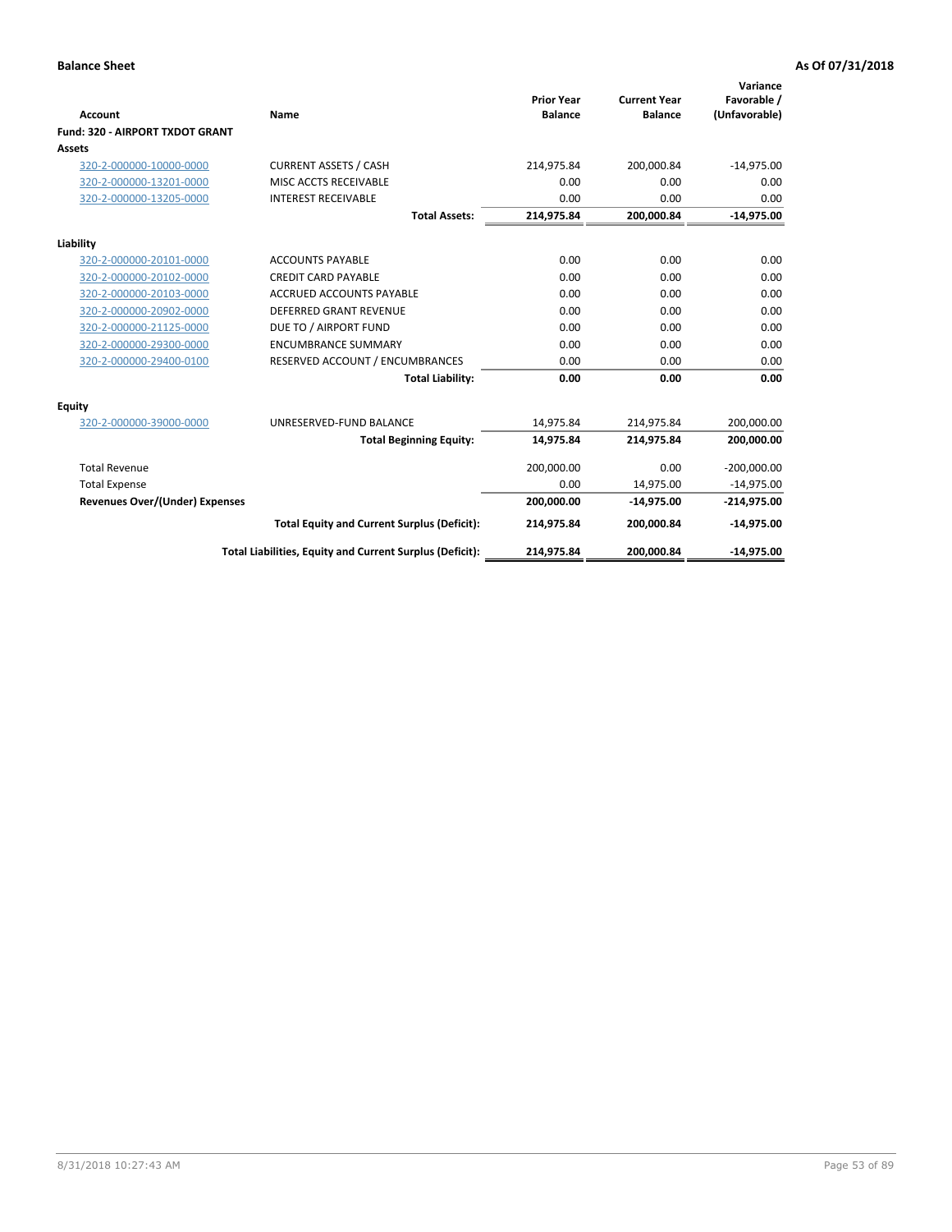|                                 |                                                          |                                     |                                       | Variance                     |
|---------------------------------|----------------------------------------------------------|-------------------------------------|---------------------------------------|------------------------------|
| Account                         | Name                                                     | <b>Prior Year</b><br><b>Balance</b> | <b>Current Year</b><br><b>Balance</b> | Favorable /<br>(Unfavorable) |
| Fund: 320 - AIRPORT TXDOT GRANT |                                                          |                                     |                                       |                              |
| Assets                          |                                                          |                                     |                                       |                              |
| 320-2-000000-10000-0000         | <b>CURRENT ASSETS / CASH</b>                             | 214,975.84                          | 200,000.84                            | $-14,975.00$                 |
| 320-2-000000-13201-0000         | MISC ACCTS RECEIVABLE                                    | 0.00                                | 0.00                                  | 0.00                         |
| 320-2-000000-13205-0000         | <b>INTEREST RECEIVABLE</b>                               | 0.00                                | 0.00                                  | 0.00                         |
|                                 | <b>Total Assets:</b>                                     | 214,975.84                          | 200,000.84                            | $-14,975.00$                 |
| Liability                       |                                                          |                                     |                                       |                              |
| 320-2-000000-20101-0000         | <b>ACCOUNTS PAYABLE</b>                                  | 0.00                                | 0.00                                  | 0.00                         |
| 320-2-000000-20102-0000         | <b>CREDIT CARD PAYABLE</b>                               | 0.00                                | 0.00                                  | 0.00                         |
| 320-2-000000-20103-0000         | <b>ACCRUED ACCOUNTS PAYABLE</b>                          | 0.00                                | 0.00                                  | 0.00                         |
| 320-2-000000-20902-0000         | <b>DEFERRED GRANT REVENUE</b>                            | 0.00                                | 0.00                                  | 0.00                         |
| 320-2-000000-21125-0000         | DUE TO / AIRPORT FUND                                    | 0.00                                | 0.00                                  | 0.00                         |
| 320-2-000000-29300-0000         | <b>ENCUMBRANCE SUMMARY</b>                               | 0.00                                | 0.00                                  | 0.00                         |
| 320-2-000000-29400-0100         | RESERVED ACCOUNT / ENCUMBRANCES                          | 0.00                                | 0.00                                  | 0.00                         |
|                                 | <b>Total Liability:</b>                                  | 0.00                                | 0.00                                  | 0.00                         |
| <b>Equity</b>                   |                                                          |                                     |                                       |                              |
| 320-2-000000-39000-0000         | UNRESERVED-FUND BALANCE                                  | 14,975.84                           | 214,975.84                            | 200,000.00                   |
|                                 | <b>Total Beginning Equity:</b>                           | 14,975.84                           | 214,975.84                            | 200,000.00                   |
| <b>Total Revenue</b>            |                                                          | 200,000.00                          | 0.00                                  | $-200,000.00$                |
| <b>Total Expense</b>            |                                                          | 0.00                                | 14,975.00                             | $-14,975.00$                 |
| Revenues Over/(Under) Expenses  |                                                          | 200,000.00                          | $-14,975.00$                          | $-214,975.00$                |
|                                 | <b>Total Equity and Current Surplus (Deficit):</b>       | 214,975.84                          | 200,000.84                            | $-14,975.00$                 |
|                                 | Total Liabilities, Equity and Current Surplus (Deficit): | 214,975.84                          | 200,000.84                            | $-14,975.00$                 |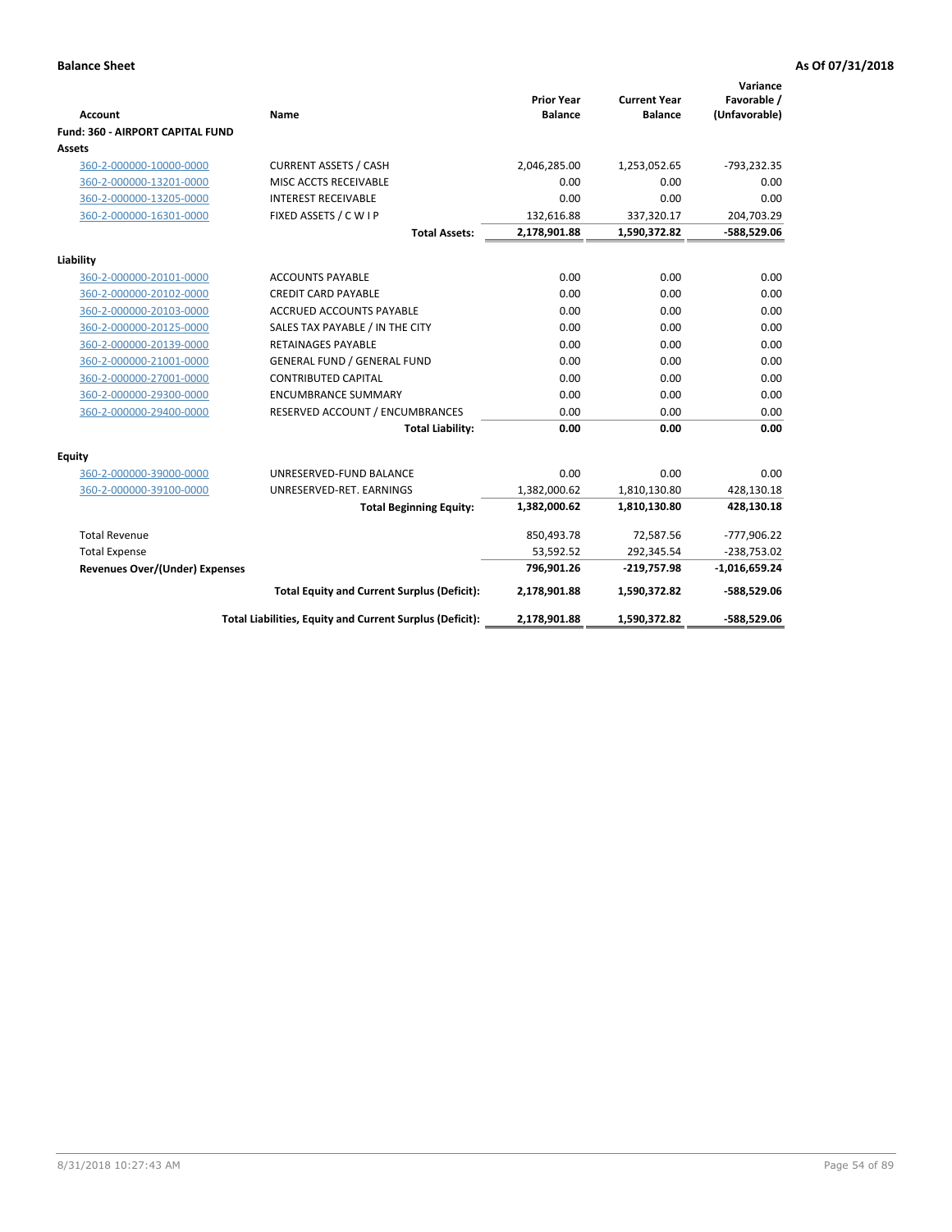|                                                    |                                                               |                                     |                                       | Variance                     |
|----------------------------------------------------|---------------------------------------------------------------|-------------------------------------|---------------------------------------|------------------------------|
| Account                                            | Name                                                          | <b>Prior Year</b><br><b>Balance</b> | <b>Current Year</b><br><b>Balance</b> | Favorable /<br>(Unfavorable) |
| <b>Fund: 360 - AIRPORT CAPITAL FUND</b>            |                                                               |                                     |                                       |                              |
| <b>Assets</b>                                      |                                                               |                                     |                                       |                              |
| 360-2-000000-10000-0000                            | <b>CURRENT ASSETS / CASH</b>                                  | 2,046,285.00                        | 1,253,052.65                          | $-793,232.35$                |
| 360-2-000000-13201-0000                            | MISC ACCTS RECEIVABLE                                         | 0.00                                | 0.00                                  | 0.00                         |
| 360-2-000000-13205-0000                            | <b>INTEREST RECEIVABLE</b>                                    | 0.00                                | 0.00                                  | 0.00                         |
| 360-2-000000-16301-0000                            | FIXED ASSETS / C W I P                                        | 132,616.88                          | 337,320.17                            | 204,703.29                   |
|                                                    | <b>Total Assets:</b>                                          | 2,178,901.88                        | 1,590,372.82                          | -588,529.06                  |
|                                                    |                                                               |                                     |                                       |                              |
| Liability                                          |                                                               |                                     |                                       |                              |
| 360-2-000000-20101-0000                            | <b>ACCOUNTS PAYABLE</b>                                       | 0.00                                | 0.00                                  | 0.00                         |
| 360-2-000000-20102-0000                            | <b>CREDIT CARD PAYABLE</b><br><b>ACCRUED ACCOUNTS PAYABLE</b> | 0.00<br>0.00                        | 0.00<br>0.00                          | 0.00<br>0.00                 |
| 360-2-000000-20103-0000                            |                                                               | 0.00                                | 0.00                                  | 0.00                         |
| 360-2-000000-20125-0000<br>360-2-000000-20139-0000 | SALES TAX PAYABLE / IN THE CITY<br><b>RETAINAGES PAYABLE</b>  | 0.00                                | 0.00                                  | 0.00                         |
| 360-2-000000-21001-0000                            | <b>GENERAL FUND / GENERAL FUND</b>                            | 0.00                                | 0.00                                  | 0.00                         |
| 360-2-000000-27001-0000                            | <b>CONTRIBUTED CAPITAL</b>                                    | 0.00                                | 0.00                                  | 0.00                         |
| 360-2-000000-29300-0000                            | <b>ENCUMBRANCE SUMMARY</b>                                    | 0.00                                | 0.00                                  | 0.00                         |
| 360-2-000000-29400-0000                            | RESERVED ACCOUNT / ENCUMBRANCES                               | 0.00                                | 0.00                                  | 0.00                         |
|                                                    | <b>Total Liability:</b>                                       | 0.00                                | 0.00                                  | 0.00                         |
|                                                    |                                                               |                                     |                                       |                              |
| Equity                                             |                                                               |                                     |                                       |                              |
| 360-2-000000-39000-0000                            | UNRESERVED-FUND BALANCE                                       | 0.00                                | 0.00                                  | 0.00                         |
| 360-2-000000-39100-0000                            | UNRESERVED-RET. EARNINGS                                      | 1,382,000.62                        | 1,810,130.80                          | 428,130.18                   |
|                                                    | <b>Total Beginning Equity:</b>                                | 1,382,000.62                        | 1,810,130.80                          | 428,130.18                   |
| <b>Total Revenue</b>                               |                                                               | 850,493.78                          | 72,587.56                             | $-777,906.22$                |
| <b>Total Expense</b>                               |                                                               | 53,592.52                           | 292,345.54                            | $-238,753.02$                |
| <b>Revenues Over/(Under) Expenses</b>              |                                                               | 796,901.26                          | $-219,757.98$                         | $-1,016,659.24$              |
|                                                    | <b>Total Equity and Current Surplus (Deficit):</b>            | 2,178,901.88                        | 1,590,372.82                          | -588,529.06                  |
|                                                    | Total Liabilities, Equity and Current Surplus (Deficit):      | 2,178,901.88                        | 1,590,372.82                          | -588,529.06                  |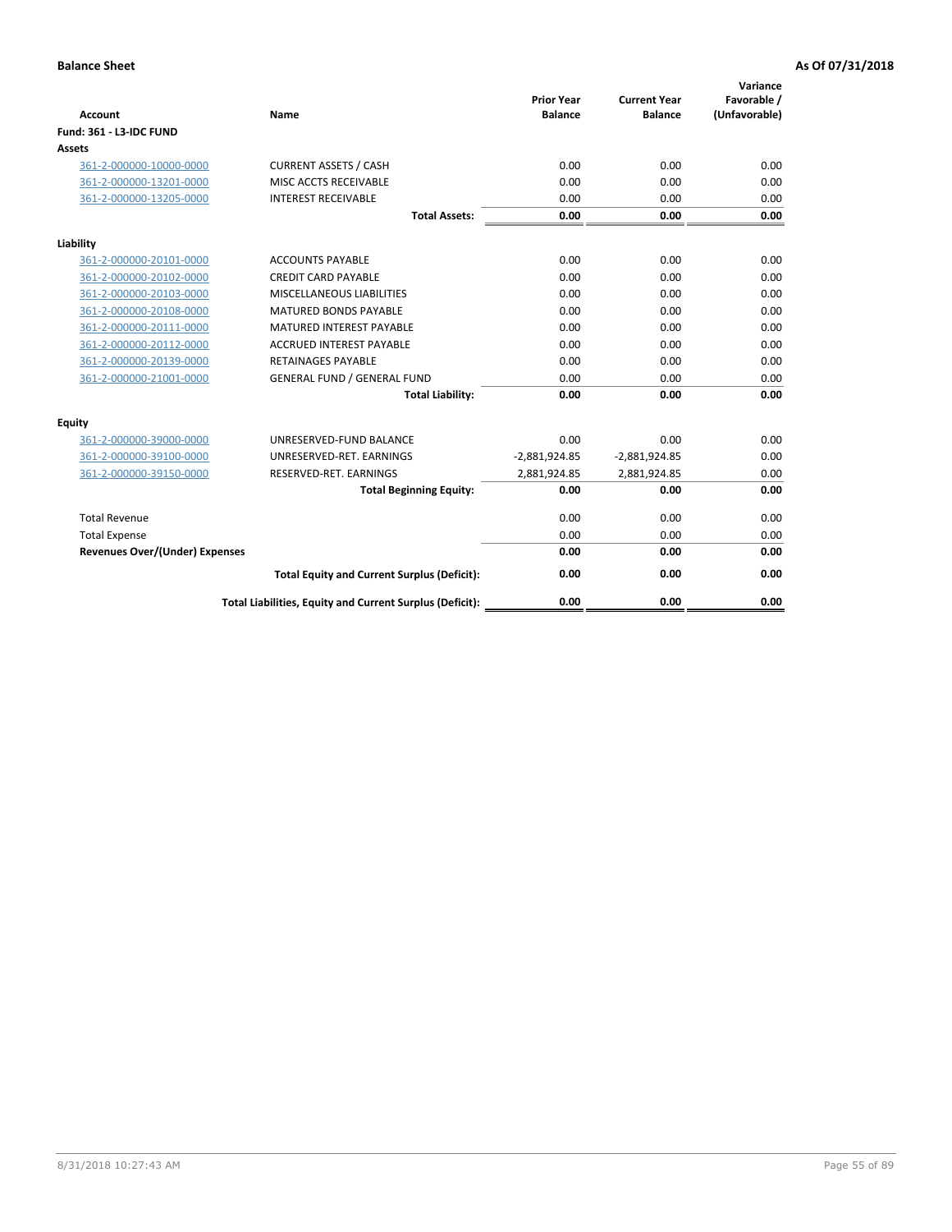| <b>Account</b>                        | Name                                                     | <b>Prior Year</b><br><b>Balance</b> | <b>Current Year</b><br><b>Balance</b> | Variance<br>Favorable /<br>(Unfavorable) |
|---------------------------------------|----------------------------------------------------------|-------------------------------------|---------------------------------------|------------------------------------------|
| <b>Fund: 361 - L3-IDC FUND</b>        |                                                          |                                     |                                       |                                          |
| Assets                                |                                                          |                                     |                                       |                                          |
| 361-2-000000-10000-0000               | <b>CURRENT ASSETS / CASH</b>                             | 0.00                                | 0.00                                  | 0.00                                     |
| 361-2-000000-13201-0000               | MISC ACCTS RECEIVABLE                                    | 0.00                                | 0.00                                  | 0.00                                     |
| 361-2-000000-13205-0000               | <b>INTEREST RECEIVABLE</b>                               | 0.00                                | 0.00                                  | 0.00                                     |
|                                       | <b>Total Assets:</b>                                     | 0.00                                | 0.00                                  | 0.00                                     |
| Liability                             |                                                          |                                     |                                       |                                          |
| 361-2-000000-20101-0000               | <b>ACCOUNTS PAYABLE</b>                                  | 0.00                                | 0.00                                  | 0.00                                     |
| 361-2-000000-20102-0000               | <b>CREDIT CARD PAYABLE</b>                               | 0.00                                | 0.00                                  | 0.00                                     |
| 361-2-000000-20103-0000               | <b>MISCELLANEOUS LIABILITIES</b>                         | 0.00                                | 0.00                                  | 0.00                                     |
| 361-2-000000-20108-0000               | <b>MATURED BONDS PAYABLE</b>                             | 0.00                                | 0.00                                  | 0.00                                     |
| 361-2-000000-20111-0000               | <b>MATURED INTEREST PAYABLE</b>                          | 0.00                                | 0.00                                  | 0.00                                     |
| 361-2-000000-20112-0000               | <b>ACCRUED INTEREST PAYABLE</b>                          | 0.00                                | 0.00                                  | 0.00                                     |
| 361-2-000000-20139-0000               | <b>RETAINAGES PAYABLE</b>                                | 0.00                                | 0.00                                  | 0.00                                     |
| 361-2-000000-21001-0000               | <b>GENERAL FUND / GENERAL FUND</b>                       | 0.00                                | 0.00                                  | 0.00                                     |
|                                       | <b>Total Liability:</b>                                  | 0.00                                | 0.00                                  | 0.00                                     |
| Equity                                |                                                          |                                     |                                       |                                          |
| 361-2-000000-39000-0000               | UNRESERVED-FUND BALANCE                                  | 0.00                                | 0.00                                  | 0.00                                     |
| 361-2-000000-39100-0000               | UNRESERVED-RET. EARNINGS                                 | $-2,881,924.85$                     | $-2,881,924.85$                       | 0.00                                     |
| 361-2-000000-39150-0000               | RESERVED-RET. EARNINGS                                   | 2,881,924.85                        | 2,881,924.85                          | 0.00                                     |
|                                       | <b>Total Beginning Equity:</b>                           | 0.00                                | 0.00                                  | 0.00                                     |
| <b>Total Revenue</b>                  |                                                          | 0.00                                | 0.00                                  | 0.00                                     |
| <b>Total Expense</b>                  |                                                          | 0.00                                | 0.00                                  | 0.00                                     |
| <b>Revenues Over/(Under) Expenses</b> |                                                          | 0.00                                | 0.00                                  | 0.00                                     |
|                                       | <b>Total Equity and Current Surplus (Deficit):</b>       | 0.00                                | 0.00                                  | 0.00                                     |
|                                       | Total Liabilities, Equity and Current Surplus (Deficit): | 0.00                                | 0.00                                  | 0.00                                     |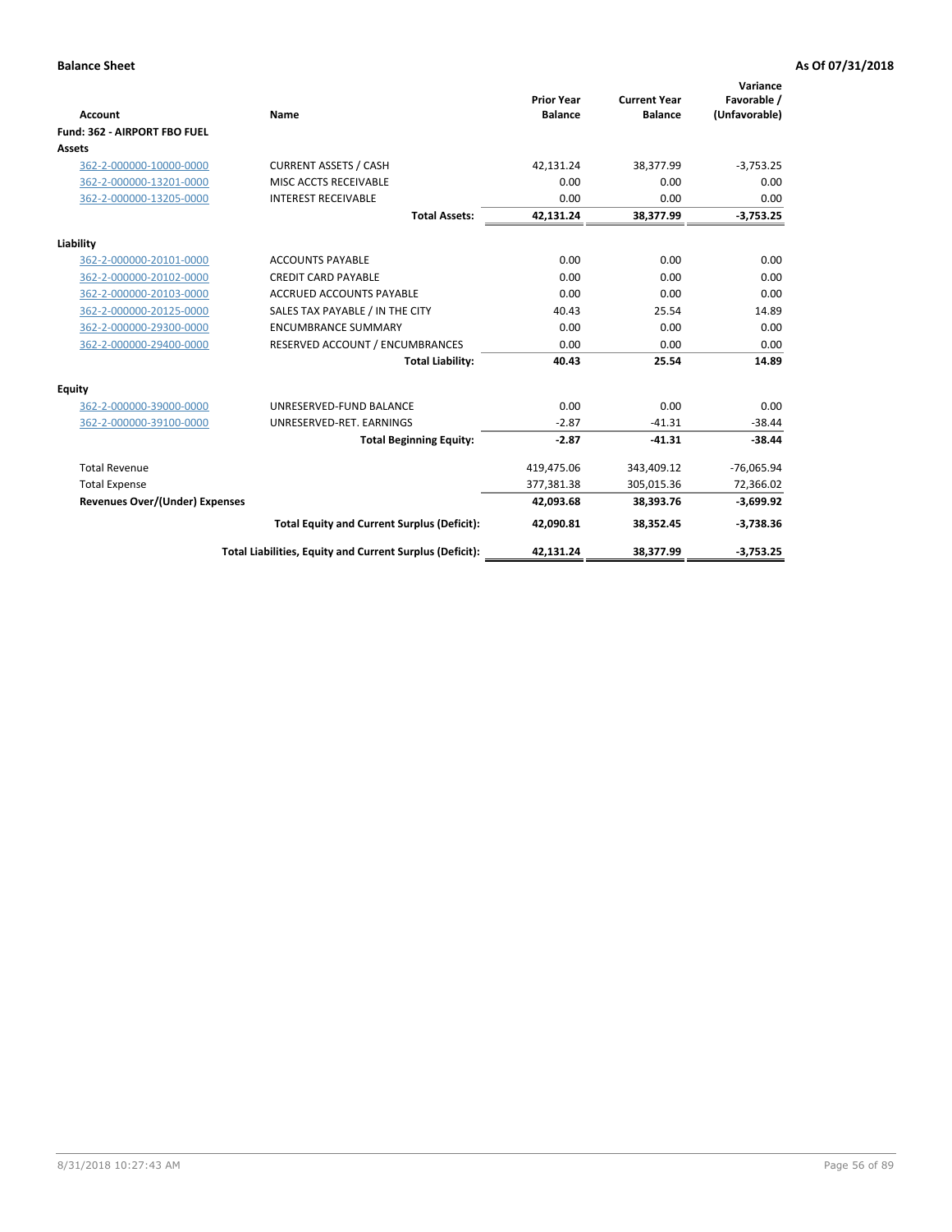|                                       |                                                          |                                     |                                       | Variance                     |
|---------------------------------------|----------------------------------------------------------|-------------------------------------|---------------------------------------|------------------------------|
| Account                               | Name                                                     | <b>Prior Year</b><br><b>Balance</b> | <b>Current Year</b><br><b>Balance</b> | Favorable /<br>(Unfavorable) |
| Fund: 362 - AIRPORT FBO FUEL          |                                                          |                                     |                                       |                              |
| Assets                                |                                                          |                                     |                                       |                              |
| 362-2-000000-10000-0000               | <b>CURRENT ASSETS / CASH</b>                             | 42,131.24                           | 38,377.99                             | $-3,753.25$                  |
| 362-2-000000-13201-0000               | MISC ACCTS RECEIVABLE                                    | 0.00                                | 0.00                                  | 0.00                         |
| 362-2-000000-13205-0000               | <b>INTEREST RECEIVABLE</b>                               | 0.00                                | 0.00                                  | 0.00                         |
|                                       | <b>Total Assets:</b>                                     | 42,131.24                           | 38,377.99                             | $-3,753.25$                  |
| Liability                             |                                                          |                                     |                                       |                              |
| 362-2-000000-20101-0000               | <b>ACCOUNTS PAYABLE</b>                                  | 0.00                                | 0.00                                  | 0.00                         |
| 362-2-000000-20102-0000               | <b>CREDIT CARD PAYABLE</b>                               | 0.00                                | 0.00                                  | 0.00                         |
| 362-2-000000-20103-0000               | <b>ACCRUED ACCOUNTS PAYABLE</b>                          | 0.00                                | 0.00                                  | 0.00                         |
| 362-2-000000-20125-0000               | SALES TAX PAYABLE / IN THE CITY                          | 40.43                               | 25.54                                 | 14.89                        |
| 362-2-000000-29300-0000               | <b>ENCUMBRANCE SUMMARY</b>                               | 0.00                                | 0.00                                  | 0.00                         |
| 362-2-000000-29400-0000               | RESERVED ACCOUNT / ENCUMBRANCES                          | 0.00                                | 0.00                                  | 0.00                         |
|                                       | <b>Total Liability:</b>                                  | 40.43                               | 25.54                                 | 14.89                        |
| Equity                                |                                                          |                                     |                                       |                              |
| 362-2-000000-39000-0000               | UNRESERVED-FUND BALANCE                                  | 0.00                                | 0.00                                  | 0.00                         |
| 362-2-000000-39100-0000               | UNRESERVED-RET. EARNINGS                                 | $-2.87$                             | $-41.31$                              | $-38.44$                     |
|                                       | <b>Total Beginning Equity:</b>                           | $-2.87$                             | $-41.31$                              | $-38.44$                     |
| <b>Total Revenue</b>                  |                                                          | 419,475.06                          | 343,409.12                            | $-76,065.94$                 |
| <b>Total Expense</b>                  |                                                          | 377,381.38                          | 305,015.36                            | 72,366.02                    |
| <b>Revenues Over/(Under) Expenses</b> |                                                          | 42.093.68                           | 38,393.76                             | $-3,699.92$                  |
|                                       | <b>Total Equity and Current Surplus (Deficit):</b>       | 42,090.81                           | 38,352.45                             | $-3,738.36$                  |
|                                       | Total Liabilities, Equity and Current Surplus (Deficit): | 42,131.24                           | 38,377.99                             | $-3,753.25$                  |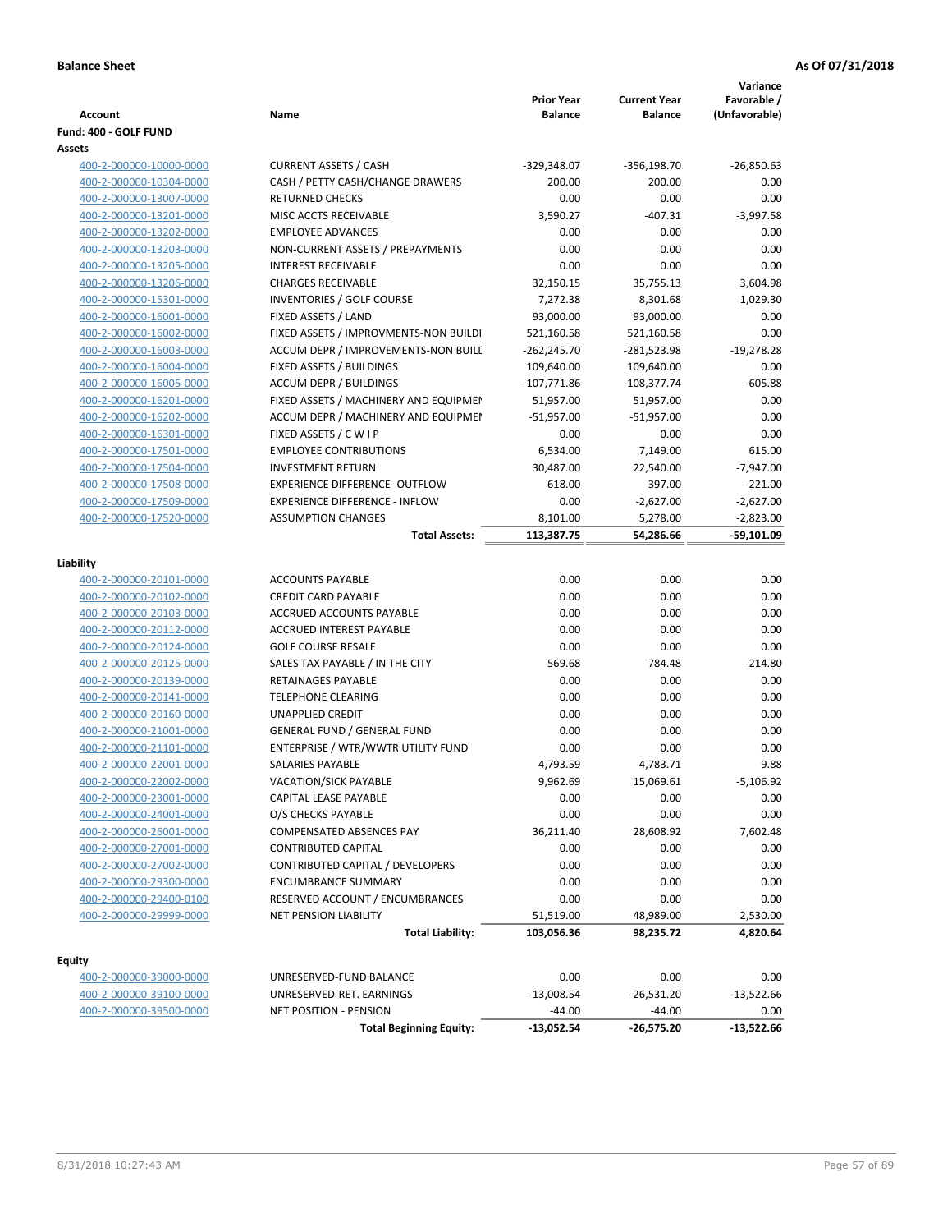|                         |                                                                | <b>Prior Year</b> | <b>Current Year</b> | Variance<br>Favorable / |
|-------------------------|----------------------------------------------------------------|-------------------|---------------------|-------------------------|
| Account                 | Name                                                           | <b>Balance</b>    | <b>Balance</b>      | (Unfavorable)           |
| Fund: 400 - GOLF FUND   |                                                                |                   |                     |                         |
| Assets                  |                                                                |                   |                     |                         |
| 400-2-000000-10000-0000 | <b>CURRENT ASSETS / CASH</b>                                   | $-329,348.07$     | $-356, 198.70$      | $-26,850.63$            |
| 400-2-000000-10304-0000 | CASH / PETTY CASH/CHANGE DRAWERS                               | 200.00            | 200.00              | 0.00                    |
| 400-2-000000-13007-0000 | <b>RETURNED CHECKS</b>                                         | 0.00              | 0.00                | 0.00                    |
| 400-2-000000-13201-0000 | MISC ACCTS RECEIVABLE                                          | 3,590.27          | $-407.31$           | $-3,997.58$             |
| 400-2-000000-13202-0000 | <b>EMPLOYEE ADVANCES</b>                                       | 0.00              | 0.00                | 0.00                    |
| 400-2-000000-13203-0000 | NON-CURRENT ASSETS / PREPAYMENTS<br><b>INTEREST RECEIVABLE</b> | 0.00              | 0.00                | 0.00                    |
| 400-2-000000-13205-0000 |                                                                | 0.00              | 0.00                | 0.00                    |
| 400-2-000000-13206-0000 | <b>CHARGES RECEIVABLE</b>                                      | 32,150.15         | 35,755.13           | 3,604.98                |
| 400-2-000000-15301-0000 | <b>INVENTORIES / GOLF COURSE</b>                               | 7,272.38          | 8,301.68            | 1,029.30                |
| 400-2-000000-16001-0000 | FIXED ASSETS / LAND                                            | 93,000.00         | 93,000.00           | 0.00                    |
| 400-2-000000-16002-0000 | FIXED ASSETS / IMPROVMENTS-NON BUILDI                          | 521,160.58        | 521,160.58          | 0.00                    |
| 400-2-000000-16003-0000 | ACCUM DEPR / IMPROVEMENTS-NON BUILI                            | $-262,245.70$     | -281,523.98         | $-19,278.28$            |
| 400-2-000000-16004-0000 | FIXED ASSETS / BUILDINGS                                       | 109,640.00        | 109,640.00          | 0.00                    |
| 400-2-000000-16005-0000 | <b>ACCUM DEPR / BUILDINGS</b>                                  | $-107,771.86$     | $-108,377.74$       | $-605.88$               |
| 400-2-000000-16201-0000 | FIXED ASSETS / MACHINERY AND EQUIPMEN                          | 51,957.00         | 51,957.00           | 0.00                    |
| 400-2-000000-16202-0000 | ACCUM DEPR / MACHINERY AND EQUIPMEI                            | $-51,957.00$      | $-51,957.00$        | 0.00                    |
| 400-2-000000-16301-0000 | FIXED ASSETS / C W I P                                         | 0.00              | 0.00                | 0.00                    |
| 400-2-000000-17501-0000 | <b>EMPLOYEE CONTRIBUTIONS</b>                                  | 6,534.00          | 7,149.00            | 615.00                  |
| 400-2-000000-17504-0000 | <b>INVESTMENT RETURN</b>                                       | 30,487.00         | 22,540.00           | $-7,947.00$             |
| 400-2-000000-17508-0000 | <b>EXPERIENCE DIFFERENCE- OUTFLOW</b>                          | 618.00            | 397.00              | $-221.00$               |
| 400-2-000000-17509-0000 | <b>EXPERIENCE DIFFERENCE - INFLOW</b>                          | 0.00              | $-2,627.00$         | $-2,627.00$             |
| 400-2-000000-17520-0000 | <b>ASSUMPTION CHANGES</b>                                      | 8,101.00          | 5,278.00            | $-2,823.00$             |
|                         | <b>Total Assets:</b>                                           | 113,387.75        | 54,286.66           | -59,101.09              |
| Liability               |                                                                |                   |                     |                         |
| 400-2-000000-20101-0000 | <b>ACCOUNTS PAYABLE</b>                                        | 0.00              | 0.00                | 0.00                    |
| 400-2-000000-20102-0000 | <b>CREDIT CARD PAYABLE</b>                                     | 0.00              | 0.00                | 0.00                    |
| 400-2-000000-20103-0000 | ACCRUED ACCOUNTS PAYABLE                                       | 0.00              | 0.00                | 0.00                    |
| 400-2-000000-20112-0000 | ACCRUED INTEREST PAYABLE                                       | 0.00              | 0.00                | 0.00                    |
| 400-2-000000-20124-0000 | <b>GOLF COURSE RESALE</b>                                      | 0.00              | 0.00                | 0.00                    |
| 400-2-000000-20125-0000 | SALES TAX PAYABLE / IN THE CITY                                | 569.68            | 784.48              | $-214.80$               |
| 400-2-000000-20139-0000 | RETAINAGES PAYABLE                                             | 0.00              | 0.00                | 0.00                    |
| 400-2-000000-20141-0000 | <b>TELEPHONE CLEARING</b>                                      | 0.00              | 0.00                | 0.00                    |
| 400-2-000000-20160-0000 | <b>UNAPPLIED CREDIT</b>                                        | 0.00              | 0.00                | 0.00                    |
| 400-2-000000-21001-0000 | <b>GENERAL FUND / GENERAL FUND</b>                             | 0.00              | 0.00                | 0.00                    |
| 400-2-000000-21101-0000 | ENTERPRISE / WTR/WWTR UTILITY FUND                             | 0.00              | 0.00                | 0.00                    |
| 400-2-000000-22001-0000 | SALARIES PAYABLE                                               | 4,793.59          | 4,783.71            | 9.88                    |
| 400-2-000000-22002-0000 | VACATION/SICK PAYABLE                                          | 9,962.69          | 15,069.61           | $-5,106.92$             |
| 400-2-000000-23001-0000 | CAPITAL LEASE PAYABLE                                          | 0.00              | 0.00                | 0.00                    |
| 400-2-000000-24001-0000 | O/S CHECKS PAYABLE                                             | 0.00              | 0.00                | 0.00                    |
| 400-2-000000-26001-0000 | COMPENSATED ABSENCES PAY                                       | 36,211.40         | 28,608.92           | 7,602.48                |
| 400-2-000000-27001-0000 | <b>CONTRIBUTED CAPITAL</b>                                     | 0.00              | 0.00                | 0.00                    |
| 400-2-000000-27002-0000 | CONTRIBUTED CAPITAL / DEVELOPERS                               | 0.00              | 0.00                | 0.00                    |
| 400-2-000000-29300-0000 | <b>ENCUMBRANCE SUMMARY</b>                                     | 0.00              | 0.00                | 0.00                    |
| 400-2-000000-29400-0100 | RESERVED ACCOUNT / ENCUMBRANCES                                | 0.00              | 0.00                | 0.00                    |
| 400-2-000000-29999-0000 | NET PENSION LIABILITY                                          | 51,519.00         | 48,989.00           | 2,530.00                |
|                         | <b>Total Liability:</b>                                        | 103,056.36        | 98,235.72           | 4,820.64                |
|                         |                                                                |                   |                     |                         |
| <b>Equity</b>           |                                                                |                   |                     |                         |
| 400-2-000000-39000-0000 | UNRESERVED-FUND BALANCE                                        | 0.00              | 0.00                | 0.00                    |
| 400-2-000000-39100-0000 | UNRESERVED-RET. EARNINGS                                       | $-13,008.54$      | $-26,531.20$        | $-13,522.66$            |
| 400-2-000000-39500-0000 | NET POSITION - PENSION                                         | $-44.00$          | $-44.00$            | 0.00                    |
|                         | <b>Total Beginning Equity:</b>                                 | $-13,052.54$      | -26,575.20          | $-13,522.66$            |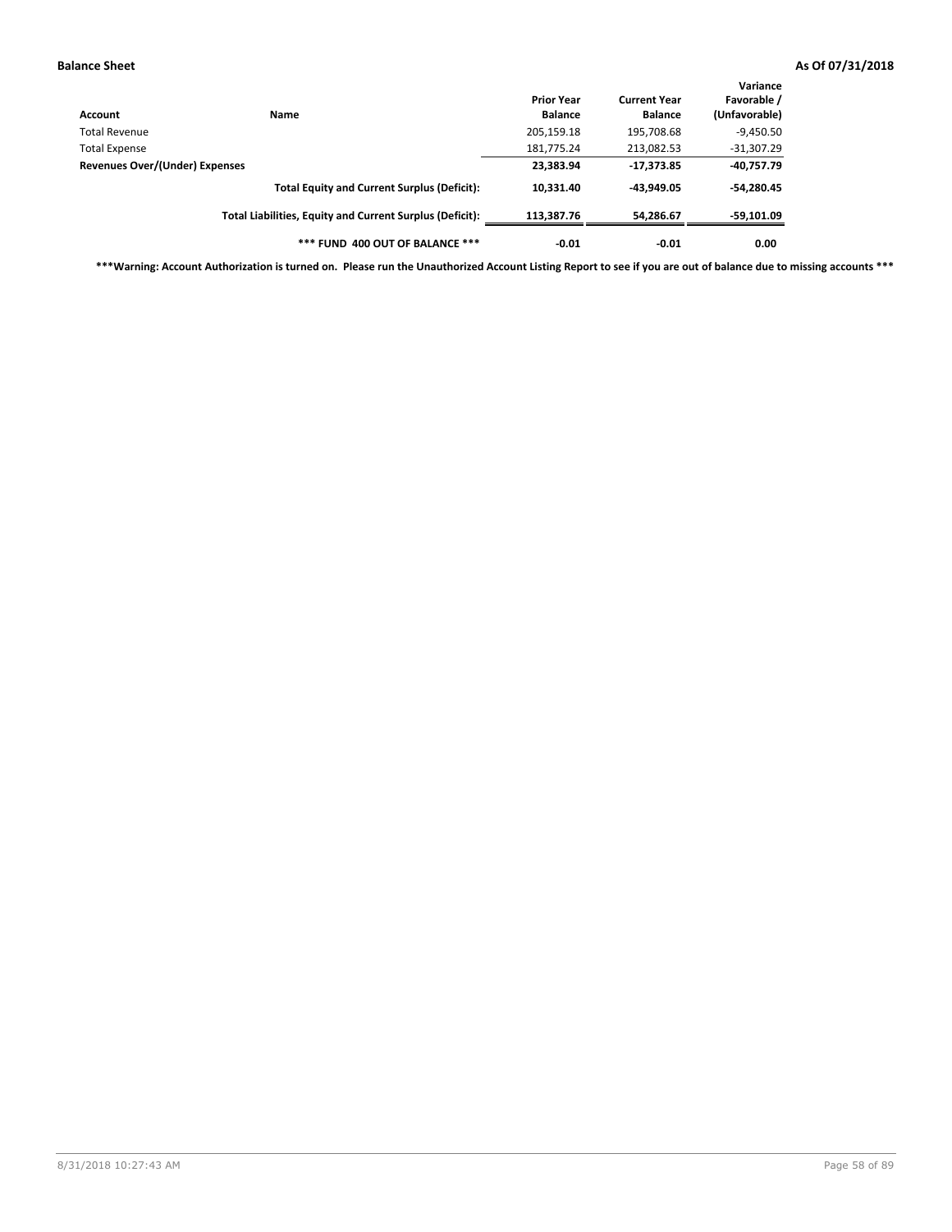| Account                        | <b>Name</b>                                              | <b>Prior Year</b><br><b>Balance</b> | <b>Current Year</b><br><b>Balance</b> | Variance<br>Favorable /<br>(Unfavorable) |
|--------------------------------|----------------------------------------------------------|-------------------------------------|---------------------------------------|------------------------------------------|
| Total Revenue                  |                                                          | 205,159.18                          | 195,708.68                            | $-9,450.50$                              |
| <b>Total Expense</b>           |                                                          | 181,775.24                          | 213,082.53                            | $-31,307.29$                             |
| Revenues Over/(Under) Expenses |                                                          | 23,383.94                           | $-17,373.85$                          | $-40,757.79$                             |
|                                | <b>Total Equity and Current Surplus (Deficit):</b>       | 10,331.40                           | -43.949.05                            | $-54,280.45$                             |
|                                | Total Liabilities, Equity and Current Surplus (Deficit): | 113.387.76                          | 54,286.67                             | -59,101.09                               |
|                                | *** FUND 400 OUT OF BALANCE ***                          | $-0.01$                             | $-0.01$                               | 0.00                                     |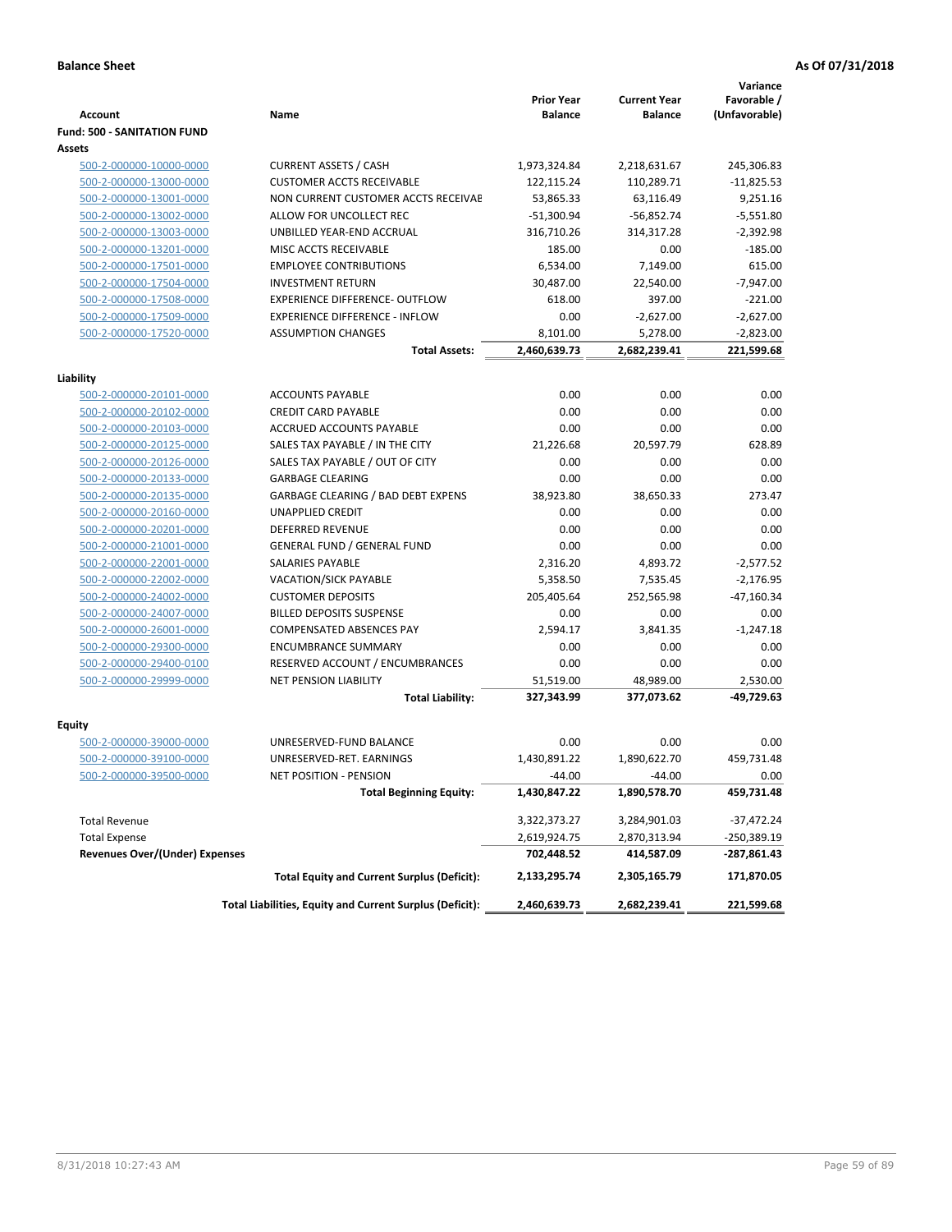|                                                     |                                                          |                         |                     | Variance               |
|-----------------------------------------------------|----------------------------------------------------------|-------------------------|---------------------|------------------------|
|                                                     |                                                          | <b>Prior Year</b>       | <b>Current Year</b> | Favorable /            |
| <b>Account</b>                                      | Name                                                     | <b>Balance</b>          | <b>Balance</b>      | (Unfavorable)          |
| <b>Fund: 500 - SANITATION FUND</b><br><b>Assets</b> |                                                          |                         |                     |                        |
| 500-2-000000-10000-0000                             | <b>CURRENT ASSETS / CASH</b>                             | 1,973,324.84            | 2,218,631.67        | 245,306.83             |
| 500-2-000000-13000-0000                             | <b>CUSTOMER ACCTS RECEIVABLE</b>                         | 122,115.24              | 110,289.71          | $-11,825.53$           |
| 500-2-000000-13001-0000                             | NON CURRENT CUSTOMER ACCTS RECEIVAE                      | 53,865.33               | 63,116.49           | 9,251.16               |
| 500-2-000000-13002-0000                             | ALLOW FOR UNCOLLECT REC                                  | $-51,300.94$            | $-56,852.74$        | $-5,551.80$            |
| 500-2-000000-13003-0000                             | UNBILLED YEAR-END ACCRUAL                                | 316,710.26              | 314,317.28          | $-2,392.98$            |
| 500-2-000000-13201-0000                             | MISC ACCTS RECEIVABLE                                    | 185.00                  | 0.00                | $-185.00$              |
| 500-2-000000-17501-0000                             | <b>EMPLOYEE CONTRIBUTIONS</b>                            | 6,534.00                | 7,149.00            | 615.00                 |
| 500-2-000000-17504-0000                             | <b>INVESTMENT RETURN</b>                                 | 30,487.00               | 22,540.00           | $-7,947.00$            |
| 500-2-000000-17508-0000                             | <b>EXPERIENCE DIFFERENCE- OUTFLOW</b>                    | 618.00                  | 397.00              | $-221.00$              |
| 500-2-000000-17509-0000                             | <b>EXPERIENCE DIFFERENCE - INFLOW</b>                    | 0.00                    | $-2,627.00$         | $-2,627.00$            |
| 500-2-000000-17520-0000                             | <b>ASSUMPTION CHANGES</b>                                | 8,101.00                | 5,278.00            | $-2,823.00$            |
|                                                     | <b>Total Assets:</b>                                     | 2,460,639.73            | 2,682,239.41        | 221,599.68             |
|                                                     |                                                          |                         |                     |                        |
| Liability                                           |                                                          |                         |                     |                        |
| 500-2-000000-20101-0000                             | <b>ACCOUNTS PAYABLE</b>                                  | 0.00                    | 0.00                | 0.00                   |
| 500-2-000000-20102-0000                             | <b>CREDIT CARD PAYABLE</b>                               | 0.00                    | 0.00                | 0.00                   |
| 500-2-000000-20103-0000                             | ACCRUED ACCOUNTS PAYABLE                                 | 0.00                    | 0.00                | 0.00                   |
| 500-2-000000-20125-0000                             | SALES TAX PAYABLE / IN THE CITY                          | 21.226.68               | 20,597.79           | 628.89                 |
| 500-2-000000-20126-0000                             | SALES TAX PAYABLE / OUT OF CITY                          | 0.00                    | 0.00                | 0.00                   |
| 500-2-000000-20133-0000                             | <b>GARBAGE CLEARING</b>                                  | 0.00                    | 0.00                | 0.00                   |
| 500-2-000000-20135-0000                             | <b>GARBAGE CLEARING / BAD DEBT EXPENS</b>                | 38,923.80               | 38,650.33           | 273.47                 |
| 500-2-000000-20160-0000                             | UNAPPLIED CREDIT                                         | 0.00                    | 0.00                | 0.00                   |
| 500-2-000000-20201-0000                             | <b>DEFERRED REVENUE</b>                                  | 0.00                    | 0.00                | 0.00                   |
| 500-2-000000-21001-0000                             | <b>GENERAL FUND / GENERAL FUND</b>                       | 0.00                    | 0.00                | 0.00                   |
| 500-2-000000-22001-0000                             | SALARIES PAYABLE                                         | 2,316.20                | 4,893.72            | $-2,577.52$            |
| 500-2-000000-22002-0000                             | <b>VACATION/SICK PAYABLE</b>                             | 5,358.50                | 7,535.45            | $-2,176.95$            |
| 500-2-000000-24002-0000                             | <b>CUSTOMER DEPOSITS</b>                                 | 205,405.64              | 252,565.98          | -47,160.34             |
| 500-2-000000-24007-0000                             | <b>BILLED DEPOSITS SUSPENSE</b>                          | 0.00                    | 0.00                | 0.00                   |
| 500-2-000000-26001-0000                             | <b>COMPENSATED ABSENCES PAY</b>                          | 2,594.17                | 3,841.35            | $-1,247.18$            |
| 500-2-000000-29300-0000                             | <b>ENCUMBRANCE SUMMARY</b>                               | 0.00                    | 0.00                | 0.00                   |
| 500-2-000000-29400-0100                             | RESERVED ACCOUNT / ENCUMBRANCES                          | 0.00                    | 0.00                | 0.00                   |
| 500-2-000000-29999-0000                             | <b>NET PENSION LIABILITY</b>                             | 51,519.00<br>327,343.99 | 48,989.00           | 2,530.00<br>-49,729.63 |
|                                                     | <b>Total Liability:</b>                                  |                         | 377,073.62          |                        |
| <b>Equity</b>                                       |                                                          |                         |                     |                        |
| 500-2-000000-39000-0000                             | UNRESERVED-FUND BALANCE                                  | 0.00                    | 0.00                | 0.00                   |
| 500-2-000000-39100-0000                             | UNRESERVED-RET. EARNINGS                                 | 1,430,891.22            | 1,890,622.70        | 459,731.48             |
| <u>500-2-000000-39500-0000</u>                      | <b>NET POSITION - PENSION</b>                            | $-44.00$                | $-44.00$            | 0.00                   |
|                                                     | <b>Total Beginning Equity:</b>                           | 1,430,847.22            | 1,890,578.70        | 459,731.48             |
| <b>Total Revenue</b>                                |                                                          | 3,322,373.27            | 3,284,901.03        | $-37,472.24$           |
| <b>Total Expense</b>                                |                                                          | 2,619,924.75            | 2,870,313.94        | -250,389.19            |
| <b>Revenues Over/(Under) Expenses</b>               |                                                          | 702,448.52              | 414,587.09          | -287,861.43            |
|                                                     | <b>Total Equity and Current Surplus (Deficit):</b>       | 2,133,295.74            | 2,305,165.79        | 171,870.05             |
|                                                     | Total Liabilities, Equity and Current Surplus (Deficit): | 2,460,639.73            | 2,682,239.41        | 221,599.68             |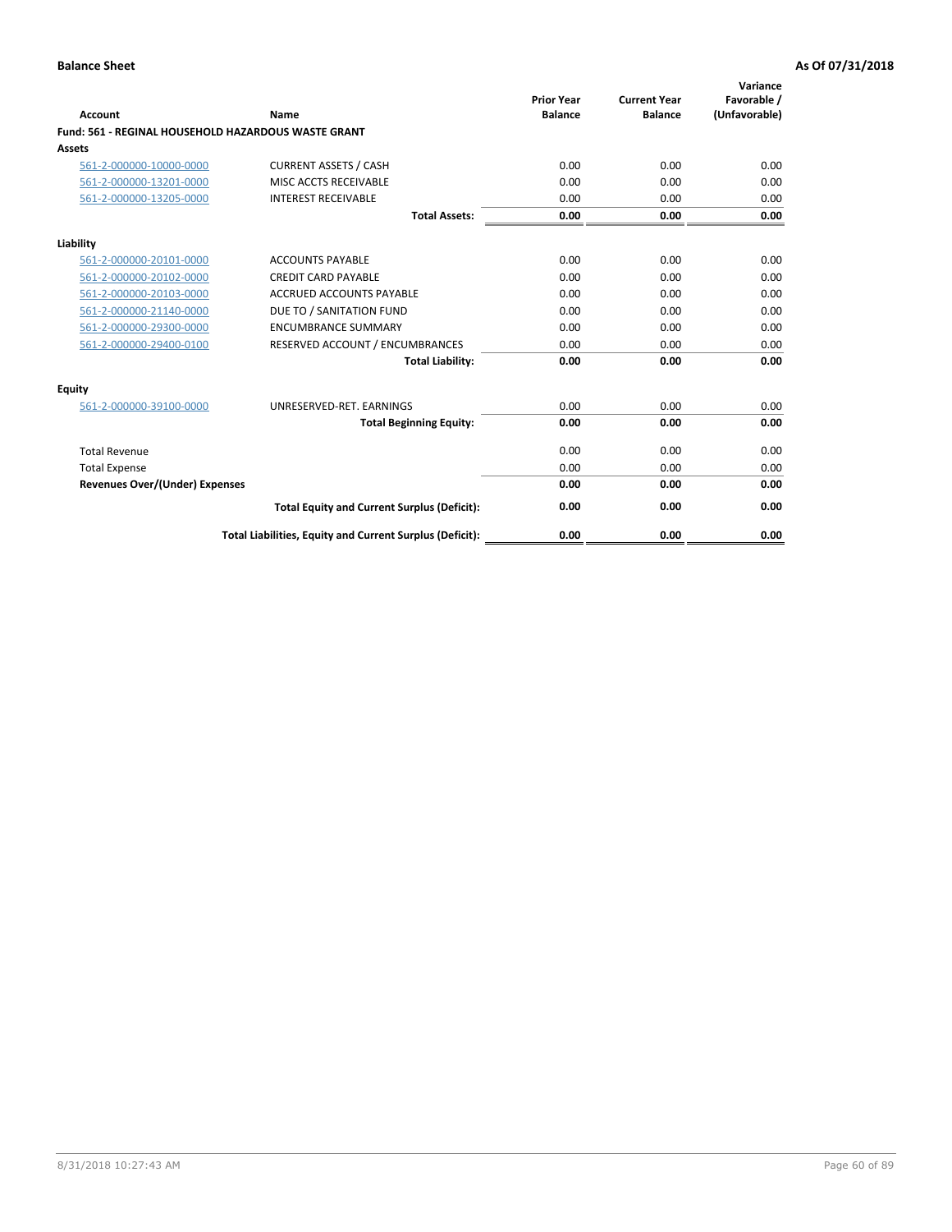| Account                                             | Name                                                     | <b>Prior Year</b><br><b>Balance</b> | <b>Current Year</b><br><b>Balance</b> | Variance<br>Favorable /<br>(Unfavorable) |
|-----------------------------------------------------|----------------------------------------------------------|-------------------------------------|---------------------------------------|------------------------------------------|
| Fund: 561 - REGINAL HOUSEHOLD HAZARDOUS WASTE GRANT |                                                          |                                     |                                       |                                          |
| <b>Assets</b>                                       |                                                          |                                     |                                       |                                          |
| 561-2-000000-10000-0000                             | <b>CURRENT ASSETS / CASH</b>                             | 0.00                                | 0.00                                  | 0.00                                     |
| 561-2-000000-13201-0000                             | MISC ACCTS RECEIVABLE                                    | 0.00                                | 0.00                                  | 0.00                                     |
| 561-2-000000-13205-0000                             | <b>INTEREST RECEIVABLE</b>                               | 0.00                                | 0.00                                  | 0.00                                     |
|                                                     | <b>Total Assets:</b>                                     | 0.00                                | 0.00                                  | 0.00                                     |
| Liability                                           |                                                          |                                     |                                       |                                          |
| 561-2-000000-20101-0000                             | <b>ACCOUNTS PAYABLE</b>                                  | 0.00                                | 0.00                                  | 0.00                                     |
| 561-2-000000-20102-0000                             | <b>CREDIT CARD PAYABLE</b>                               | 0.00                                | 0.00                                  | 0.00                                     |
| 561-2-000000-20103-0000                             | ACCRUED ACCOUNTS PAYABLE                                 | 0.00                                | 0.00                                  | 0.00                                     |
| 561-2-000000-21140-0000                             | DUE TO / SANITATION FUND                                 | 0.00                                | 0.00                                  | 0.00                                     |
| 561-2-000000-29300-0000                             | <b>ENCUMBRANCE SUMMARY</b>                               | 0.00                                | 0.00                                  | 0.00                                     |
| 561-2-000000-29400-0100                             | RESERVED ACCOUNT / ENCUMBRANCES                          | 0.00                                | 0.00                                  | 0.00                                     |
|                                                     | <b>Total Liability:</b>                                  | 0.00                                | 0.00                                  | 0.00                                     |
| <b>Equity</b>                                       |                                                          |                                     |                                       |                                          |
| 561-2-000000-39100-0000                             | UNRESERVED-RET. EARNINGS                                 | 0.00                                | 0.00                                  | 0.00                                     |
|                                                     | <b>Total Beginning Equity:</b>                           | 0.00                                | 0.00                                  | 0.00                                     |
| <b>Total Revenue</b>                                |                                                          | 0.00                                | 0.00                                  | 0.00                                     |
| <b>Total Expense</b>                                |                                                          | 0.00                                | 0.00                                  | 0.00                                     |
| <b>Revenues Over/(Under) Expenses</b>               |                                                          | 0.00                                | 0.00                                  | 0.00                                     |
|                                                     | <b>Total Equity and Current Surplus (Deficit):</b>       | 0.00                                | 0.00                                  | 0.00                                     |
|                                                     | Total Liabilities, Equity and Current Surplus (Deficit): | 0.00                                | 0.00                                  | 0.00                                     |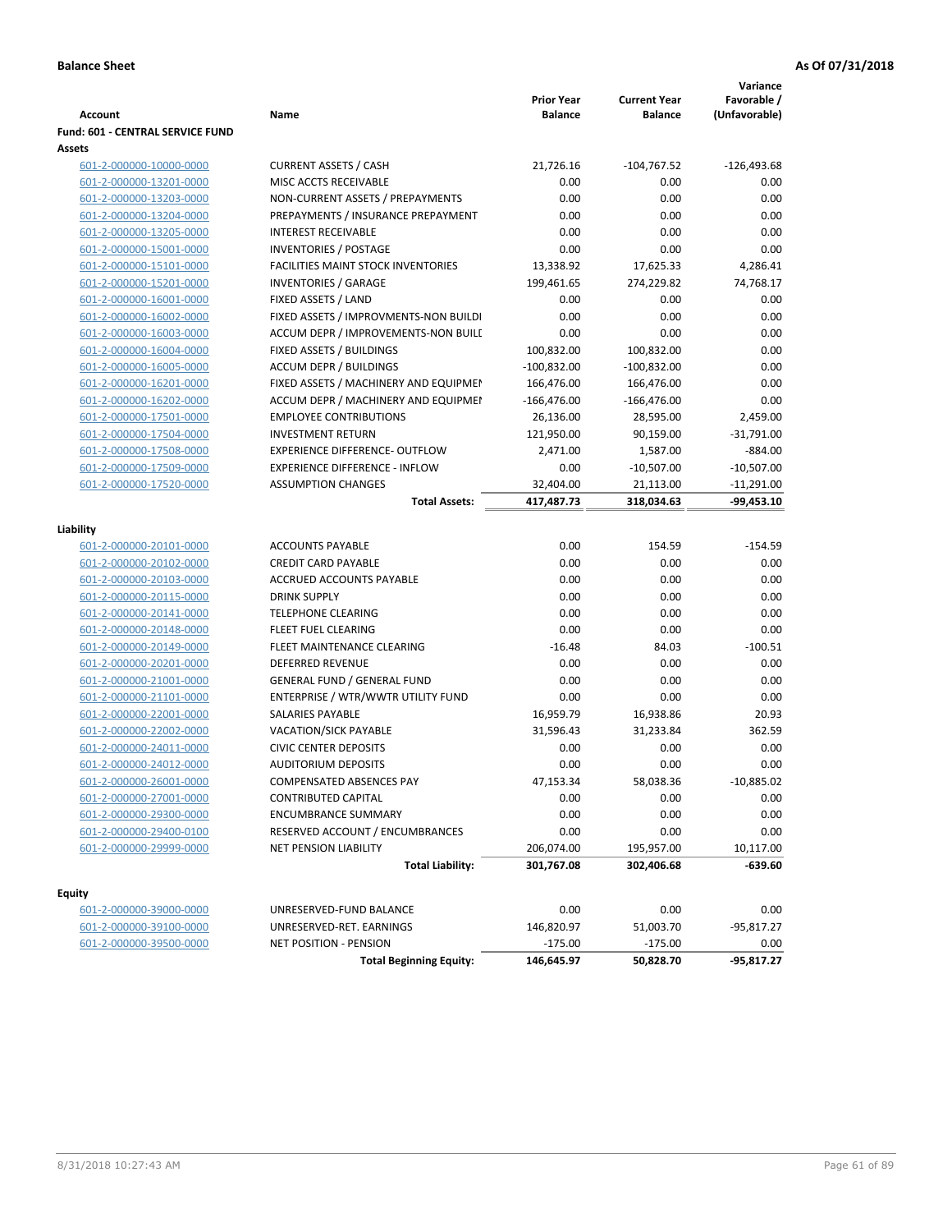| <b>Account</b>                                     | Name                                                     | <b>Prior Year</b><br><b>Balance</b> | <b>Current Year</b><br><b>Balance</b> | Variance<br>Favorable /<br>(Unfavorable) |
|----------------------------------------------------|----------------------------------------------------------|-------------------------------------|---------------------------------------|------------------------------------------|
| <b>Fund: 601 - CENTRAL SERVICE FUND</b>            |                                                          |                                     |                                       |                                          |
| Assets                                             |                                                          |                                     |                                       |                                          |
| 601-2-000000-10000-0000                            | <b>CURRENT ASSETS / CASH</b>                             | 21,726.16                           | $-104,767.52$                         | $-126,493.68$                            |
| 601-2-000000-13201-0000                            | MISC ACCTS RECEIVABLE                                    | 0.00                                | 0.00                                  | 0.00                                     |
| 601-2-000000-13203-0000                            | NON-CURRENT ASSETS / PREPAYMENTS                         | 0.00                                | 0.00                                  | 0.00                                     |
| 601-2-000000-13204-0000                            | PREPAYMENTS / INSURANCE PREPAYMENT                       | 0.00                                | 0.00                                  | 0.00                                     |
| 601-2-000000-13205-0000                            | <b>INTEREST RECEIVABLE</b>                               | 0.00                                | 0.00                                  | 0.00                                     |
| 601-2-000000-15001-0000                            | <b>INVENTORIES / POSTAGE</b>                             | 0.00                                | 0.00                                  | 0.00                                     |
| 601-2-000000-15101-0000                            | <b>FACILITIES MAINT STOCK INVENTORIES</b>                | 13,338.92                           | 17,625.33                             | 4,286.41                                 |
| 601-2-000000-15201-0000                            | <b>INVENTORIES / GARAGE</b>                              | 199,461.65                          | 274,229.82                            | 74,768.17                                |
| 601-2-000000-16001-0000                            | FIXED ASSETS / LAND                                      | 0.00                                | 0.00                                  | 0.00                                     |
| 601-2-000000-16002-0000                            | FIXED ASSETS / IMPROVMENTS-NON BUILDI                    | 0.00                                | 0.00                                  | 0.00                                     |
| 601-2-000000-16003-0000                            | ACCUM DEPR / IMPROVEMENTS-NON BUILI                      | 0.00                                | 0.00                                  | 0.00                                     |
| 601-2-000000-16004-0000                            | FIXED ASSETS / BUILDINGS                                 | 100,832.00                          | 100,832.00                            | 0.00                                     |
| 601-2-000000-16005-0000                            | <b>ACCUM DEPR / BUILDINGS</b>                            | $-100,832.00$                       | $-100,832.00$                         | 0.00                                     |
| 601-2-000000-16201-0000                            | FIXED ASSETS / MACHINERY AND EQUIPMEN                    | 166,476.00                          | 166,476.00                            | 0.00                                     |
| 601-2-000000-16202-0000                            | ACCUM DEPR / MACHINERY AND EQUIPMEI                      | $-166,476.00$                       | $-166,476.00$                         | 0.00                                     |
| 601-2-000000-17501-0000                            | <b>EMPLOYEE CONTRIBUTIONS</b>                            | 26,136.00                           | 28,595.00                             | 2,459.00                                 |
| 601-2-000000-17504-0000                            | <b>INVESTMENT RETURN</b>                                 | 121,950.00                          | 90,159.00                             | $-31,791.00$                             |
| 601-2-000000-17508-0000                            | <b>EXPERIENCE DIFFERENCE- OUTFLOW</b>                    | 2,471.00                            | 1,587.00                              | $-884.00$                                |
| 601-2-000000-17509-0000                            | <b>EXPERIENCE DIFFERENCE - INFLOW</b>                    | 0.00                                | $-10,507.00$                          | $-10,507.00$                             |
| 601-2-000000-17520-0000                            | <b>ASSUMPTION CHANGES</b>                                | 32,404.00                           | 21,113.00                             | $-11,291.00$                             |
|                                                    | <b>Total Assets:</b>                                     | 417,487.73                          | 318,034.63                            | -99,453.10                               |
|                                                    |                                                          |                                     |                                       |                                          |
| Liability                                          |                                                          |                                     |                                       |                                          |
| 601-2-000000-20101-0000                            | <b>ACCOUNTS PAYABLE</b>                                  | 0.00                                | 154.59                                | $-154.59$                                |
| 601-2-000000-20102-0000                            | <b>CREDIT CARD PAYABLE</b>                               | 0.00                                | 0.00                                  | 0.00                                     |
| 601-2-000000-20103-0000                            | ACCRUED ACCOUNTS PAYABLE                                 | 0.00                                | 0.00                                  | 0.00                                     |
| 601-2-000000-20115-0000                            | <b>DRINK SUPPLY</b>                                      | 0.00                                | 0.00                                  | 0.00                                     |
| 601-2-000000-20141-0000                            | <b>TELEPHONE CLEARING</b>                                | 0.00                                | 0.00                                  | 0.00                                     |
| 601-2-000000-20148-0000                            | <b>FLEET FUEL CLEARING</b>                               | 0.00                                | 0.00                                  | 0.00                                     |
| 601-2-000000-20149-0000                            | FLEET MAINTENANCE CLEARING                               | $-16.48$                            | 84.03                                 | $-100.51$                                |
| 601-2-000000-20201-0000                            | <b>DEFERRED REVENUE</b>                                  | 0.00                                | 0.00                                  | 0.00                                     |
| 601-2-000000-21001-0000                            | <b>GENERAL FUND / GENERAL FUND</b>                       | 0.00                                | 0.00                                  | 0.00                                     |
| 601-2-000000-21101-0000                            | ENTERPRISE / WTR/WWTR UTILITY FUND                       | 0.00                                | 0.00                                  | 0.00                                     |
| 601-2-000000-22001-0000                            | SALARIES PAYABLE                                         | 16,959.79                           | 16,938.86                             | 20.93                                    |
| 601-2-000000-22002-0000                            | <b>VACATION/SICK PAYABLE</b>                             | 31,596.43                           | 31,233.84                             | 362.59                                   |
| 601-2-000000-24011-0000                            | <b>CIVIC CENTER DEPOSITS</b>                             | 0.00                                | 0.00                                  | 0.00                                     |
| 601-2-000000-24012-0000                            | <b>AUDITORIUM DEPOSITS</b>                               | 0.00                                | 0.00                                  | 0.00                                     |
| 601-2-000000-26001-0000                            | <b>COMPENSATED ABSENCES PAY</b>                          | 47,153.34                           | 58,038.36                             | $-10,885.02$                             |
| 601-2-000000-27001-0000                            | <b>CONTRIBUTED CAPITAL</b>                               | 0.00                                | 0.00                                  | 0.00                                     |
| 601-2-000000-29300-0000                            | <b>ENCUMBRANCE SUMMARY</b>                               | 0.00                                | 0.00                                  | 0.00                                     |
| 601-2-000000-29400-0100                            | RESERVED ACCOUNT / ENCUMBRANCES                          | 0.00                                | 0.00                                  | 0.00                                     |
| 601-2-000000-29999-0000                            | NET PENSION LIABILITY                                    | 206,074.00                          | 195,957.00                            | 10,117.00                                |
|                                                    | <b>Total Liability:</b>                                  | 301,767.08                          | 302,406.68                            | -639.60                                  |
|                                                    |                                                          |                                     |                                       |                                          |
| <b>Equity</b>                                      | UNRESERVED-FUND BALANCE                                  | 0.00                                | 0.00                                  | 0.00                                     |
| 601-2-000000-39000-0000<br>601-2-000000-39100-0000 |                                                          |                                     | 51,003.70                             |                                          |
|                                                    | UNRESERVED-RET. EARNINGS                                 | 146,820.97                          |                                       | -95,817.27                               |
| 601-2-000000-39500-0000                            | NET POSITION - PENSION<br><b>Total Beginning Equity:</b> | $-175.00$<br>146,645.97             | $-175.00$<br>50,828.70                | 0.00<br>$-95,817.27$                     |
|                                                    |                                                          |                                     |                                       |                                          |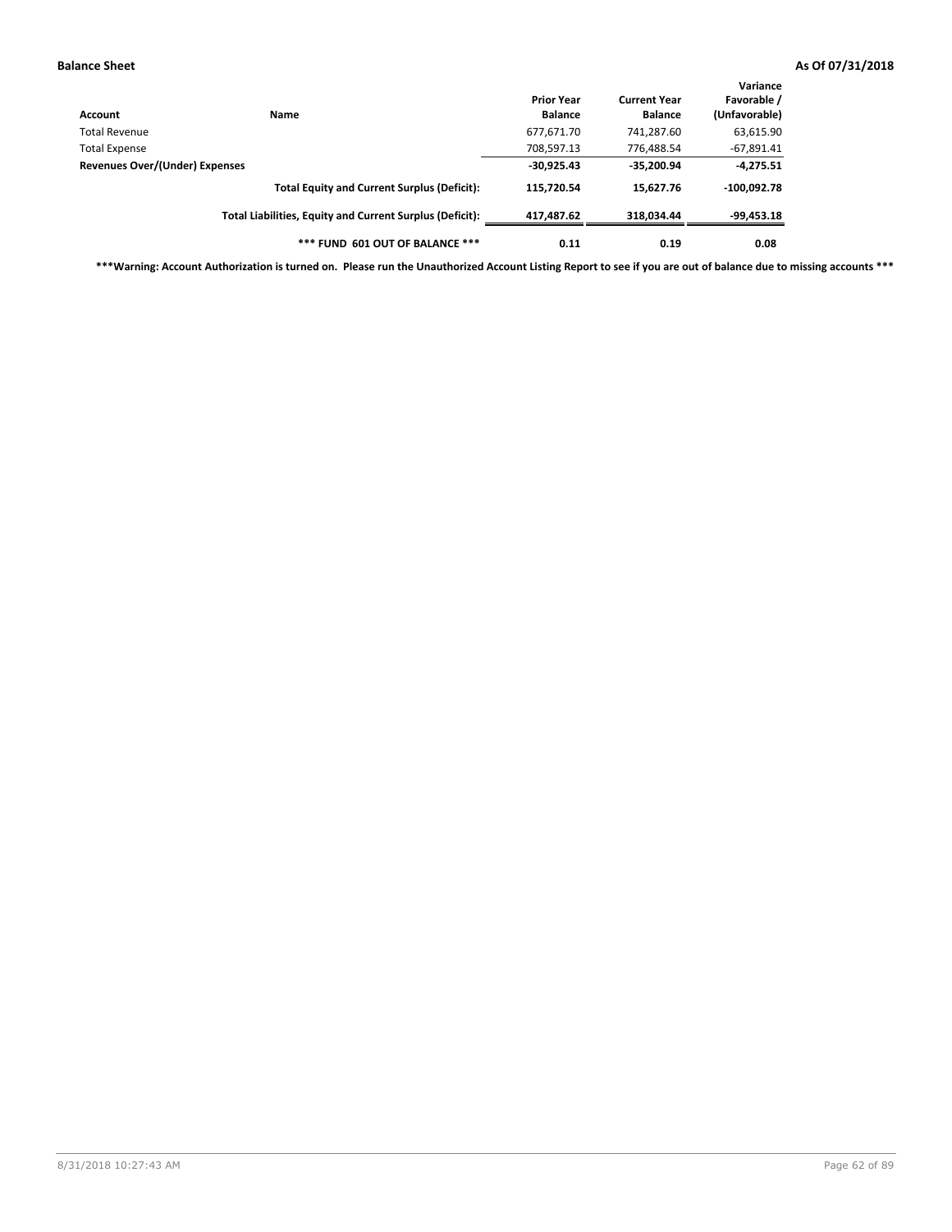| Account                        | Name                                                     | <b>Prior Year</b><br><b>Balance</b> | <b>Current Year</b><br><b>Balance</b> | Variance<br>Favorable /<br>(Unfavorable) |
|--------------------------------|----------------------------------------------------------|-------------------------------------|---------------------------------------|------------------------------------------|
| Total Revenue                  |                                                          | 677,671.70                          | 741,287.60                            | 63,615.90                                |
| <b>Total Expense</b>           |                                                          | 708,597.13                          | 776,488.54                            | $-67,891.41$                             |
| Revenues Over/(Under) Expenses |                                                          | $-30,925.43$                        | $-35,200.94$                          | $-4,275.51$                              |
|                                | <b>Total Equity and Current Surplus (Deficit):</b>       | 115.720.54                          | 15.627.76                             | $-100.092.78$                            |
|                                | Total Liabilities, Equity and Current Surplus (Deficit): | 417,487.62                          | 318.034.44                            | -99,453.18                               |
|                                | *** FUND 601 OUT OF BALANCE ***                          | 0.11                                | 0.19                                  | 0.08                                     |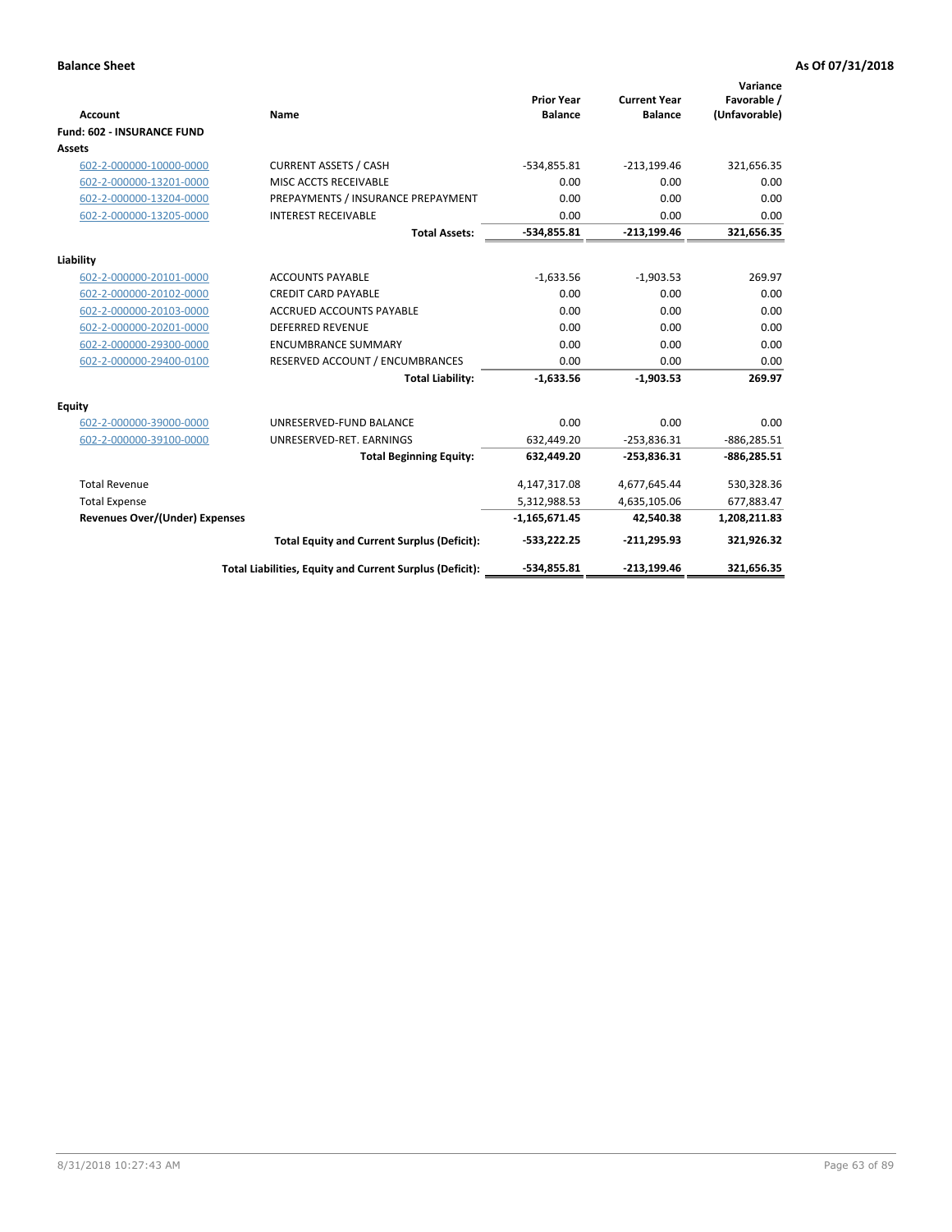| <b>Account</b>                    | Name                                                     | <b>Prior Year</b><br><b>Balance</b> | <b>Current Year</b><br><b>Balance</b> | Variance<br>Favorable /<br>(Unfavorable) |
|-----------------------------------|----------------------------------------------------------|-------------------------------------|---------------------------------------|------------------------------------------|
| <b>Fund: 602 - INSURANCE FUND</b> |                                                          |                                     |                                       |                                          |
| <b>Assets</b>                     |                                                          |                                     |                                       |                                          |
| 602-2-000000-10000-0000           | <b>CURRENT ASSETS / CASH</b>                             | $-534,855.81$                       | $-213,199.46$                         | 321,656.35                               |
| 602-2-000000-13201-0000           | MISC ACCTS RECEIVABLE                                    | 0.00                                | 0.00                                  | 0.00                                     |
| 602-2-000000-13204-0000           | PREPAYMENTS / INSURANCE PREPAYMENT                       | 0.00                                | 0.00                                  | 0.00                                     |
| 602-2-000000-13205-0000           | <b>INTEREST RECEIVABLE</b>                               | 0.00                                | 0.00                                  | 0.00                                     |
|                                   | <b>Total Assets:</b>                                     | $-534,855.81$                       | $-213, 199.46$                        | 321,656.35                               |
| Liability                         |                                                          |                                     |                                       |                                          |
| 602-2-000000-20101-0000           | <b>ACCOUNTS PAYABLE</b>                                  | $-1,633.56$                         | $-1,903.53$                           | 269.97                                   |
| 602-2-000000-20102-0000           | <b>CREDIT CARD PAYABLE</b>                               | 0.00                                | 0.00                                  | 0.00                                     |
| 602-2-000000-20103-0000           | <b>ACCRUED ACCOUNTS PAYABLE</b>                          | 0.00                                | 0.00                                  | 0.00                                     |
| 602-2-000000-20201-0000           | <b>DEFERRED REVENUE</b>                                  | 0.00                                | 0.00                                  | 0.00                                     |
| 602-2-000000-29300-0000           | <b>ENCUMBRANCE SUMMARY</b>                               | 0.00                                | 0.00                                  | 0.00                                     |
| 602-2-000000-29400-0100           | RESERVED ACCOUNT / ENCUMBRANCES                          | 0.00                                | 0.00                                  | 0.00                                     |
|                                   | <b>Total Liability:</b>                                  | $-1,633.56$                         | $-1,903.53$                           | 269.97                                   |
| <b>Equity</b>                     |                                                          |                                     |                                       |                                          |
| 602-2-000000-39000-0000           | UNRESERVED-FUND BALANCE                                  | 0.00                                | 0.00                                  | 0.00                                     |
| 602-2-000000-39100-0000           | UNRESERVED-RET. EARNINGS                                 | 632,449.20                          | $-253,836.31$                         | $-886, 285.51$                           |
|                                   | <b>Total Beginning Equity:</b>                           | 632,449.20                          | $-253,836.31$                         | $-886,285.51$                            |
| <b>Total Revenue</b>              |                                                          | 4,147,317.08                        | 4,677,645.44                          | 530,328.36                               |
| <b>Total Expense</b>              |                                                          | 5,312,988.53                        | 4,635,105.06                          | 677,883.47                               |
| Revenues Over/(Under) Expenses    |                                                          | $-1,165,671.45$                     | 42,540.38                             | 1,208,211.83                             |
|                                   | <b>Total Equity and Current Surplus (Deficit):</b>       | $-533,222.25$                       | $-211,295.93$                         | 321,926.32                               |
|                                   | Total Liabilities, Equity and Current Surplus (Deficit): | $-534,855.81$                       | $-213, 199.46$                        | 321.656.35                               |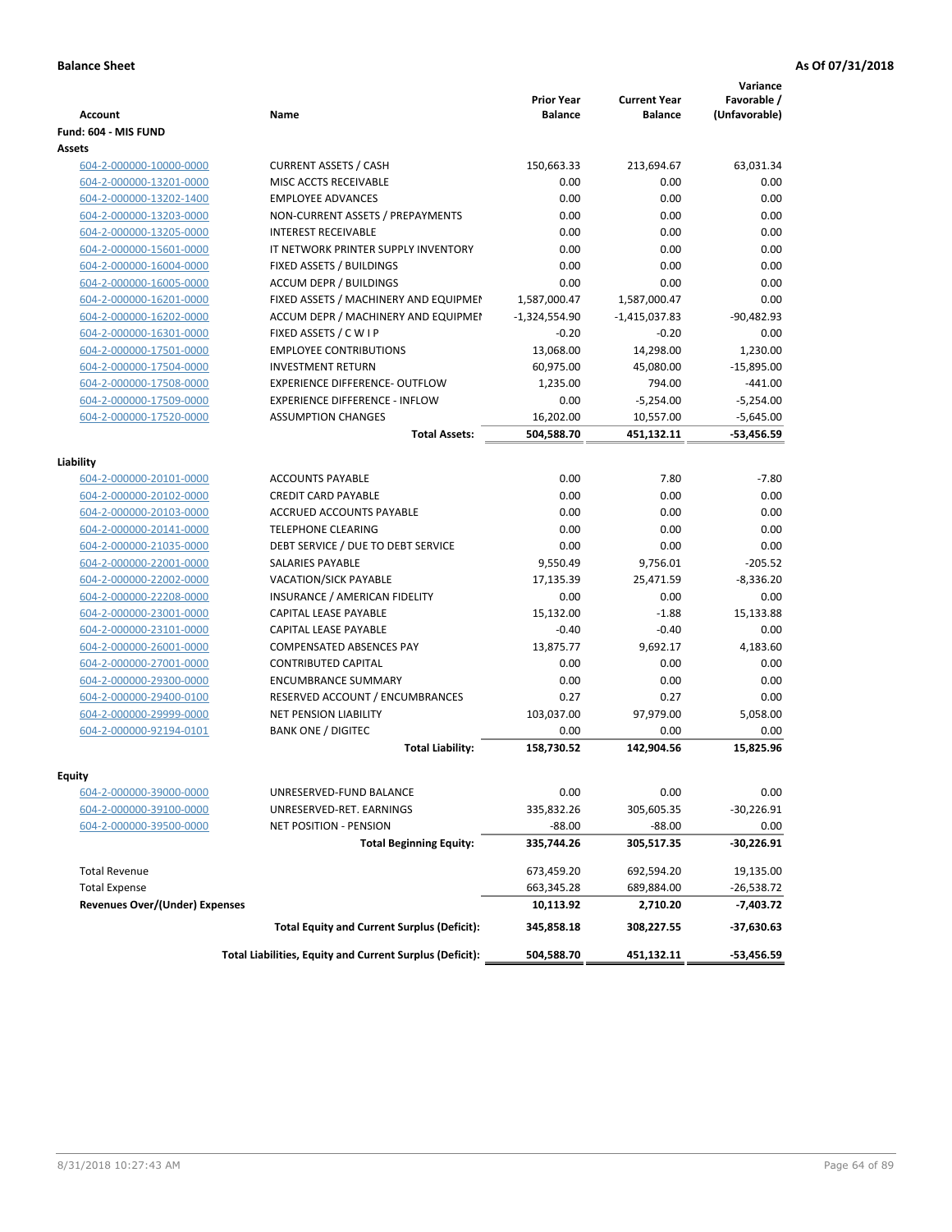| <b>Account</b>                        | <b>Name</b>                                              | <b>Prior Year</b><br><b>Balance</b> | <b>Current Year</b><br><b>Balance</b> | Variance<br>Favorable /<br>(Unfavorable) |
|---------------------------------------|----------------------------------------------------------|-------------------------------------|---------------------------------------|------------------------------------------|
| Fund: 604 - MIS FUND                  |                                                          |                                     |                                       |                                          |
| Assets                                |                                                          |                                     |                                       |                                          |
| 604-2-000000-10000-0000               | <b>CURRENT ASSETS / CASH</b>                             | 150,663.33                          | 213,694.67                            | 63,031.34                                |
| 604-2-000000-13201-0000               | MISC ACCTS RECEIVABLE                                    | 0.00                                | 0.00                                  | 0.00                                     |
| 604-2-000000-13202-1400               | <b>EMPLOYEE ADVANCES</b>                                 | 0.00                                | 0.00                                  | 0.00                                     |
| 604-2-000000-13203-0000               | NON-CURRENT ASSETS / PREPAYMENTS                         | 0.00                                | 0.00                                  | 0.00                                     |
| 604-2-000000-13205-0000               | <b>INTEREST RECEIVABLE</b>                               | 0.00                                | 0.00                                  | 0.00                                     |
| 604-2-000000-15601-0000               | IT NETWORK PRINTER SUPPLY INVENTORY                      | 0.00                                | 0.00                                  | 0.00                                     |
| 604-2-000000-16004-0000               | FIXED ASSETS / BUILDINGS                                 | 0.00                                | 0.00                                  | 0.00                                     |
| 604-2-000000-16005-0000               | <b>ACCUM DEPR / BUILDINGS</b>                            | 0.00                                | 0.00                                  | 0.00                                     |
| 604-2-000000-16201-0000               | FIXED ASSETS / MACHINERY AND EQUIPMEN                    | 1,587,000.47                        | 1,587,000.47                          | 0.00                                     |
| 604-2-000000-16202-0000               | ACCUM DEPR / MACHINERY AND EQUIPMEI                      | $-1,324,554.90$                     | $-1,415,037.83$                       | $-90,482.93$                             |
| 604-2-000000-16301-0000               | FIXED ASSETS / C W I P                                   | $-0.20$                             | $-0.20$                               | 0.00                                     |
| 604-2-000000-17501-0000               | <b>EMPLOYEE CONTRIBUTIONS</b>                            | 13,068.00                           | 14,298.00                             | 1,230.00                                 |
| 604-2-000000-17504-0000               | <b>INVESTMENT RETURN</b>                                 | 60,975.00                           | 45,080.00                             | $-15,895.00$                             |
| 604-2-000000-17508-0000               | EXPERIENCE DIFFERENCE- OUTFLOW                           | 1,235.00                            | 794.00                                | $-441.00$                                |
| 604-2-000000-17509-0000               | <b>EXPERIENCE DIFFERENCE - INFLOW</b>                    | 0.00                                | $-5,254.00$                           | $-5,254.00$                              |
| 604-2-000000-17520-0000               | <b>ASSUMPTION CHANGES</b>                                | 16,202.00                           | 10,557.00                             | $-5,645.00$                              |
|                                       | <b>Total Assets:</b>                                     | 504,588.70                          | 451,132.11                            | $-53,456.59$                             |
|                                       |                                                          |                                     |                                       |                                          |
| Liability                             |                                                          |                                     |                                       |                                          |
| 604-2-000000-20101-0000               | <b>ACCOUNTS PAYABLE</b>                                  | 0.00                                | 7.80                                  | $-7.80$                                  |
| 604-2-000000-20102-0000               | <b>CREDIT CARD PAYABLE</b>                               | 0.00                                | 0.00                                  | 0.00                                     |
| 604-2-000000-20103-0000               | ACCRUED ACCOUNTS PAYABLE                                 | 0.00                                | 0.00                                  | 0.00                                     |
| 604-2-000000-20141-0000               | <b>TELEPHONE CLEARING</b>                                | 0.00                                | 0.00                                  | 0.00                                     |
| 604-2-000000-21035-0000               | DEBT SERVICE / DUE TO DEBT SERVICE                       | 0.00                                | 0.00                                  | 0.00                                     |
| 604-2-000000-22001-0000               | <b>SALARIES PAYABLE</b>                                  | 9,550.49                            | 9,756.01                              | $-205.52$                                |
| 604-2-000000-22002-0000               | VACATION/SICK PAYABLE                                    | 17,135.39                           | 25,471.59                             | $-8,336.20$                              |
| 604-2-000000-22208-0000               | INSURANCE / AMERICAN FIDELITY                            | 0.00                                | 0.00                                  | 0.00                                     |
| 604-2-000000-23001-0000               | CAPITAL LEASE PAYABLE                                    | 15,132.00                           | $-1.88$                               | 15,133.88                                |
| 604-2-000000-23101-0000               | <b>CAPITAL LEASE PAYABLE</b>                             | $-0.40$                             | $-0.40$                               | 0.00                                     |
| 604-2-000000-26001-0000               | <b>COMPENSATED ABSENCES PAY</b>                          | 13,875.77                           | 9,692.17                              | 4,183.60                                 |
| 604-2-000000-27001-0000               | <b>CONTRIBUTED CAPITAL</b>                               | 0.00                                | 0.00                                  | 0.00                                     |
| 604-2-000000-29300-0000               | <b>ENCUMBRANCE SUMMARY</b>                               | 0.00                                | 0.00                                  | 0.00                                     |
| 604-2-000000-29400-0100               | RESERVED ACCOUNT / ENCUMBRANCES                          | 0.27                                | 0.27                                  | 0.00                                     |
| 604-2-000000-29999-0000               | <b>NET PENSION LIABILITY</b>                             | 103,037.00                          | 97,979.00                             | 5,058.00                                 |
| 604-2-000000-92194-0101               | <b>BANK ONE / DIGITEC</b>                                | 0.00                                | 0.00                                  | 0.00                                     |
|                                       | <b>Total Liability:</b>                                  | 158,730.52                          | 142,904.56                            | 15,825.96                                |
|                                       |                                                          |                                     |                                       |                                          |
| Equity                                |                                                          |                                     |                                       |                                          |
| 604-2-000000-39000-0000               | UNRESERVED-FUND BALANCE                                  | 0.00                                | 0.00                                  | 0.00                                     |
| 604-2-000000-39100-0000               | UNRESERVED-RET. EARNINGS                                 | 335,832.26                          | 305,605.35                            | $-30,226.91$                             |
| 604-2-000000-39500-0000               | <b>NET POSITION - PENSION</b>                            | $-88.00$                            | $-88.00$                              | 0.00                                     |
|                                       | <b>Total Beginning Equity:</b>                           | 335,744.26                          | 305,517.35                            | -30,226.91                               |
| <b>Total Revenue</b>                  |                                                          | 673,459.20                          | 692,594.20                            | 19,135.00                                |
| <b>Total Expense</b>                  |                                                          | 663,345.28                          | 689,884.00                            | -26,538.72                               |
| <b>Revenues Over/(Under) Expenses</b> |                                                          | 10,113.92                           | 2,710.20                              | -7,403.72                                |
|                                       | <b>Total Equity and Current Surplus (Deficit):</b>       | 345,858.18                          | 308,227.55                            | -37,630.63                               |
|                                       | Total Liabilities, Equity and Current Surplus (Deficit): | 504,588.70                          | 451,132.11                            | -53,456.59                               |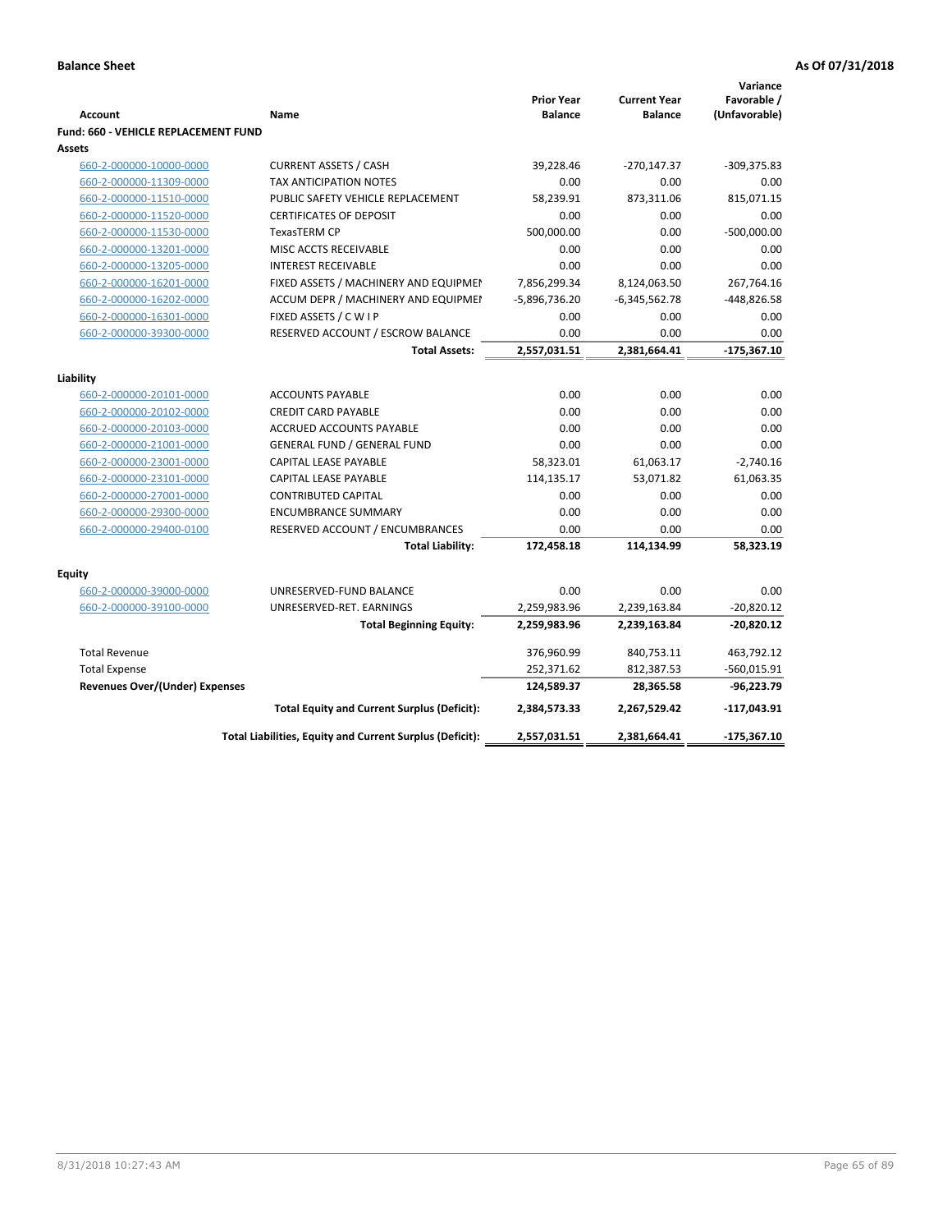| <b>Account</b>                        | Name                                                     | <b>Prior Year</b><br><b>Balance</b> | <b>Current Year</b><br><b>Balance</b> | Variance<br>Favorable /<br>(Unfavorable) |
|---------------------------------------|----------------------------------------------------------|-------------------------------------|---------------------------------------|------------------------------------------|
| Fund: 660 - VEHICLE REPLACEMENT FUND  |                                                          |                                     |                                       |                                          |
| Assets                                |                                                          |                                     |                                       |                                          |
| 660-2-000000-10000-0000               | <b>CURRENT ASSETS / CASH</b>                             | 39,228.46                           | $-270,147.37$                         | $-309,375.83$                            |
| 660-2-000000-11309-0000               | <b>TAX ANTICIPATION NOTES</b>                            | 0.00                                | 0.00                                  | 0.00                                     |
| 660-2-000000-11510-0000               | PUBLIC SAFETY VEHICLE REPLACEMENT                        | 58,239.91                           | 873,311.06                            | 815,071.15                               |
| 660-2-000000-11520-0000               | <b>CERTIFICATES OF DEPOSIT</b>                           | 0.00                                | 0.00                                  | 0.00                                     |
| 660-2-000000-11530-0000               | <b>TexasTERM CP</b>                                      | 500,000.00                          | 0.00                                  | $-500,000.00$                            |
| 660-2-000000-13201-0000               | MISC ACCTS RECEIVABLE                                    | 0.00                                | 0.00                                  | 0.00                                     |
| 660-2-000000-13205-0000               | <b>INTEREST RECEIVABLE</b>                               | 0.00                                | 0.00                                  | 0.00                                     |
| 660-2-000000-16201-0000               | FIXED ASSETS / MACHINERY AND EQUIPMEN                    | 7,856,299.34                        | 8,124,063.50                          | 267,764.16                               |
| 660-2-000000-16202-0000               | ACCUM DEPR / MACHINERY AND EQUIPMEI                      | $-5,896,736.20$                     | $-6,345,562.78$                       | -448,826.58                              |
| 660-2-000000-16301-0000               | FIXED ASSETS / C W I P                                   | 0.00                                | 0.00                                  | 0.00                                     |
| 660-2-000000-39300-0000               | RESERVED ACCOUNT / ESCROW BALANCE                        | 0.00                                | 0.00                                  | 0.00                                     |
|                                       | <b>Total Assets:</b>                                     | 2,557,031.51                        | 2,381,664.41                          | $-175,367.10$                            |
|                                       |                                                          |                                     |                                       |                                          |
| Liability                             |                                                          |                                     |                                       |                                          |
| 660-2-000000-20101-0000               | <b>ACCOUNTS PAYABLE</b>                                  | 0.00                                | 0.00                                  | 0.00                                     |
| 660-2-000000-20102-0000               | <b>CREDIT CARD PAYABLE</b>                               | 0.00                                | 0.00                                  | 0.00                                     |
| 660-2-000000-20103-0000               | ACCRUED ACCOUNTS PAYABLE                                 | 0.00                                | 0.00                                  | 0.00                                     |
| 660-2-000000-21001-0000               | <b>GENERAL FUND / GENERAL FUND</b>                       | 0.00                                | 0.00                                  | 0.00                                     |
| 660-2-000000-23001-0000               | CAPITAL LEASE PAYABLE                                    | 58,323.01                           | 61,063.17                             | $-2,740.16$                              |
| 660-2-000000-23101-0000               | CAPITAL LEASE PAYABLE                                    | 114,135.17                          | 53,071.82                             | 61,063.35                                |
| 660-2-000000-27001-0000               | <b>CONTRIBUTED CAPITAL</b>                               | 0.00<br>0.00                        | 0.00                                  | 0.00                                     |
| 660-2-000000-29300-0000               | <b>ENCUMBRANCE SUMMARY</b>                               |                                     | 0.00                                  | 0.00                                     |
| 660-2-000000-29400-0100               | RESERVED ACCOUNT / ENCUMBRANCES                          | 0.00                                | 0.00                                  | 0.00                                     |
|                                       | <b>Total Liability:</b>                                  | 172,458.18                          | 114,134.99                            | 58,323.19                                |
| <b>Equity</b>                         |                                                          |                                     |                                       |                                          |
| 660-2-000000-39000-0000               | UNRESERVED-FUND BALANCE                                  | 0.00                                | 0.00                                  | 0.00                                     |
| 660-2-000000-39100-0000               | UNRESERVED-RET. EARNINGS                                 | 2,259,983.96                        | 2,239,163.84                          | $-20,820.12$                             |
|                                       | <b>Total Beginning Equity:</b>                           | 2,259,983.96                        | 2,239,163.84                          | $-20,820.12$                             |
| <b>Total Revenue</b>                  |                                                          | 376,960.99                          | 840,753.11                            | 463,792.12                               |
| <b>Total Expense</b>                  |                                                          | 252,371.62                          | 812,387.53                            | $-560,015.91$                            |
| <b>Revenues Over/(Under) Expenses</b> |                                                          | 124,589.37                          | 28,365.58                             | $-96,223.79$                             |
|                                       | <b>Total Equity and Current Surplus (Deficit):</b>       | 2,384,573.33                        | 2,267,529.42                          | $-117,043.91$                            |
|                                       | Total Liabilities, Equity and Current Surplus (Deficit): | 2,557,031.51                        | 2,381,664.41                          | $-175,367.10$                            |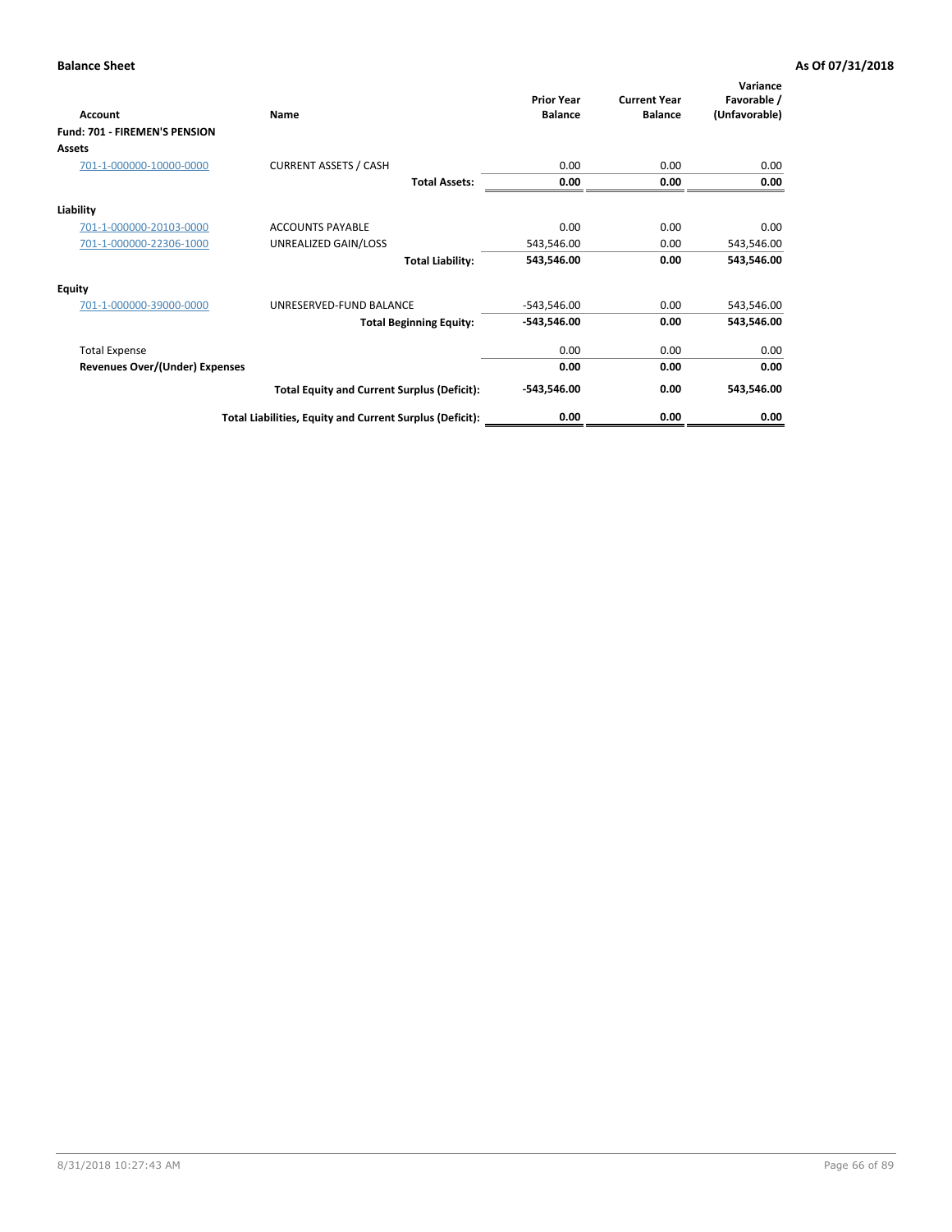| <b>Account</b>                        | Name                                                     | <b>Prior Year</b><br><b>Balance</b> | <b>Current Year</b><br><b>Balance</b> | Variance<br>Favorable /<br>(Unfavorable) |
|---------------------------------------|----------------------------------------------------------|-------------------------------------|---------------------------------------|------------------------------------------|
| Fund: 701 - FIREMEN'S PENSION         |                                                          |                                     |                                       |                                          |
| <b>Assets</b>                         |                                                          |                                     |                                       |                                          |
| 701-1-000000-10000-0000               | <b>CURRENT ASSETS / CASH</b>                             | 0.00                                | 0.00                                  | 0.00                                     |
|                                       | <b>Total Assets:</b>                                     | 0.00                                | 0.00                                  | 0.00                                     |
| Liability                             |                                                          |                                     |                                       |                                          |
| 701-1-000000-20103-0000               | <b>ACCOUNTS PAYABLE</b>                                  | 0.00                                | 0.00                                  | 0.00                                     |
| 701-1-000000-22306-1000               | UNREALIZED GAIN/LOSS                                     | 543,546.00                          | 0.00                                  | 543,546.00                               |
|                                       | <b>Total Liability:</b>                                  | 543,546.00                          | 0.00                                  | 543,546.00                               |
| <b>Equity</b>                         |                                                          |                                     |                                       |                                          |
| 701-1-000000-39000-0000               | UNRESERVED-FUND BALANCE                                  | $-543,546.00$                       | 0.00                                  | 543,546.00                               |
|                                       | <b>Total Beginning Equity:</b>                           | $-543,546.00$                       | 0.00                                  | 543,546.00                               |
| <b>Total Expense</b>                  |                                                          | 0.00                                | 0.00                                  | 0.00                                     |
| <b>Revenues Over/(Under) Expenses</b> |                                                          | 0.00                                | 0.00                                  | 0.00                                     |
|                                       | <b>Total Equity and Current Surplus (Deficit):</b>       | $-543,546.00$                       | 0.00                                  | 543,546.00                               |
|                                       | Total Liabilities, Equity and Current Surplus (Deficit): | 0.00                                | 0.00                                  | 0.00                                     |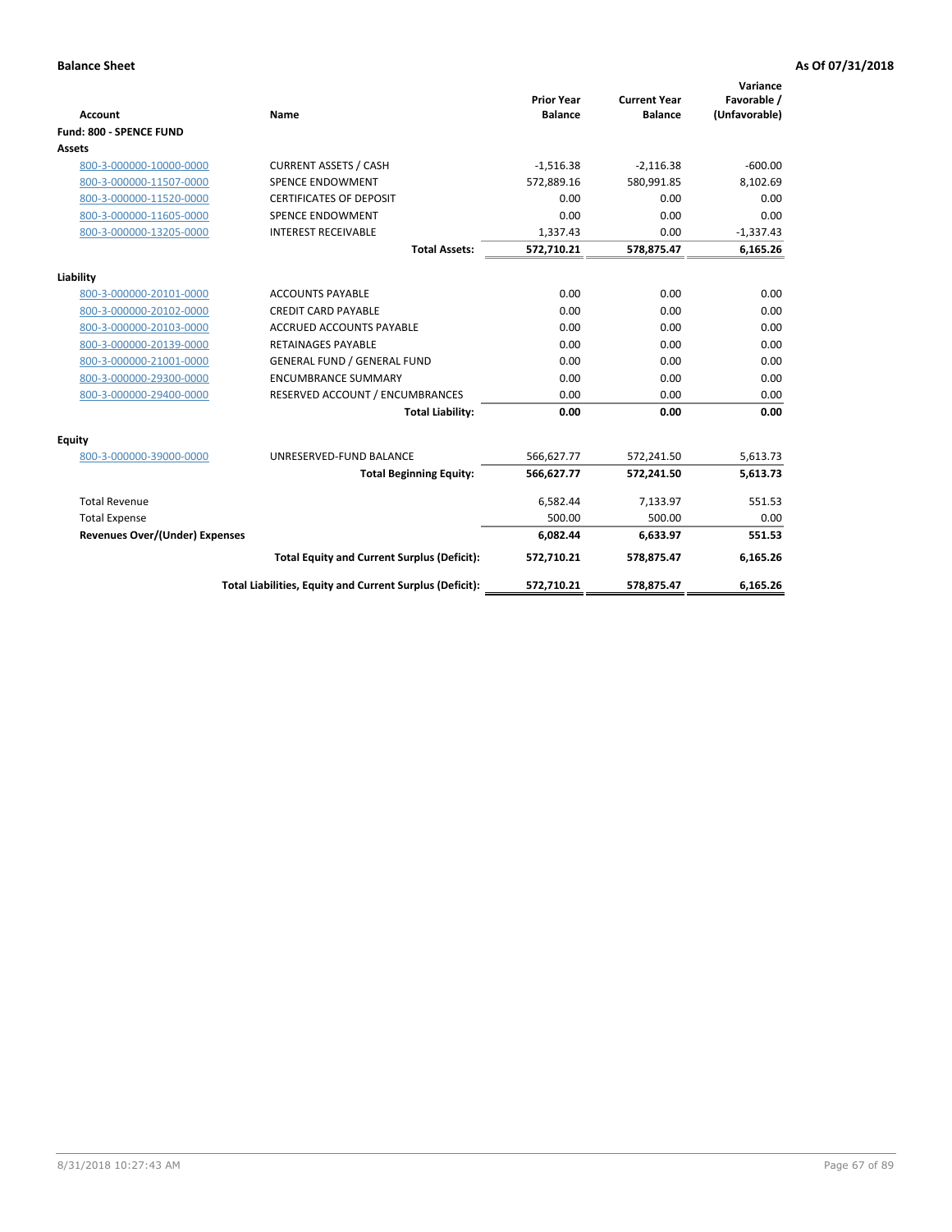|                                |                                                          |                                     |                                       | Variance                     |
|--------------------------------|----------------------------------------------------------|-------------------------------------|---------------------------------------|------------------------------|
| <b>Account</b>                 | Name                                                     | <b>Prior Year</b><br><b>Balance</b> | <b>Current Year</b><br><b>Balance</b> | Favorable /<br>(Unfavorable) |
| Fund: 800 - SPENCE FUND        |                                                          |                                     |                                       |                              |
| <b>Assets</b>                  |                                                          |                                     |                                       |                              |
| 800-3-000000-10000-0000        | <b>CURRENT ASSETS / CASH</b>                             | $-1,516.38$                         | $-2,116.38$                           | $-600.00$                    |
| 800-3-000000-11507-0000        | <b>SPENCE ENDOWMENT</b>                                  | 572,889.16                          | 580,991.85                            | 8,102.69                     |
| 800-3-000000-11520-0000        | <b>CERTIFICATES OF DEPOSIT</b>                           | 0.00                                | 0.00                                  | 0.00                         |
| 800-3-000000-11605-0000        | <b>SPENCE ENDOWMENT</b>                                  | 0.00                                | 0.00                                  | 0.00                         |
| 800-3-000000-13205-0000        | <b>INTEREST RECEIVABLE</b>                               | 1,337.43                            | 0.00                                  | $-1,337.43$                  |
|                                | <b>Total Assets:</b>                                     | 572,710.21                          | 578,875.47                            | 6,165.26                     |
| Liability                      |                                                          |                                     |                                       |                              |
| 800-3-000000-20101-0000        | <b>ACCOUNTS PAYABLE</b>                                  | 0.00                                | 0.00                                  | 0.00                         |
| 800-3-000000-20102-0000        | <b>CREDIT CARD PAYABLE</b>                               | 0.00                                | 0.00                                  | 0.00                         |
| 800-3-000000-20103-0000        | <b>ACCRUED ACCOUNTS PAYABLE</b>                          | 0.00                                | 0.00                                  | 0.00                         |
| 800-3-000000-20139-0000        | <b>RETAINAGES PAYABLE</b>                                | 0.00                                | 0.00                                  | 0.00                         |
| 800-3-000000-21001-0000        | <b>GENERAL FUND / GENERAL FUND</b>                       | 0.00                                | 0.00                                  | 0.00                         |
| 800-3-000000-29300-0000        | <b>ENCUMBRANCE SUMMARY</b>                               | 0.00                                | 0.00                                  | 0.00                         |
| 800-3-000000-29400-0000        | RESERVED ACCOUNT / ENCUMBRANCES                          | 0.00                                | 0.00                                  | 0.00                         |
|                                | <b>Total Liability:</b>                                  | 0.00                                | 0.00                                  | 0.00                         |
| Equity                         |                                                          |                                     |                                       |                              |
| 800-3-000000-39000-0000        | UNRESERVED-FUND BALANCE                                  | 566,627.77                          | 572,241.50                            | 5,613.73                     |
|                                | <b>Total Beginning Equity:</b>                           | 566,627.77                          | 572,241.50                            | 5,613.73                     |
| <b>Total Revenue</b>           |                                                          | 6,582.44                            | 7,133.97                              | 551.53                       |
| <b>Total Expense</b>           |                                                          | 500.00                              | 500.00                                | 0.00                         |
| Revenues Over/(Under) Expenses |                                                          | 6,082.44                            | 6,633.97                              | 551.53                       |
|                                | <b>Total Equity and Current Surplus (Deficit):</b>       | 572,710.21                          | 578,875.47                            | 6,165.26                     |
|                                | Total Liabilities, Equity and Current Surplus (Deficit): | 572,710.21                          | 578,875.47                            | 6,165.26                     |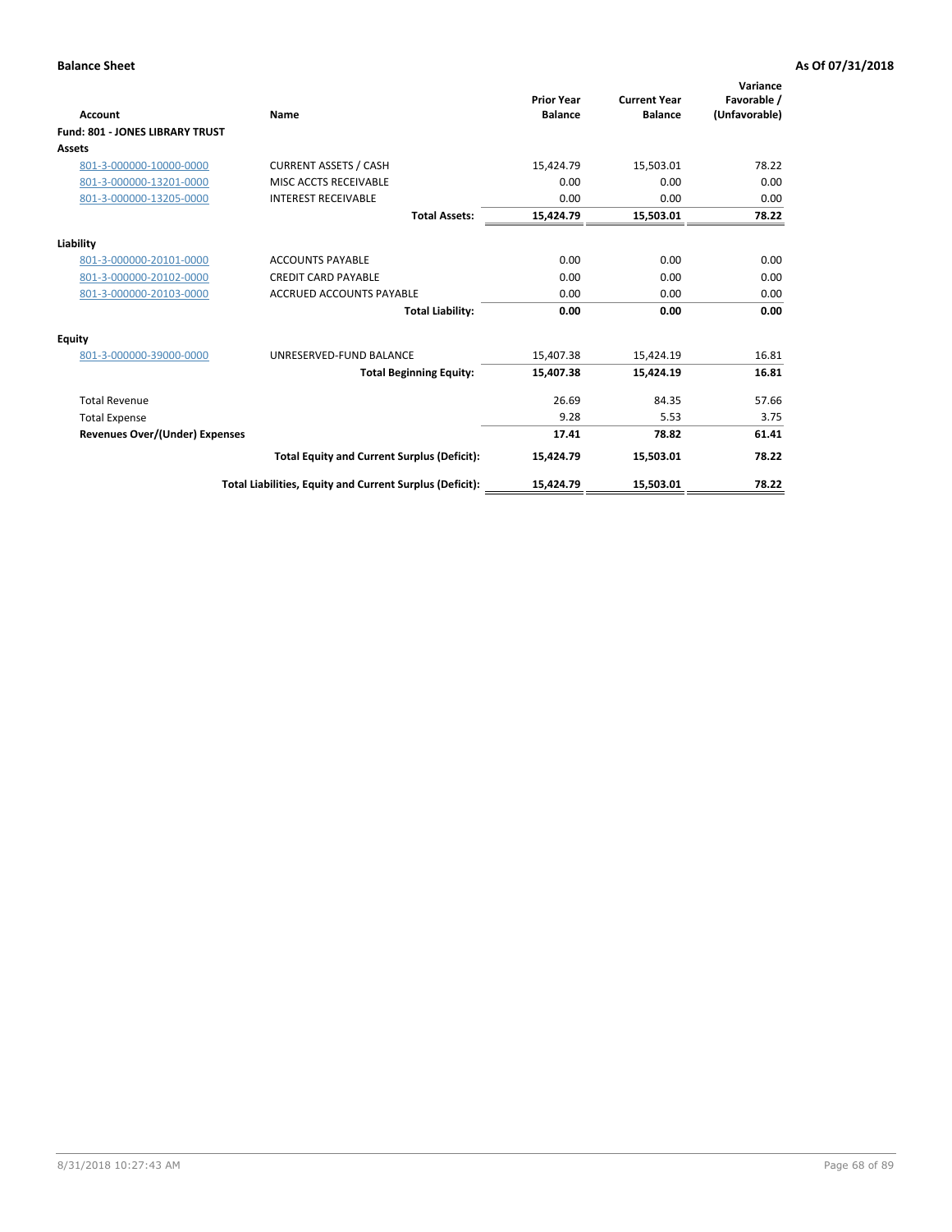| <b>Account</b>                        | Name                                                     | <b>Prior Year</b><br><b>Balance</b> | <b>Current Year</b><br><b>Balance</b> | Variance<br>Favorable /<br>(Unfavorable) |
|---------------------------------------|----------------------------------------------------------|-------------------------------------|---------------------------------------|------------------------------------------|
| Fund: 801 - JONES LIBRARY TRUST       |                                                          |                                     |                                       |                                          |
| Assets                                |                                                          |                                     |                                       |                                          |
| 801-3-000000-10000-0000               | <b>CURRENT ASSETS / CASH</b>                             | 15,424.79                           | 15,503.01                             | 78.22                                    |
| 801-3-000000-13201-0000               | MISC ACCTS RECEIVABLE                                    | 0.00                                | 0.00                                  | 0.00                                     |
| 801-3-000000-13205-0000               | <b>INTEREST RECEIVABLE</b>                               | 0.00                                | 0.00                                  | 0.00                                     |
|                                       | <b>Total Assets:</b>                                     | 15,424.79                           | 15,503.01                             | 78.22                                    |
| Liability                             |                                                          |                                     |                                       |                                          |
| 801-3-000000-20101-0000               | <b>ACCOUNTS PAYABLE</b>                                  | 0.00                                | 0.00                                  | 0.00                                     |
| 801-3-000000-20102-0000               | <b>CREDIT CARD PAYABLE</b>                               | 0.00                                | 0.00                                  | 0.00                                     |
| 801-3-000000-20103-0000               | <b>ACCRUED ACCOUNTS PAYABLE</b>                          | 0.00                                | 0.00                                  | 0.00                                     |
|                                       | <b>Total Liability:</b>                                  | 0.00                                | 0.00                                  | 0.00                                     |
| Equity                                |                                                          |                                     |                                       |                                          |
| 801-3-000000-39000-0000               | UNRESERVED-FUND BALANCE                                  | 15,407.38                           | 15,424.19                             | 16.81                                    |
|                                       | <b>Total Beginning Equity:</b>                           | 15,407.38                           | 15,424.19                             | 16.81                                    |
| <b>Total Revenue</b>                  |                                                          | 26.69                               | 84.35                                 | 57.66                                    |
| <b>Total Expense</b>                  |                                                          | 9.28                                | 5.53                                  | 3.75                                     |
| <b>Revenues Over/(Under) Expenses</b> |                                                          | 17.41                               | 78.82                                 | 61.41                                    |
|                                       | <b>Total Equity and Current Surplus (Deficit):</b>       | 15,424.79                           | 15,503.01                             | 78.22                                    |
|                                       | Total Liabilities, Equity and Current Surplus (Deficit): | 15,424.79                           | 15,503.01                             | 78.22                                    |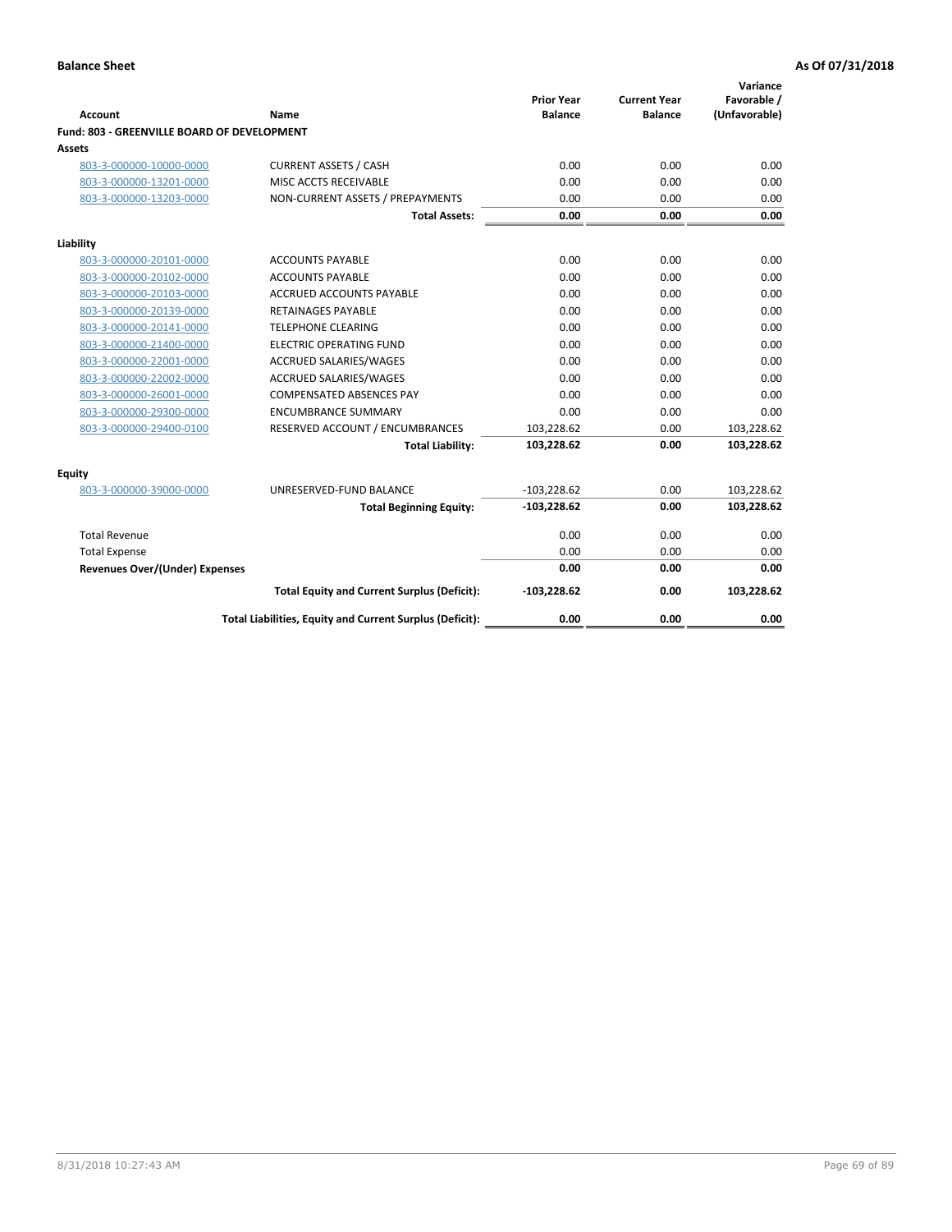| <b>Account</b>                              | Name                                                     | <b>Prior Year</b><br><b>Balance</b> | <b>Current Year</b><br><b>Balance</b> | Variance<br>Favorable /<br>(Unfavorable) |
|---------------------------------------------|----------------------------------------------------------|-------------------------------------|---------------------------------------|------------------------------------------|
| Fund: 803 - GREENVILLE BOARD OF DEVELOPMENT |                                                          |                                     |                                       |                                          |
| Assets                                      |                                                          |                                     |                                       |                                          |
| 803-3-000000-10000-0000                     | <b>CURRENT ASSETS / CASH</b>                             | 0.00                                | 0.00                                  | 0.00                                     |
| 803-3-000000-13201-0000                     | MISC ACCTS RECEIVABLE                                    | 0.00                                | 0.00                                  | 0.00                                     |
| 803-3-000000-13203-0000                     | NON-CURRENT ASSETS / PREPAYMENTS                         | 0.00                                | 0.00                                  | 0.00                                     |
|                                             | <b>Total Assets:</b>                                     | 0.00                                | 0.00                                  | 0.00                                     |
| Liability                                   |                                                          |                                     |                                       |                                          |
| 803-3-000000-20101-0000                     | <b>ACCOUNTS PAYABLE</b>                                  | 0.00                                | 0.00                                  | 0.00                                     |
| 803-3-000000-20102-0000                     | <b>ACCOUNTS PAYABLE</b>                                  | 0.00                                | 0.00                                  | 0.00                                     |
| 803-3-000000-20103-0000                     | <b>ACCRUED ACCOUNTS PAYABLE</b>                          | 0.00                                | 0.00                                  | 0.00                                     |
| 803-3-000000-20139-0000                     | RETAINAGES PAYABLE                                       | 0.00                                | 0.00                                  | 0.00                                     |
| 803-3-000000-20141-0000                     | <b>TELEPHONE CLEARING</b>                                | 0.00                                | 0.00                                  | 0.00                                     |
| 803-3-000000-21400-0000                     | <b>ELECTRIC OPERATING FUND</b>                           | 0.00                                | 0.00                                  | 0.00                                     |
| 803-3-000000-22001-0000                     | ACCRUED SALARIES/WAGES                                   | 0.00                                | 0.00                                  | 0.00                                     |
| 803-3-000000-22002-0000                     | ACCRUED SALARIES/WAGES                                   | 0.00                                | 0.00                                  | 0.00                                     |
| 803-3-000000-26001-0000                     | <b>COMPENSATED ABSENCES PAY</b>                          | 0.00                                | 0.00                                  | 0.00                                     |
| 803-3-000000-29300-0000                     | <b>ENCUMBRANCE SUMMARY</b>                               | 0.00                                | 0.00                                  | 0.00                                     |
| 803-3-000000-29400-0100                     | RESERVED ACCOUNT / ENCUMBRANCES                          | 103,228.62                          | 0.00                                  | 103,228.62                               |
|                                             | <b>Total Liability:</b>                                  | 103,228.62                          | 0.00                                  | 103,228.62                               |
| Equity                                      |                                                          |                                     |                                       |                                          |
| 803-3-000000-39000-0000                     | UNRESERVED-FUND BALANCE                                  | $-103,228.62$                       | 0.00                                  | 103,228.62                               |
|                                             | <b>Total Beginning Equity:</b>                           | $-103,228.62$                       | 0.00                                  | 103,228.62                               |
| <b>Total Revenue</b>                        |                                                          | 0.00                                | 0.00                                  | 0.00                                     |
| <b>Total Expense</b>                        |                                                          | 0.00                                | 0.00                                  | 0.00                                     |
| <b>Revenues Over/(Under) Expenses</b>       |                                                          | 0.00                                | 0.00                                  | 0.00                                     |
|                                             | <b>Total Equity and Current Surplus (Deficit):</b>       | $-103,228.62$                       | 0.00                                  | 103,228.62                               |
|                                             | Total Liabilities, Equity and Current Surplus (Deficit): | 0.00                                | 0.00                                  | 0.00                                     |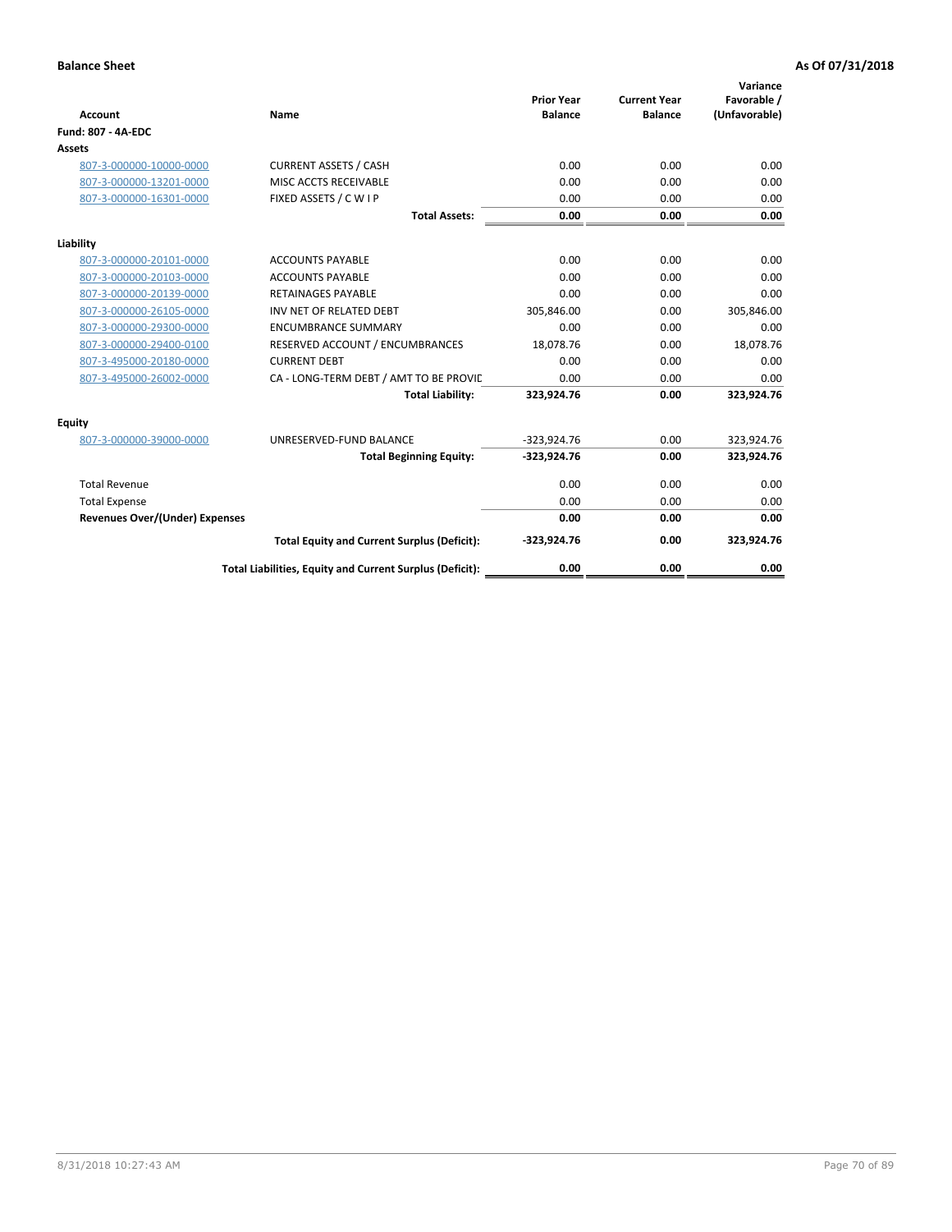| <b>Account</b>                        | Name                                                     | <b>Prior Year</b><br><b>Balance</b> | <b>Current Year</b><br><b>Balance</b> | Variance<br>Favorable /<br>(Unfavorable) |
|---------------------------------------|----------------------------------------------------------|-------------------------------------|---------------------------------------|------------------------------------------|
| <b>Fund: 807 - 4A-EDC</b>             |                                                          |                                     |                                       |                                          |
| <b>Assets</b>                         |                                                          |                                     |                                       |                                          |
| 807-3-000000-10000-0000               | <b>CURRENT ASSETS / CASH</b>                             | 0.00                                | 0.00                                  | 0.00                                     |
| 807-3-000000-13201-0000               | MISC ACCTS RECEIVABLE                                    | 0.00                                | 0.00                                  | 0.00                                     |
| 807-3-000000-16301-0000               | FIXED ASSETS / C W I P                                   | 0.00                                | 0.00                                  | 0.00                                     |
|                                       | <b>Total Assets:</b>                                     | 0.00                                | 0.00                                  | 0.00                                     |
| Liability                             |                                                          |                                     |                                       |                                          |
| 807-3-000000-20101-0000               | <b>ACCOUNTS PAYABLE</b>                                  | 0.00                                | 0.00                                  | 0.00                                     |
| 807-3-000000-20103-0000               | <b>ACCOUNTS PAYABLE</b>                                  | 0.00                                | 0.00                                  | 0.00                                     |
| 807-3-000000-20139-0000               | <b>RETAINAGES PAYABLE</b>                                | 0.00                                | 0.00                                  | 0.00                                     |
| 807-3-000000-26105-0000               | INV NET OF RELATED DEBT                                  | 305,846.00                          | 0.00                                  | 305,846.00                               |
| 807-3-000000-29300-0000               | <b>ENCUMBRANCE SUMMARY</b>                               | 0.00                                | 0.00                                  | 0.00                                     |
| 807-3-000000-29400-0100               | RESERVED ACCOUNT / ENCUMBRANCES                          | 18,078.76                           | 0.00                                  | 18,078.76                                |
| 807-3-495000-20180-0000               | <b>CURRENT DEBT</b>                                      | 0.00                                | 0.00                                  | 0.00                                     |
| 807-3-495000-26002-0000               | CA - LONG-TERM DEBT / AMT TO BE PROVIL                   | 0.00                                | 0.00                                  | 0.00                                     |
|                                       | <b>Total Liability:</b>                                  | 323,924.76                          | 0.00                                  | 323,924.76                               |
| Equity                                |                                                          |                                     |                                       |                                          |
| 807-3-000000-39000-0000               | UNRESERVED-FUND BALANCE                                  | $-323,924.76$                       | 0.00                                  | 323,924.76                               |
|                                       | <b>Total Beginning Equity:</b>                           | $-323,924.76$                       | 0.00                                  | 323,924.76                               |
| <b>Total Revenue</b>                  |                                                          | 0.00                                | 0.00                                  | 0.00                                     |
| <b>Total Expense</b>                  |                                                          | 0.00                                | 0.00                                  | 0.00                                     |
| <b>Revenues Over/(Under) Expenses</b> |                                                          | 0.00                                | 0.00                                  | 0.00                                     |
|                                       | <b>Total Equity and Current Surplus (Deficit):</b>       | $-323,924.76$                       | 0.00                                  | 323,924.76                               |
|                                       | Total Liabilities, Equity and Current Surplus (Deficit): | 0.00                                | 0.00                                  | 0.00                                     |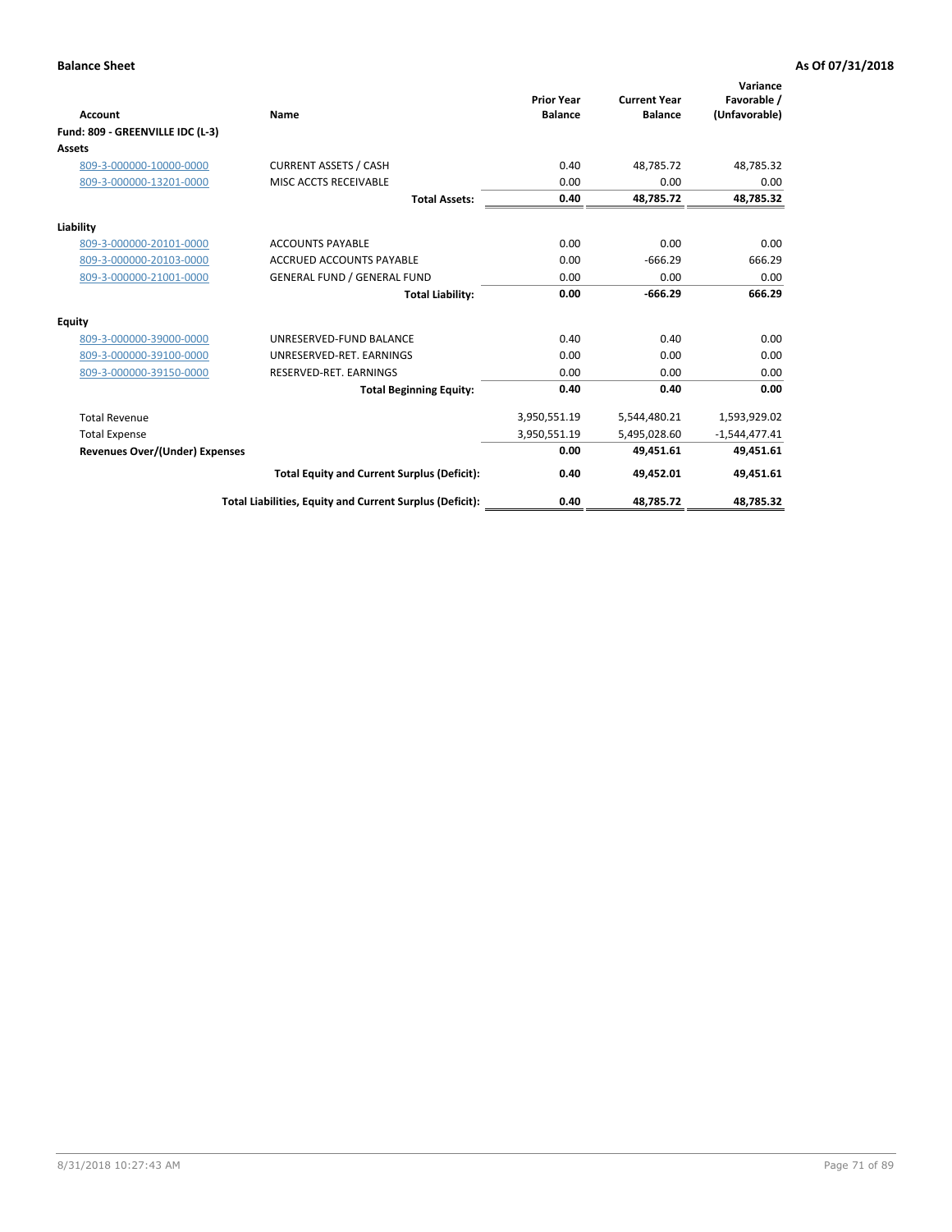|                                       |                                                          |                                     |                                       | Variance                     |
|---------------------------------------|----------------------------------------------------------|-------------------------------------|---------------------------------------|------------------------------|
| Account                               | Name                                                     | <b>Prior Year</b><br><b>Balance</b> | <b>Current Year</b><br><b>Balance</b> | Favorable /<br>(Unfavorable) |
| Fund: 809 - GREENVILLE IDC (L-3)      |                                                          |                                     |                                       |                              |
| <b>Assets</b>                         |                                                          |                                     |                                       |                              |
| 809-3-000000-10000-0000               | <b>CURRENT ASSETS / CASH</b>                             | 0.40                                | 48,785.72                             | 48,785.32                    |
| 809-3-000000-13201-0000               | MISC ACCTS RECEIVABLE                                    | 0.00                                | 0.00                                  | 0.00                         |
|                                       | <b>Total Assets:</b>                                     | 0.40                                | 48,785.72                             | 48,785.32                    |
| Liability                             |                                                          |                                     |                                       |                              |
| 809-3-000000-20101-0000               | <b>ACCOUNTS PAYABLE</b>                                  | 0.00                                | 0.00                                  | 0.00                         |
| 809-3-000000-20103-0000               | ACCRUED ACCOUNTS PAYABLE                                 | 0.00                                | $-666.29$                             | 666.29                       |
| 809-3-000000-21001-0000               | <b>GENERAL FUND / GENERAL FUND</b>                       | 0.00                                | 0.00                                  | 0.00                         |
|                                       | <b>Total Liability:</b>                                  | 0.00                                | $-666.29$                             | 666.29                       |
| <b>Equity</b>                         |                                                          |                                     |                                       |                              |
| 809-3-000000-39000-0000               | UNRESERVED-FUND BALANCE                                  | 0.40                                | 0.40                                  | 0.00                         |
| 809-3-000000-39100-0000               | UNRESERVED-RET, EARNINGS                                 | 0.00                                | 0.00                                  | 0.00                         |
| 809-3-000000-39150-0000               | RESERVED-RET. EARNINGS                                   | 0.00                                | 0.00                                  | 0.00                         |
|                                       | <b>Total Beginning Equity:</b>                           | 0.40                                | 0.40                                  | 0.00                         |
| <b>Total Revenue</b>                  |                                                          | 3,950,551.19                        | 5,544,480.21                          | 1,593,929.02                 |
| <b>Total Expense</b>                  |                                                          | 3,950,551.19                        | 5,495,028.60                          | $-1,544,477.41$              |
| <b>Revenues Over/(Under) Expenses</b> |                                                          | 0.00                                | 49,451.61                             | 49,451.61                    |
|                                       | <b>Total Equity and Current Surplus (Deficit):</b>       | 0.40                                | 49,452.01                             | 49,451.61                    |
|                                       | Total Liabilities, Equity and Current Surplus (Deficit): | 0.40                                | 48.785.72                             | 48.785.32                    |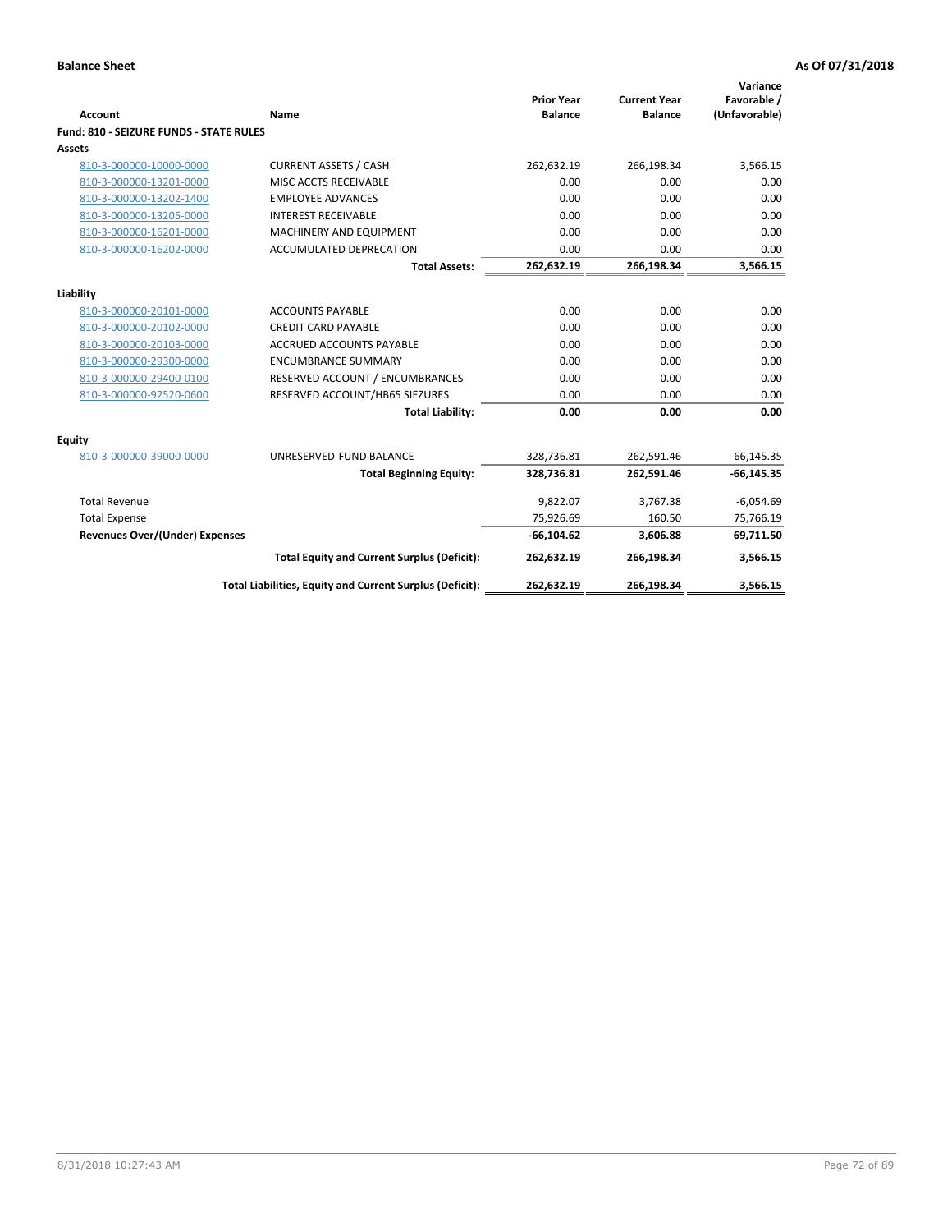| <b>Account</b>                          | Name                                                     | <b>Prior Year</b><br><b>Balance</b> | <b>Current Year</b><br><b>Balance</b> | Variance<br>Favorable /<br>(Unfavorable) |
|-----------------------------------------|----------------------------------------------------------|-------------------------------------|---------------------------------------|------------------------------------------|
| Fund: 810 - SEIZURE FUNDS - STATE RULES |                                                          |                                     |                                       |                                          |
| <b>Assets</b>                           |                                                          |                                     |                                       |                                          |
| 810-3-000000-10000-0000                 | <b>CURRENT ASSETS / CASH</b>                             | 262,632.19                          | 266,198.34                            | 3,566.15                                 |
| 810-3-000000-13201-0000                 | MISC ACCTS RECEIVABLE                                    | 0.00                                | 0.00                                  | 0.00                                     |
| 810-3-000000-13202-1400                 | <b>EMPLOYEE ADVANCES</b>                                 | 0.00                                | 0.00                                  | 0.00                                     |
| 810-3-000000-13205-0000                 | <b>INTEREST RECEIVABLE</b>                               | 0.00                                | 0.00                                  | 0.00                                     |
| 810-3-000000-16201-0000                 | MACHINERY AND EQUIPMENT                                  | 0.00                                | 0.00                                  | 0.00                                     |
| 810-3-000000-16202-0000                 | ACCUMULATED DEPRECATION                                  | 0.00                                | 0.00                                  | 0.00                                     |
|                                         | <b>Total Assets:</b>                                     | 262,632.19                          | 266,198.34                            | 3,566.15                                 |
|                                         |                                                          |                                     |                                       |                                          |
| Liability                               |                                                          |                                     |                                       |                                          |
| 810-3-000000-20101-0000                 | <b>ACCOUNTS PAYABLE</b>                                  | 0.00                                | 0.00                                  | 0.00                                     |
| 810-3-000000-20102-0000                 | <b>CREDIT CARD PAYABLE</b>                               | 0.00                                | 0.00                                  | 0.00                                     |
| 810-3-000000-20103-0000                 | <b>ACCRUED ACCOUNTS PAYABLE</b>                          | 0.00                                | 0.00                                  | 0.00                                     |
| 810-3-000000-29300-0000                 | <b>ENCUMBRANCE SUMMARY</b>                               | 0.00                                | 0.00                                  | 0.00                                     |
| 810-3-000000-29400-0100                 | RESERVED ACCOUNT / ENCUMBRANCES                          | 0.00                                | 0.00                                  | 0.00                                     |
| 810-3-000000-92520-0600                 | RESERVED ACCOUNT/HB65 SIEZURES                           | 0.00                                | 0.00                                  | 0.00                                     |
|                                         | <b>Total Liability:</b>                                  | 0.00                                | 0.00                                  | 0.00                                     |
| <b>Equity</b>                           |                                                          |                                     |                                       |                                          |
| 810-3-000000-39000-0000                 | UNRESERVED-FUND BALANCE                                  | 328,736.81                          | 262,591.46                            | $-66, 145.35$                            |
|                                         | <b>Total Beginning Equity:</b>                           | 328,736.81                          | 262,591.46                            | $-66, 145.35$                            |
| <b>Total Revenue</b>                    |                                                          | 9,822.07                            | 3,767.38                              | $-6,054.69$                              |
| <b>Total Expense</b>                    |                                                          | 75,926.69                           | 160.50                                | 75,766.19                                |
| <b>Revenues Over/(Under) Expenses</b>   |                                                          | $-66, 104.62$                       | 3,606.88                              | 69,711.50                                |
|                                         | <b>Total Equity and Current Surplus (Deficit):</b>       | 262,632.19                          | 266,198.34                            | 3,566.15                                 |
|                                         | Total Liabilities, Equity and Current Surplus (Deficit): | 262,632.19                          | 266,198.34                            | 3,566.15                                 |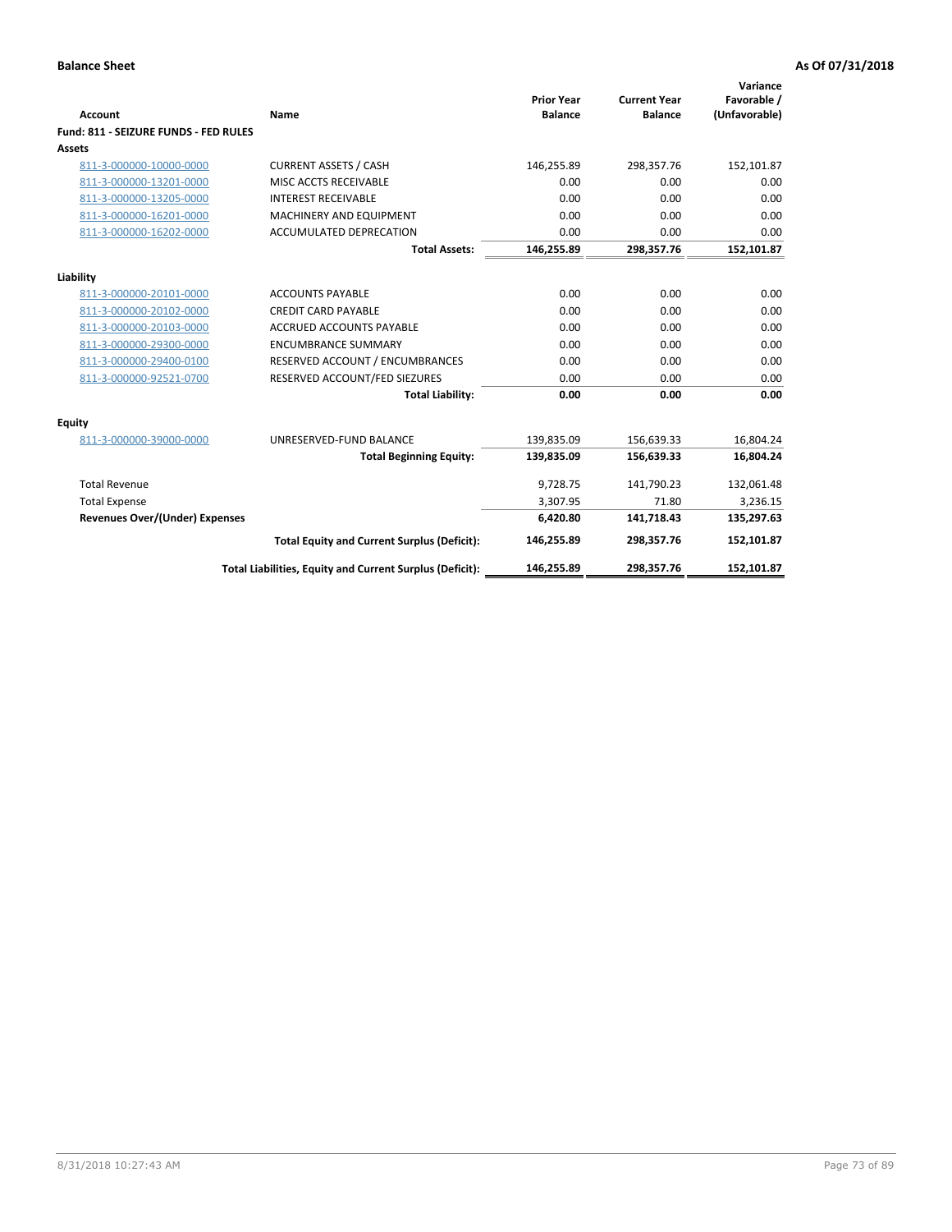| <b>Account</b>                        | Name                                                     | <b>Prior Year</b><br><b>Balance</b> | <b>Current Year</b><br><b>Balance</b> | Variance<br>Favorable /<br>(Unfavorable) |
|---------------------------------------|----------------------------------------------------------|-------------------------------------|---------------------------------------|------------------------------------------|
| Fund: 811 - SEIZURE FUNDS - FED RULES |                                                          |                                     |                                       |                                          |
| <b>Assets</b>                         |                                                          |                                     |                                       |                                          |
| 811-3-000000-10000-0000               | <b>CURRENT ASSETS / CASH</b>                             | 146,255.89                          | 298,357.76                            | 152,101.87                               |
| 811-3-000000-13201-0000               | MISC ACCTS RECEIVABLE                                    | 0.00                                | 0.00                                  | 0.00                                     |
| 811-3-000000-13205-0000               | <b>INTEREST RECEIVABLE</b>                               | 0.00                                | 0.00                                  | 0.00                                     |
| 811-3-000000-16201-0000               | <b>MACHINERY AND EQUIPMENT</b>                           | 0.00                                | 0.00                                  | 0.00                                     |
| 811-3-000000-16202-0000               | <b>ACCUMULATED DEPRECATION</b>                           | 0.00                                | 0.00                                  | 0.00                                     |
|                                       | <b>Total Assets:</b>                                     | 146,255.89                          | 298,357.76                            | 152,101.87                               |
| Liability                             |                                                          |                                     |                                       |                                          |
| 811-3-000000-20101-0000               | <b>ACCOUNTS PAYABLE</b>                                  | 0.00                                | 0.00                                  | 0.00                                     |
| 811-3-000000-20102-0000               | <b>CREDIT CARD PAYABLE</b>                               | 0.00                                | 0.00                                  | 0.00                                     |
| 811-3-000000-20103-0000               | <b>ACCRUED ACCOUNTS PAYABLE</b>                          | 0.00                                | 0.00                                  | 0.00                                     |
| 811-3-000000-29300-0000               | <b>ENCUMBRANCE SUMMARY</b>                               | 0.00                                | 0.00                                  | 0.00                                     |
| 811-3-000000-29400-0100               | RESERVED ACCOUNT / ENCUMBRANCES                          | 0.00                                | 0.00                                  | 0.00                                     |
| 811-3-000000-92521-0700               | RESERVED ACCOUNT/FED SIEZURES                            | 0.00                                | 0.00                                  | 0.00                                     |
|                                       | <b>Total Liability:</b>                                  | 0.00                                | 0.00                                  | 0.00                                     |
|                                       |                                                          |                                     |                                       |                                          |
| Equity                                |                                                          |                                     |                                       |                                          |
| 811-3-000000-39000-0000               | UNRESERVED-FUND BALANCE                                  | 139,835.09                          | 156,639.33                            | 16,804.24                                |
|                                       | <b>Total Beginning Equity:</b>                           | 139,835.09                          | 156,639.33                            | 16,804.24                                |
| <b>Total Revenue</b>                  |                                                          | 9,728.75                            | 141,790.23                            | 132,061.48                               |
| <b>Total Expense</b>                  |                                                          | 3,307.95                            | 71.80                                 | 3,236.15                                 |
| <b>Revenues Over/(Under) Expenses</b> |                                                          | 6,420.80                            | 141,718.43                            | 135,297.63                               |
|                                       | <b>Total Equity and Current Surplus (Deficit):</b>       | 146,255.89                          | 298,357.76                            | 152,101.87                               |
|                                       | Total Liabilities, Equity and Current Surplus (Deficit): | 146,255.89                          | 298,357.76                            | 152,101.87                               |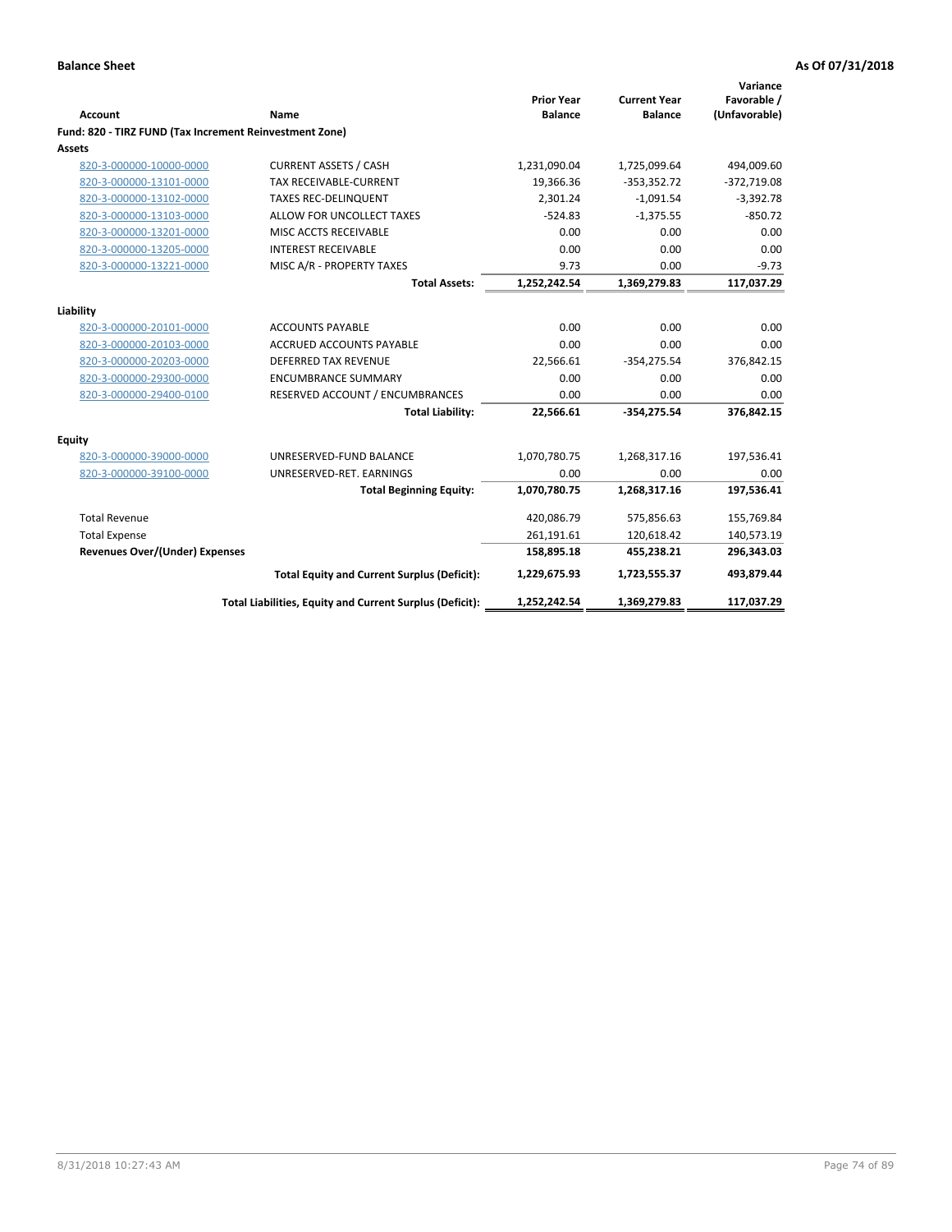|                                                         |                                                          | <b>Prior Year</b> | <b>Current Year</b> | Variance<br>Favorable / |
|---------------------------------------------------------|----------------------------------------------------------|-------------------|---------------------|-------------------------|
| <b>Account</b>                                          | Name                                                     | <b>Balance</b>    | <b>Balance</b>      | (Unfavorable)           |
| Fund: 820 - TIRZ FUND (Tax Increment Reinvestment Zone) |                                                          |                   |                     |                         |
| Assets                                                  |                                                          |                   |                     |                         |
| 820-3-000000-10000-0000                                 | <b>CURRENT ASSETS / CASH</b>                             | 1,231,090.04      | 1,725,099.64        | 494,009.60              |
| 820-3-000000-13101-0000                                 | <b>TAX RECEIVABLE-CURRENT</b>                            | 19,366.36         | $-353,352.72$       | $-372,719.08$           |
| 820-3-000000-13102-0000                                 | <b>TAXES REC-DELINQUENT</b>                              | 2,301.24          | $-1,091.54$         | $-3,392.78$             |
| 820-3-000000-13103-0000                                 | ALLOW FOR UNCOLLECT TAXES                                | $-524.83$         | $-1,375.55$         | $-850.72$               |
| 820-3-000000-13201-0000                                 | MISC ACCTS RECEIVABLE                                    | 0.00              | 0.00                | 0.00                    |
| 820-3-000000-13205-0000                                 | <b>INTEREST RECEIVABLE</b>                               | 0.00              | 0.00                | 0.00                    |
| 820-3-000000-13221-0000                                 | MISC A/R - PROPERTY TAXES                                | 9.73              | 0.00                | $-9.73$                 |
|                                                         | <b>Total Assets:</b>                                     | 1,252,242.54      | 1,369,279.83        | 117,037.29              |
| Liability                                               |                                                          |                   |                     |                         |
| 820-3-000000-20101-0000                                 | <b>ACCOUNTS PAYABLE</b>                                  | 0.00              | 0.00                | 0.00                    |
| 820-3-000000-20103-0000                                 | <b>ACCRUED ACCOUNTS PAYABLE</b>                          | 0.00              | 0.00                | 0.00                    |
| 820-3-000000-20203-0000                                 | <b>DEFERRED TAX REVENUE</b>                              | 22,566.61         | $-354,275.54$       | 376,842.15              |
| 820-3-000000-29300-0000                                 | <b>ENCUMBRANCE SUMMARY</b>                               | 0.00              | 0.00                | 0.00                    |
| 820-3-000000-29400-0100                                 | RESERVED ACCOUNT / ENCUMBRANCES                          | 0.00              | 0.00                | 0.00                    |
|                                                         | <b>Total Liability:</b>                                  | 22,566.61         | $-354,275.54$       | 376,842.15              |
| Equity                                                  |                                                          |                   |                     |                         |
| 820-3-000000-39000-0000                                 | UNRESERVED-FUND BALANCE                                  | 1,070,780.75      | 1,268,317.16        | 197,536.41              |
| 820-3-000000-39100-0000                                 | UNRESERVED-RET. EARNINGS                                 | 0.00              | 0.00                | 0.00                    |
|                                                         | <b>Total Beginning Equity:</b>                           | 1,070,780.75      | 1,268,317.16        | 197,536.41              |
| <b>Total Revenue</b>                                    |                                                          | 420,086.79        | 575,856.63          | 155,769.84              |
| <b>Total Expense</b>                                    |                                                          | 261,191.61        | 120,618.42          | 140,573.19              |
| <b>Revenues Over/(Under) Expenses</b>                   |                                                          | 158,895.18        | 455,238.21          | 296,343.03              |
|                                                         | <b>Total Equity and Current Surplus (Deficit):</b>       | 1,229,675.93      | 1,723,555.37        | 493,879.44              |
|                                                         | Total Liabilities, Equity and Current Surplus (Deficit): | 1,252,242.54      | 1,369,279.83        | 117,037.29              |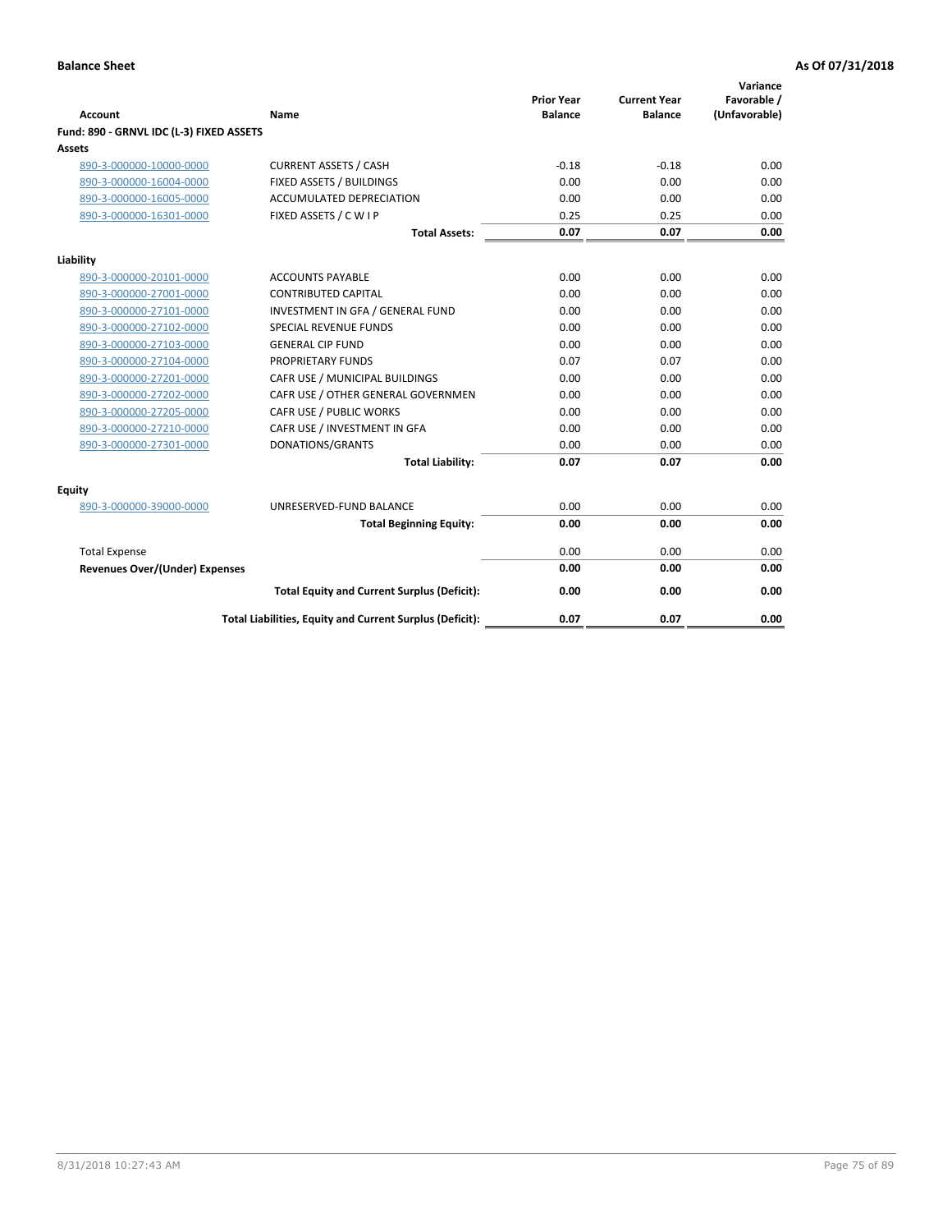| <b>Account</b>                           | Name                                                     | <b>Prior Year</b><br><b>Balance</b> | <b>Current Year</b><br><b>Balance</b> | Variance<br>Favorable /<br>(Unfavorable) |
|------------------------------------------|----------------------------------------------------------|-------------------------------------|---------------------------------------|------------------------------------------|
| Fund: 890 - GRNVL IDC (L-3) FIXED ASSETS |                                                          |                                     |                                       |                                          |
| <b>Assets</b>                            |                                                          |                                     |                                       |                                          |
| 890-3-000000-10000-0000                  | <b>CURRENT ASSETS / CASH</b>                             | $-0.18$                             | $-0.18$                               | 0.00                                     |
| 890-3-000000-16004-0000                  | FIXED ASSETS / BUILDINGS                                 | 0.00                                | 0.00                                  | 0.00                                     |
| 890-3-000000-16005-0000                  | <b>ACCUMULATED DEPRECIATION</b>                          | 0.00                                | 0.00                                  | 0.00                                     |
| 890-3-000000-16301-0000                  | FIXED ASSETS / C W I P                                   | 0.25                                | 0.25                                  | 0.00                                     |
|                                          | <b>Total Assets:</b>                                     | 0.07                                | 0.07                                  | 0.00                                     |
| Liability                                |                                                          |                                     |                                       |                                          |
| 890-3-000000-20101-0000                  | <b>ACCOUNTS PAYABLE</b>                                  | 0.00                                | 0.00                                  | 0.00                                     |
| 890-3-000000-27001-0000                  | <b>CONTRIBUTED CAPITAL</b>                               | 0.00                                | 0.00                                  | 0.00                                     |
| 890-3-000000-27101-0000                  | INVESTMENT IN GFA / GENERAL FUND                         | 0.00                                | 0.00                                  | 0.00                                     |
| 890-3-000000-27102-0000                  | <b>SPECIAL REVENUE FUNDS</b>                             | 0.00                                | 0.00                                  | 0.00                                     |
| 890-3-000000-27103-0000                  | <b>GENERAL CIP FUND</b>                                  | 0.00                                | 0.00                                  | 0.00                                     |
| 890-3-000000-27104-0000                  | PROPRIETARY FUNDS                                        | 0.07                                | 0.07                                  | 0.00                                     |
| 890-3-000000-27201-0000                  | CAFR USE / MUNICIPAL BUILDINGS                           | 0.00                                | 0.00                                  | 0.00                                     |
| 890-3-000000-27202-0000                  | CAFR USE / OTHER GENERAL GOVERNMEN                       | 0.00                                | 0.00                                  | 0.00                                     |
| 890-3-000000-27205-0000                  | CAFR USE / PUBLIC WORKS                                  | 0.00                                | 0.00                                  | 0.00                                     |
| 890-3-000000-27210-0000                  | CAFR USE / INVESTMENT IN GFA                             | 0.00                                | 0.00                                  | 0.00                                     |
| 890-3-000000-27301-0000                  | DONATIONS/GRANTS                                         | 0.00                                | 0.00                                  | 0.00                                     |
|                                          | <b>Total Liability:</b>                                  | 0.07                                | 0.07                                  | 0.00                                     |
| Equity                                   |                                                          |                                     |                                       |                                          |
| 890-3-000000-39000-0000                  | UNRESERVED-FUND BALANCE                                  | 0.00                                | 0.00                                  | 0.00                                     |
|                                          | <b>Total Beginning Equity:</b>                           | 0.00                                | 0.00                                  | 0.00                                     |
| <b>Total Expense</b>                     |                                                          | 0.00                                | 0.00                                  | 0.00                                     |
| <b>Revenues Over/(Under) Expenses</b>    |                                                          | 0.00                                | 0.00                                  | 0.00                                     |
|                                          | <b>Total Equity and Current Surplus (Deficit):</b>       | 0.00                                | 0.00                                  | 0.00                                     |
|                                          | Total Liabilities, Equity and Current Surplus (Deficit): | 0.07                                | 0.07                                  | 0.00                                     |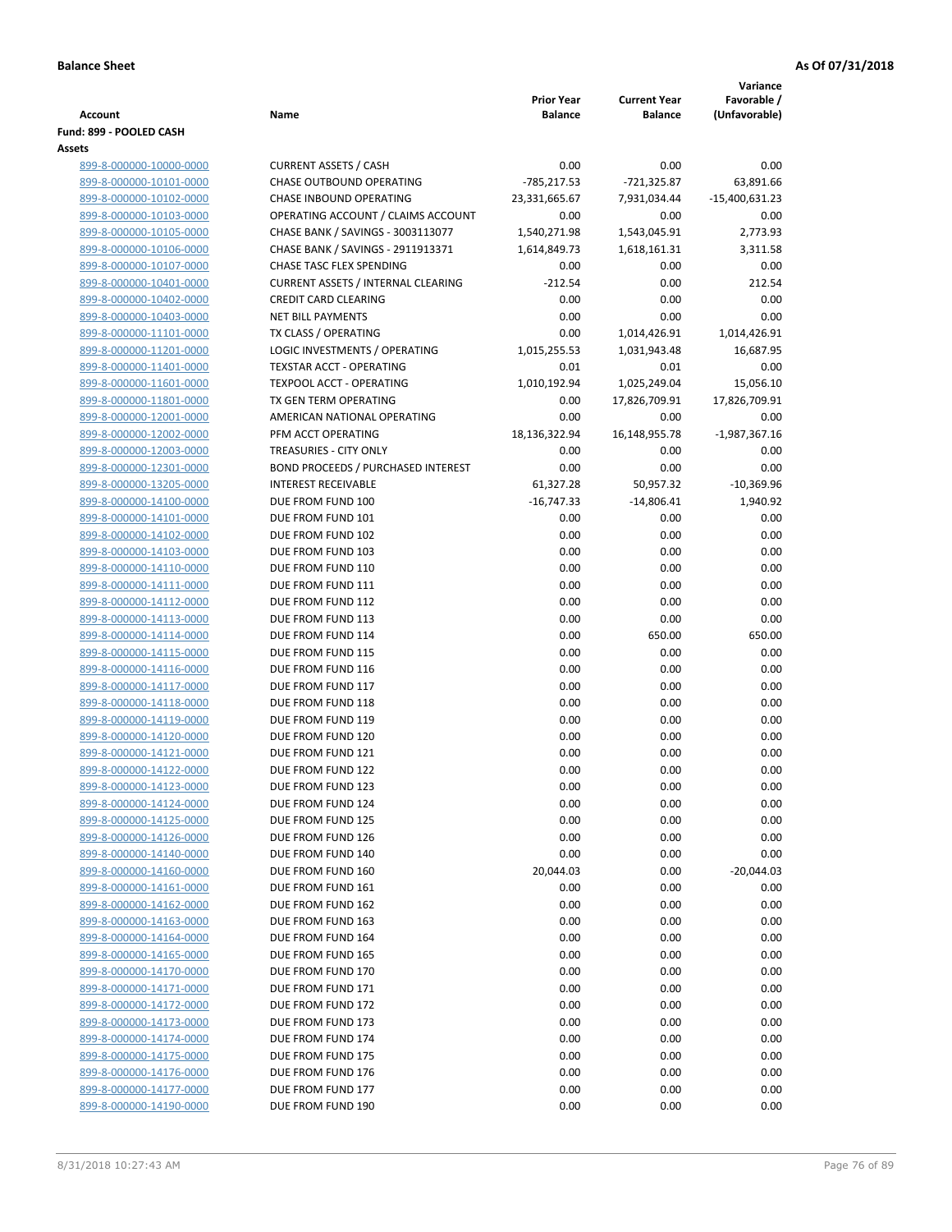|                                                    |                                                 | <b>Prior Year</b>    | <b>Current Year</b>  | Variance<br>Favorable / |
|----------------------------------------------------|-------------------------------------------------|----------------------|----------------------|-------------------------|
| <b>Account</b>                                     | Name                                            | <b>Balance</b>       | <b>Balance</b>       | (Unfavorable)           |
| Fund: 899 - POOLED CASH                            |                                                 |                      |                      |                         |
| Assets                                             |                                                 |                      |                      |                         |
| 899-8-000000-10000-0000                            | <b>CURRENT ASSETS / CASH</b>                    | 0.00                 | 0.00                 | 0.00                    |
| 899-8-000000-10101-0000                            | <b>CHASE OUTBOUND OPERATING</b>                 | $-785,217.53$        | $-721,325.87$        | 63,891.66               |
| 899-8-000000-10102-0000                            | CHASE INBOUND OPERATING                         | 23,331,665.67        | 7,931,034.44         | -15,400,631.23          |
| 899-8-000000-10103-0000                            | OPERATING ACCOUNT / CLAIMS ACCOUNT              | 0.00                 | 0.00                 | 0.00                    |
| 899-8-000000-10105-0000                            | CHASE BANK / SAVINGS - 3003113077               | 1,540,271.98         | 1,543,045.91         | 2,773.93                |
| 899-8-000000-10106-0000                            | CHASE BANK / SAVINGS - 2911913371               | 1,614,849.73         | 1,618,161.31         | 3,311.58                |
| 899-8-000000-10107-0000                            | CHASE TASC FLEX SPENDING                        | 0.00                 | 0.00                 | 0.00                    |
| 899-8-000000-10401-0000                            | <b>CURRENT ASSETS / INTERNAL CLEARING</b>       | $-212.54$            | 0.00                 | 212.54                  |
| 899-8-000000-10402-0000                            | <b>CREDIT CARD CLEARING</b>                     | 0.00                 | 0.00                 | 0.00                    |
| 899-8-000000-10403-0000                            | <b>NET BILL PAYMENTS</b>                        | 0.00                 | 0.00                 | 0.00                    |
| 899-8-000000-11101-0000                            | TX CLASS / OPERATING                            | 0.00                 | 1,014,426.91         | 1,014,426.91            |
| 899-8-000000-11201-0000                            | LOGIC INVESTMENTS / OPERATING                   | 1,015,255.53         | 1,031,943.48         | 16,687.95               |
| 899-8-000000-11401-0000                            | <b>TEXSTAR ACCT - OPERATING</b>                 | 0.01                 | 0.01                 | 0.00                    |
| 899-8-000000-11601-0000                            | TEXPOOL ACCT - OPERATING                        | 1,010,192.94         | 1,025,249.04         | 15,056.10               |
| 899-8-000000-11801-0000                            | TX GEN TERM OPERATING                           | 0.00                 | 17,826,709.91        | 17,826,709.91           |
| 899-8-000000-12001-0000                            | AMERICAN NATIONAL OPERATING                     | 0.00                 | 0.00                 | 0.00                    |
| 899-8-000000-12002-0000                            | PFM ACCT OPERATING                              | 18,136,322.94        | 16,148,955.78        | $-1,987,367.16$         |
| 899-8-000000-12003-0000                            | TREASURIES - CITY ONLY                          | 0.00                 | 0.00                 | 0.00                    |
| 899-8-000000-12301-0000                            | <b>BOND PROCEEDS / PURCHASED INTEREST</b>       | 0.00                 | 0.00                 | 0.00                    |
| 899-8-000000-13205-0000                            | <b>INTEREST RECEIVABLE</b><br>DUE FROM FUND 100 | 61,327.28            | 50,957.32            | $-10,369.96$            |
| 899-8-000000-14100-0000<br>899-8-000000-14101-0000 | DUE FROM FUND 101                               | $-16,747.33$<br>0.00 | $-14,806.41$<br>0.00 | 1,940.92<br>0.00        |
| 899-8-000000-14102-0000                            | DUE FROM FUND 102                               | 0.00                 | 0.00                 | 0.00                    |
| 899-8-000000-14103-0000                            | DUE FROM FUND 103                               | 0.00                 | 0.00                 | 0.00                    |
| 899-8-000000-14110-0000                            | DUE FROM FUND 110                               | 0.00                 | 0.00                 | 0.00                    |
| 899-8-000000-14111-0000                            | DUE FROM FUND 111                               | 0.00                 | 0.00                 | 0.00                    |
| 899-8-000000-14112-0000                            | DUE FROM FUND 112                               | 0.00                 | 0.00                 | 0.00                    |
| 899-8-000000-14113-0000                            | DUE FROM FUND 113                               | 0.00                 | 0.00                 | 0.00                    |
| 899-8-000000-14114-0000                            | DUE FROM FUND 114                               | 0.00                 | 650.00               | 650.00                  |
| 899-8-000000-14115-0000                            | DUE FROM FUND 115                               | 0.00                 | 0.00                 | 0.00                    |
| 899-8-000000-14116-0000                            | DUE FROM FUND 116                               | 0.00                 | 0.00                 | 0.00                    |
| 899-8-000000-14117-0000                            | DUE FROM FUND 117                               | 0.00                 | 0.00                 | 0.00                    |
| 899-8-000000-14118-0000                            | DUE FROM FUND 118                               | 0.00                 | 0.00                 | 0.00                    |
| 899-8-000000-14119-0000                            | DUE FROM FUND 119                               | 0.00                 | 0.00                 | 0.00                    |
| 899-8-000000-14120-0000                            | DUE FROM FUND 120                               | 0.00                 | 0.00                 | 0.00                    |
| 899-8-000000-14121-0000                            | DUE FROM FUND 121                               | 0.00                 | 0.00                 | 0.00                    |
| 899-8-000000-14122-0000                            | DUE FROM FUND 122                               | 0.00                 | 0.00                 | 0.00                    |
| 899-8-000000-14123-0000                            | DUE FROM FUND 123                               | 0.00                 | 0.00                 | 0.00                    |
| 899-8-000000-14124-0000                            | DUE FROM FUND 124                               | 0.00                 | 0.00                 | 0.00                    |
| 899-8-000000-14125-0000                            | DUE FROM FUND 125                               | 0.00                 | 0.00                 | 0.00                    |
| 899-8-000000-14126-0000                            | DUE FROM FUND 126                               | 0.00                 | 0.00                 | 0.00                    |
| 899-8-000000-14140-0000                            | DUE FROM FUND 140                               | 0.00                 | 0.00                 | 0.00                    |
| 899-8-000000-14160-0000                            | DUE FROM FUND 160                               | 20,044.03            | 0.00                 | $-20,044.03$            |
| 899-8-000000-14161-0000                            | DUE FROM FUND 161                               | 0.00                 | 0.00                 | 0.00                    |
| 899-8-000000-14162-0000                            | DUE FROM FUND 162                               | 0.00                 | 0.00                 | 0.00                    |
| 899-8-000000-14163-0000                            | DUE FROM FUND 163                               | 0.00                 | 0.00                 | 0.00                    |
| 899-8-000000-14164-0000                            | DUE FROM FUND 164                               | 0.00                 | 0.00                 | 0.00                    |
| 899-8-000000-14165-0000                            | DUE FROM FUND 165                               | 0.00                 | 0.00                 | 0.00                    |
| 899-8-000000-14170-0000                            | DUE FROM FUND 170                               | 0.00                 | 0.00                 | 0.00                    |
| 899-8-000000-14171-0000                            | DUE FROM FUND 171                               | 0.00                 | 0.00                 | 0.00                    |
| 899-8-000000-14172-0000                            | DUE FROM FUND 172                               | 0.00                 | 0.00                 | 0.00                    |
| 899-8-000000-14173-0000                            | DUE FROM FUND 173                               | 0.00                 | 0.00                 | 0.00                    |
| 899-8-000000-14174-0000                            | DUE FROM FUND 174                               | 0.00                 | 0.00                 | 0.00                    |
| 899-8-000000-14175-0000<br>899-8-000000-14176-0000 | DUE FROM FUND 175<br>DUE FROM FUND 176          | 0.00<br>0.00         | 0.00<br>0.00         | 0.00<br>0.00            |
| 899-8-000000-14177-0000                            | DUE FROM FUND 177                               | 0.00                 | 0.00                 | 0.00                    |
| 899-8-000000-14190-0000                            | DUE FROM FUND 190                               | 0.00                 | 0.00                 | 0.00                    |
|                                                    |                                                 |                      |                      |                         |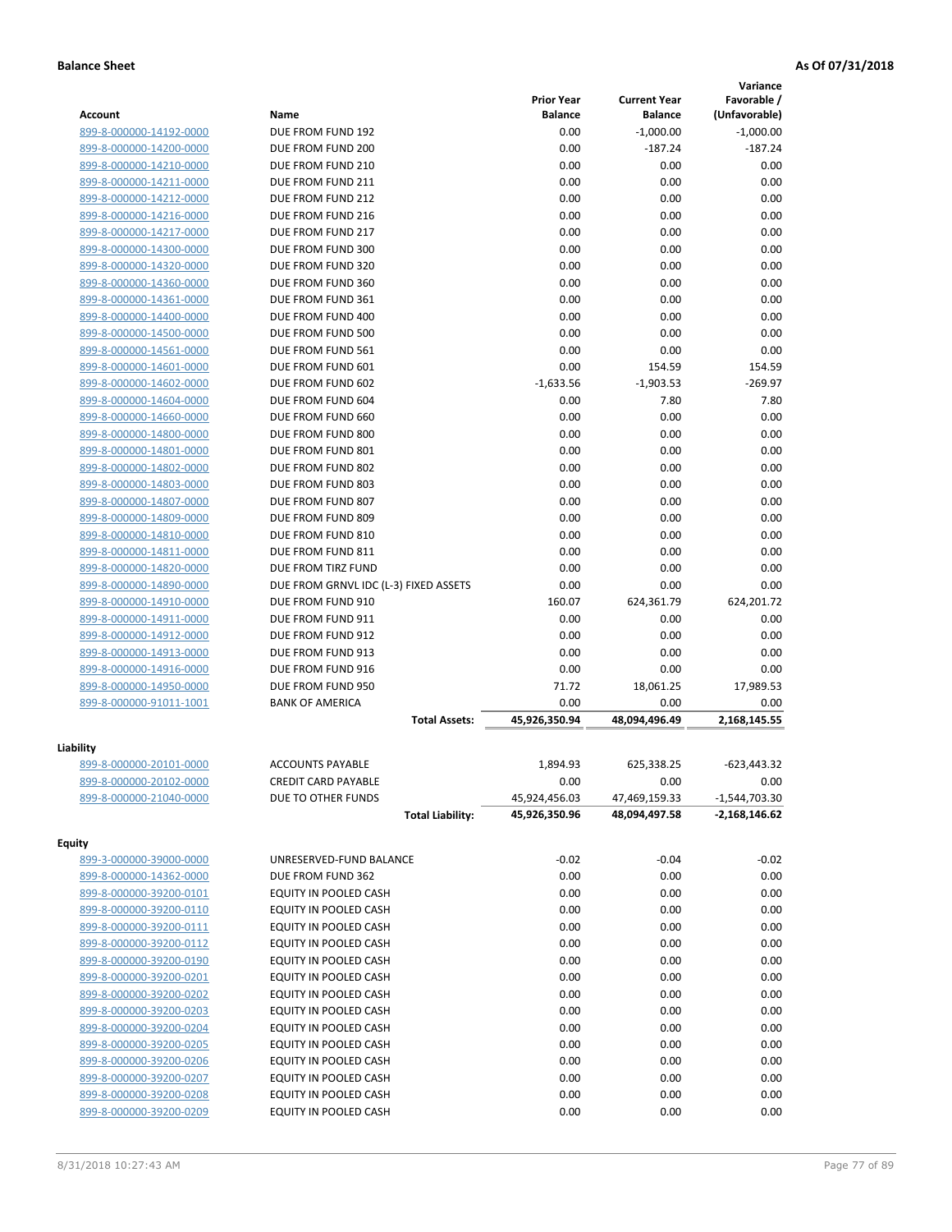|                                          |                                               | <b>Prior Year</b>              | <b>Current Year</b>            | Variance<br>Favorable /            |
|------------------------------------------|-----------------------------------------------|--------------------------------|--------------------------------|------------------------------------|
| <b>Account</b>                           | Name                                          | <b>Balance</b>                 | <b>Balance</b>                 | (Unfavorable)                      |
| 899-8-000000-14192-0000                  | DUE FROM FUND 192                             | 0.00                           | $-1,000.00$                    | $-1,000.00$                        |
| 899-8-000000-14200-0000                  | DUE FROM FUND 200                             | 0.00                           | $-187.24$                      | $-187.24$                          |
| 899-8-000000-14210-0000                  | DUE FROM FUND 210                             | 0.00                           | 0.00                           | 0.00                               |
| 899-8-000000-14211-0000                  | DUE FROM FUND 211                             | 0.00                           | 0.00                           | 0.00                               |
| 899-8-000000-14212-0000                  | DUE FROM FUND 212                             | 0.00                           | 0.00                           | 0.00                               |
| 899-8-000000-14216-0000                  | DUE FROM FUND 216                             | 0.00                           | 0.00                           | 0.00                               |
| 899-8-000000-14217-0000                  | DUE FROM FUND 217                             | 0.00                           | 0.00                           | 0.00                               |
| 899-8-000000-14300-0000                  | DUE FROM FUND 300                             | 0.00                           | 0.00                           | 0.00                               |
| 899-8-000000-14320-0000                  | DUE FROM FUND 320                             | 0.00                           | 0.00                           | 0.00                               |
| 899-8-000000-14360-0000                  | DUE FROM FUND 360                             | 0.00                           | 0.00                           | 0.00                               |
| 899-8-000000-14361-0000                  | DUE FROM FUND 361                             | 0.00                           | 0.00                           | 0.00                               |
| 899-8-000000-14400-0000                  | DUE FROM FUND 400                             | 0.00                           | 0.00                           | 0.00                               |
| 899-8-000000-14500-0000                  | DUE FROM FUND 500                             | 0.00                           | 0.00                           | 0.00                               |
| 899-8-000000-14561-0000                  | DUE FROM FUND 561                             | 0.00                           | 0.00                           | 0.00                               |
| 899-8-000000-14601-0000                  | DUE FROM FUND 601                             | 0.00                           | 154.59                         | 154.59                             |
| 899-8-000000-14602-0000                  | DUE FROM FUND 602                             | $-1,633.56$                    | $-1,903.53$                    | $-269.97$                          |
| 899-8-000000-14604-0000                  | DUE FROM FUND 604                             | 0.00                           | 7.80                           | 7.80                               |
| 899-8-000000-14660-0000                  | DUE FROM FUND 660                             | 0.00                           | 0.00                           | 0.00                               |
| 899-8-000000-14800-0000                  | DUE FROM FUND 800                             | 0.00                           | 0.00                           | 0.00                               |
| 899-8-000000-14801-0000                  | DUE FROM FUND 801                             | 0.00                           | 0.00                           | 0.00                               |
| 899-8-000000-14802-0000                  | DUE FROM FUND 802                             | 0.00                           | 0.00                           | 0.00                               |
| 899-8-000000-14803-0000                  | DUE FROM FUND 803                             | 0.00                           | 0.00                           | 0.00                               |
| 899-8-000000-14807-0000                  | DUE FROM FUND 807                             | 0.00                           | 0.00                           | 0.00                               |
| 899-8-000000-14809-0000                  | DUE FROM FUND 809                             | 0.00                           | 0.00                           | 0.00                               |
| 899-8-000000-14810-0000                  | DUE FROM FUND 810                             | 0.00                           | 0.00                           | 0.00                               |
| 899-8-000000-14811-0000                  | DUE FROM FUND 811                             | 0.00                           | 0.00                           | 0.00                               |
| 899-8-000000-14820-0000                  | DUE FROM TIRZ FUND                            | 0.00                           | 0.00                           | 0.00                               |
| 899-8-000000-14890-0000                  | DUE FROM GRNVL IDC (L-3) FIXED ASSETS         | 0.00                           | 0.00                           | 0.00                               |
| 899-8-000000-14910-0000                  | DUE FROM FUND 910                             | 160.07                         | 624,361.79                     | 624,201.72                         |
| 899-8-000000-14911-0000                  | DUE FROM FUND 911                             | 0.00                           | 0.00                           | 0.00                               |
| 899-8-000000-14912-0000                  | DUE FROM FUND 912                             | 0.00                           | 0.00                           | 0.00                               |
| 899-8-000000-14913-0000                  | DUE FROM FUND 913                             | 0.00                           | 0.00                           | 0.00                               |
| 899-8-000000-14916-0000                  | DUE FROM FUND 916                             | 0.00                           | 0.00                           | 0.00                               |
| 899-8-000000-14950-0000                  | DUE FROM FUND 950                             | 71.72                          | 18,061.25                      | 17,989.53                          |
| 899-8-000000-91011-1001                  | <b>BANK OF AMERICA</b>                        | 0.00                           | 0.00                           | 0.00                               |
|                                          | <b>Total Assets:</b>                          | 45,926,350.94                  | 48.094.496.49                  | 2,168,145.55                       |
| Liability                                |                                               |                                |                                |                                    |
| 899-8-000000-20101-0000                  | <b>ACCOUNTS PAYABLE</b>                       | 1,894.93                       | 625,338.25                     | $-623.443.32$                      |
| 899-8-000000-20102-0000                  | <b>CREDIT CARD PAYABLE</b>                    | 0.00                           | 0.00                           | 0.00                               |
| 899-8-000000-21040-0000                  | DUE TO OTHER FUNDS<br><b>Total Liability:</b> | 45,924,456.03<br>45,926,350.96 | 47,469,159.33<br>48,094,497.58 | $-1,544,703.30$<br>$-2,168,146.62$ |
|                                          |                                               |                                |                                |                                    |
| <b>Equity</b><br>899-3-000000-39000-0000 | UNRESERVED-FUND BALANCE                       | $-0.02$                        | $-0.04$                        | $-0.02$                            |
| 899-8-000000-14362-0000                  | DUE FROM FUND 362                             | 0.00                           | 0.00                           | 0.00                               |
|                                          |                                               |                                |                                |                                    |
| 899-8-000000-39200-0101                  | EQUITY IN POOLED CASH                         | 0.00                           | 0.00                           | 0.00                               |
| 899-8-000000-39200-0110                  | EQUITY IN POOLED CASH                         | 0.00                           | 0.00                           | 0.00                               |
| 899-8-000000-39200-0111                  | EQUITY IN POOLED CASH                         | 0.00                           | 0.00                           | 0.00                               |
| 899-8-000000-39200-0112                  | EQUITY IN POOLED CASH                         | 0.00                           | 0.00                           | 0.00                               |
| 899-8-000000-39200-0190                  | EQUITY IN POOLED CASH                         | 0.00                           | 0.00                           | 0.00                               |
| 899-8-000000-39200-0201                  | EQUITY IN POOLED CASH                         | 0.00                           | 0.00                           | 0.00                               |
| 899-8-000000-39200-0202                  | EQUITY IN POOLED CASH                         | 0.00                           | 0.00                           | 0.00                               |
| 899-8-000000-39200-0203                  | EQUITY IN POOLED CASH                         | 0.00                           | 0.00                           | 0.00                               |
| 899-8-000000-39200-0204                  | EQUITY IN POOLED CASH                         | 0.00                           | 0.00                           | 0.00                               |
| 899-8-000000-39200-0205                  | EQUITY IN POOLED CASH                         | 0.00                           | 0.00                           | 0.00                               |
| 899-8-000000-39200-0206                  | EQUITY IN POOLED CASH                         | 0.00                           | 0.00                           | 0.00                               |
| 899-8-000000-39200-0207                  | EQUITY IN POOLED CASH                         | 0.00                           | 0.00                           | 0.00                               |
| 899-8-000000-39200-0208                  | EQUITY IN POOLED CASH                         | 0.00                           | 0.00                           | 0.00                               |
| 899-8-000000-39200-0209                  | EQUITY IN POOLED CASH                         | 0.00                           | 0.00                           | 0.00                               |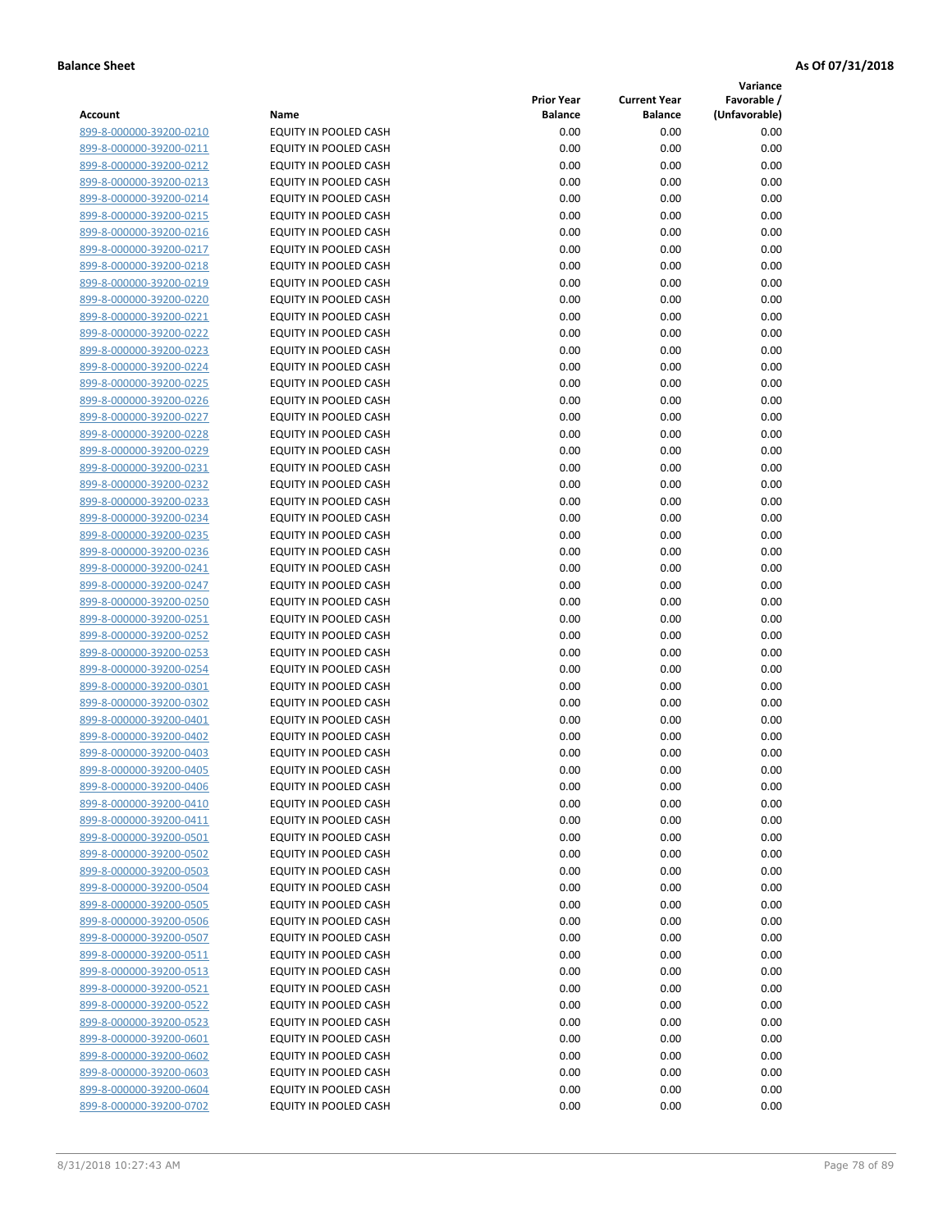**Variance**

| Account                                            | Name                                           | <b>Prior Year</b><br><b>Balance</b> | <b>Current Year</b><br><b>Balance</b> | Favorable /<br>(Unfavorable) |
|----------------------------------------------------|------------------------------------------------|-------------------------------------|---------------------------------------|------------------------------|
| 899-8-000000-39200-0210                            | EQUITY IN POOLED CASH                          | 0.00                                | 0.00                                  | 0.00                         |
| 899-8-000000-39200-0211                            | EQUITY IN POOLED CASH                          | 0.00                                | 0.00                                  | 0.00                         |
| 899-8-000000-39200-0212                            | EQUITY IN POOLED CASH                          | 0.00                                | 0.00                                  | 0.00                         |
| 899-8-000000-39200-0213                            | EQUITY IN POOLED CASH                          | 0.00                                | 0.00                                  | 0.00                         |
| 899-8-000000-39200-0214                            | <b>EQUITY IN POOLED CASH</b>                   | 0.00                                | 0.00                                  | 0.00                         |
| 899-8-000000-39200-0215                            | EQUITY IN POOLED CASH                          | 0.00                                | 0.00                                  | 0.00                         |
| 899-8-000000-39200-0216                            | EQUITY IN POOLED CASH                          | 0.00                                | 0.00                                  | 0.00                         |
| 899-8-000000-39200-0217                            | EQUITY IN POOLED CASH                          | 0.00                                | 0.00                                  | 0.00                         |
| 899-8-000000-39200-0218                            | EQUITY IN POOLED CASH                          | 0.00                                | 0.00                                  | 0.00                         |
| 899-8-000000-39200-0219                            | EQUITY IN POOLED CASH                          | 0.00                                | 0.00                                  | 0.00                         |
| 899-8-000000-39200-0220                            | EQUITY IN POOLED CASH                          | 0.00                                | 0.00                                  | 0.00                         |
| 899-8-000000-39200-0221                            | EQUITY IN POOLED CASH                          | 0.00                                | 0.00                                  | 0.00                         |
| 899-8-000000-39200-0222                            | EQUITY IN POOLED CASH                          | 0.00                                | 0.00                                  | 0.00                         |
| 899-8-000000-39200-0223                            | EQUITY IN POOLED CASH                          | 0.00                                | 0.00                                  | 0.00                         |
| 899-8-000000-39200-0224                            | EQUITY IN POOLED CASH                          | 0.00                                | 0.00                                  | 0.00                         |
| 899-8-000000-39200-0225                            | EQUITY IN POOLED CASH                          | 0.00                                | 0.00                                  | 0.00                         |
| 899-8-000000-39200-0226                            | EQUITY IN POOLED CASH                          | 0.00                                | 0.00                                  | 0.00                         |
| 899-8-000000-39200-0227                            | EQUITY IN POOLED CASH                          | 0.00                                | 0.00                                  | 0.00                         |
| 899-8-000000-39200-0228                            | EQUITY IN POOLED CASH                          | 0.00                                | 0.00                                  | 0.00                         |
| 899-8-000000-39200-0229                            | <b>EQUITY IN POOLED CASH</b>                   | 0.00                                | 0.00                                  | 0.00                         |
| 899-8-000000-39200-0231                            | <b>EQUITY IN POOLED CASH</b>                   | 0.00                                | 0.00                                  | 0.00                         |
| 899-8-000000-39200-0232                            | EQUITY IN POOLED CASH                          | 0.00                                | 0.00                                  | 0.00                         |
| 899-8-000000-39200-0233                            | <b>EQUITY IN POOLED CASH</b>                   | 0.00                                | 0.00                                  | 0.00                         |
| 899-8-000000-39200-0234                            | EQUITY IN POOLED CASH                          | 0.00                                | 0.00                                  | 0.00                         |
| 899-8-000000-39200-0235                            | EQUITY IN POOLED CASH                          | 0.00                                | 0.00                                  | 0.00                         |
| 899-8-000000-39200-0236                            | EQUITY IN POOLED CASH                          | 0.00                                | 0.00                                  | 0.00                         |
| 899-8-000000-39200-0241                            | EQUITY IN POOLED CASH                          | 0.00                                | 0.00                                  | 0.00                         |
| 899-8-000000-39200-0247                            | EQUITY IN POOLED CASH                          | 0.00                                | 0.00                                  | 0.00                         |
| 899-8-000000-39200-0250                            | EQUITY IN POOLED CASH                          | 0.00                                | 0.00                                  | 0.00                         |
| 899-8-000000-39200-0251                            | EQUITY IN POOLED CASH                          | 0.00                                | 0.00                                  | 0.00                         |
| 899-8-000000-39200-0252                            | EQUITY IN POOLED CASH                          | 0.00<br>0.00                        | 0.00<br>0.00                          | 0.00<br>0.00                 |
| 899-8-000000-39200-0253<br>899-8-000000-39200-0254 | EQUITY IN POOLED CASH<br>EQUITY IN POOLED CASH | 0.00                                | 0.00                                  | 0.00                         |
| 899-8-000000-39200-0301                            | EQUITY IN POOLED CASH                          | 0.00                                | 0.00                                  | 0.00                         |
| 899-8-000000-39200-0302                            | EQUITY IN POOLED CASH                          | 0.00                                | 0.00                                  | 0.00                         |
| 899-8-000000-39200-0401                            | EQUITY IN POOLED CASH                          | 0.00                                | 0.00                                  | 0.00                         |
| 899-8-000000-39200-0402                            | EQUITY IN POOLED CASH                          | 0.00                                | 0.00                                  | 0.00                         |
| 899-8-000000-39200-0403                            | EQUITY IN POOLED CASH                          | 0.00                                | 0.00                                  | 0.00                         |
| 899-8-000000-39200-0405                            | <b>EQUITY IN POOLED CASH</b>                   | 0.00                                | 0.00                                  | 0.00                         |
| 899-8-000000-39200-0406                            | EQUITY IN POOLED CASH                          | 0.00                                | 0.00                                  | 0.00                         |
| 899-8-000000-39200-0410                            | EQUITY IN POOLED CASH                          | 0.00                                | 0.00                                  | 0.00                         |
| 899-8-000000-39200-0411                            | EQUITY IN POOLED CASH                          | 0.00                                | 0.00                                  | 0.00                         |
| 899-8-000000-39200-0501                            | EQUITY IN POOLED CASH                          | 0.00                                | 0.00                                  | 0.00                         |
| 899-8-000000-39200-0502                            | EQUITY IN POOLED CASH                          | 0.00                                | 0.00                                  | 0.00                         |
| 899-8-000000-39200-0503                            | EQUITY IN POOLED CASH                          | 0.00                                | 0.00                                  | 0.00                         |
| 899-8-000000-39200-0504                            | EQUITY IN POOLED CASH                          | 0.00                                | 0.00                                  | 0.00                         |
| 899-8-000000-39200-0505                            | EQUITY IN POOLED CASH                          | 0.00                                | 0.00                                  | 0.00                         |
| 899-8-000000-39200-0506                            | EQUITY IN POOLED CASH                          | 0.00                                | 0.00                                  | 0.00                         |
| 899-8-000000-39200-0507                            | EQUITY IN POOLED CASH                          | 0.00                                | 0.00                                  | 0.00                         |
| 899-8-000000-39200-0511                            | <b>EQUITY IN POOLED CASH</b>                   | 0.00                                | 0.00                                  | 0.00                         |
| 899-8-000000-39200-0513                            | EQUITY IN POOLED CASH                          | 0.00                                | 0.00                                  | 0.00                         |
| 899-8-000000-39200-0521                            | EQUITY IN POOLED CASH                          | 0.00                                | 0.00                                  | 0.00                         |
| 899-8-000000-39200-0522                            | EQUITY IN POOLED CASH                          | 0.00                                | 0.00                                  | 0.00                         |
| 899-8-000000-39200-0523                            | EQUITY IN POOLED CASH                          | 0.00                                | 0.00                                  | 0.00                         |
| 899-8-000000-39200-0601                            | EQUITY IN POOLED CASH                          | 0.00                                | 0.00                                  | 0.00                         |
| 899-8-000000-39200-0602                            | EQUITY IN POOLED CASH                          | 0.00                                | 0.00                                  | 0.00                         |
| 899-8-000000-39200-0603<br>899-8-000000-39200-0604 | EQUITY IN POOLED CASH                          | 0.00                                | 0.00                                  | 0.00                         |
| 899-8-000000-39200-0702                            | EQUITY IN POOLED CASH<br>EQUITY IN POOLED CASH | 0.00<br>0.00                        | 0.00<br>0.00                          | 0.00<br>0.00                 |
|                                                    |                                                |                                     |                                       |                              |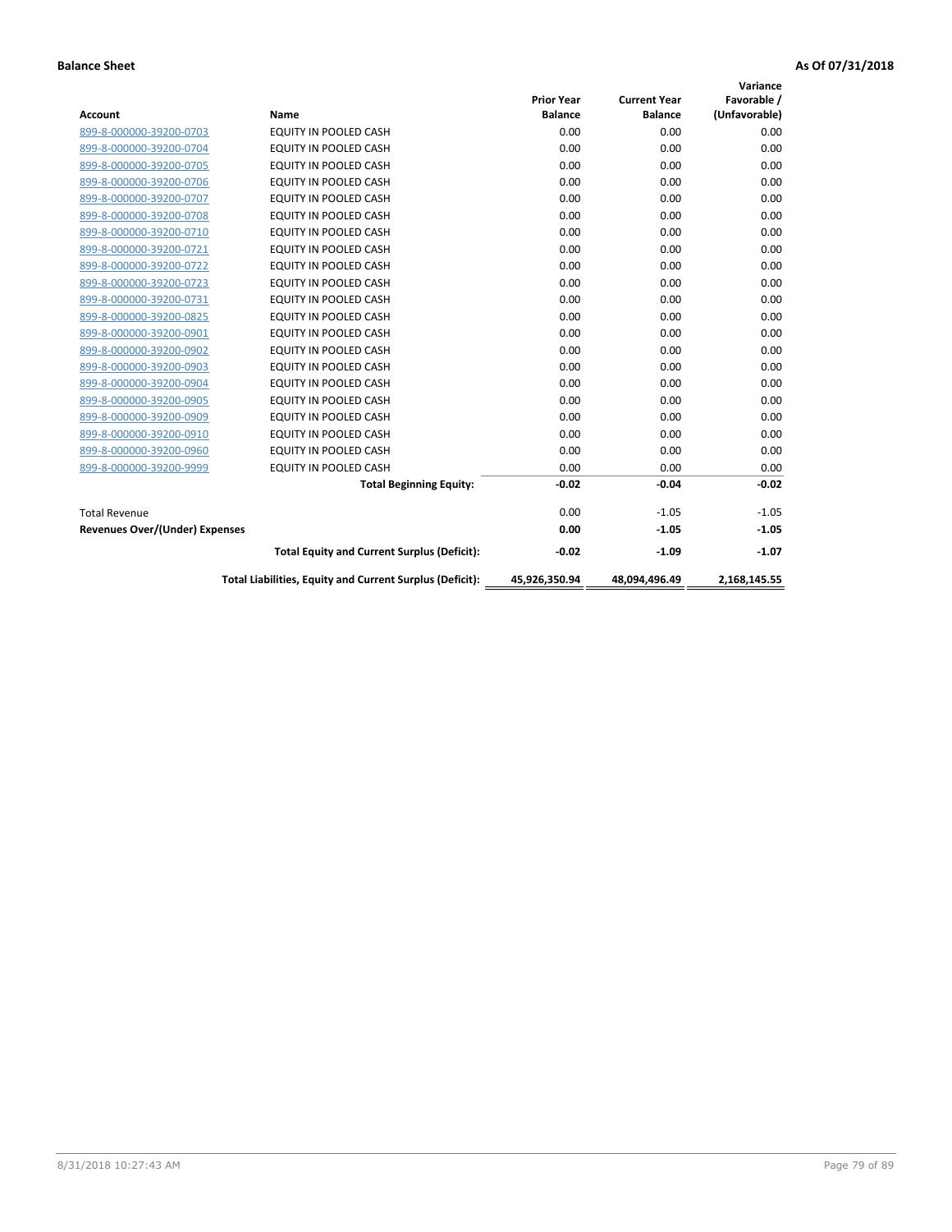| <b>Account</b>                 | Name                                                     | <b>Prior Year</b><br><b>Balance</b> | <b>Current Year</b><br><b>Balance</b> | Variance<br>Favorable /<br>(Unfavorable) |
|--------------------------------|----------------------------------------------------------|-------------------------------------|---------------------------------------|------------------------------------------|
| 899-8-000000-39200-0703        | <b>EQUITY IN POOLED CASH</b>                             | 0.00                                | 0.00                                  | 0.00                                     |
| 899-8-000000-39200-0704        | <b>EQUITY IN POOLED CASH</b>                             | 0.00                                | 0.00                                  | 0.00                                     |
| 899-8-000000-39200-0705        | <b>EQUITY IN POOLED CASH</b>                             | 0.00                                | 0.00                                  | 0.00                                     |
| 899-8-000000-39200-0706        | EQUITY IN POOLED CASH                                    | 0.00                                | 0.00                                  | 0.00                                     |
| 899-8-000000-39200-0707        | EQUITY IN POOLED CASH                                    | 0.00                                | 0.00                                  | 0.00                                     |
| 899-8-000000-39200-0708        | <b>EQUITY IN POOLED CASH</b>                             | 0.00                                | 0.00                                  | 0.00                                     |
| 899-8-000000-39200-0710        | EQUITY IN POOLED CASH                                    | 0.00                                | 0.00                                  | 0.00                                     |
| 899-8-000000-39200-0721        | <b>EQUITY IN POOLED CASH</b>                             | 0.00                                | 0.00                                  | 0.00                                     |
| 899-8-000000-39200-0722        | <b>EQUITY IN POOLED CASH</b>                             | 0.00                                | 0.00                                  | 0.00                                     |
| 899-8-000000-39200-0723        | EQUITY IN POOLED CASH                                    | 0.00                                | 0.00                                  | 0.00                                     |
| 899-8-000000-39200-0731        | <b>EQUITY IN POOLED CASH</b>                             | 0.00                                | 0.00                                  | 0.00                                     |
| 899-8-000000-39200-0825        | EQUITY IN POOLED CASH                                    | 0.00                                | 0.00                                  | 0.00                                     |
| 899-8-000000-39200-0901        | EQUITY IN POOLED CASH                                    | 0.00                                | 0.00                                  | 0.00                                     |
| 899-8-000000-39200-0902        | EQUITY IN POOLED CASH                                    | 0.00                                | 0.00                                  | 0.00                                     |
| 899-8-000000-39200-0903        | <b>EQUITY IN POOLED CASH</b>                             | 0.00                                | 0.00                                  | 0.00                                     |
| 899-8-000000-39200-0904        | <b>EQUITY IN POOLED CASH</b>                             | 0.00                                | 0.00                                  | 0.00                                     |
| 899-8-000000-39200-0905        | EQUITY IN POOLED CASH                                    | 0.00                                | 0.00                                  | 0.00                                     |
| 899-8-000000-39200-0909        | EQUITY IN POOLED CASH                                    | 0.00                                | 0.00                                  | 0.00                                     |
| 899-8-000000-39200-0910        | <b>EQUITY IN POOLED CASH</b>                             | 0.00                                | 0.00                                  | 0.00                                     |
| 899-8-000000-39200-0960        | <b>EQUITY IN POOLED CASH</b>                             | 0.00                                | 0.00                                  | 0.00                                     |
| 899-8-000000-39200-9999        | EQUITY IN POOLED CASH                                    | 0.00                                | 0.00                                  | 0.00                                     |
|                                | <b>Total Beginning Equity:</b>                           | $-0.02$                             | $-0.04$                               | $-0.02$                                  |
| <b>Total Revenue</b>           |                                                          | 0.00                                | $-1.05$                               | $-1.05$                                  |
| Revenues Over/(Under) Expenses |                                                          | 0.00                                | $-1.05$                               | $-1.05$                                  |
|                                | <b>Total Equity and Current Surplus (Deficit):</b>       | $-0.02$                             | $-1.09$                               | $-1.07$                                  |
|                                | Total Liabilities, Equity and Current Surplus (Deficit): | 45,926,350.94                       | 48,094,496.49                         | 2,168,145.55                             |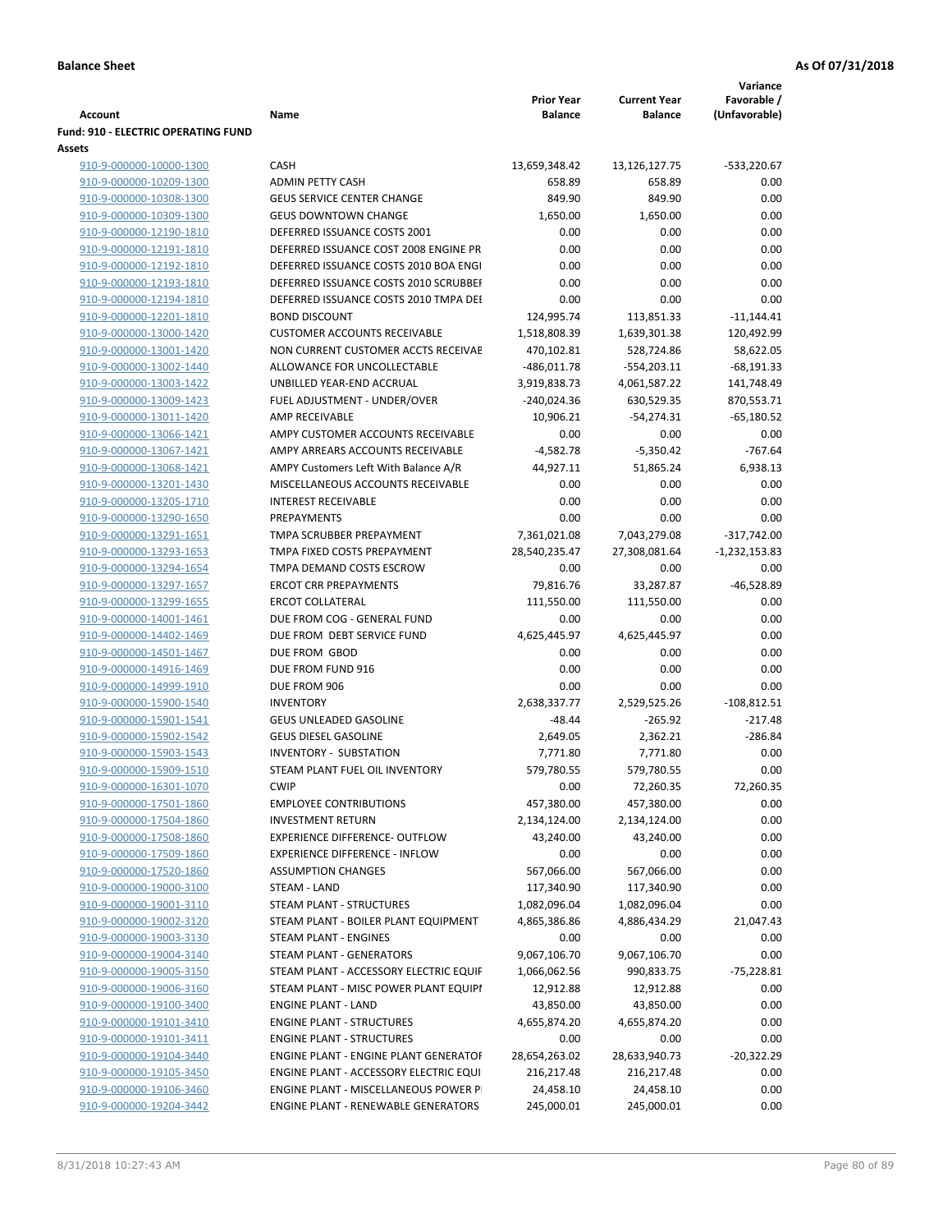| <b>Account</b>                                     | Name                                                               | <b>Prior Year</b><br><b>Balance</b> | <b>Current Year</b><br><b>Balance</b> | Variance<br>Favorable /<br>(Unfavorable) |
|----------------------------------------------------|--------------------------------------------------------------------|-------------------------------------|---------------------------------------|------------------------------------------|
| <b>Fund: 910 - ELECTRIC OPERATING FUND</b>         |                                                                    |                                     |                                       |                                          |
| Assets                                             |                                                                    |                                     |                                       |                                          |
| 910-9-000000-10000-1300                            | CASH                                                               | 13,659,348.42                       | 13,126,127.75                         | $-533,220.67$                            |
| 910-9-000000-10209-1300                            | <b>ADMIN PETTY CASH</b>                                            | 658.89                              | 658.89                                | 0.00                                     |
| 910-9-000000-10308-1300                            | <b>GEUS SERVICE CENTER CHANGE</b>                                  | 849.90                              | 849.90                                | 0.00                                     |
| 910-9-000000-10309-1300                            | <b>GEUS DOWNTOWN CHANGE</b>                                        | 1,650.00                            | 1,650.00                              | 0.00                                     |
| 910-9-000000-12190-1810                            | DEFERRED ISSUANCE COSTS 2001                                       | 0.00                                | 0.00                                  | 0.00                                     |
| 910-9-000000-12191-1810                            | DEFERRED ISSUANCE COST 2008 ENGINE PR                              | 0.00                                | 0.00                                  | 0.00                                     |
| 910-9-000000-12192-1810                            | DEFERRED ISSUANCE COSTS 2010 BOA ENGI                              | 0.00                                | 0.00                                  | 0.00                                     |
| 910-9-000000-12193-1810                            | DEFERRED ISSUANCE COSTS 2010 SCRUBBEI                              | 0.00                                | 0.00                                  | 0.00                                     |
| 910-9-000000-12194-1810                            | DEFERRED ISSUANCE COSTS 2010 TMPA DEI                              | 0.00                                | 0.00                                  | 0.00                                     |
| 910-9-000000-12201-1810                            | <b>BOND DISCOUNT</b>                                               | 124,995.74                          | 113,851.33                            | $-11,144.41$                             |
| 910-9-000000-13000-1420                            | <b>CUSTOMER ACCOUNTS RECEIVABLE</b>                                | 1,518,808.39                        | 1,639,301.38                          | 120,492.99                               |
| 910-9-000000-13001-1420                            | NON CURRENT CUSTOMER ACCTS RECEIVAE                                | 470,102.81                          | 528,724.86                            | 58,622.05                                |
| 910-9-000000-13002-1440                            | ALLOWANCE FOR UNCOLLECTABLE                                        | $-486,011.78$                       | $-554,203.11$                         | $-68,191.33$                             |
| 910-9-000000-13003-1422                            | UNBILLED YEAR-END ACCRUAL                                          | 3,919,838.73                        | 4,061,587.22                          | 141,748.49                               |
| 910-9-000000-13009-1423                            | FUEL ADJUSTMENT - UNDER/OVER                                       | $-240,024.36$                       | 630,529.35                            | 870,553.71                               |
| 910-9-000000-13011-1420                            | AMP RECEIVABLE                                                     | 10,906.21                           | $-54,274.31$                          | $-65,180.52$                             |
| 910-9-000000-13066-1421                            | AMPY CUSTOMER ACCOUNTS RECEIVABLE                                  | 0.00                                | 0.00                                  | 0.00                                     |
| 910-9-000000-13067-1421                            | AMPY ARREARS ACCOUNTS RECEIVABLE                                   | $-4,582.78$                         | $-5,350.42$                           | $-767.64$                                |
| 910-9-000000-13068-1421                            | AMPY Customers Left With Balance A/R                               | 44,927.11                           | 51,865.24                             | 6,938.13                                 |
| 910-9-000000-13201-1430                            | MISCELLANEOUS ACCOUNTS RECEIVABLE                                  | 0.00                                | 0.00                                  | 0.00                                     |
| 910-9-000000-13205-1710                            | <b>INTEREST RECEIVABLE</b>                                         | 0.00                                | 0.00                                  | 0.00                                     |
| 910-9-000000-13290-1650                            | PREPAYMENTS                                                        | 0.00                                | 0.00                                  | 0.00                                     |
| 910-9-000000-13291-1651                            | TMPA SCRUBBER PREPAYMENT                                           | 7,361,021.08                        | 7,043,279.08                          | $-317,742.00$                            |
| 910-9-000000-13293-1653                            | TMPA FIXED COSTS PREPAYMENT                                        | 28,540,235.47                       | 27,308,081.64                         | $-1,232,153.83$                          |
| 910-9-000000-13294-1654                            | TMPA DEMAND COSTS ESCROW                                           | 0.00                                | 0.00                                  | 0.00                                     |
| 910-9-000000-13297-1657                            | <b>ERCOT CRR PREPAYMENTS</b>                                       | 79,816.76                           | 33,287.87                             | $-46,528.89$                             |
| 910-9-000000-13299-1655                            | <b>ERCOT COLLATERAL</b>                                            | 111,550.00                          | 111,550.00                            | 0.00                                     |
| 910-9-000000-14001-1461                            | DUE FROM COG - GENERAL FUND                                        | 0.00                                | 0.00                                  | 0.00                                     |
| 910-9-000000-14402-1469                            | DUE FROM DEBT SERVICE FUND                                         | 4,625,445.97                        | 4,625,445.97                          | 0.00                                     |
| 910-9-000000-14501-1467                            | DUE FROM GBOD                                                      | 0.00                                | 0.00                                  | 0.00                                     |
| 910-9-000000-14916-1469                            | DUE FROM FUND 916                                                  | 0.00                                | 0.00                                  | 0.00                                     |
| 910-9-000000-14999-1910                            | DUE FROM 906                                                       | 0.00                                | 0.00                                  | 0.00                                     |
| 910-9-000000-15900-1540                            | <b>INVENTORY</b>                                                   | 2,638,337.77                        | 2,529,525.26                          | $-108,812.51$                            |
| 910-9-000000-15901-1541                            | <b>GEUS UNLEADED GASOLINE</b>                                      | $-48.44$                            | $-265.92$                             | $-217.48$                                |
| 910-9-000000-15902-1542                            | <b>GEUS DIESEL GASOLINE</b>                                        | 2,649.05                            | 2,362.21                              | -286.84                                  |
| 910-9-000000-15903-1543                            | <b>INVENTORY - SUBSTATION</b>                                      | 7,771.80                            | 7,771.80                              | 0.00                                     |
| 910-9-000000-15909-1510                            | STEAM PLANT FUEL OIL INVENTORY                                     | 579,780.55                          | 579,780.55                            | 0.00                                     |
| 910-9-000000-16301-1070                            | <b>CWIP</b>                                                        | 0.00                                | 72,260.35                             | 72,260.35                                |
| 910-9-000000-17501-1860                            | <b>EMPLOYEE CONTRIBUTIONS</b>                                      | 457,380.00                          | 457,380.00                            | 0.00                                     |
| 910-9-000000-17504-1860<br>910-9-000000-17508-1860 | <b>INVESTMENT RETURN</b>                                           | 2,134,124.00<br>43,240.00           | 2,134,124.00<br>43,240.00             | 0.00                                     |
|                                                    | EXPERIENCE DIFFERENCE- OUTFLOW                                     |                                     |                                       | 0.00                                     |
| 910-9-000000-17509-1860                            | <b>EXPERIENCE DIFFERENCE - INFLOW</b><br><b>ASSUMPTION CHANGES</b> | 0.00                                | 0.00                                  | 0.00                                     |
| 910-9-000000-17520-1860                            |                                                                    | 567,066.00                          | 567,066.00                            | 0.00                                     |
| 910-9-000000-19000-3100<br>910-9-000000-19001-3110 | STEAM - LAND<br>STEAM PLANT - STRUCTURES                           | 117,340.90                          | 117,340.90<br>1,082,096.04            | 0.00<br>0.00                             |
| 910-9-000000-19002-3120                            | STEAM PLANT - BOILER PLANT EQUIPMENT                               | 1,082,096.04<br>4,865,386.86        | 4,886,434.29                          | 21,047.43                                |
| 910-9-000000-19003-3130                            | STEAM PLANT - ENGINES                                              | 0.00                                | 0.00                                  | 0.00                                     |
| 910-9-000000-19004-3140                            | STEAM PLANT - GENERATORS                                           | 9,067,106.70                        | 9,067,106.70                          | 0.00                                     |
| 910-9-000000-19005-3150                            | STEAM PLANT - ACCESSORY ELECTRIC EQUIF                             | 1,066,062.56                        | 990,833.75                            | $-75,228.81$                             |
| 910-9-000000-19006-3160                            | STEAM PLANT - MISC POWER PLANT EQUIPI                              | 12,912.88                           | 12,912.88                             | 0.00                                     |
| 910-9-000000-19100-3400                            | <b>ENGINE PLANT - LAND</b>                                         | 43,850.00                           | 43,850.00                             | 0.00                                     |
| 910-9-000000-19101-3410                            | <b>ENGINE PLANT - STRUCTURES</b>                                   | 4,655,874.20                        | 4,655,874.20                          | 0.00                                     |
| 910-9-000000-19101-3411                            | <b>ENGINE PLANT - STRUCTURES</b>                                   | 0.00                                | 0.00                                  | 0.00                                     |
| 910-9-000000-19104-3440                            | ENGINE PLANT - ENGINE PLANT GENERATOF                              | 28,654,263.02                       | 28,633,940.73                         | $-20,322.29$                             |
| 910-9-000000-19105-3450                            | ENGINE PLANT - ACCESSORY ELECTRIC EQUI                             | 216,217.48                          | 216,217.48                            | 0.00                                     |
| 910-9-000000-19106-3460                            | ENGINE PLANT - MISCELLANEOUS POWER P                               | 24,458.10                           | 24,458.10                             | 0.00                                     |
| 910-9-000000-19204-3442                            | <b>ENGINE PLANT - RENEWABLE GENERATORS</b>                         | 245,000.01                          | 245,000.01                            | 0.00                                     |
|                                                    |                                                                    |                                     |                                       |                                          |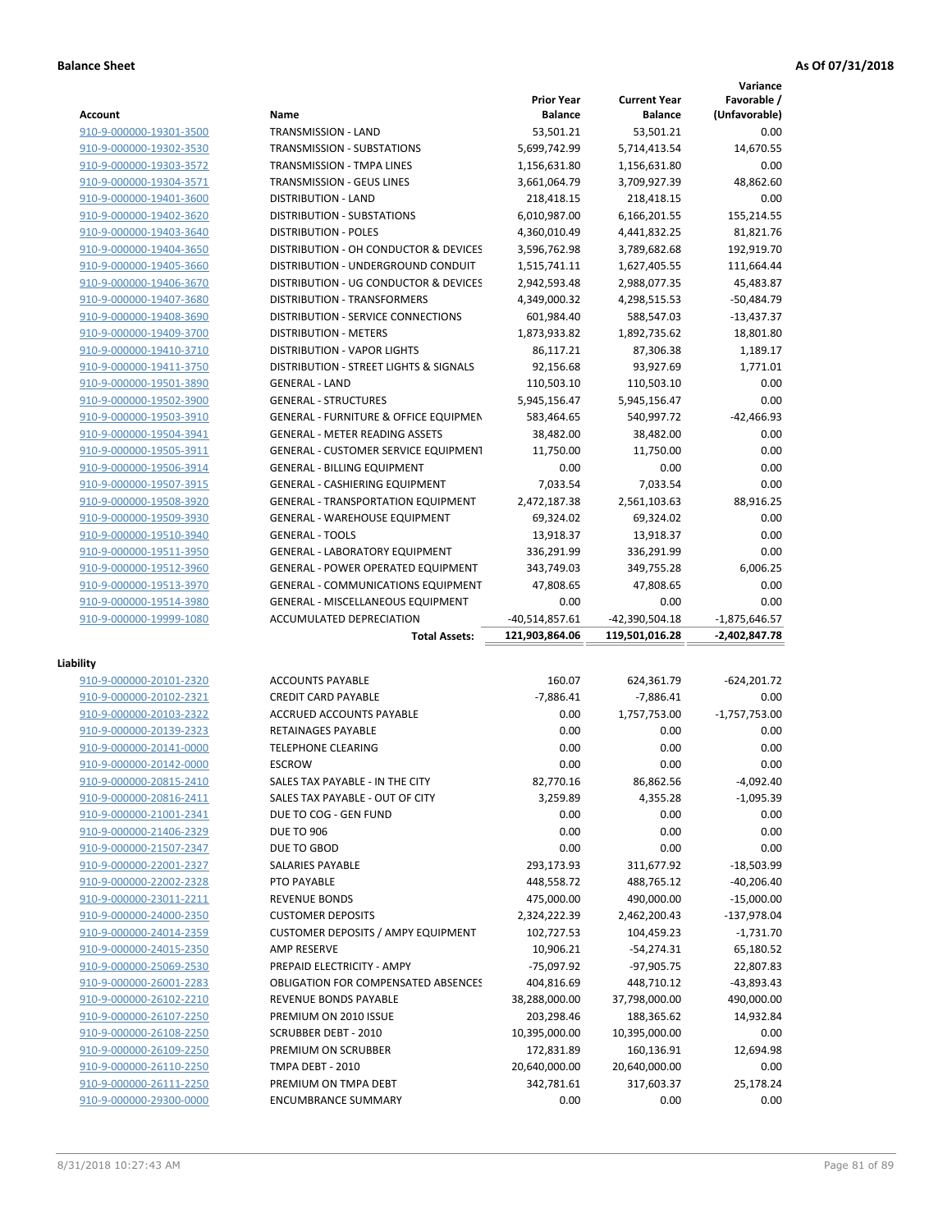**Variance**

|                                                    |                                                    | <b>Prior Year</b>  | <b>Current Year</b> | Favorable /       |
|----------------------------------------------------|----------------------------------------------------|--------------------|---------------------|-------------------|
| Account                                            | Name                                               | <b>Balance</b>     | <b>Balance</b>      | (Unfavorable)     |
| 910-9-000000-19301-3500                            | TRANSMISSION - LAND                                | 53,501.21          | 53,501.21           | 0.00              |
| 910-9-000000-19302-3530                            | TRANSMISSION - SUBSTATIONS                         | 5,699,742.99       | 5,714,413.54        | 14,670.55         |
| 910-9-000000-19303-3572                            | TRANSMISSION - TMPA LINES                          | 1,156,631.80       | 1,156,631.80        | 0.00              |
| 910-9-000000-19304-3571                            | TRANSMISSION - GEUS LINES                          | 3,661,064.79       | 3,709,927.39        | 48,862.60         |
| 910-9-000000-19401-3600                            | <b>DISTRIBUTION - LAND</b>                         | 218,418.15         | 218,418.15          | 0.00              |
| 910-9-000000-19402-3620                            | DISTRIBUTION - SUBSTATIONS                         | 6,010,987.00       | 6,166,201.55        | 155,214.55        |
| 910-9-000000-19403-3640                            | <b>DISTRIBUTION - POLES</b>                        | 4,360,010.49       | 4,441,832.25        | 81,821.76         |
| 910-9-000000-19404-3650                            | DISTRIBUTION - OH CONDUCTOR & DEVICES              | 3,596,762.98       | 3,789,682.68        | 192,919.70        |
| 910-9-000000-19405-3660                            | DISTRIBUTION - UNDERGROUND CONDUIT                 | 1,515,741.11       | 1,627,405.55        | 111,664.44        |
| 910-9-000000-19406-3670                            | DISTRIBUTION - UG CONDUCTOR & DEVICES              | 2,942,593.48       | 2,988,077.35        | 45,483.87         |
| 910-9-000000-19407-3680                            | <b>DISTRIBUTION - TRANSFORMERS</b>                 | 4,349,000.32       | 4,298,515.53        | $-50,484.79$      |
| 910-9-000000-19408-3690                            | DISTRIBUTION - SERVICE CONNECTIONS                 | 601,984.40         | 588,547.03          | $-13,437.37$      |
| 910-9-000000-19409-3700                            | <b>DISTRIBUTION - METERS</b>                       | 1,873,933.82       | 1,892,735.62        | 18,801.80         |
| 910-9-000000-19410-3710                            | <b>DISTRIBUTION - VAPOR LIGHTS</b>                 | 86,117.21          | 87,306.38           | 1,189.17          |
| 910-9-000000-19411-3750                            | DISTRIBUTION - STREET LIGHTS & SIGNALS             | 92,156.68          | 93,927.69           | 1,771.01          |
| 910-9-000000-19501-3890                            | <b>GENERAL - LAND</b>                              | 110,503.10         | 110,503.10          | 0.00              |
| 910-9-000000-19502-3900                            | <b>GENERAL - STRUCTURES</b>                        | 5,945,156.47       | 5,945,156.47        | 0.00              |
| 910-9-000000-19503-3910                            | <b>GENERAL - FURNITURE &amp; OFFICE EQUIPMEN</b>   | 583,464.65         | 540,997.72          | $-42,466.93$      |
| 910-9-000000-19504-3941                            | <b>GENERAL - METER READING ASSETS</b>              | 38,482.00          | 38,482.00           | 0.00              |
| 910-9-000000-19505-3911                            |                                                    |                    |                     | 0.00              |
|                                                    | GENERAL - CUSTOMER SERVICE EQUIPMENT               | 11,750.00          | 11,750.00           |                   |
| 910-9-000000-19506-3914                            | <b>GENERAL - BILLING EQUIPMENT</b>                 | 0.00               | 0.00                | 0.00              |
| 910-9-000000-19507-3915                            | GENERAL - CASHIERING EQUIPMENT                     | 7,033.54           | 7,033.54            | 0.00              |
| 910-9-000000-19508-3920                            | <b>GENERAL - TRANSPORTATION EQUIPMENT</b>          | 2,472,187.38       | 2,561,103.63        | 88,916.25         |
| 910-9-000000-19509-3930                            | <b>GENERAL - WAREHOUSE EQUIPMENT</b>               | 69,324.02          | 69,324.02           | 0.00              |
| 910-9-000000-19510-3940                            | <b>GENERAL - TOOLS</b>                             | 13,918.37          | 13,918.37           | 0.00              |
| 910-9-000000-19511-3950                            | <b>GENERAL - LABORATORY EQUIPMENT</b>              | 336,291.99         | 336,291.99          | 0.00              |
| 910-9-000000-19512-3960                            | <b>GENERAL - POWER OPERATED EQUIPMENT</b>          | 343,749.03         | 349,755.28          | 6,006.25          |
| 910-9-000000-19513-3970                            | <b>GENERAL - COMMUNICATIONS EQUIPMENT</b>          | 47,808.65          | 47,808.65           | 0.00              |
| 910-9-000000-19514-3980                            | <b>GENERAL - MISCELLANEOUS EQUIPMENT</b>           | 0.00               | 0.00                | 0.00              |
| 910-9-000000-19999-1080                            | ACCUMULATED DEPRECIATION                           | $-40,514,857.61$   | -42,390,504.18      | $-1,875,646.57$   |
|                                                    | <b>Total Assets:</b>                               | 121,903,864.06     | 119,501,016.28      | -2,402,847.78     |
|                                                    |                                                    |                    |                     |                   |
| Liability                                          |                                                    |                    |                     |                   |
| 910-9-000000-20101-2320                            | <b>ACCOUNTS PAYABLE</b>                            | 160.07             | 624,361.79          | $-624,201.72$     |
| 910-9-000000-20102-2321                            | <b>CREDIT CARD PAYABLE</b>                         | $-7,886.41$        | $-7,886.41$         | 0.00              |
| 910-9-000000-20103-2322                            | ACCRUED ACCOUNTS PAYABLE                           | 0.00               | 1,757,753.00        | $-1,757,753.00$   |
| 910-9-000000-20139-2323                            | <b>RETAINAGES PAYABLE</b>                          | 0.00               | 0.00                | 0.00              |
| 910-9-000000-20141-0000                            | <b>TELEPHONE CLEARING</b>                          | 0.00               | 0.00                | 0.00              |
| 910-9-000000-20142-0000                            | <b>ESCROW</b>                                      | 0.00               | 0.00                | 0.00              |
| 910-9-000000-20815-2410                            | SALES TAX PAYABLE - IN THE CITY                    | 82,770.16          | 86,862.56           | $-4,092.40$       |
| 910-9-000000-20816-2411                            | SALES TAX PAYABLE - OUT OF CITY                    | 3,259.89           | 4,355.28            | $-1,095.39$       |
| 910-9-000000-21001-2341                            | DUE TO COG - GEN FUND                              | 0.00               | 0.00                | 0.00              |
| 910-9-000000-21406-2329                            | <b>DUE TO 906</b>                                  | 0.00               | 0.00                | 0.00              |
| 910-9-000000-21507-2347                            | DUE TO GBOD                                        | 0.00               | 0.00                | 0.00              |
| 910-9-000000-22001-2327                            | SALARIES PAYABLE                                   | 293,173.93         | 311,677.92          | $-18,503.99$      |
| 910-9-000000-22002-2328                            | PTO PAYABLE                                        | 448,558.72         | 488,765.12          | $-40,206.40$      |
| 910-9-000000-23011-2211                            | <b>REVENUE BONDS</b>                               | 475,000.00         | 490,000.00          | $-15,000.00$      |
| 910-9-000000-24000-2350                            | <b>CUSTOMER DEPOSITS</b>                           | 2,324,222.39       | 2,462,200.43        | -137,978.04       |
| 910-9-000000-24014-2359                            | <b>CUSTOMER DEPOSITS / AMPY EQUIPMENT</b>          | 102,727.53         | 104,459.23          | $-1,731.70$       |
| 910-9-000000-24015-2350                            | <b>AMP RESERVE</b>                                 | 10,906.21          | $-54,274.31$        | 65,180.52         |
| 910-9-000000-25069-2530                            | PREPAID ELECTRICITY - AMPY                         | $-75,097.92$       | -97,905.75          | 22,807.83         |
| 910-9-000000-26001-2283                            | <b>OBLIGATION FOR COMPENSATED ABSENCES</b>         | 404,816.69         | 448,710.12          | -43,893.43        |
| 910-9-000000-26102-2210                            | REVENUE BONDS PAYABLE                              | 38,288,000.00      | 37,798,000.00       | 490,000.00        |
| 910-9-000000-26107-2250                            | PREMIUM ON 2010 ISSUE                              | 203,298.46         | 188,365.62          | 14,932.84         |
| 910-9-000000-26108-2250                            | SCRUBBER DEBT - 2010                               | 10,395,000.00      | 10,395,000.00       | 0.00              |
| 910-9-000000-26109-2250                            | PREMIUM ON SCRUBBER                                | 172,831.89         | 160,136.91          | 12,694.98         |
| 910-9-000000-26110-2250                            | TMPA DEBT - 2010                                   | 20,640,000.00      | 20,640,000.00       | 0.00              |
|                                                    |                                                    |                    |                     |                   |
|                                                    |                                                    |                    |                     |                   |
| 910-9-000000-26111-2250<br>910-9-000000-29300-0000 | PREMIUM ON TMPA DEBT<br><b>ENCUMBRANCE SUMMARY</b> | 342,781.61<br>0.00 | 317,603.37<br>0.00  | 25,178.24<br>0.00 |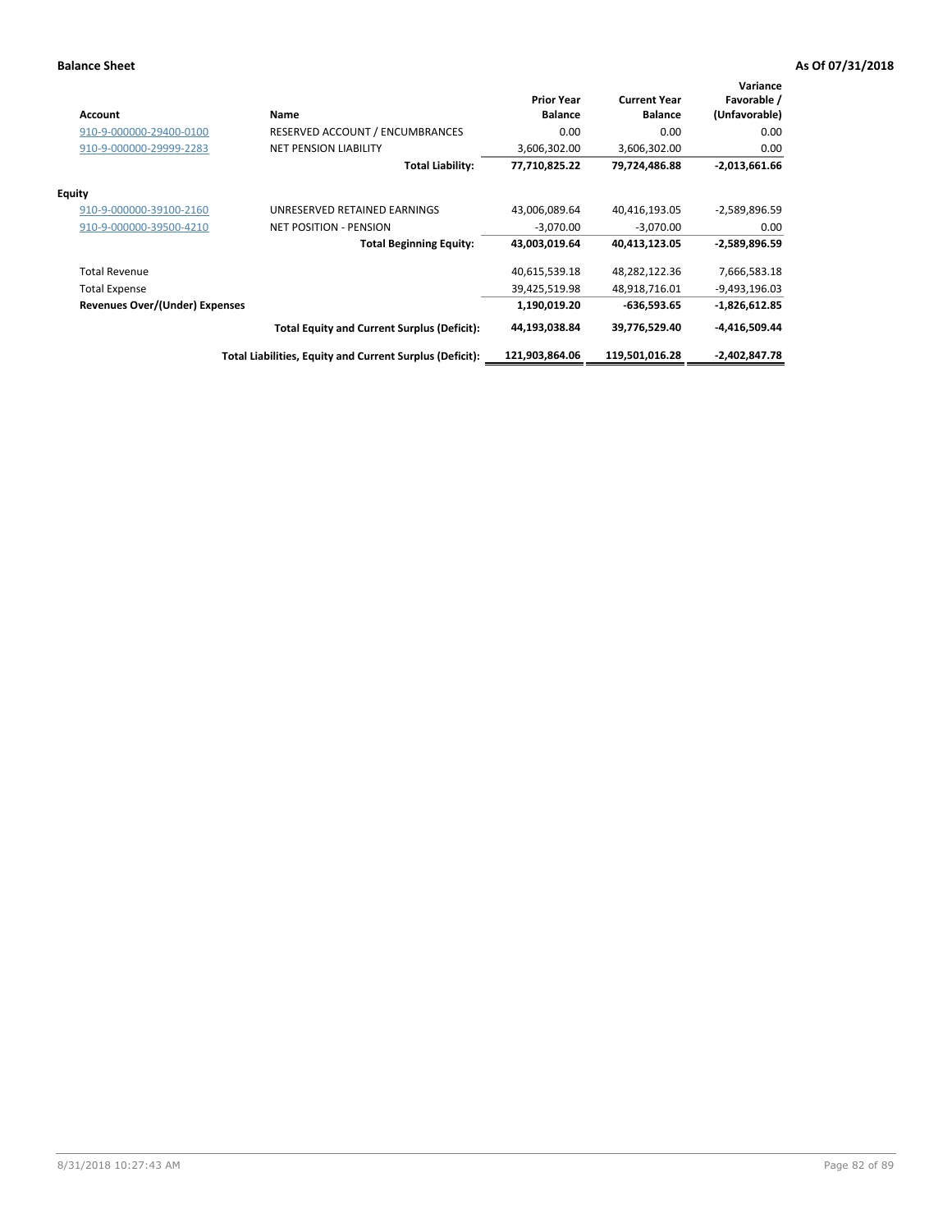| <b>Account</b>                        | Name                                                     | <b>Prior Year</b><br><b>Balance</b> | <b>Current Year</b><br><b>Balance</b> | Variance<br>Favorable /<br>(Unfavorable) |
|---------------------------------------|----------------------------------------------------------|-------------------------------------|---------------------------------------|------------------------------------------|
| 910-9-000000-29400-0100               | RESERVED ACCOUNT / ENCUMBRANCES                          | 0.00                                | 0.00                                  | 0.00                                     |
| 910-9-000000-29999-2283               | <b>NET PENSION LIABILITY</b>                             | 3,606,302.00                        | 3,606,302.00                          | 0.00                                     |
|                                       | <b>Total Liability:</b>                                  | 77,710,825.22                       | 79,724,486.88                         | $-2,013,661.66$                          |
| <b>Equity</b>                         |                                                          |                                     |                                       |                                          |
| 910-9-000000-39100-2160               | UNRESERVED RETAINED EARNINGS                             | 43,006,089.64                       | 40,416,193.05                         | $-2,589,896.59$                          |
| 910-9-000000-39500-4210               | <b>NET POSITION - PENSION</b>                            | $-3,070.00$                         | $-3,070.00$                           | 0.00                                     |
|                                       | <b>Total Beginning Equity:</b>                           | 43,003,019.64                       | 40,413,123.05                         | -2,589,896.59                            |
| <b>Total Revenue</b>                  |                                                          | 40,615,539.18                       | 48,282,122.36                         | 7,666,583.18                             |
| <b>Total Expense</b>                  |                                                          | 39,425,519.98                       | 48,918,716.01                         | $-9,493,196.03$                          |
| <b>Revenues Over/(Under) Expenses</b> |                                                          | 1,190,019.20                        | $-636,593.65$                         | $-1,826,612.85$                          |
|                                       | <b>Total Equity and Current Surplus (Deficit):</b>       | 44,193,038.84                       | 39,776,529.40                         | $-4,416,509.44$                          |
|                                       | Total Liabilities, Equity and Current Surplus (Deficit): | 121.903.864.06                      | 119,501,016.28                        | $-2,402,847.78$                          |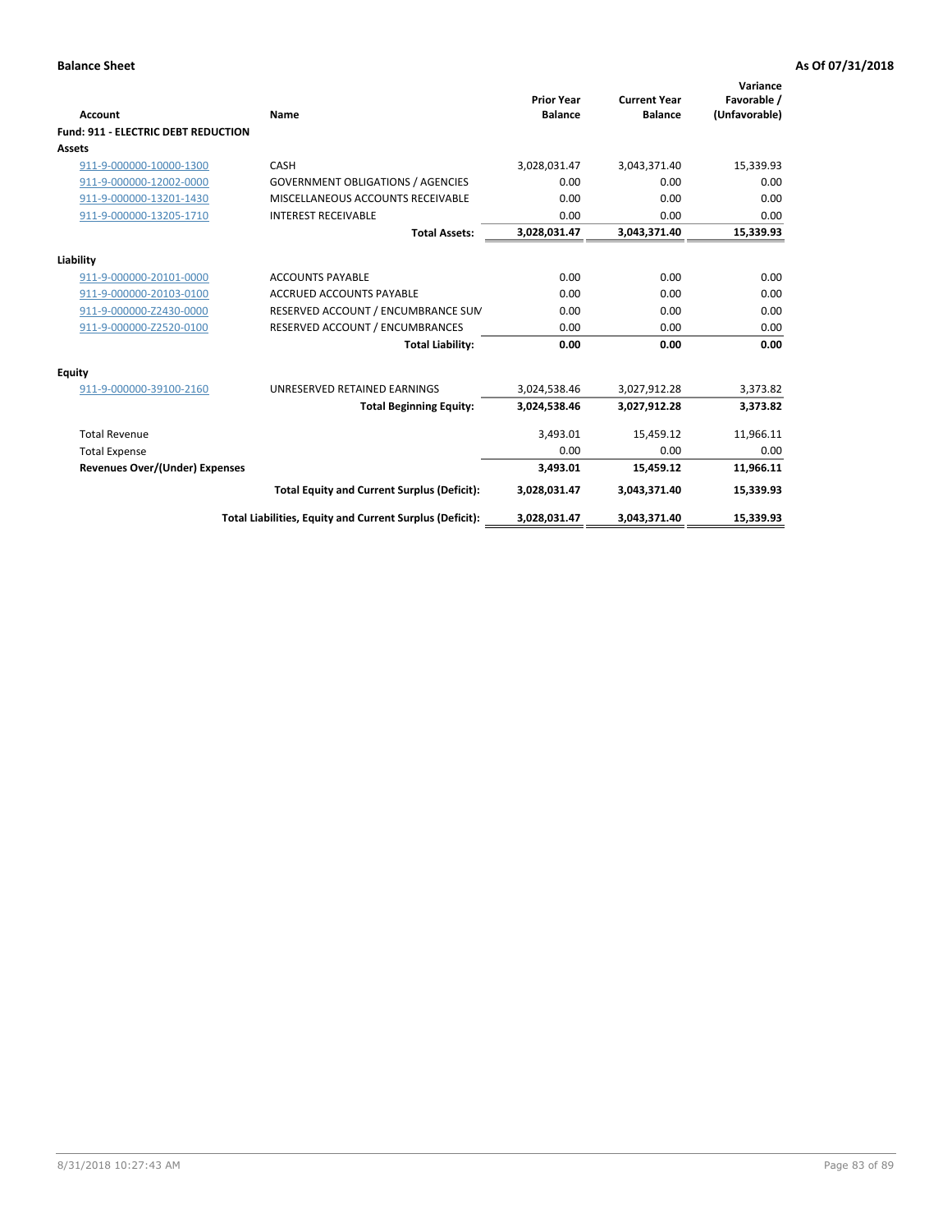| Account                                    | Name                                                     | <b>Prior Year</b><br><b>Balance</b> | <b>Current Year</b><br><b>Balance</b> | Variance<br>Favorable /<br>(Unfavorable) |
|--------------------------------------------|----------------------------------------------------------|-------------------------------------|---------------------------------------|------------------------------------------|
| <b>Fund: 911 - ELECTRIC DEBT REDUCTION</b> |                                                          |                                     |                                       |                                          |
| Assets                                     |                                                          |                                     |                                       |                                          |
| 911-9-000000-10000-1300                    | CASH                                                     | 3,028,031.47                        | 3,043,371.40                          | 15,339.93                                |
| 911-9-000000-12002-0000                    | <b>GOVERNMENT OBLIGATIONS / AGENCIES</b>                 | 0.00                                | 0.00                                  | 0.00                                     |
| 911-9-000000-13201-1430                    | MISCELLANEOUS ACCOUNTS RECEIVABLE                        | 0.00                                | 0.00                                  | 0.00                                     |
| 911-9-000000-13205-1710                    | <b>INTEREST RECEIVABLE</b>                               | 0.00                                | 0.00                                  | 0.00                                     |
|                                            | <b>Total Assets:</b>                                     | 3,028,031.47                        | 3,043,371.40                          | 15,339.93                                |
| Liability                                  |                                                          |                                     |                                       |                                          |
| 911-9-000000-20101-0000                    | <b>ACCOUNTS PAYABLE</b>                                  | 0.00                                | 0.00                                  | 0.00                                     |
| 911-9-000000-20103-0100                    | <b>ACCRUED ACCOUNTS PAYABLE</b>                          | 0.00                                | 0.00                                  | 0.00                                     |
| 911-9-000000-Z2430-0000                    | RESERVED ACCOUNT / ENCUMBRANCE SUN                       | 0.00                                | 0.00                                  | 0.00                                     |
| 911-9-000000-Z2520-0100                    | RESERVED ACCOUNT / ENCUMBRANCES                          | 0.00                                | 0.00                                  | 0.00                                     |
|                                            | <b>Total Liability:</b>                                  | 0.00                                | 0.00                                  | 0.00                                     |
| Equity                                     |                                                          |                                     |                                       |                                          |
| 911-9-000000-39100-2160                    | UNRESERVED RETAINED EARNINGS                             | 3,024,538.46                        | 3,027,912.28                          | 3,373.82                                 |
|                                            | <b>Total Beginning Equity:</b>                           | 3.024.538.46                        | 3.027.912.28                          | 3.373.82                                 |
| <b>Total Revenue</b>                       |                                                          | 3,493.01                            | 15,459.12                             | 11,966.11                                |
| <b>Total Expense</b>                       |                                                          | 0.00                                | 0.00                                  | 0.00                                     |
| <b>Revenues Over/(Under) Expenses</b>      |                                                          | 3,493.01                            | 15,459.12                             | 11,966.11                                |
|                                            | <b>Total Equity and Current Surplus (Deficit):</b>       | 3,028,031.47                        | 3,043,371.40                          | 15,339.93                                |
|                                            | Total Liabilities, Equity and Current Surplus (Deficit): | 3,028,031.47                        | 3,043,371.40                          | 15,339.93                                |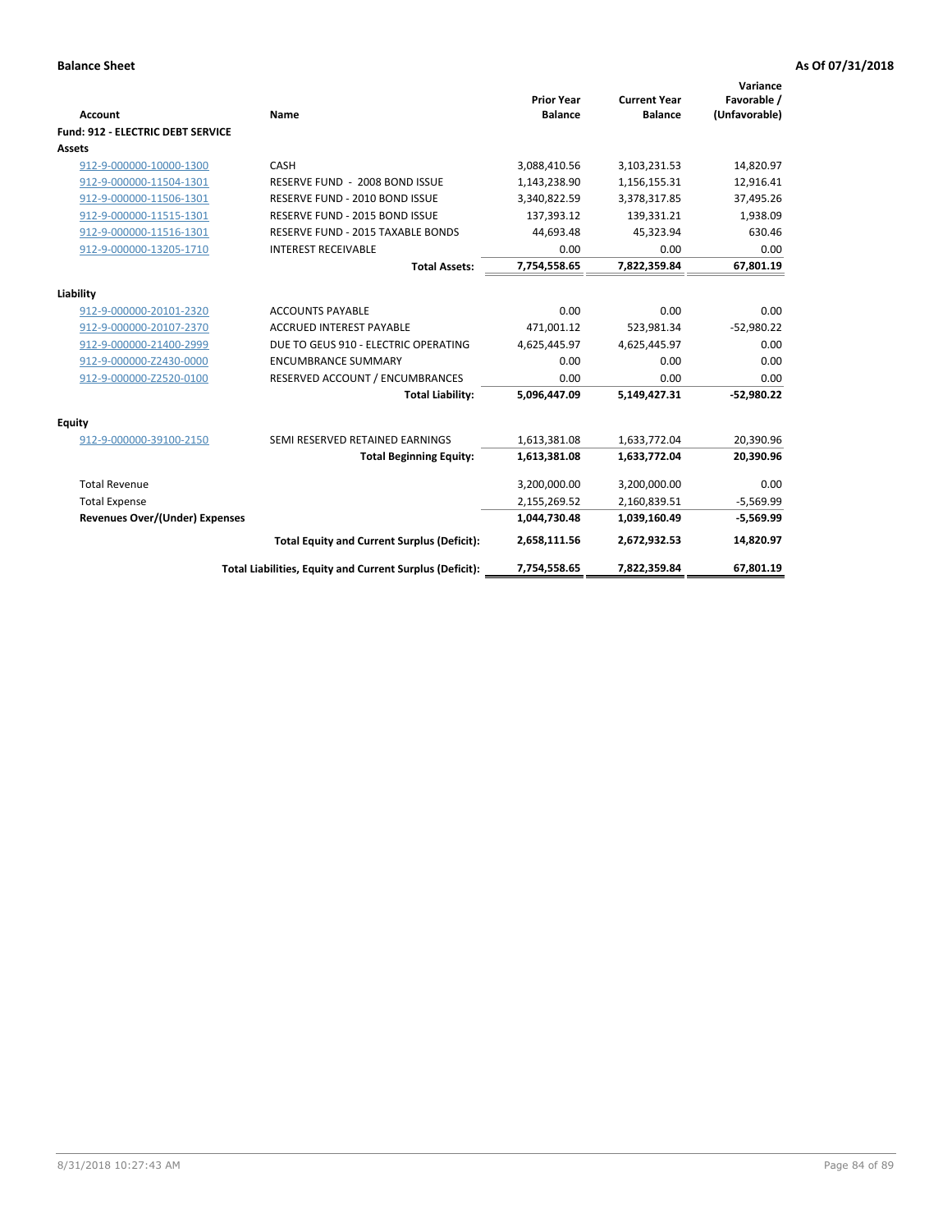| Account                                  | Name                                                     | <b>Prior Year</b><br><b>Balance</b> | <b>Current Year</b><br><b>Balance</b> | Variance<br>Favorable /<br>(Unfavorable) |
|------------------------------------------|----------------------------------------------------------|-------------------------------------|---------------------------------------|------------------------------------------|
| <b>Fund: 912 - ELECTRIC DEBT SERVICE</b> |                                                          |                                     |                                       |                                          |
| <b>Assets</b>                            |                                                          |                                     |                                       |                                          |
| 912-9-000000-10000-1300                  | CASH                                                     | 3,088,410.56                        | 3,103,231.53                          | 14,820.97                                |
| 912-9-000000-11504-1301                  | RESERVE FUND - 2008 BOND ISSUE                           | 1,143,238.90                        | 1,156,155.31                          | 12,916.41                                |
| 912-9-000000-11506-1301                  | RESERVE FUND - 2010 BOND ISSUE                           | 3,340,822.59                        | 3,378,317.85                          | 37,495.26                                |
| 912-9-000000-11515-1301                  | RESERVE FUND - 2015 BOND ISSUE                           | 137,393.12                          | 139,331.21                            | 1,938.09                                 |
| 912-9-000000-11516-1301                  | <b>RESERVE FUND - 2015 TAXABLE BONDS</b>                 | 44,693.48                           | 45,323.94                             | 630.46                                   |
| 912-9-000000-13205-1710                  | <b>INTEREST RECEIVABLE</b>                               | 0.00                                | 0.00                                  | 0.00                                     |
|                                          | <b>Total Assets:</b>                                     | 7,754,558.65                        | 7,822,359.84                          | 67,801.19                                |
| Liability                                |                                                          |                                     |                                       |                                          |
| 912-9-000000-20101-2320                  | <b>ACCOUNTS PAYABLE</b>                                  | 0.00                                | 0.00                                  | 0.00                                     |
| 912-9-000000-20107-2370                  | <b>ACCRUED INTEREST PAYABLE</b>                          | 471,001.12                          | 523,981.34                            | $-52,980.22$                             |
| 912-9-000000-21400-2999                  | DUE TO GEUS 910 - ELECTRIC OPERATING                     | 4,625,445.97                        | 4,625,445.97                          | 0.00                                     |
| 912-9-000000-Z2430-0000                  | <b>ENCUMBRANCE SUMMARY</b>                               | 0.00                                | 0.00                                  | 0.00                                     |
| 912-9-000000-Z2520-0100                  | RESERVED ACCOUNT / ENCUMBRANCES                          | 0.00                                | 0.00                                  | 0.00                                     |
|                                          | <b>Total Liability:</b>                                  | 5,096,447.09                        | 5,149,427.31                          | $-52,980.22$                             |
| Equity                                   |                                                          |                                     |                                       |                                          |
| 912-9-000000-39100-2150                  | SEMI RESERVED RETAINED EARNINGS                          | 1,613,381.08                        | 1,633,772.04                          | 20,390.96                                |
|                                          | <b>Total Beginning Equity:</b>                           | 1,613,381.08                        | 1,633,772.04                          | 20,390.96                                |
| <b>Total Revenue</b>                     |                                                          | 3,200,000.00                        | 3,200,000.00                          | 0.00                                     |
| <b>Total Expense</b>                     |                                                          | 2,155,269.52                        | 2,160,839.51                          | $-5,569.99$                              |
| <b>Revenues Over/(Under) Expenses</b>    |                                                          | 1,044,730.48                        | 1,039,160.49                          | $-5,569.99$                              |
|                                          | <b>Total Equity and Current Surplus (Deficit):</b>       | 2,658,111.56                        | 2,672,932.53                          | 14,820.97                                |
|                                          | Total Liabilities, Equity and Current Surplus (Deficit): | 7,754,558.65                        | 7.822.359.84                          | 67.801.19                                |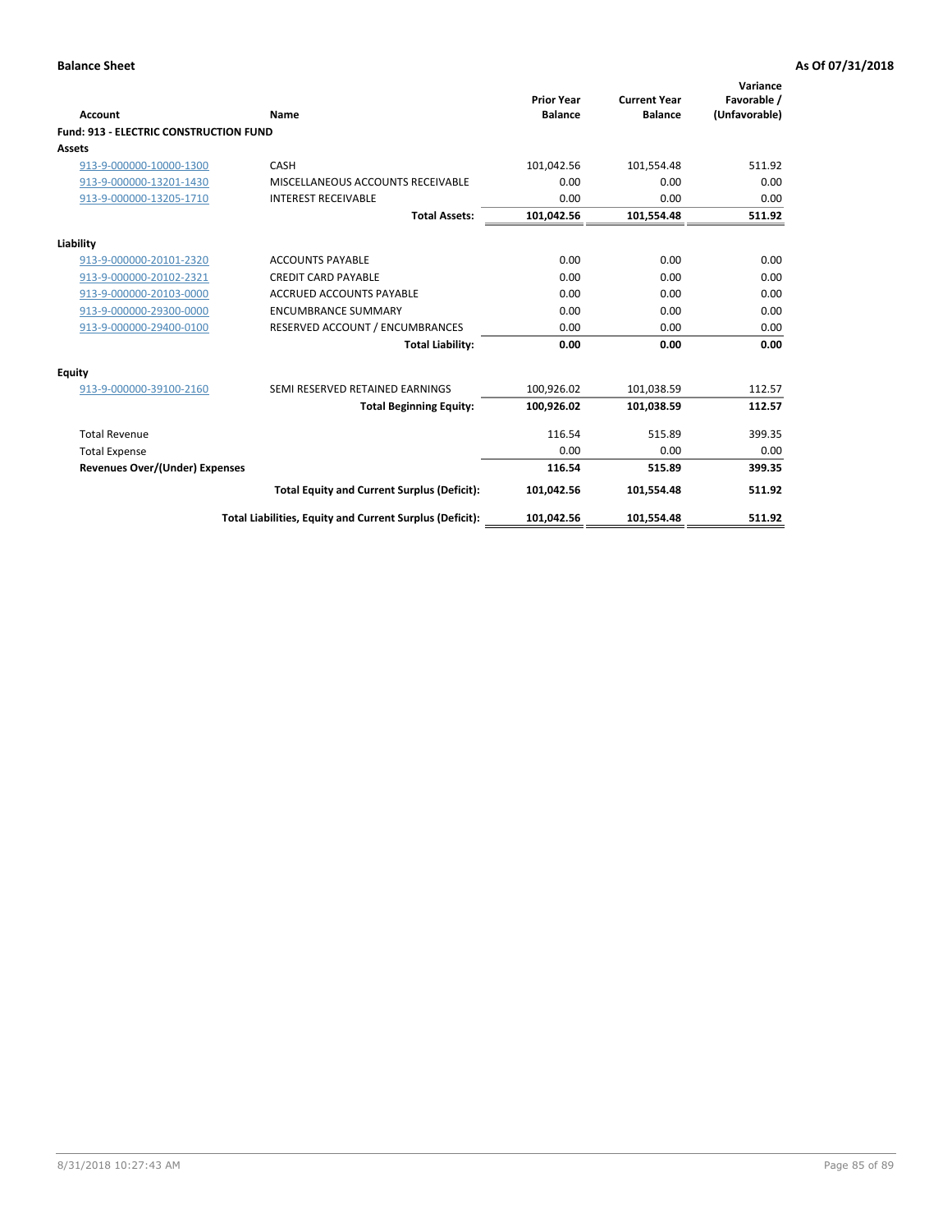| Account                                       | Name                                                     | <b>Prior Year</b><br><b>Balance</b> | <b>Current Year</b><br><b>Balance</b> | Variance<br>Favorable /<br>(Unfavorable) |
|-----------------------------------------------|----------------------------------------------------------|-------------------------------------|---------------------------------------|------------------------------------------|
| <b>Fund: 913 - ELECTRIC CONSTRUCTION FUND</b> |                                                          |                                     |                                       |                                          |
| <b>Assets</b>                                 |                                                          |                                     |                                       |                                          |
| 913-9-000000-10000-1300                       | CASH                                                     | 101,042.56                          | 101,554.48                            | 511.92                                   |
| 913-9-000000-13201-1430                       | MISCELLANEOUS ACCOUNTS RECEIVABLE                        | 0.00                                | 0.00                                  | 0.00                                     |
| 913-9-000000-13205-1710                       | <b>INTEREST RECEIVABLE</b>                               | 0.00                                | 0.00                                  | 0.00                                     |
|                                               | <b>Total Assets:</b>                                     | 101,042.56                          | 101,554.48                            | 511.92                                   |
| Liability                                     |                                                          |                                     |                                       |                                          |
| 913-9-000000-20101-2320                       | <b>ACCOUNTS PAYABLE</b>                                  | 0.00                                | 0.00                                  | 0.00                                     |
| 913-9-000000-20102-2321                       | <b>CREDIT CARD PAYABLE</b>                               | 0.00                                | 0.00                                  | 0.00                                     |
| 913-9-000000-20103-0000                       | <b>ACCRUED ACCOUNTS PAYABLE</b>                          | 0.00                                | 0.00                                  | 0.00                                     |
| 913-9-000000-29300-0000                       | <b>ENCUMBRANCE SUMMARY</b>                               | 0.00                                | 0.00                                  | 0.00                                     |
| 913-9-000000-29400-0100                       | RESERVED ACCOUNT / ENCUMBRANCES                          | 0.00                                | 0.00                                  | 0.00                                     |
|                                               | <b>Total Liability:</b>                                  | 0.00                                | 0.00                                  | 0.00                                     |
| <b>Equity</b>                                 |                                                          |                                     |                                       |                                          |
| 913-9-000000-39100-2160                       | SEMI RESERVED RETAINED EARNINGS                          | 100,926.02                          | 101,038.59                            | 112.57                                   |
|                                               | <b>Total Beginning Equity:</b>                           | 100,926.02                          | 101,038.59                            | 112.57                                   |
| <b>Total Revenue</b>                          |                                                          | 116.54                              | 515.89                                | 399.35                                   |
| <b>Total Expense</b>                          |                                                          | 0.00                                | 0.00                                  | 0.00                                     |
| Revenues Over/(Under) Expenses                |                                                          | 116.54                              | 515.89                                | 399.35                                   |
|                                               | <b>Total Equity and Current Surplus (Deficit):</b>       | 101,042.56                          | 101,554.48                            | 511.92                                   |
|                                               | Total Liabilities, Equity and Current Surplus (Deficit): | 101,042.56                          | 101,554.48                            | 511.92                                   |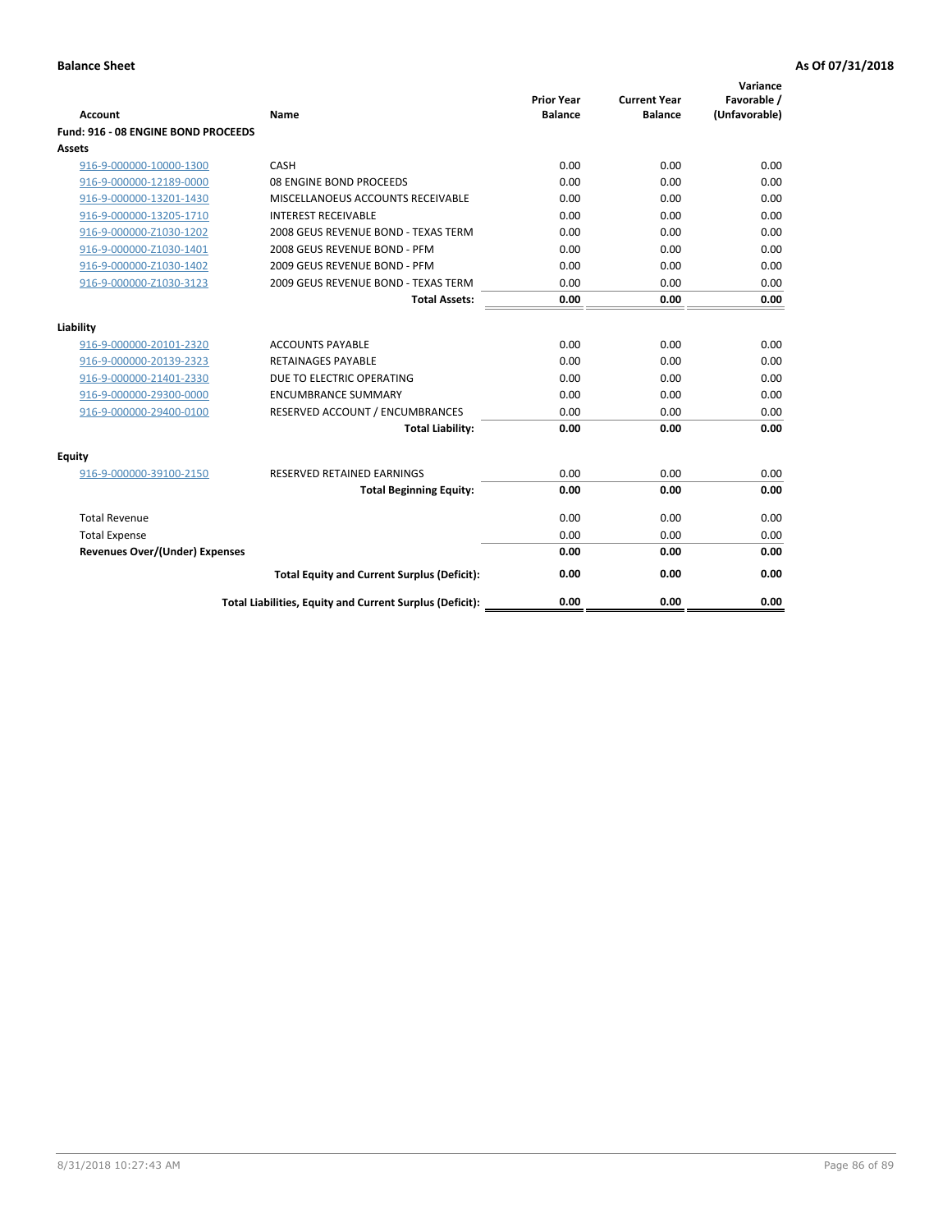| <b>Account</b>                        | Name                                                     | <b>Prior Year</b><br><b>Balance</b> | <b>Current Year</b><br><b>Balance</b> | Variance<br>Favorable /<br>(Unfavorable) |
|---------------------------------------|----------------------------------------------------------|-------------------------------------|---------------------------------------|------------------------------------------|
| Fund: 916 - 08 ENGINE BOND PROCEEDS   |                                                          |                                     |                                       |                                          |
| <b>Assets</b>                         |                                                          |                                     |                                       |                                          |
| 916-9-000000-10000-1300               | CASH                                                     | 0.00                                | 0.00                                  | 0.00                                     |
| 916-9-000000-12189-0000               | 08 ENGINE BOND PROCEEDS                                  | 0.00                                | 0.00                                  | 0.00                                     |
| 916-9-000000-13201-1430               | MISCELLANOEUS ACCOUNTS RECEIVABLE                        | 0.00                                | 0.00                                  | 0.00                                     |
| 916-9-000000-13205-1710               | <b>INTEREST RECEIVABLE</b>                               | 0.00                                | 0.00                                  | 0.00                                     |
| 916-9-000000-Z1030-1202               | 2008 GEUS REVENUE BOND - TEXAS TERM                      | 0.00                                | 0.00                                  | 0.00                                     |
| 916-9-000000-Z1030-1401               | 2008 GEUS REVENUE BOND - PFM                             | 0.00                                | 0.00                                  | 0.00                                     |
| 916-9-000000-Z1030-1402               | 2009 GEUS REVENUE BOND - PFM                             | 0.00                                | 0.00                                  | 0.00                                     |
| 916-9-000000-Z1030-3123               | 2009 GEUS REVENUE BOND - TEXAS TERM                      | 0.00                                | 0.00                                  | 0.00                                     |
|                                       | <b>Total Assets:</b>                                     | 0.00                                | 0.00                                  | 0.00                                     |
| Liability                             |                                                          |                                     |                                       |                                          |
| 916-9-000000-20101-2320               | <b>ACCOUNTS PAYABLE</b>                                  | 0.00                                | 0.00                                  | 0.00                                     |
| 916-9-000000-20139-2323               | <b>RETAINAGES PAYABLE</b>                                | 0.00                                | 0.00                                  | 0.00                                     |
| 916-9-000000-21401-2330               | DUE TO ELECTRIC OPERATING                                | 0.00                                | 0.00                                  | 0.00                                     |
| 916-9-000000-29300-0000               | <b>ENCUMBRANCE SUMMARY</b>                               | 0.00                                | 0.00                                  | 0.00                                     |
| 916-9-000000-29400-0100               | RESERVED ACCOUNT / ENCUMBRANCES                          | 0.00                                | 0.00                                  | 0.00                                     |
|                                       | <b>Total Liability:</b>                                  | 0.00                                | 0.00                                  | 0.00                                     |
| Equity                                |                                                          |                                     |                                       |                                          |
| 916-9-000000-39100-2150               | <b>RESERVED RETAINED EARNINGS</b>                        | 0.00                                | 0.00                                  | 0.00                                     |
|                                       | <b>Total Beginning Equity:</b>                           | 0.00                                | 0.00                                  | 0.00                                     |
| <b>Total Revenue</b>                  |                                                          | 0.00                                | 0.00                                  | 0.00                                     |
| <b>Total Expense</b>                  |                                                          | 0.00                                | 0.00                                  | 0.00                                     |
| <b>Revenues Over/(Under) Expenses</b> |                                                          | 0.00                                | 0.00                                  | 0.00                                     |
|                                       | <b>Total Equity and Current Surplus (Deficit):</b>       | 0.00                                | 0.00                                  | 0.00                                     |
|                                       | Total Liabilities, Equity and Current Surplus (Deficit): | 0.00                                | 0.00                                  | 0.00                                     |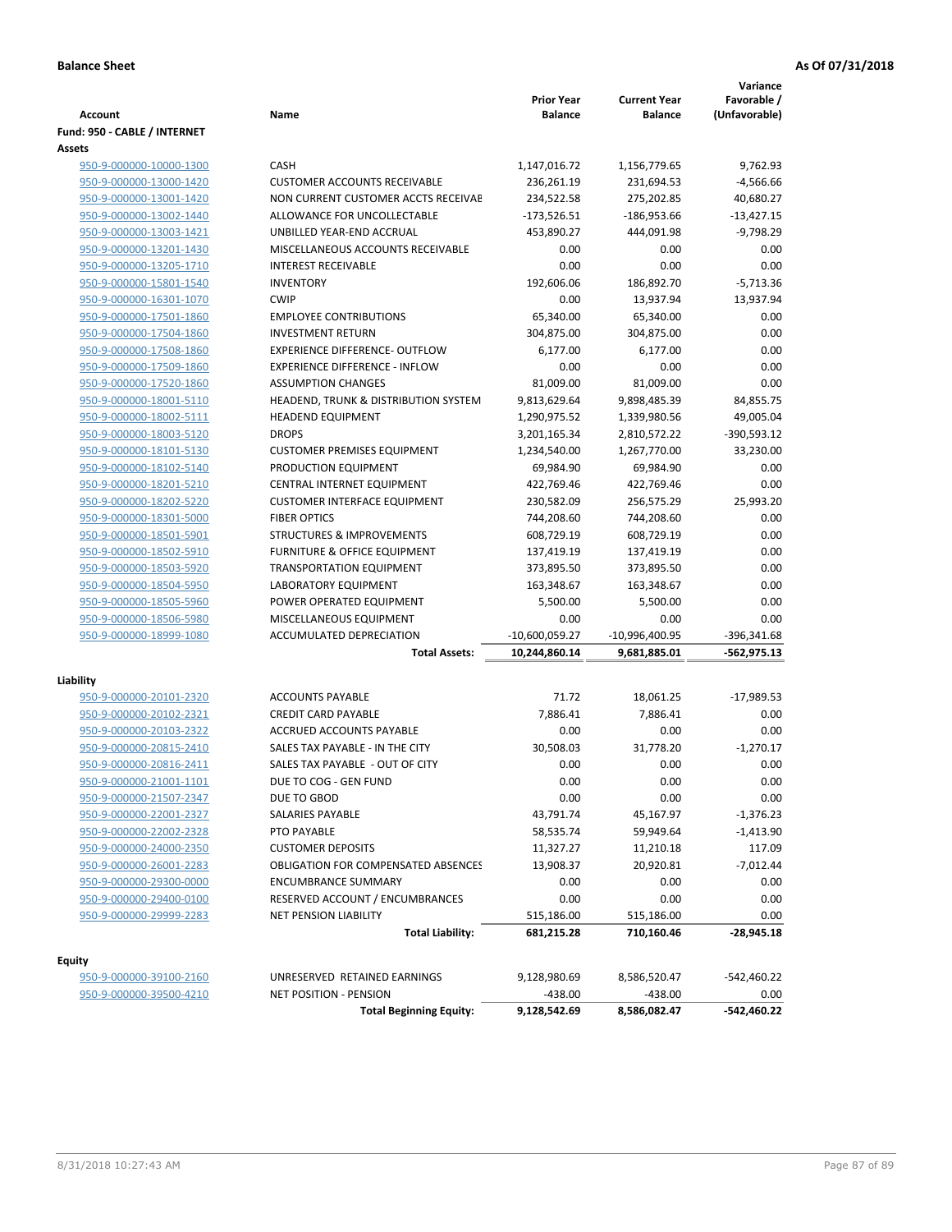| <b>Account</b>               | Name                                       | <b>Prior Year</b><br><b>Balance</b> | <b>Current Year</b><br><b>Balance</b> | Variance<br>Favorable /<br>(Unfavorable) |
|------------------------------|--------------------------------------------|-------------------------------------|---------------------------------------|------------------------------------------|
| Fund: 950 - CABLE / INTERNET |                                            |                                     |                                       |                                          |
| Assets                       |                                            |                                     |                                       |                                          |
| 950-9-000000-10000-1300      | CASH                                       | 1,147,016.72                        | 1,156,779.65                          | 9,762.93                                 |
| 950-9-000000-13000-1420      | <b>CUSTOMER ACCOUNTS RECEIVABLE</b>        | 236,261.19                          | 231,694.53                            | $-4,566.66$                              |
| 950-9-000000-13001-1420      | NON CURRENT CUSTOMER ACCTS RECEIVAE        | 234,522.58                          | 275,202.85                            | 40,680.27                                |
| 950-9-000000-13002-1440      | ALLOWANCE FOR UNCOLLECTABLE                | $-173,526.51$                       | $-186,953.66$                         | $-13,427.15$                             |
| 950-9-000000-13003-1421      | UNBILLED YEAR-END ACCRUAL                  | 453,890.27                          | 444,091.98                            | $-9,798.29$                              |
| 950-9-000000-13201-1430      | MISCELLANEOUS ACCOUNTS RECEIVABLE          | 0.00                                | 0.00                                  | 0.00                                     |
| 950-9-000000-13205-1710      | <b>INTEREST RECEIVABLE</b>                 | 0.00                                | 0.00                                  | 0.00                                     |
| 950-9-000000-15801-1540      | <b>INVENTORY</b>                           | 192,606.06                          | 186,892.70                            | $-5,713.36$                              |
| 950-9-000000-16301-1070      | <b>CWIP</b>                                | 0.00                                | 13,937.94                             | 13,937.94                                |
| 950-9-000000-17501-1860      | <b>EMPLOYEE CONTRIBUTIONS</b>              | 65,340.00                           | 65,340.00                             | 0.00                                     |
| 950-9-000000-17504-1860      | <b>INVESTMENT RETURN</b>                   | 304,875.00                          | 304,875.00                            | 0.00                                     |
| 950-9-000000-17508-1860      | <b>EXPERIENCE DIFFERENCE- OUTFLOW</b>      | 6,177.00                            | 6,177.00                              | 0.00                                     |
| 950-9-000000-17509-1860      | <b>EXPERIENCE DIFFERENCE - INFLOW</b>      | 0.00                                | 0.00                                  | 0.00                                     |
| 950-9-000000-17520-1860      | <b>ASSUMPTION CHANGES</b>                  | 81,009.00                           | 81,009.00                             | 0.00                                     |
| 950-9-000000-18001-5110      | HEADEND, TRUNK & DISTRIBUTION SYSTEM       | 9,813,629.64                        | 9,898,485.39                          | 84,855.75                                |
| 950-9-000000-18002-5111      | <b>HEADEND EQUIPMENT</b>                   | 1,290,975.52                        | 1,339,980.56                          | 49,005.04                                |
| 950-9-000000-18003-5120      | <b>DROPS</b>                               | 3,201,165.34                        | 2,810,572.22                          | -390,593.12                              |
| 950-9-000000-18101-5130      | <b>CUSTOMER PREMISES EQUIPMENT</b>         | 1,234,540.00                        | 1,267,770.00                          | 33,230.00                                |
| 950-9-000000-18102-5140      | PRODUCTION EQUIPMENT                       | 69,984.90                           | 69,984.90                             | 0.00                                     |
| 950-9-000000-18201-5210      | CENTRAL INTERNET EQUIPMENT                 | 422,769.46                          | 422,769.46                            | 0.00                                     |
| 950-9-000000-18202-5220      | <b>CUSTOMER INTERFACE EQUIPMENT</b>        | 230,582.09                          | 256,575.29                            | 25,993.20                                |
| 950-9-000000-18301-5000      | <b>FIBER OPTICS</b>                        | 744,208.60                          | 744,208.60                            | 0.00                                     |
| 950-9-000000-18501-5901      | <b>STRUCTURES &amp; IMPROVEMENTS</b>       | 608,729.19                          | 608,729.19                            | 0.00                                     |
| 950-9-000000-18502-5910      | <b>FURNITURE &amp; OFFICE EQUIPMENT</b>    | 137,419.19                          | 137,419.19                            | 0.00                                     |
| 950-9-000000-18503-5920      | <b>TRANSPORTATION EQUIPMENT</b>            | 373,895.50                          | 373,895.50                            | 0.00                                     |
| 950-9-000000-18504-5950      | LABORATORY EQUIPMENT                       | 163,348.67                          | 163,348.67                            | 0.00                                     |
| 950-9-000000-18505-5960      | POWER OPERATED EQUIPMENT                   | 5,500.00                            | 5,500.00                              | 0.00                                     |
| 950-9-000000-18506-5980      | MISCELLANEOUS EQUIPMENT                    | 0.00                                | 0.00                                  | 0.00                                     |
| 950-9-000000-18999-1080      | ACCUMULATED DEPRECIATION                   | $-10,600,059.27$                    | $-10,996,400.95$                      | -396,341.68                              |
|                              | <b>Total Assets:</b>                       | 10,244,860.14                       | 9,681,885.01                          | $-562,975.13$                            |
|                              |                                            |                                     |                                       |                                          |
| Liability                    | <b>ACCOUNTS PAYABLE</b>                    |                                     |                                       |                                          |
| 950-9-000000-20101-2320      |                                            | 71.72                               | 18,061.25                             | $-17,989.53$                             |
| 950-9-000000-20102-2321      | <b>CREDIT CARD PAYABLE</b>                 | 7,886.41                            | 7,886.41                              | 0.00                                     |
| 950-9-000000-20103-2322      | <b>ACCRUED ACCOUNTS PAYABLE</b>            | 0.00                                | 0.00                                  | 0.00                                     |
| 950-9-000000-20815-2410      | SALES TAX PAYABLE - IN THE CITY            | 30,508.03                           | 31,778.20                             | $-1,270.17$                              |
| 950-9-000000-20816-2411      | SALES TAX PAYABLE - OUT OF CITY            | 0.00                                | 0.00                                  | 0.00                                     |
| 950-9-000000-21001-1101      | DUE TO COG - GEN FUND                      | 0.00                                | 0.00                                  | 0.00                                     |
| 950-9-000000-21507-2347      | DUE TO GBOD                                | 0.00                                | 0.00                                  | 0.00                                     |
| 950-9-000000-22001-2327      | SALARIES PAYABLE                           | 43,791.74                           | 45,167.97                             | -1,376.23                                |
| 950-9-000000-22002-2328      | PTO PAYABLE                                | 58,535.74                           | 59,949.64                             | $-1,413.90$                              |
| 950-9-000000-24000-2350      | <b>CUSTOMER DEPOSITS</b>                   | 11,327.27                           | 11,210.18                             | 117.09                                   |
| 950-9-000000-26001-2283      | <b>OBLIGATION FOR COMPENSATED ABSENCES</b> | 13,908.37                           | 20,920.81                             | $-7,012.44$                              |
| 950-9-000000-29300-0000      | <b>ENCUMBRANCE SUMMARY</b>                 | 0.00                                | 0.00                                  | 0.00                                     |
| 950-9-000000-29400-0100      | RESERVED ACCOUNT / ENCUMBRANCES            | 0.00                                | 0.00                                  | 0.00                                     |
| 950-9-000000-29999-2283      | <b>NET PENSION LIABILITY</b>               | 515,186.00                          | 515,186.00                            | 0.00                                     |
|                              | <b>Total Liability:</b>                    | 681,215.28                          | 710,160.46                            | -28,945.18                               |
| Equity                       |                                            |                                     |                                       |                                          |
| 950-9-000000-39100-2160      | UNRESERVED RETAINED EARNINGS               | 9,128,980.69                        | 8,586,520.47                          | -542,460.22                              |
| 950-9-000000-39500-4210      | <b>NET POSITION - PENSION</b>              | $-438.00$                           | -438.00                               | 0.00                                     |
|                              | <b>Total Beginning Equity:</b>             | 9,128,542.69                        | 8,586,082.47                          | -542,460.22                              |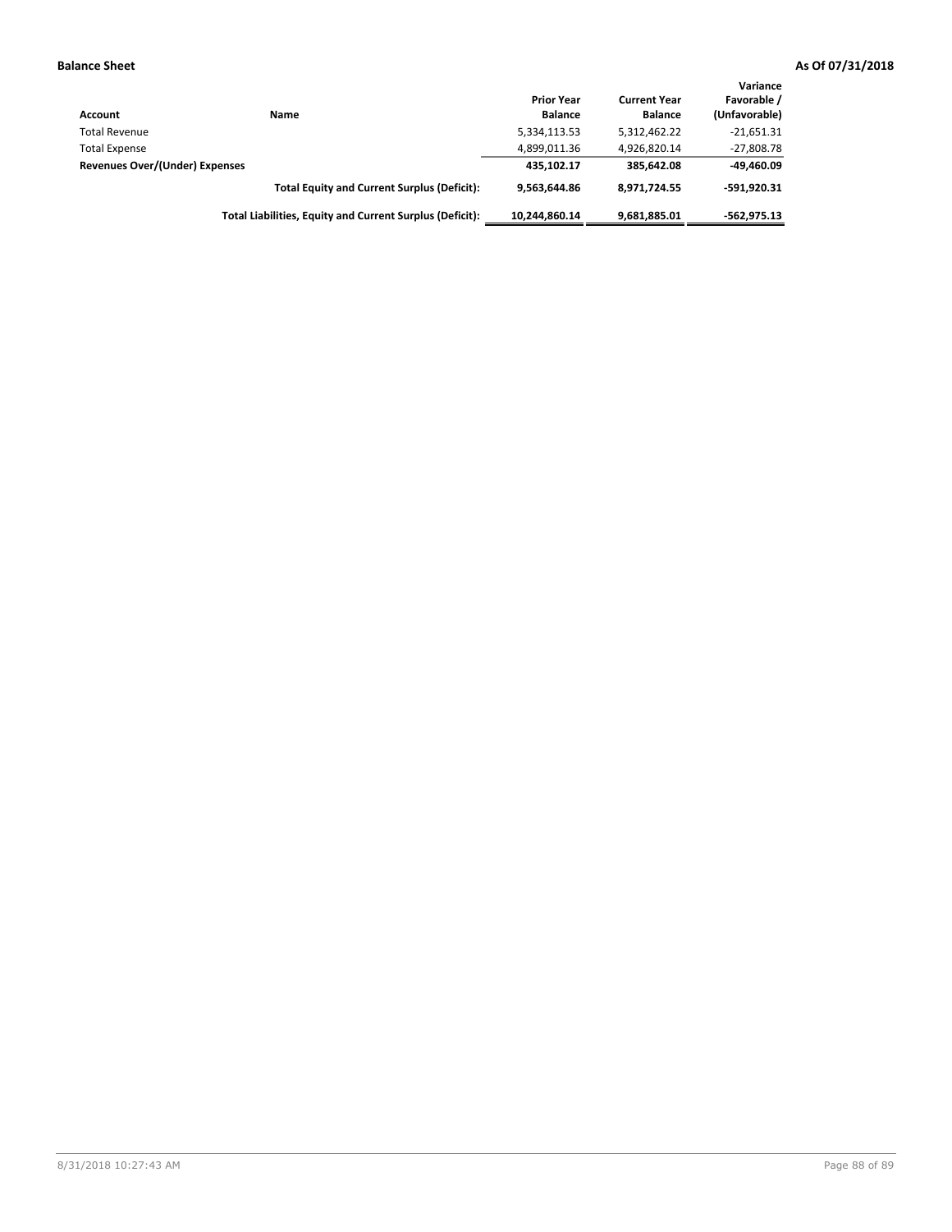| Account                        | Name                                                     | <b>Prior Year</b><br><b>Balance</b> | <b>Current Year</b><br><b>Balance</b> | Variance<br>Favorable /<br>(Unfavorable) |
|--------------------------------|----------------------------------------------------------|-------------------------------------|---------------------------------------|------------------------------------------|
| <b>Total Revenue</b>           |                                                          | 5,334,113.53                        | 5,312,462.22                          | $-21,651.31$                             |
| <b>Total Expense</b>           |                                                          | 4,899,011.36                        | 4,926,820.14                          | $-27,808.78$                             |
| Revenues Over/(Under) Expenses |                                                          | 435.102.17                          | 385.642.08                            | -49,460.09                               |
|                                | <b>Total Equity and Current Surplus (Deficit):</b>       | 9.563.644.86                        | 8.971.724.55                          | $-591.920.31$                            |
|                                | Total Liabilities, Equity and Current Surplus (Deficit): | 10.244.860.14                       | 9,681,885.01                          | $-562,975.13$                            |